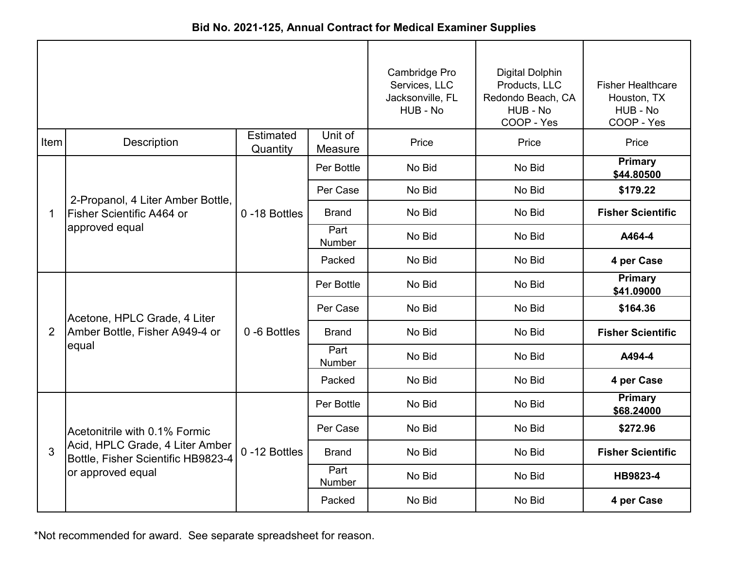| Bid No. 2021-125, Annual Contract for Medical Examiner Supplies |  |
|-----------------------------------------------------------------|--|
|-----------------------------------------------------------------|--|

|      |                                                                         |                       |                       | Cambridge Pro<br>Services, LLC<br>Jacksonville, FL<br>HUB - No | <b>Digital Dolphin</b><br>Products, LLC<br>Redondo Beach, CA<br>HUB - No<br>COOP - Yes | <b>Fisher Healthcare</b><br>Houston, TX<br>HUB - No<br>COOP - Yes |
|------|-------------------------------------------------------------------------|-----------------------|-----------------------|----------------------------------------------------------------|----------------------------------------------------------------------------------------|-------------------------------------------------------------------|
| Item | Description                                                             | Estimated<br>Quantity | Unit of<br>Measure    | Price                                                          | Price                                                                                  | Price                                                             |
|      |                                                                         |                       | Per Bottle            | No Bid                                                         | No Bid                                                                                 | Primary<br>\$44.80500                                             |
|      | 2-Propanol, 4 Liter Amber Bottle,                                       |                       | Per Case              | No Bid                                                         | No Bid                                                                                 | \$179.22                                                          |
| 1    | Fisher Scientific A464 or                                               | 0-18 Bottles          | <b>Brand</b>          | No Bid                                                         | No Bid                                                                                 | <b>Fisher Scientific</b>                                          |
|      | approved equal                                                          |                       | Part<br><b>Number</b> | No Bid                                                         | No Bid                                                                                 | A464-4                                                            |
|      |                                                                         |                       | Packed                | No Bid                                                         | No Bid                                                                                 | 4 per Case                                                        |
|      | Acetone, HPLC Grade, 4 Liter<br>Amber Bottle, Fisher A949-4 or<br>equal |                       | Per Bottle            | No Bid                                                         | No Bid                                                                                 | Primary<br>\$41.09000                                             |
|      |                                                                         | 0-6 Bottles           | Per Case              | No Bid                                                         | No Bid                                                                                 | \$164.36                                                          |
| 2    |                                                                         |                       | <b>Brand</b>          | No Bid                                                         | No Bid                                                                                 | <b>Fisher Scientific</b>                                          |
|      |                                                                         |                       | Part<br>Number        | No Bid                                                         | No Bid                                                                                 | A494-4                                                            |
|      |                                                                         |                       | Packed                | No Bid                                                         | No Bid                                                                                 | 4 per Case                                                        |
|      |                                                                         |                       | Per Bottle            | No Bid                                                         | No Bid                                                                                 | <b>Primary</b><br>\$68.24000                                      |
|      | Acetonitrile with 0.1% Formic                                           |                       | Per Case              | No Bid                                                         | No Bid                                                                                 | \$272.96                                                          |
| 3    | Acid, HPLC Grade, 4 Liter Amber<br>Bottle, Fisher Scientific HB9823-4   | 0-12 Bottles          | <b>Brand</b>          | No Bid                                                         | No Bid                                                                                 | <b>Fisher Scientific</b>                                          |
|      | or approved equal                                                       |                       | Part<br>Number        | No Bid                                                         | No Bid                                                                                 | HB9823-4                                                          |
|      |                                                                         |                       | Packed                | No Bid                                                         | No Bid                                                                                 | 4 per Case                                                        |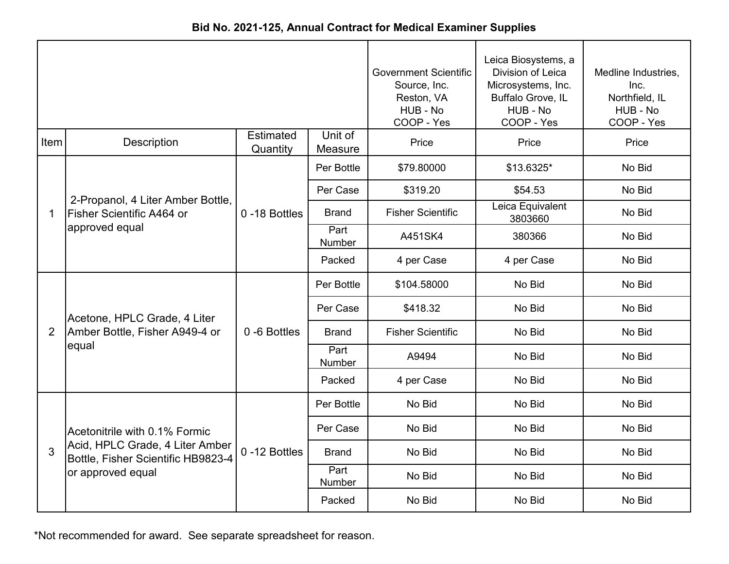|  |  |  | Bid No. 2021-125, Annual Contract for Medical Examiner Supplies |
|--|--|--|-----------------------------------------------------------------|
|--|--|--|-----------------------------------------------------------------|

|                |                                                                                  |                              | <b>Government Scientific</b><br>Source, Inc.<br>Reston, VA<br>HUB - No<br>COOP - Yes | Leica Biosystems, a<br>Division of Leica<br>Microsystems, Inc.<br>Buffalo Grove, IL<br>HUB - No<br>COOP - Yes | Medline Industries,<br>Inc.<br>Northfield, IL<br>HUB - No<br>COOP - Yes |        |
|----------------|----------------------------------------------------------------------------------|------------------------------|--------------------------------------------------------------------------------------|---------------------------------------------------------------------------------------------------------------|-------------------------------------------------------------------------|--------|
| Item           | Description                                                                      | <b>Estimated</b><br>Quantity | Unit of<br>Measure                                                                   | Price                                                                                                         | Price                                                                   | Price  |
|                |                                                                                  |                              | Per Bottle                                                                           | \$79.80000                                                                                                    | \$13.6325*                                                              | No Bid |
|                |                                                                                  |                              | Per Case                                                                             | \$319.20                                                                                                      | \$54.53                                                                 | No Bid |
| 1              | 2-Propanol, 4 Liter Amber Bottle,<br>Fisher Scientific A464 or<br>approved equal | 0-18 Bottles                 | <b>Brand</b>                                                                         | <b>Fisher Scientific</b>                                                                                      | Leica Equivalent<br>3803660                                             | No Bid |
|                |                                                                                  |                              | Part<br>Number                                                                       | A451SK4                                                                                                       | 380366                                                                  | No Bid |
|                |                                                                                  |                              | Packed                                                                               | 4 per Case                                                                                                    | 4 per Case                                                              | No Bid |
|                | Acetone, HPLC Grade, 4 Liter<br>Amber Bottle, Fisher A949-4 or<br>equal          | 0-6 Bottles                  | Per Bottle                                                                           | \$104.58000                                                                                                   | No Bid                                                                  | No Bid |
|                |                                                                                  |                              | Per Case                                                                             | \$418.32                                                                                                      | No Bid                                                                  | No Bid |
| $\overline{2}$ |                                                                                  |                              | <b>Brand</b>                                                                         | <b>Fisher Scientific</b>                                                                                      | No Bid                                                                  | No Bid |
|                |                                                                                  |                              | Part<br>Number                                                                       | A9494                                                                                                         | No Bid                                                                  | No Bid |
|                |                                                                                  |                              | Packed                                                                               | 4 per Case                                                                                                    | No Bid                                                                  | No Bid |
|                |                                                                                  |                              | Per Bottle                                                                           | No Bid                                                                                                        | No Bid                                                                  | No Bid |
|                | Acetonitrile with 0.1% Formic                                                    |                              | Per Case                                                                             | No Bid                                                                                                        | No Bid                                                                  | No Bid |
| 3              | Acid, HPLC Grade, 4 Liter Amber<br>Bottle, Fisher Scientific HB9823-4            | 0-12 Bottles                 | <b>Brand</b>                                                                         | No Bid                                                                                                        | No Bid                                                                  | No Bid |
|                | or approved equal                                                                |                              | Part<br>Number                                                                       | No Bid                                                                                                        | No Bid                                                                  | No Bid |
|                |                                                                                  |                              | Packed                                                                               | No Bid                                                                                                        | No Bid                                                                  | No Bid |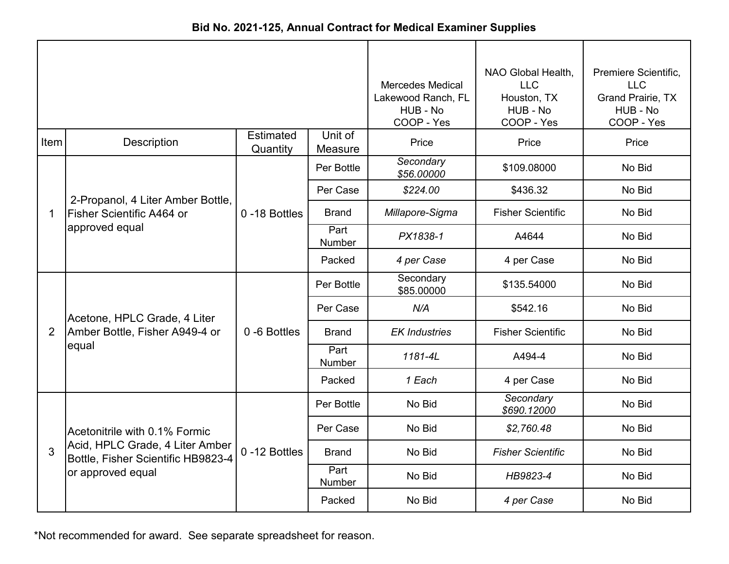| Bid No. 2021-125, Annual Contract for Medical Examiner Supplies |  |  |  |  |
|-----------------------------------------------------------------|--|--|--|--|
|-----------------------------------------------------------------|--|--|--|--|

|                |                                                                         |                              | <b>Mercedes Medical</b><br>Lakewood Ranch, FL<br>HUB - No<br>COOP - Yes | NAO Global Health,<br><b>LLC</b><br>Houston, TX<br>HUB - No<br>COOP - Yes | Premiere Scientific,<br><b>LLC</b><br>Grand Prairie, TX<br>HUB - No<br>COOP - Yes |        |
|----------------|-------------------------------------------------------------------------|------------------------------|-------------------------------------------------------------------------|---------------------------------------------------------------------------|-----------------------------------------------------------------------------------|--------|
| Item           | Description                                                             | <b>Estimated</b><br>Quantity | Unit of<br>Measure                                                      | Price                                                                     | Price                                                                             | Price  |
|                |                                                                         |                              | Per Bottle                                                              | Secondary<br>\$56.00000                                                   | \$109.08000                                                                       | No Bid |
|                | 2-Propanol, 4 Liter Amber Bottle,                                       |                              | Per Case                                                                | \$224.00                                                                  | \$436.32                                                                          | No Bid |
| $\mathbf 1$    | Fisher Scientific A464 or                                               | 0-18 Bottles                 | <b>Brand</b>                                                            | Millapore-Sigma                                                           | <b>Fisher Scientific</b>                                                          | No Bid |
|                | approved equal                                                          |                              | Part<br>Number                                                          | PX1838-1                                                                  | A4644                                                                             | No Bid |
|                |                                                                         |                              | Packed                                                                  | 4 per Case                                                                | 4 per Case                                                                        | No Bid |
|                | Acetone, HPLC Grade, 4 Liter<br>Amber Bottle, Fisher A949-4 or<br>equal | 0-6 Bottles                  | Per Bottle                                                              | Secondary<br>\$85.00000                                                   | \$135.54000                                                                       | No Bid |
|                |                                                                         |                              | Per Case                                                                | N/A                                                                       | \$542.16                                                                          | No Bid |
| $\overline{2}$ |                                                                         |                              | <b>Brand</b>                                                            | <b>EK Industries</b>                                                      | <b>Fisher Scientific</b>                                                          | No Bid |
|                |                                                                         |                              | Part<br>Number                                                          | 1181-4L                                                                   | A494-4                                                                            | No Bid |
|                |                                                                         |                              | Packed                                                                  | 1 Each                                                                    | 4 per Case                                                                        | No Bid |
|                |                                                                         |                              | Per Bottle                                                              | No Bid                                                                    | Secondary<br>\$690.12000                                                          | No Bid |
|                | Acetonitrile with 0.1% Formic                                           |                              | Per Case                                                                | No Bid                                                                    | \$2,760.48                                                                        | No Bid |
| 3              | Acid, HPLC Grade, 4 Liter Amber<br>Bottle, Fisher Scientific HB9823-4   | 0-12 Bottles                 | <b>Brand</b>                                                            | No Bid                                                                    | <b>Fisher Scientific</b>                                                          | No Bid |
|                | or approved equal                                                       |                              | Part<br>Number                                                          | No Bid                                                                    | HB9823-4                                                                          | No Bid |
|                |                                                                         |                              | Packed                                                                  | No Bid                                                                    | 4 per Case                                                                        | No Bid |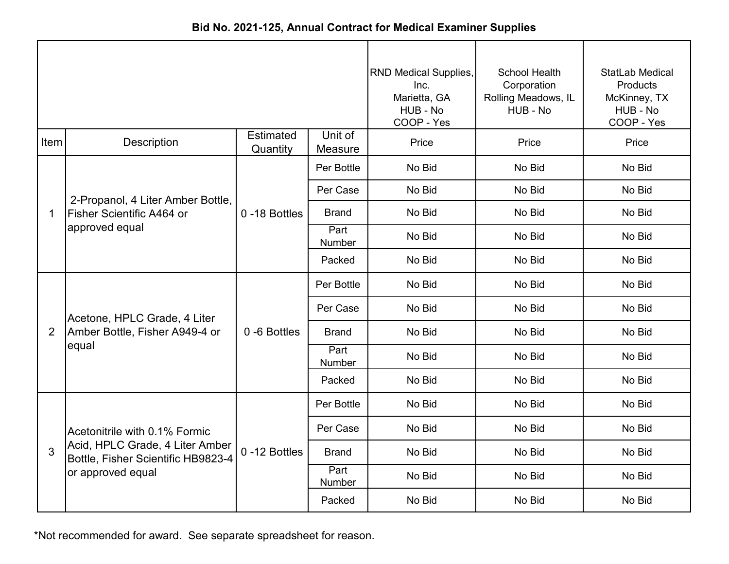| Bid No. 2021-125, Annual Contract for Medical Examiner Supplies |
|-----------------------------------------------------------------|
|-----------------------------------------------------------------|

|                |                                                                       |                              |                    | <b>RND Medical Supplies,</b><br>Inc.<br>Marietta, GA<br>HUB - No<br>COOP - Yes | <b>School Health</b><br>Corporation<br>Rolling Meadows, IL<br>HUB - No | <b>StatLab Medical</b><br><b>Products</b><br>McKinney, TX<br>HUB - No<br>COOP - Yes |
|----------------|-----------------------------------------------------------------------|------------------------------|--------------------|--------------------------------------------------------------------------------|------------------------------------------------------------------------|-------------------------------------------------------------------------------------|
| Item           | Description                                                           | <b>Estimated</b><br>Quantity | Unit of<br>Measure | Price                                                                          | Price                                                                  | Price                                                                               |
|                |                                                                       |                              | Per Bottle         | No Bid                                                                         | No Bid                                                                 | No Bid                                                                              |
|                | 2-Propanol, 4 Liter Amber Bottle,                                     |                              | Per Case           | No Bid                                                                         | No Bid                                                                 | No Bid                                                                              |
| $\mathbf 1$    | Fisher Scientific A464 or<br>approved equal                           | 0-18 Bottles                 | <b>Brand</b>       | No Bid                                                                         | No Bid                                                                 | No Bid                                                                              |
|                |                                                                       |                              | Part<br>Number     | No Bid                                                                         | No Bid                                                                 | No Bid                                                                              |
|                |                                                                       |                              | Packed             | No Bid                                                                         | No Bid                                                                 | No Bid                                                                              |
|                |                                                                       | 0-6 Bottles                  | Per Bottle         | No Bid                                                                         | No Bid                                                                 | No Bid                                                                              |
|                | Acetone, HPLC Grade, 4 Liter                                          |                              | Per Case           | No Bid                                                                         | No Bid                                                                 | No Bid                                                                              |
| $\overline{2}$ | Amber Bottle, Fisher A949-4 or                                        |                              | <b>Brand</b>       | No Bid                                                                         | No Bid                                                                 | No Bid                                                                              |
|                | equal                                                                 |                              | Part<br>Number     | No Bid                                                                         | No Bid                                                                 | No Bid                                                                              |
|                |                                                                       |                              | Packed             | No Bid                                                                         | No Bid                                                                 | No Bid                                                                              |
|                |                                                                       |                              | Per Bottle         | No Bid                                                                         | No Bid                                                                 | No Bid                                                                              |
|                | Acetonitrile with 0.1% Formic                                         |                              | Per Case           | No Bid                                                                         | No Bid                                                                 | No Bid                                                                              |
| 3              | Acid, HPLC Grade, 4 Liter Amber<br>Bottle, Fisher Scientific HB9823-4 | 0-12 Bottles                 | <b>Brand</b>       | No Bid                                                                         | No Bid                                                                 | No Bid                                                                              |
|                | or approved equal                                                     |                              | Part<br>Number     | No Bid                                                                         | No Bid                                                                 | No Bid                                                                              |
|                |                                                                       |                              | Packed             | No Bid                                                                         | No Bid                                                                 | No Bid                                                                              |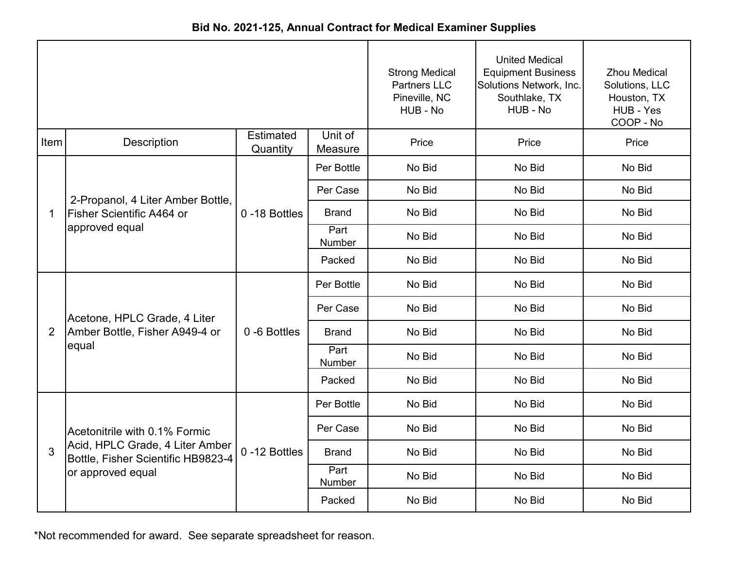|                |                                                                       |                              |                    | <b>Strong Medical</b><br><b>Partners LLC</b><br>Pineville, NC<br>HUB - No | <b>United Medical</b><br><b>Equipment Business</b><br>Solutions Network, Inc.<br>Southlake, TX<br>HUB - No | <b>Zhou Medical</b><br>Solutions, LLC<br>Houston, TX<br>HUB - Yes<br>COOP - No |
|----------------|-----------------------------------------------------------------------|------------------------------|--------------------|---------------------------------------------------------------------------|------------------------------------------------------------------------------------------------------------|--------------------------------------------------------------------------------|
| Item           | Description                                                           | <b>Estimated</b><br>Quantity | Unit of<br>Measure | Price                                                                     | Price                                                                                                      | Price                                                                          |
|                |                                                                       |                              | Per Bottle         | No Bid                                                                    | No Bid                                                                                                     | No Bid                                                                         |
|                | 2-Propanol, 4 Liter Amber Bottle,                                     |                              | Per Case           | No Bid                                                                    | No Bid                                                                                                     | No Bid                                                                         |
| 1              | Fisher Scientific A464 or                                             | 0-18 Bottles                 | <b>Brand</b>       | No Bid                                                                    | No Bid                                                                                                     | No Bid                                                                         |
|                | approved equal                                                        |                              | Part<br>Number     | No Bid                                                                    | No Bid                                                                                                     | No Bid                                                                         |
|                |                                                                       |                              | Packed             | No Bid                                                                    | No Bid                                                                                                     | No Bid                                                                         |
|                |                                                                       | 0-6 Bottles                  | Per Bottle         | No Bid                                                                    | No Bid                                                                                                     | No Bid                                                                         |
|                | Acetone, HPLC Grade, 4 Liter                                          |                              | Per Case           | No Bid                                                                    | No Bid                                                                                                     | No Bid                                                                         |
| $\overline{2}$ | Amber Bottle, Fisher A949-4 or                                        |                              | <b>Brand</b>       | No Bid                                                                    | No Bid                                                                                                     | No Bid                                                                         |
|                | equal                                                                 |                              | Part<br>Number     | No Bid                                                                    | No Bid                                                                                                     | No Bid                                                                         |
|                |                                                                       |                              | Packed             | No Bid                                                                    | No Bid                                                                                                     | No Bid                                                                         |
|                |                                                                       |                              | Per Bottle         | No Bid                                                                    | No Bid                                                                                                     | No Bid                                                                         |
|                | Acetonitrile with 0.1% Formic                                         |                              | Per Case           | No Bid                                                                    | No Bid                                                                                                     | No Bid                                                                         |
| 3              | Acid, HPLC Grade, 4 Liter Amber<br>Bottle, Fisher Scientific HB9823-4 | 0-12 Bottles                 | <b>Brand</b>       | No Bid                                                                    | No Bid                                                                                                     | No Bid                                                                         |
|                | or approved equal                                                     |                              | Part<br>Number     | No Bid                                                                    | No Bid                                                                                                     | No Bid                                                                         |
|                |                                                                       |                              | Packed             | No Bid                                                                    | No Bid                                                                                                     | No Bid                                                                         |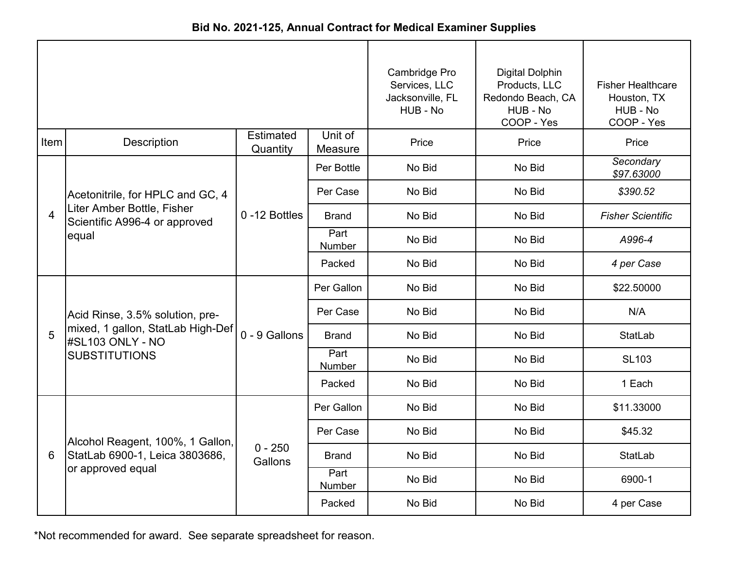| Bid No. 2021-125, Annual Contract for Medical Examiner Supplies |  |
|-----------------------------------------------------------------|--|
|-----------------------------------------------------------------|--|

|                |                                                                               |                              | Cambridge Pro<br>Services, LLC<br>Jacksonville, FL<br>HUB - No | <b>Digital Dolphin</b><br>Products, LLC<br>Redondo Beach, CA<br>HUB - No<br>COOP - Yes | <b>Fisher Healthcare</b><br>Houston, TX<br>HUB - No<br>COOP - Yes |                          |
|----------------|-------------------------------------------------------------------------------|------------------------------|----------------------------------------------------------------|----------------------------------------------------------------------------------------|-------------------------------------------------------------------|--------------------------|
| Item           | <b>Description</b>                                                            | <b>Estimated</b><br>Quantity | Unit of<br>Measure                                             | Price                                                                                  | Price                                                             | Price                    |
|                |                                                                               |                              | Per Bottle                                                     | No Bid                                                                                 | No Bid                                                            | Secondary<br>\$97.63000  |
|                | Acetonitrile, for HPLC and GC, 4                                              |                              | Per Case                                                       | No Bid                                                                                 | No Bid                                                            | \$390.52                 |
| $\overline{4}$ | Liter Amber Bottle, Fisher<br>Scientific A996-4 or approved<br>equal          | 0-12 Bottles                 | <b>Brand</b>                                                   | No Bid                                                                                 | No Bid                                                            | <b>Fisher Scientific</b> |
|                |                                                                               |                              | Part<br>Number                                                 | No Bid                                                                                 | No Bid                                                            | A996-4                   |
|                |                                                                               |                              | Packed                                                         | No Bid                                                                                 | No Bid                                                            | 4 per Case               |
|                |                                                                               | 0 - 9 Gallons                | Per Gallon                                                     | No Bid                                                                                 | No Bid                                                            | \$22.50000               |
|                | Acid Rinse, 3.5% solution, pre-                                               |                              | Per Case                                                       | No Bid                                                                                 | No Bid                                                            | N/A                      |
| 5              | mixed, 1 gallon, StatLab High-Def<br>#SL103 ONLY - NO<br><b>SUBSTITUTIONS</b> |                              | <b>Brand</b>                                                   | No Bid                                                                                 | No Bid                                                            | StatLab                  |
|                |                                                                               |                              | Part<br>Number                                                 | No Bid                                                                                 | No Bid                                                            | <b>SL103</b>             |
|                |                                                                               |                              | Packed                                                         | No Bid                                                                                 | No Bid                                                            | 1 Each                   |
|                |                                                                               |                              | Per Gallon                                                     | No Bid                                                                                 | No Bid                                                            | \$11.33000               |
|                | Alcohol Reagent, 100%, 1 Gallon,                                              |                              | Per Case                                                       | No Bid                                                                                 | No Bid                                                            | \$45.32                  |
| 6              | StatLab 6900-1, Leica 3803686,                                                | $0 - 250$<br>Gallons         | <b>Brand</b>                                                   | No Bid                                                                                 | No Bid                                                            | StatLab                  |
|                | or approved equal                                                             |                              | Part<br>Number                                                 | No Bid                                                                                 | No Bid                                                            | 6900-1                   |
|                |                                                                               |                              | Packed                                                         | No Bid                                                                                 | No Bid                                                            | 4 per Case               |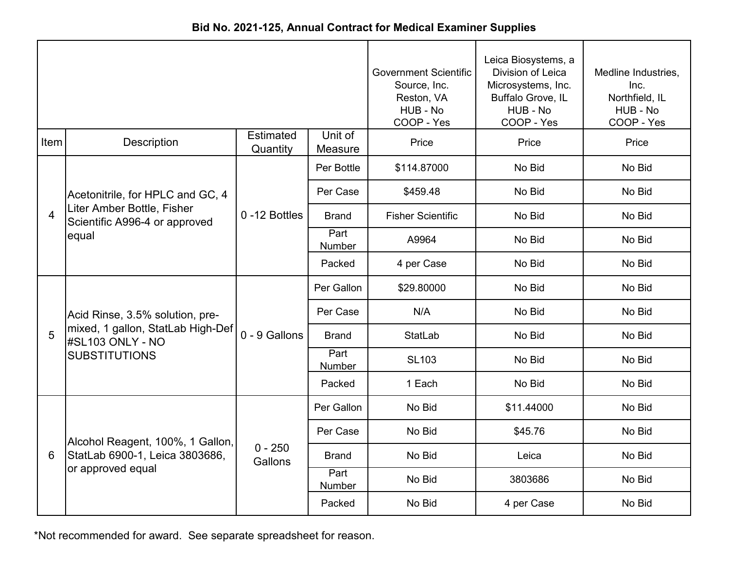|  |  | Bid No. 2021-125, Annual Contract for Medical Examiner Supplies |  |
|--|--|-----------------------------------------------------------------|--|
|--|--|-----------------------------------------------------------------|--|

|                |                                                             |                              | <b>Government Scientific</b><br>Source, Inc.<br>Reston, VA<br>HUB - No<br>COOP - Yes | Leica Biosystems, a<br>Division of Leica<br>Microsystems, Inc.<br>Buffalo Grove, IL<br>HUB - No<br>COOP - Yes | Medline Industries,<br>Inc.<br>Northfield, IL<br>HUB - No<br>COOP - Yes |        |
|----------------|-------------------------------------------------------------|------------------------------|--------------------------------------------------------------------------------------|---------------------------------------------------------------------------------------------------------------|-------------------------------------------------------------------------|--------|
| Item           | <b>Description</b>                                          | <b>Estimated</b><br>Quantity | Unit of<br>Measure                                                                   | Price                                                                                                         | Price                                                                   | Price  |
|                |                                                             |                              | Per Bottle                                                                           | \$114.87000                                                                                                   | No Bid                                                                  | No Bid |
|                | Acetonitrile, for HPLC and GC, 4                            |                              | Per Case                                                                             | \$459.48                                                                                                      | No Bid                                                                  | No Bid |
| $\overline{4}$ | Liter Amber Bottle, Fisher<br>Scientific A996-4 or approved | 0-12 Bottles                 | <b>Brand</b>                                                                         | <b>Fisher Scientific</b>                                                                                      | No Bid                                                                  | No Bid |
|                | equal                                                       |                              | Part<br>Number                                                                       | A9964                                                                                                         | No Bid                                                                  | No Bid |
|                |                                                             |                              | Packed                                                                               | 4 per Case                                                                                                    | No Bid                                                                  | No Bid |
|                |                                                             |                              | Per Gallon                                                                           | \$29.80000                                                                                                    | No Bid                                                                  | No Bid |
|                | Acid Rinse, 3.5% solution, pre-                             | 0 - 9 Gallons                | Per Case                                                                             | N/A                                                                                                           | No Bid                                                                  | No Bid |
| 5              | mixed, 1 gallon, StatLab High-Def<br>#SL103 ONLY - NO       |                              | <b>Brand</b>                                                                         | <b>StatLab</b>                                                                                                | No Bid                                                                  | No Bid |
|                | <b>SUBSTITUTIONS</b>                                        |                              | Part<br>Number                                                                       | <b>SL103</b>                                                                                                  | No Bid                                                                  | No Bid |
|                |                                                             |                              | Packed                                                                               | 1 Each                                                                                                        | No Bid                                                                  | No Bid |
|                |                                                             |                              | Per Gallon                                                                           | No Bid                                                                                                        | \$11.44000                                                              | No Bid |
|                | Alcohol Reagent, 100%, 1 Gallon,                            |                              | Per Case                                                                             | No Bid                                                                                                        | \$45.76                                                                 | No Bid |
| 6              | StatLab 6900-1, Leica 3803686,                              | $0 - 250$<br>Gallons         | <b>Brand</b>                                                                         | No Bid                                                                                                        | Leica                                                                   | No Bid |
|                | or approved equal                                           |                              | Part<br>Number                                                                       | No Bid                                                                                                        | 3803686                                                                 | No Bid |
|                |                                                             |                              | Packed                                                                               | No Bid                                                                                                        | 4 per Case                                                              | No Bid |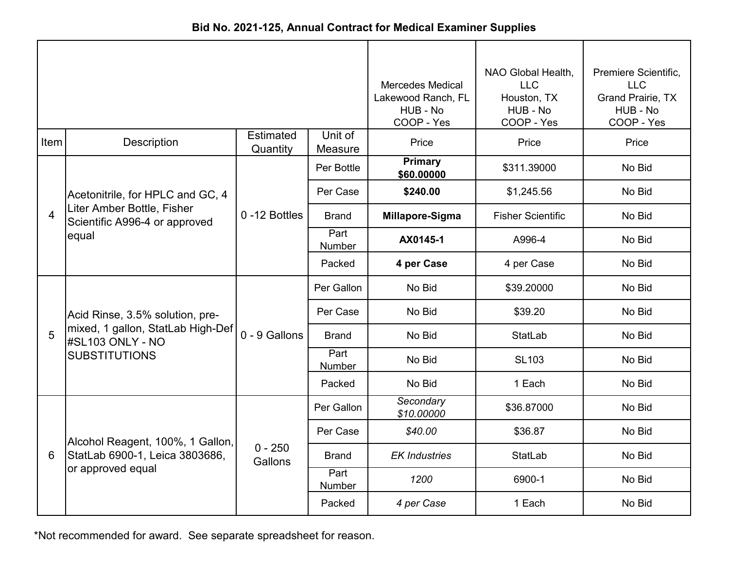| Bid No. 2021-125, Annual Contract for Medical Examiner Supplies |  |  |  |  |  |
|-----------------------------------------------------------------|--|--|--|--|--|
|-----------------------------------------------------------------|--|--|--|--|--|

|                |                                                             |                              |                       | <b>Mercedes Medical</b><br>Lakewood Ranch, FL<br>HUB - No<br>COOP - Yes | NAO Global Health,<br><b>LLC</b><br>Houston, TX<br>HUB - No<br>COOP - Yes | Premiere Scientific,<br><b>LLC</b><br>Grand Prairie, TX<br>HUB - No<br>COOP - Yes |
|----------------|-------------------------------------------------------------|------------------------------|-----------------------|-------------------------------------------------------------------------|---------------------------------------------------------------------------|-----------------------------------------------------------------------------------|
| Item           | <b>Description</b>                                          | <b>Estimated</b><br>Quantity | Unit of<br>Measure    | Price                                                                   | Price                                                                     | Price                                                                             |
|                |                                                             |                              | Per Bottle            | <b>Primary</b><br>\$60.00000                                            | \$311.39000                                                               | No Bid                                                                            |
|                | Acetonitrile, for HPLC and GC, 4                            |                              | Per Case              | \$240.00                                                                | \$1,245.56                                                                | No Bid                                                                            |
| $\overline{4}$ | Liter Amber Bottle, Fisher<br>Scientific A996-4 or approved | 0-12 Bottles                 | <b>Brand</b>          | Millapore-Sigma                                                         | <b>Fisher Scientific</b>                                                  | No Bid                                                                            |
|                | equal                                                       |                              | Part<br><b>Number</b> | AX0145-1                                                                | A996-4                                                                    | No Bid                                                                            |
|                |                                                             |                              | Packed                | 4 per Case                                                              | 4 per Case                                                                | No Bid                                                                            |
|                |                                                             |                              | Per Gallon            | No Bid                                                                  | \$39.20000                                                                | No Bid                                                                            |
|                | Acid Rinse, 3.5% solution, pre-                             |                              | Per Case              | No Bid                                                                  | \$39.20                                                                   | No Bid                                                                            |
| 5              | mixed, 1 gallon, StatLab High-Def<br>#SL103 ONLY - NO       | 0 - 9 Gallons                | <b>Brand</b>          | No Bid                                                                  | <b>StatLab</b>                                                            | No Bid                                                                            |
|                | <b>SUBSTITUTIONS</b>                                        |                              | Part<br>Number        | No Bid                                                                  | <b>SL103</b>                                                              | No Bid                                                                            |
|                |                                                             |                              | Packed                | No Bid                                                                  | 1 Each                                                                    | No Bid                                                                            |
|                |                                                             |                              | Per Gallon            | Secondary<br>\$10.00000                                                 | \$36.87000                                                                | No Bid                                                                            |
|                | Alcohol Reagent, 100%, 1 Gallon,                            |                              | Per Case              | \$40.00                                                                 | \$36.87                                                                   | No Bid                                                                            |
| 6              | StatLab 6900-1, Leica 3803686,                              | $0 - 250$<br>Gallons         | <b>Brand</b>          | <b>EK Industries</b>                                                    | <b>StatLab</b>                                                            | No Bid                                                                            |
|                | or approved equal                                           |                              | Part<br>Number        | 1200                                                                    | 6900-1                                                                    | No Bid                                                                            |
|                |                                                             |                              | Packed                | 4 per Case                                                              | 1 Each                                                                    | No Bid                                                                            |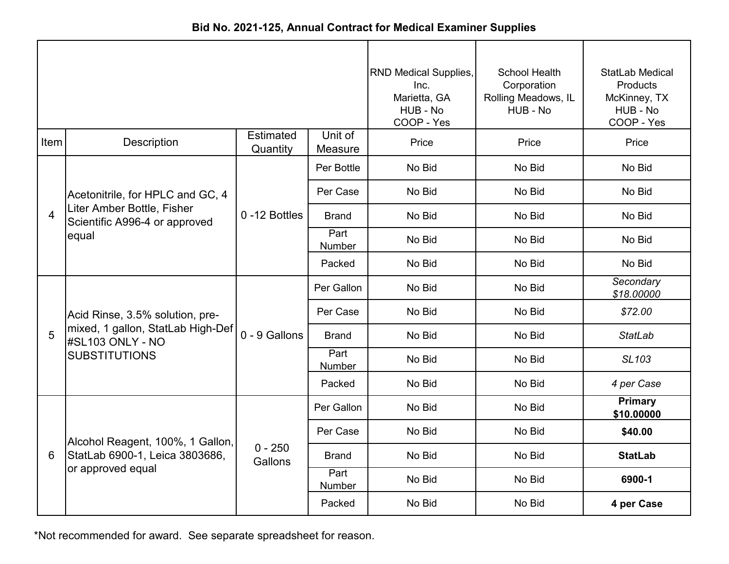|  |  |  | Bid No. 2021-125, Annual Contract for Medical Examiner Supplies |  |
|--|--|--|-----------------------------------------------------------------|--|
|--|--|--|-----------------------------------------------------------------|--|

|                |                                                             |                              |                    | <b>RND Medical Supplies,</b><br>Inc.<br>Marietta, GA<br>HUB - No<br>COOP - Yes | <b>School Health</b><br>Corporation<br>Rolling Meadows, IL<br>HUB - No | <b>StatLab Medical</b><br>Products<br>McKinney, TX<br>HUB - No<br>COOP - Yes |
|----------------|-------------------------------------------------------------|------------------------------|--------------------|--------------------------------------------------------------------------------|------------------------------------------------------------------------|------------------------------------------------------------------------------|
| Item           | <b>Description</b>                                          | <b>Estimated</b><br>Quantity | Unit of<br>Measure | Price                                                                          | Price                                                                  | Price                                                                        |
|                |                                                             |                              | Per Bottle         | No Bid                                                                         | No Bid                                                                 | No Bid                                                                       |
|                | Acetonitrile, for HPLC and GC, 4                            |                              | Per Case           | No Bid                                                                         | No Bid                                                                 | No Bid                                                                       |
| $\overline{4}$ | Liter Amber Bottle, Fisher<br>Scientific A996-4 or approved | 0-12 Bottles                 | <b>Brand</b>       | No Bid                                                                         | No Bid                                                                 | No Bid                                                                       |
|                | equal                                                       |                              | Part<br>Number     | No Bid                                                                         | No Bid                                                                 | No Bid                                                                       |
|                |                                                             |                              | Packed             | No Bid                                                                         | No Bid                                                                 | No Bid                                                                       |
|                |                                                             |                              | Per Gallon         | No Bid                                                                         | No Bid                                                                 | Secondary<br>\$18.00000                                                      |
|                | Acid Rinse, 3.5% solution, pre-                             |                              | Per Case           | No Bid                                                                         | No Bid                                                                 | \$72.00                                                                      |
| 5              | mixed, 1 gallon, StatLab High-Def<br>#SL103 ONLY - NO       | 0 - 9 Gallons                | <b>Brand</b>       | No Bid                                                                         | No Bid                                                                 | <b>StatLab</b>                                                               |
|                | <b>SUBSTITUTIONS</b>                                        |                              | Part<br>Number     | No Bid                                                                         | No Bid                                                                 | SL103                                                                        |
|                |                                                             |                              | Packed             | No Bid                                                                         | No Bid                                                                 | 4 per Case                                                                   |
|                |                                                             |                              | Per Gallon         | No Bid                                                                         | No Bid                                                                 | <b>Primary</b><br>\$10.00000                                                 |
|                | Alcohol Reagent, 100%, 1 Gallon,                            |                              | Per Case           | No Bid                                                                         | No Bid                                                                 | \$40.00                                                                      |
| 6              | StatLab 6900-1, Leica 3803686,                              | $0 - 250$<br>Gallons         | <b>Brand</b>       | No Bid                                                                         | No Bid                                                                 | <b>StatLab</b>                                                               |
|                | or approved equal                                           |                              | Part<br>Number     | No Bid                                                                         | No Bid                                                                 | 6900-1                                                                       |
|                |                                                             |                              | Packed             | No Bid                                                                         | No Bid                                                                 | 4 per Case                                                                   |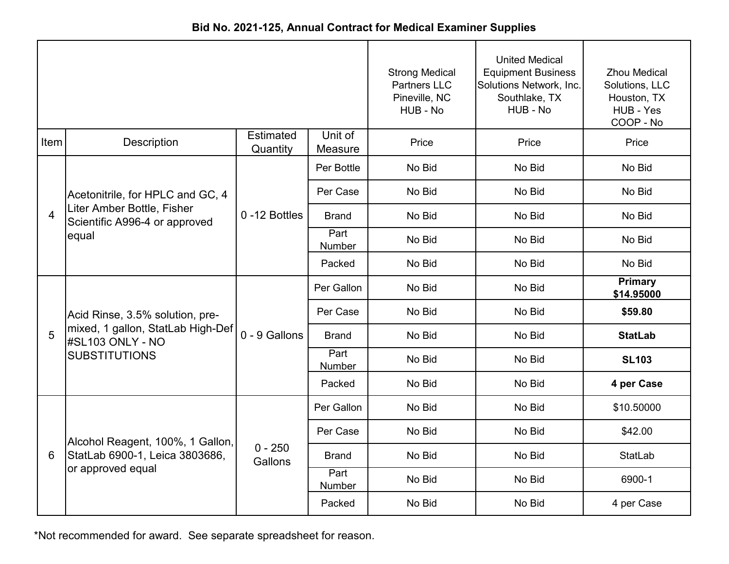| Bid No. 2021-125, Annual Contract for Medical Examiner Supplies |  |  |  |  |  |
|-----------------------------------------------------------------|--|--|--|--|--|
|-----------------------------------------------------------------|--|--|--|--|--|

|                         |                                                             |                              |                    | <b>Strong Medical</b><br><b>Partners LLC</b><br>Pineville, NC<br>HUB - No | <b>United Medical</b><br><b>Equipment Business</b><br>Solutions Network, Inc.<br>Southlake, TX<br>HUB - No | <b>Zhou Medical</b><br>Solutions, LLC<br>Houston, TX<br>HUB - Yes<br>COOP - No |
|-------------------------|-------------------------------------------------------------|------------------------------|--------------------|---------------------------------------------------------------------------|------------------------------------------------------------------------------------------------------------|--------------------------------------------------------------------------------|
| Item                    | Description                                                 | <b>Estimated</b><br>Quantity | Unit of<br>Measure | Price                                                                     | Price                                                                                                      | Price                                                                          |
|                         |                                                             |                              | Per Bottle         | No Bid                                                                    | No Bid                                                                                                     | No Bid                                                                         |
|                         | Acetonitrile, for HPLC and GC, 4                            |                              | Per Case           | No Bid                                                                    | No Bid                                                                                                     | No Bid                                                                         |
| $\overline{\mathbf{4}}$ | Liter Amber Bottle, Fisher<br>Scientific A996-4 or approved | 0-12 Bottles                 | <b>Brand</b>       | No Bid                                                                    | No Bid                                                                                                     | No Bid                                                                         |
|                         | equal                                                       |                              | Part<br>Number     | No Bid                                                                    | No Bid                                                                                                     | No Bid                                                                         |
|                         |                                                             |                              | Packed             | No Bid                                                                    | No Bid                                                                                                     | No Bid                                                                         |
|                         |                                                             |                              | Per Gallon         | No Bid                                                                    | No Bid                                                                                                     | <b>Primary</b><br>\$14.95000                                                   |
|                         | Acid Rinse, 3.5% solution, pre-                             |                              | Per Case           | No Bid                                                                    | No Bid                                                                                                     | \$59.80                                                                        |
| 5                       | mixed, 1 gallon, StatLab High-Def<br>#SL103 ONLY - NO       | 0 - 9 Gallons                | <b>Brand</b>       | No Bid                                                                    | No Bid                                                                                                     | <b>StatLab</b>                                                                 |
|                         | <b>SUBSTITUTIONS</b>                                        |                              | Part<br>Number     | No Bid                                                                    | No Bid                                                                                                     | <b>SL103</b>                                                                   |
|                         |                                                             |                              | Packed             | No Bid                                                                    | No Bid                                                                                                     | 4 per Case                                                                     |
|                         |                                                             |                              | Per Gallon         | No Bid                                                                    | No Bid                                                                                                     | \$10.50000                                                                     |
|                         | Alcohol Reagent, 100%, 1 Gallon,                            |                              | Per Case           | No Bid                                                                    | No Bid                                                                                                     | \$42.00                                                                        |
| 6                       | StatLab 6900-1, Leica 3803686,                              | $0 - 250$<br>Gallons         | <b>Brand</b>       | No Bid                                                                    | No Bid                                                                                                     | <b>StatLab</b>                                                                 |
|                         | or approved equal                                           |                              | Part<br>Number     | No Bid                                                                    | No Bid                                                                                                     | 6900-1                                                                         |
|                         |                                                             |                              | Packed             | No Bid                                                                    | No Bid                                                                                                     | 4 per Case                                                                     |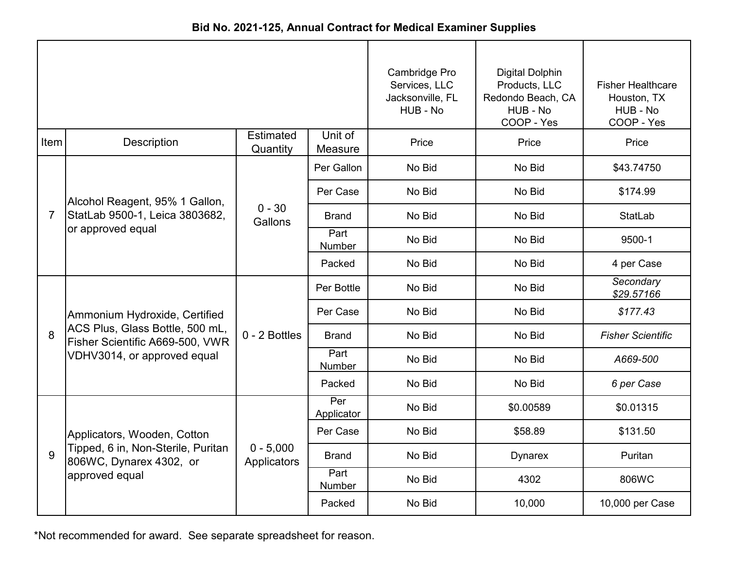|                |                                                                    |                              |                    | Cambridge Pro<br>Services, LLC<br>Jacksonville, FL<br>HUB - No | <b>Digital Dolphin</b><br>Products, LLC<br>Redondo Beach, CA<br>HUB - No<br>COOP - Yes | <b>Fisher Healthcare</b><br>Houston, TX<br>HUB - No<br>COOP - Yes |
|----------------|--------------------------------------------------------------------|------------------------------|--------------------|----------------------------------------------------------------|----------------------------------------------------------------------------------------|-------------------------------------------------------------------|
| Item           | Description                                                        | <b>Estimated</b><br>Quantity | Unit of<br>Measure | Price                                                          | Price                                                                                  | Price                                                             |
|                |                                                                    |                              | Per Gallon         | No Bid                                                         | No Bid                                                                                 | \$43.74750                                                        |
|                | Alcohol Reagent, 95% 1 Gallon,                                     |                              | Per Case           | No Bid                                                         | No Bid                                                                                 | \$174.99                                                          |
| $\overline{7}$ | StatLab 9500-1, Leica 3803682,                                     | $0 - 30$<br>Gallons          | <b>Brand</b>       | No Bid                                                         | No Bid                                                                                 | <b>StatLab</b>                                                    |
|                | or approved equal                                                  |                              | Part<br>Number     | No Bid                                                         | No Bid                                                                                 | 9500-1                                                            |
|                |                                                                    |                              | Packed             | No Bid                                                         | No Bid                                                                                 | 4 per Case                                                        |
|                |                                                                    |                              | Per Bottle         | No Bid                                                         | No Bid                                                                                 | Secondary<br>\$29.57166                                           |
|                | Ammonium Hydroxide, Certified                                      | 0 - 2 Bottles                | Per Case           | No Bid                                                         | No Bid                                                                                 | \$177.43                                                          |
| 8              | ACS Plus, Glass Bottle, 500 mL,<br>Fisher Scientific A669-500, VWR |                              | <b>Brand</b>       | No Bid                                                         | No Bid                                                                                 | <b>Fisher Scientific</b>                                          |
|                | VDHV3014, or approved equal                                        |                              | Part<br>Number     | No Bid                                                         | No Bid                                                                                 | A669-500                                                          |
|                |                                                                    |                              | Packed             | No Bid                                                         | No Bid                                                                                 | 6 per Case                                                        |
|                |                                                                    |                              | Per<br>Applicator  | No Bid                                                         | \$0.00589                                                                              | \$0.01315                                                         |
|                | Applicators, Wooden, Cotton                                        |                              | Per Case           | No Bid                                                         | \$58.89                                                                                | \$131.50                                                          |
| 9              | Tipped, 6 in, Non-Sterile, Puritan<br>806WC, Dynarex 4302, or      | $0 - 5,000$<br>Applicators   | <b>Brand</b>       | No Bid                                                         | <b>Dynarex</b>                                                                         | Puritan                                                           |
|                | approved equal                                                     |                              | Part<br>Number     | No Bid                                                         | 4302                                                                                   | 806WC                                                             |
|                |                                                                    |                              | Packed             | No Bid                                                         | 10,000                                                                                 | 10,000 per Case                                                   |

**Bid No. 2021-125, Annual Contract for Medical Examiner Supplies**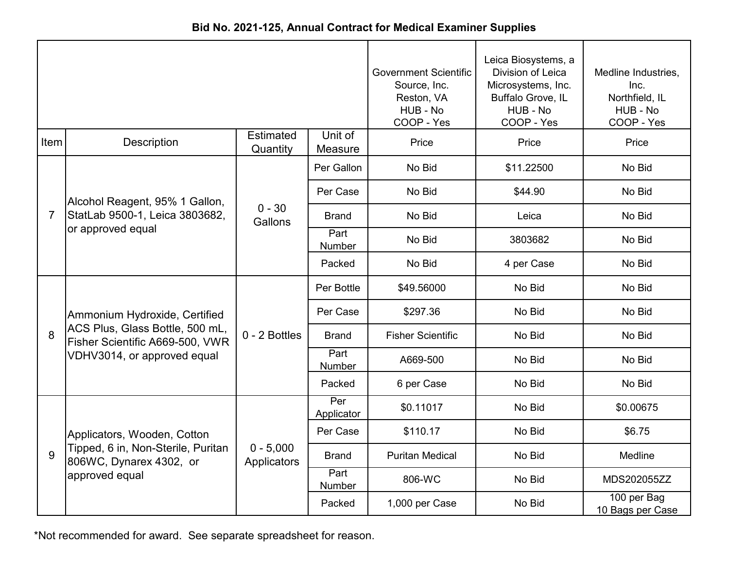|                |                                                                    |                              |                       | <b>Government Scientific</b><br>Source, Inc.<br>Reston, VA<br>HUB - No<br>COOP - Yes | Leica Biosystems, a<br>Division of Leica<br>Microsystems, Inc.<br>Buffalo Grove, IL<br>HUB - No<br>COOP - Yes | Medline Industries,<br>Inc.<br>Northfield, IL<br>HUB - No<br>COOP - Yes |
|----------------|--------------------------------------------------------------------|------------------------------|-----------------------|--------------------------------------------------------------------------------------|---------------------------------------------------------------------------------------------------------------|-------------------------------------------------------------------------|
| <b>Item</b>    | <b>Description</b>                                                 | <b>Estimated</b><br>Quantity | Unit of<br>Measure    | Price                                                                                | Price                                                                                                         | Price                                                                   |
|                |                                                                    |                              | Per Gallon            | No Bid                                                                               | \$11.22500                                                                                                    | No Bid                                                                  |
|                | Alcohol Reagent, 95% 1 Gallon,                                     |                              | Per Case              | No Bid                                                                               | \$44.90                                                                                                       | No Bid                                                                  |
| $\overline{7}$ | StatLab 9500-1, Leica 3803682,                                     | $0 - 30$<br>Gallons          | <b>Brand</b>          | No Bid                                                                               | Leica                                                                                                         | No Bid                                                                  |
|                | or approved equal                                                  |                              | Part<br>Number        | No Bid                                                                               | 3803682                                                                                                       | No Bid                                                                  |
|                |                                                                    |                              | Packed                | No Bid                                                                               | 4 per Case                                                                                                    | No Bid                                                                  |
|                |                                                                    |                              | Per Bottle            | \$49.56000                                                                           | No Bid                                                                                                        | No Bid                                                                  |
|                | Ammonium Hydroxide, Certified                                      |                              | Per Case              | \$297.36                                                                             | No Bid                                                                                                        | No Bid                                                                  |
| 8              | ACS Plus, Glass Bottle, 500 mL,<br>Fisher Scientific A669-500, VWR | $0 - 2$ Bottles              | <b>Brand</b>          | <b>Fisher Scientific</b>                                                             | No Bid                                                                                                        | No Bid                                                                  |
|                | VDHV3014, or approved equal                                        |                              | Part<br><b>Number</b> | A669-500                                                                             | No Bid                                                                                                        | No Bid                                                                  |
|                |                                                                    |                              | Packed                | 6 per Case                                                                           | No Bid                                                                                                        | No Bid                                                                  |
|                |                                                                    |                              | Per<br>Applicator     | \$0.11017                                                                            | No Bid                                                                                                        | \$0.00675                                                               |
|                | Applicators, Wooden, Cotton                                        |                              | Per Case              | \$110.17                                                                             | No Bid                                                                                                        | \$6.75                                                                  |
| 9              | Tipped, 6 in, Non-Sterile, Puritan<br>806WC, Dynarex 4302, or      | $0 - 5,000$<br>Applicators   | <b>Brand</b>          | <b>Puritan Medical</b>                                                               | No Bid                                                                                                        | Medline                                                                 |
|                | approved equal                                                     |                              | Part<br>Number        | 806-WC                                                                               | No Bid                                                                                                        | MDS202055ZZ                                                             |
|                |                                                                    |                              | Packed                | 1,000 per Case                                                                       | No Bid                                                                                                        | 100 per Bag<br>10 Bags per Case                                         |

**Bid No. 2021-125, Annual Contract for Medical Examiner Supplies**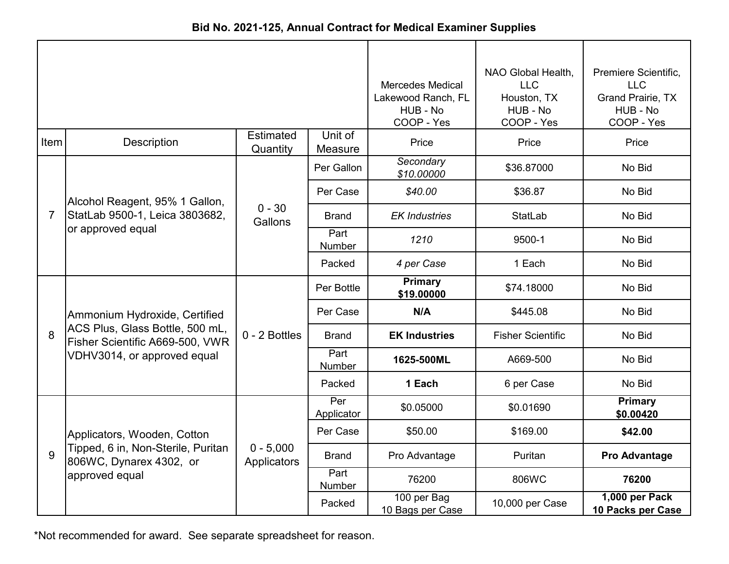| Bid No. 2021-125, Annual Contract for Medical Examiner Supplies |  |
|-----------------------------------------------------------------|--|
|-----------------------------------------------------------------|--|

|                |                                                                    |                              |                    | <b>Mercedes Medical</b><br>Lakewood Ranch, FL<br>HUB - No<br>COOP - Yes | NAO Global Health,<br><b>LLC</b><br>Houston, TX<br>HUB - No<br>COOP - Yes | Premiere Scientific,<br><b>LLC</b><br><b>Grand Prairie, TX</b><br>HUB - No<br>COOP - Yes |
|----------------|--------------------------------------------------------------------|------------------------------|--------------------|-------------------------------------------------------------------------|---------------------------------------------------------------------------|------------------------------------------------------------------------------------------|
| Item           | <b>Description</b>                                                 | <b>Estimated</b><br>Quantity | Unit of<br>Measure | Price                                                                   | Price                                                                     | Price                                                                                    |
|                |                                                                    |                              | Per Gallon         | Secondary<br>\$10.00000                                                 | \$36.87000                                                                | No Bid                                                                                   |
|                | Alcohol Reagent, 95% 1 Gallon,                                     |                              | Per Case           | \$40.00                                                                 | \$36.87                                                                   | No Bid                                                                                   |
| $\overline{7}$ | StatLab 9500-1, Leica 3803682,                                     | $0 - 30$<br>Gallons          | <b>Brand</b>       | <b>EK Industries</b>                                                    | <b>StatLab</b>                                                            | No Bid                                                                                   |
|                | or approved equal                                                  |                              | Part<br>Number     | 1210                                                                    | 9500-1                                                                    | No Bid                                                                                   |
|                |                                                                    |                              | Packed             | 4 per Case                                                              | 1 Each                                                                    | No Bid                                                                                   |
|                |                                                                    |                              | Per Bottle         | <b>Primary</b><br>\$19.00000                                            | \$74.18000                                                                | No Bid                                                                                   |
|                | Ammonium Hydroxide, Certified                                      |                              | Per Case           | N/A                                                                     | \$445.08                                                                  | No Bid                                                                                   |
| 8              | ACS Plus, Glass Bottle, 500 mL,<br>Fisher Scientific A669-500, VWR | 0 - 2 Bottles                | <b>Brand</b>       | <b>EK Industries</b>                                                    | <b>Fisher Scientific</b>                                                  | No Bid                                                                                   |
|                | VDHV3014, or approved equal                                        |                              | Part<br>Number     | 1625-500ML                                                              | A669-500                                                                  | No Bid                                                                                   |
|                |                                                                    |                              | Packed             | 1 Each                                                                  | 6 per Case                                                                | No Bid                                                                                   |
|                |                                                                    |                              | Per<br>Applicator  | \$0.05000                                                               | \$0.01690                                                                 | Primary<br>\$0.00420                                                                     |
|                | Applicators, Wooden, Cotton                                        |                              | Per Case           | \$50.00                                                                 | \$169.00                                                                  | \$42.00                                                                                  |
| 9              | Tipped, 6 in, Non-Sterile, Puritan<br>806WC, Dynarex 4302, or      | $0 - 5,000$<br>Applicators   | <b>Brand</b>       | Pro Advantage                                                           | Puritan                                                                   | <b>Pro Advantage</b>                                                                     |
|                | approved equal                                                     |                              | Part<br>Number     | 76200                                                                   | 806WC                                                                     | 76200                                                                                    |
|                |                                                                    |                              | Packed             | 100 per Bag<br>10 Bags per Case                                         | 10,000 per Case                                                           | 1,000 per Pack<br>10 Packs per Case                                                      |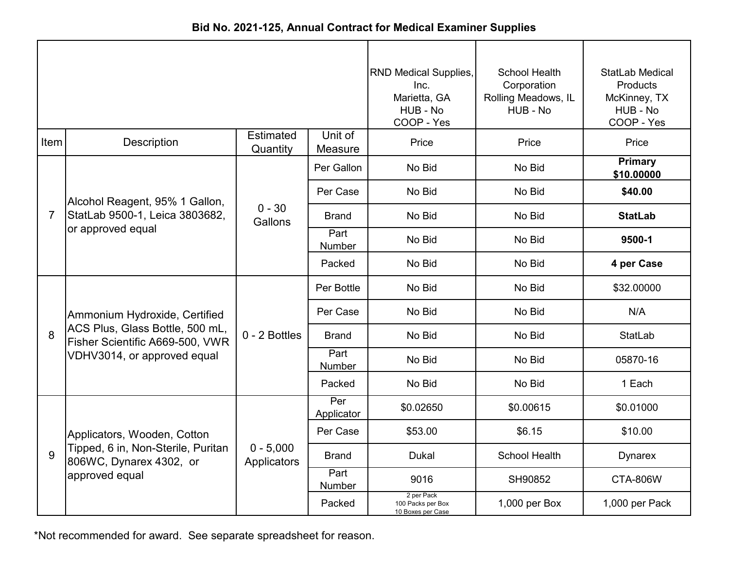|                |                                                                    |                              |                    | <b>RND Medical Supplies,</b><br>Inc.<br>Marietta, GA<br>HUB - No<br>COOP - Yes | <b>School Health</b><br>Corporation<br>Rolling Meadows, IL<br>HUB - No | StatLab Medical<br>Products<br>McKinney, TX<br>HUB - No<br>COOP - Yes |
|----------------|--------------------------------------------------------------------|------------------------------|--------------------|--------------------------------------------------------------------------------|------------------------------------------------------------------------|-----------------------------------------------------------------------|
| Item           | <b>Description</b>                                                 | <b>Estimated</b><br>Quantity | Unit of<br>Measure | Price                                                                          | Price                                                                  | Price                                                                 |
|                |                                                                    |                              | Per Gallon         | No Bid                                                                         | No Bid                                                                 | <b>Primary</b><br>\$10.00000                                          |
|                | Alcohol Reagent, 95% 1 Gallon,                                     |                              | Per Case           | No Bid                                                                         | No Bid                                                                 | \$40.00                                                               |
| $\overline{7}$ | StatLab 9500-1, Leica 3803682,                                     | $0 - 30$<br>Gallons          | <b>Brand</b>       | No Bid                                                                         | No Bid                                                                 | <b>StatLab</b>                                                        |
|                | or approved equal                                                  |                              | Part<br>Number     | No Bid                                                                         | No Bid                                                                 | 9500-1                                                                |
|                |                                                                    |                              | Packed             | No Bid                                                                         | No Bid                                                                 | 4 per Case                                                            |
|                |                                                                    |                              | Per Bottle         | No Bid                                                                         | No Bid                                                                 | \$32.00000                                                            |
|                | Ammonium Hydroxide, Certified                                      | 0 - 2 Bottles                | Per Case           | No Bid                                                                         | No Bid                                                                 | N/A                                                                   |
| 8              | ACS Plus, Glass Bottle, 500 mL,<br>Fisher Scientific A669-500, VWR |                              | <b>Brand</b>       | No Bid                                                                         | No Bid                                                                 | <b>StatLab</b>                                                        |
|                | VDHV3014, or approved equal                                        |                              | Part<br>Number     | No Bid                                                                         | No Bid                                                                 | 05870-16                                                              |
|                |                                                                    |                              | Packed             | No Bid                                                                         | No Bid                                                                 | 1 Each                                                                |
|                |                                                                    |                              | Per<br>Applicator  | \$0.02650                                                                      | \$0.00615                                                              | \$0.01000                                                             |
|                | Applicators, Wooden, Cotton                                        |                              | Per Case           | \$53.00                                                                        | \$6.15                                                                 | \$10.00                                                               |
| 9              | Tipped, 6 in, Non-Sterile, Puritan<br>806WC, Dynarex 4302, or      | $0 - 5,000$<br>Applicators   | <b>Brand</b>       | <b>Dukal</b>                                                                   | <b>School Health</b>                                                   | <b>Dynarex</b>                                                        |
|                | approved equal                                                     |                              | Part<br>Number     | 9016                                                                           | SH90852                                                                | <b>CTA-806W</b>                                                       |
|                |                                                                    |                              | Packed             | 2 per Pack<br>100 Packs per Box<br>10 Boxes per Case                           | 1,000 per Box                                                          | 1,000 per Pack                                                        |

**Bid No. 2021-125, Annual Contract for Medical Examiner Supplies**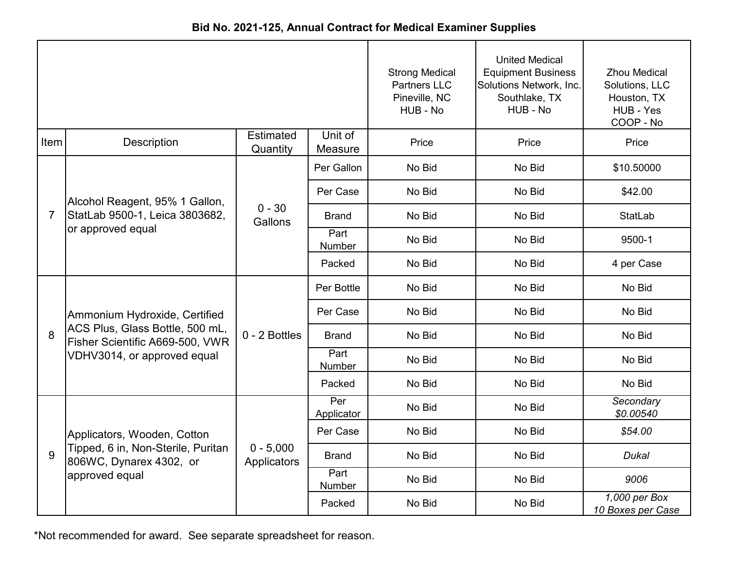|                |                                                                    |                              |                    | <b>Strong Medical</b><br><b>Partners LLC</b><br>Pineville, NC<br>HUB - No | <b>United Medical</b><br><b>Equipment Business</b><br>Solutions Network, Inc.<br>Southlake, TX<br>HUB - No | <b>Zhou Medical</b><br>Solutions, LLC<br>Houston, TX<br>HUB - Yes<br>COOP - No |
|----------------|--------------------------------------------------------------------|------------------------------|--------------------|---------------------------------------------------------------------------|------------------------------------------------------------------------------------------------------------|--------------------------------------------------------------------------------|
| Item           | Description                                                        | <b>Estimated</b><br>Quantity | Unit of<br>Measure | Price                                                                     | Price                                                                                                      | Price                                                                          |
|                |                                                                    |                              | Per Gallon         | No Bid                                                                    | No Bid                                                                                                     | \$10.50000                                                                     |
|                | Alcohol Reagent, 95% 1 Gallon,                                     |                              | Per Case           | No Bid                                                                    | No Bid                                                                                                     | \$42.00                                                                        |
| $\overline{7}$ | StatLab 9500-1, Leica 3803682,                                     | $0 - 30$<br>Gallons          | <b>Brand</b>       | No Bid                                                                    | No Bid                                                                                                     | <b>StatLab</b>                                                                 |
|                | or approved equal                                                  |                              | Part<br>Number     | No Bid                                                                    | No Bid                                                                                                     | 9500-1                                                                         |
|                |                                                                    |                              | Packed             | No Bid                                                                    | No Bid                                                                                                     | 4 per Case                                                                     |
|                |                                                                    |                              | Per Bottle         | No Bid                                                                    | No Bid                                                                                                     | No Bid                                                                         |
|                | Ammonium Hydroxide, Certified                                      | 0 - 2 Bottles                | Per Case           | No Bid                                                                    | No Bid                                                                                                     | No Bid                                                                         |
| 8              | ACS Plus, Glass Bottle, 500 mL,<br>Fisher Scientific A669-500, VWR |                              | <b>Brand</b>       | No Bid                                                                    | No Bid                                                                                                     | No Bid                                                                         |
|                | VDHV3014, or approved equal                                        |                              | Part<br>Number     | No Bid                                                                    | No Bid                                                                                                     | No Bid                                                                         |
|                |                                                                    |                              | Packed             | No Bid                                                                    | No Bid                                                                                                     | No Bid                                                                         |
|                |                                                                    |                              | Per<br>Applicator  | No Bid                                                                    | No Bid                                                                                                     | Secondary<br>\$0.00540                                                         |
|                | Applicators, Wooden, Cotton                                        |                              | Per Case           | No Bid                                                                    | No Bid                                                                                                     | \$54.00                                                                        |
| 9              | Tipped, 6 in, Non-Sterile, Puritan<br>806WC, Dynarex 4302, or      | $0 - 5,000$<br>Applicators   | <b>Brand</b>       | No Bid                                                                    | No Bid                                                                                                     | Dukal                                                                          |
|                | approved equal                                                     |                              | Part<br>Number     | No Bid                                                                    | No Bid                                                                                                     | 9006                                                                           |
|                |                                                                    |                              | Packed             | No Bid                                                                    | No Bid                                                                                                     | 1,000 per Box<br>10 Boxes per Case                                             |

**Bid No. 2021-125, Annual Contract for Medical Examiner Supplies**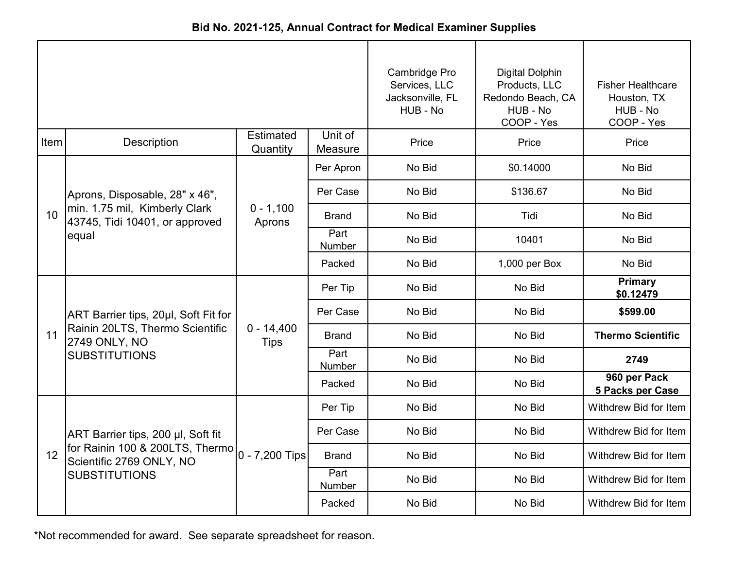|      |                                                                 |                              |                    | Cambridge Pro<br>Services, LLC<br>Jacksonville, FL<br>HUB - No | <b>Digital Dolphin</b><br>Products, LLC<br>Redondo Beach, CA<br>HUB - No<br>COOP - Yes | <b>Fisher Healthcare</b><br>Houston, TX<br>HUB - No<br>COOP - Yes |
|------|-----------------------------------------------------------------|------------------------------|--------------------|----------------------------------------------------------------|----------------------------------------------------------------------------------------|-------------------------------------------------------------------|
| Item | <b>Description</b>                                              | <b>Estimated</b><br>Quantity | Unit of<br>Measure | Price                                                          | Price                                                                                  | Price                                                             |
|      |                                                                 |                              | Per Apron          | No Bid                                                         | \$0.14000                                                                              | No Bid                                                            |
|      | Aprons, Disposable, 28" x 46",                                  |                              | Per Case           | No Bid                                                         | \$136.67                                                                               | No Bid                                                            |
| 10   | min. 1.75 mil, Kimberly Clark<br>43745, Tidi 10401, or approved | $0 - 1,100$<br>Aprons        | <b>Brand</b>       | No Bid                                                         | Tidi                                                                                   | No Bid                                                            |
|      | equal                                                           |                              | Part<br>Number     | No Bid                                                         | 10401                                                                                  | No Bid                                                            |
|      |                                                                 |                              | Packed             | No Bid                                                         | 1,000 per Box                                                                          | No Bid                                                            |
|      |                                                                 |                              | Per Tip            | No Bid                                                         | No Bid                                                                                 | <b>Primary</b><br>\$0.12479                                       |
|      | ART Barrier tips, 20µl, Soft Fit for                            | $0 - 14,400$<br><b>Tips</b>  | Per Case           | No Bid                                                         | No Bid                                                                                 | \$599.00                                                          |
| 11   | Rainin 20LTS, Thermo Scientific<br>2749 ONLY, NO                |                              | Brand              | No Bid                                                         | No Bid                                                                                 | <b>Thermo Scientific</b>                                          |
|      | <b>SUBSTITUTIONS</b>                                            |                              | Part<br>Number     | No Bid                                                         | No Bid                                                                                 | 2749                                                              |
|      |                                                                 |                              | Packed             | No Bid                                                         | No Bid                                                                                 | 960 per Pack<br>5 Packs per Case                                  |
|      |                                                                 |                              | Per Tip            | No Bid                                                         | No Bid                                                                                 | Withdrew Bid for Item                                             |
|      | ART Barrier tips, 200 µl, Soft fit                              |                              | Per Case           | No Bid                                                         | No Bid                                                                                 | Withdrew Bid for Item                                             |
| 12   | for Rainin 100 & 200LTS, Thermo<br>Scientific 2769 ONLY, NO     | 0 - 7,200 Tips               | <b>Brand</b>       | No Bid                                                         | No Bid                                                                                 | Withdrew Bid for Item                                             |
|      | <b>SUBSTITUTIONS</b>                                            |                              | Part<br>Number     | No Bid                                                         | No Bid                                                                                 | Withdrew Bid for Item                                             |
|      |                                                                 |                              | Packed             | No Bid                                                         | No Bid                                                                                 | Withdrew Bid for Item                                             |

**Bid No. 2021-125, Annual Contract for Medical Examiner Supplies**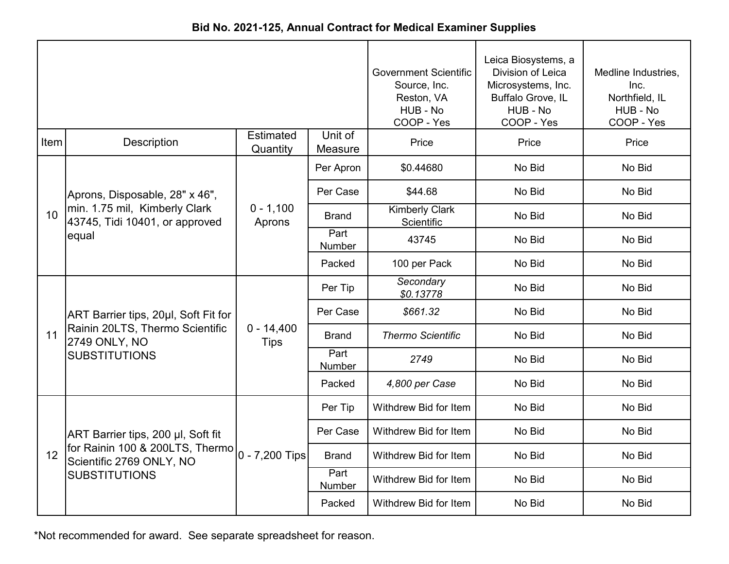| Bid No. 2021-125, Annual Contract for Medical Examiner Supplies |  |  |  |  |  |
|-----------------------------------------------------------------|--|--|--|--|--|
|-----------------------------------------------------------------|--|--|--|--|--|

|      |                                                                          |                              |                    | <b>Government Scientific</b><br>Source, Inc.<br>Reston, VA<br>HUB - No<br>COOP - Yes | Leica Biosystems, a<br>Division of Leica<br>Microsystems, Inc.<br>Buffalo Grove, IL<br>HUB - No<br>COOP - Yes | Medline Industries,<br>Inc.<br>Northfield, IL<br>HUB - No<br>COOP - Yes |
|------|--------------------------------------------------------------------------|------------------------------|--------------------|--------------------------------------------------------------------------------------|---------------------------------------------------------------------------------------------------------------|-------------------------------------------------------------------------|
| Item | <b>Description</b>                                                       | <b>Estimated</b><br>Quantity | Unit of<br>Measure | Price                                                                                | Price                                                                                                         | Price                                                                   |
|      |                                                                          |                              | Per Apron          | \$0.44680                                                                            | No Bid                                                                                                        | No Bid                                                                  |
|      | Aprons, Disposable, 28" x 46",                                           |                              | Per Case           | \$44.68                                                                              | No Bid                                                                                                        | No Bid                                                                  |
| 10   | min. 1.75 mil, Kimberly Clark<br>43745, Tidi 10401, or approved<br>equal | $0 - 1,100$<br>Aprons        | <b>Brand</b>       | <b>Kimberly Clark</b><br>Scientific                                                  | No Bid                                                                                                        | No Bid                                                                  |
|      |                                                                          |                              | Part<br>Number     | 43745                                                                                | No Bid                                                                                                        | No Bid                                                                  |
|      |                                                                          |                              | Packed             | 100 per Pack                                                                         | No Bid                                                                                                        | No Bid                                                                  |
|      |                                                                          |                              | Per Tip            | Secondary<br>\$0.13778                                                               | No Bid                                                                                                        | No Bid                                                                  |
|      | ART Barrier tips, 20µl, Soft Fit for                                     |                              | Per Case           | \$661.32                                                                             | No Bid                                                                                                        | No Bid                                                                  |
| 11   | Rainin 20LTS, Thermo Scientific<br>2749 ONLY, NO                         | $0 - 14,400$<br><b>Tips</b>  | <b>Brand</b>       | <b>Thermo Scientific</b>                                                             | No Bid                                                                                                        | No Bid                                                                  |
|      | <b>SUBSTITUTIONS</b>                                                     |                              | Part<br>Number     | 2749                                                                                 | No Bid                                                                                                        | No Bid                                                                  |
|      |                                                                          |                              | Packed             | 4,800 per Case                                                                       | No Bid                                                                                                        | No Bid                                                                  |
|      |                                                                          |                              | Per Tip            | Withdrew Bid for Item                                                                | No Bid                                                                                                        | No Bid                                                                  |
|      | ART Barrier tips, 200 µl, Soft fit                                       |                              | Per Case           | Withdrew Bid for Item                                                                | No Bid                                                                                                        | No Bid                                                                  |
| 12   | for Rainin 100 & 200LTS, Thermo<br>Scientific 2769 ONLY, NO              | 0 - 7,200 Tips               | <b>Brand</b>       | Withdrew Bid for Item                                                                | No Bid                                                                                                        | No Bid                                                                  |
|      | <b>SUBSTITUTIONS</b>                                                     |                              | Part<br>Number     | Withdrew Bid for Item                                                                | No Bid                                                                                                        | No Bid                                                                  |
|      |                                                                          |                              | Packed             | Withdrew Bid for Item                                                                | No Bid                                                                                                        | No Bid                                                                  |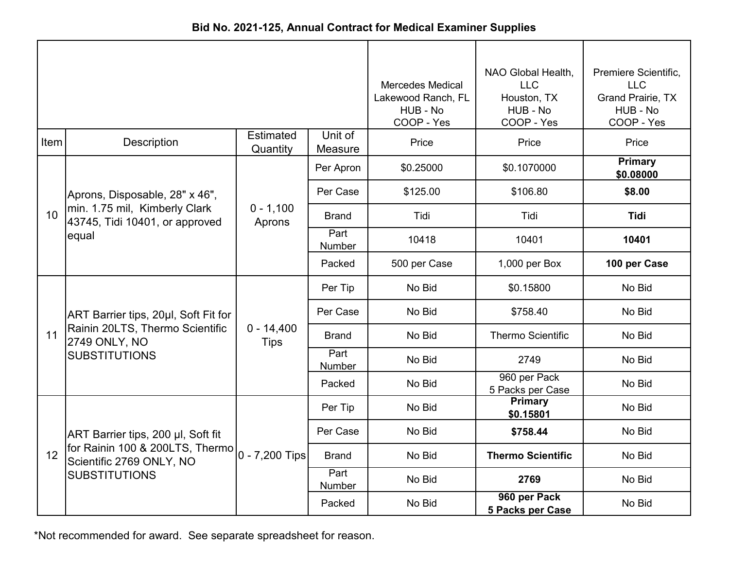| Bid No. 2021-125, Annual Contract for Medical Examiner Supplies |  |
|-----------------------------------------------------------------|--|
|-----------------------------------------------------------------|--|

|                 |                                                                          |                              |                    | <b>Mercedes Medical</b><br>Lakewood Ranch, FL<br>HUB - No<br>COOP - Yes | NAO Global Health,<br><b>LLC</b><br>Houston, TX<br>HUB - No<br>COOP - Yes | Premiere Scientific,<br><b>LLC</b><br>Grand Prairie, TX<br>HUB - No<br>COOP - Yes |
|-----------------|--------------------------------------------------------------------------|------------------------------|--------------------|-------------------------------------------------------------------------|---------------------------------------------------------------------------|-----------------------------------------------------------------------------------|
| Item            | Description                                                              | <b>Estimated</b><br>Quantity | Unit of<br>Measure | Price                                                                   | Price                                                                     | Price                                                                             |
|                 |                                                                          |                              | Per Apron          | \$0.25000                                                               | \$0.1070000                                                               | <b>Primary</b><br>\$0.08000                                                       |
|                 | Aprons, Disposable, 28" x 46",                                           |                              | Per Case           | \$125.00                                                                | \$106.80                                                                  | \$8.00                                                                            |
| 10 <sup>1</sup> | min. 1.75 mil, Kimberly Clark<br>43745, Tidi 10401, or approved<br>equal | $0 - 1,100$<br>Aprons        | <b>Brand</b>       | Tidi                                                                    | Tidi                                                                      | <b>Tidi</b>                                                                       |
|                 |                                                                          |                              | Part<br>Number     | 10418                                                                   | 10401                                                                     | 10401                                                                             |
|                 |                                                                          |                              | Packed             | 500 per Case                                                            | 1,000 per Box                                                             | 100 per Case                                                                      |
|                 |                                                                          |                              | Per Tip            | No Bid                                                                  | \$0.15800                                                                 | No Bid                                                                            |
|                 | ART Barrier tips, 20µl, Soft Fit for                                     |                              | Per Case           | No Bid                                                                  | \$758.40                                                                  | No Bid                                                                            |
| 11              | Rainin 20LTS, Thermo Scientific<br>2749 ONLY, NO                         | $0 - 14,400$<br><b>Tips</b>  | <b>Brand</b>       | No Bid                                                                  | <b>Thermo Scientific</b>                                                  | No Bid                                                                            |
|                 | <b>SUBSTITUTIONS</b>                                                     |                              | Part<br>Number     | No Bid                                                                  | 2749                                                                      | No Bid                                                                            |
|                 |                                                                          |                              | Packed             | No Bid                                                                  | 960 per Pack<br>5 Packs per Case                                          | No Bid                                                                            |
|                 |                                                                          |                              | Per Tip            | No Bid                                                                  | Primary<br>\$0.15801                                                      | No Bid                                                                            |
|                 | ART Barrier tips, 200 µl, Soft fit                                       |                              | Per Case           | No Bid                                                                  | \$758.44                                                                  | No Bid                                                                            |
| 12              | for Rainin 100 & 200LTS, Thermo<br>Scientific 2769 ONLY, NO              | 0 - 7,200 Tips               | <b>Brand</b>       | No Bid                                                                  | <b>Thermo Scientific</b>                                                  | No Bid                                                                            |
|                 | <b>SUBSTITUTIONS</b>                                                     |                              | Part<br>Number     | No Bid                                                                  | 2769                                                                      | No Bid                                                                            |
|                 |                                                                          |                              | Packed             | No Bid                                                                  | 960 per Pack<br>5 Packs per Case                                          | No Bid                                                                            |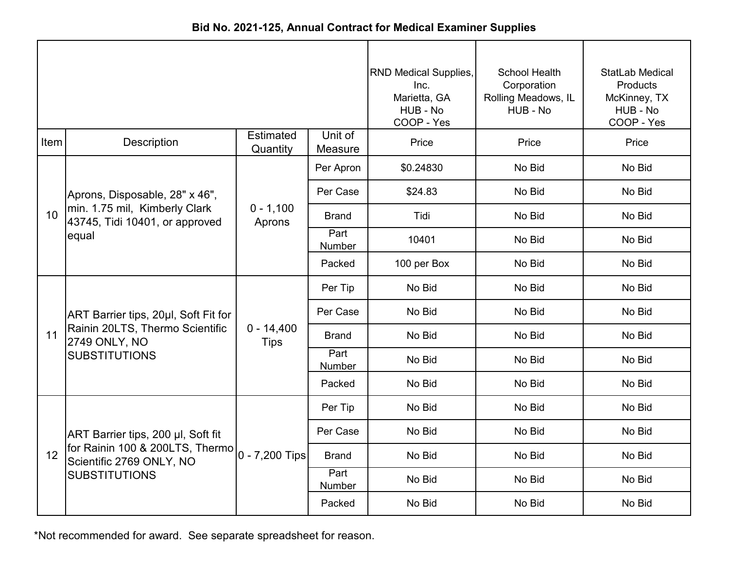| Bid No. 2021-125, Annual Contract for Medical Examiner Supplies |  |  |  |  |  |  |  |  |  |
|-----------------------------------------------------------------|--|--|--|--|--|--|--|--|--|
|                                                                 |  |  |  |  |  |  |  |  |  |

|                 |                                                                 |                              |                       | <b>RND Medical Supplies,</b><br>Inc.<br>Marietta, GA<br>HUB - No<br>COOP - Yes | School Health<br>Corporation<br>Rolling Meadows, IL<br>HUB - No | StatLab Medical<br>Products<br>McKinney, TX<br>HUB - No<br>COOP - Yes |
|-----------------|-----------------------------------------------------------------|------------------------------|-----------------------|--------------------------------------------------------------------------------|-----------------------------------------------------------------|-----------------------------------------------------------------------|
| Item            | Description                                                     | <b>Estimated</b><br>Quantity | Unit of<br>Measure    | Price                                                                          | Price                                                           | Price                                                                 |
|                 |                                                                 |                              | Per Apron             | \$0.24830                                                                      | No Bid                                                          | No Bid                                                                |
|                 | Aprons, Disposable, 28" x 46",                                  |                              | Per Case              | \$24.83                                                                        | No Bid                                                          | No Bid                                                                |
| 10 <sup>°</sup> | min. 1.75 mil, Kimberly Clark<br>43745, Tidi 10401, or approved | $0 - 1,100$<br>Aprons        | Brand                 | Tidi                                                                           | No Bid                                                          | No Bid                                                                |
|                 | equal                                                           |                              | Part<br>Number        | 10401                                                                          | No Bid                                                          | No Bid                                                                |
|                 |                                                                 |                              | Packed                | 100 per Box                                                                    | No Bid                                                          | No Bid                                                                |
|                 |                                                                 |                              | Per Tip               | No Bid                                                                         | No Bid                                                          | No Bid                                                                |
|                 | ART Barrier tips, 20µl, Soft Fit for                            |                              | Per Case              | No Bid                                                                         | No Bid                                                          | No Bid                                                                |
| 11              | Rainin 20LTS, Thermo Scientific<br>2749 ONLY, NO                | $0 - 14,400$<br><b>Tips</b>  | <b>Brand</b>          | No Bid                                                                         | No Bid                                                          | No Bid                                                                |
|                 | <b>SUBSTITUTIONS</b>                                            |                              | Part<br><b>Number</b> | No Bid                                                                         | No Bid                                                          | No Bid                                                                |
|                 |                                                                 |                              | Packed                | No Bid                                                                         | No Bid                                                          | No Bid                                                                |
|                 |                                                                 |                              | Per Tip               | No Bid                                                                         | No Bid                                                          | No Bid                                                                |
|                 | ART Barrier tips, 200 µl, Soft fit                              |                              | Per Case              | No Bid                                                                         | No Bid                                                          | No Bid                                                                |
| 12              | for Rainin 100 & 200LTS, Thermo<br>Scientific 2769 ONLY, NO     | $0 - 7,200$ Tips             | <b>Brand</b>          | No Bid                                                                         | No Bid                                                          | No Bid                                                                |
|                 | <b>SUBSTITUTIONS</b>                                            |                              | Part<br>Number        | No Bid                                                                         | No Bid                                                          | No Bid                                                                |
|                 |                                                                 |                              | Packed                | No Bid                                                                         | No Bid                                                          | No Bid                                                                |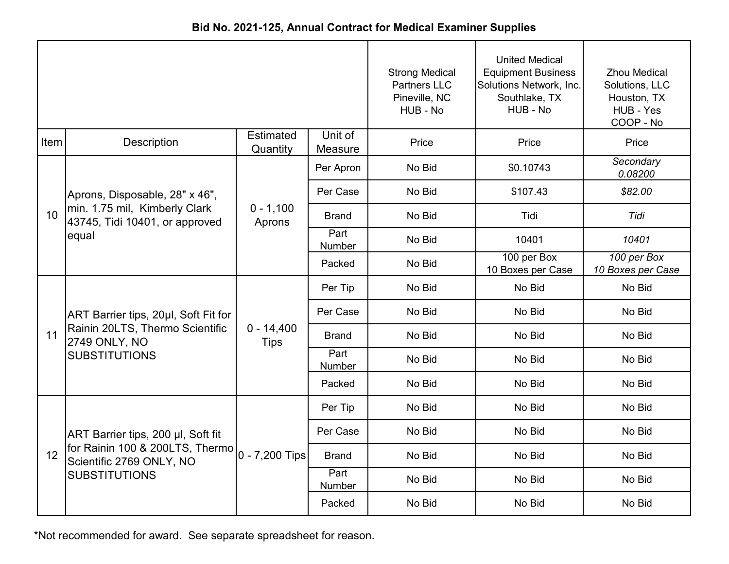|       | Bid No. 2021-125, Annual Contract for Medical Examiner Supplies          |                             |                    |                                                                           |                                                                                                            |                                                                                |  |  |  |
|-------|--------------------------------------------------------------------------|-----------------------------|--------------------|---------------------------------------------------------------------------|------------------------------------------------------------------------------------------------------------|--------------------------------------------------------------------------------|--|--|--|
|       |                                                                          |                             |                    | <b>Strong Medical</b><br><b>Partners LLC</b><br>Pineville, NC<br>HUB - No | <b>United Medical</b><br><b>Equipment Business</b><br>Solutions Network, Inc.<br>Southlake, TX<br>HUB - No | <b>Zhou Medical</b><br>Solutions, LLC<br>Houston, TX<br>HUB - Yes<br>COOP - No |  |  |  |
| Item! | <b>Description</b>                                                       | Estimated<br>Quantity       | Unit of<br>Measure | Price                                                                     | Price                                                                                                      | Price                                                                          |  |  |  |
|       |                                                                          |                             | Per Apron          | No Bid                                                                    | \$0.10743                                                                                                  | Secondary<br>0.08200                                                           |  |  |  |
|       | Aprons, Disposable, 28" x 46",                                           | $0 - 1,100$<br>Aprons       | Per Case           | No Bid                                                                    | \$107.43                                                                                                   | \$82.00                                                                        |  |  |  |
| 10    | min. 1.75 mil, Kimberly Clark<br>43745, Tidi 10401, or approved<br>equal |                             | <b>Brand</b>       | No Bid                                                                    | Tidi                                                                                                       | Tidi                                                                           |  |  |  |
|       |                                                                          |                             | Part<br>Number     | No Bid                                                                    | 10401                                                                                                      | 10401                                                                          |  |  |  |
|       |                                                                          |                             | Packed             | No Bid                                                                    | 100 per Box<br>10 Boxes per Case                                                                           | 100 per Box<br>10 Boxes per Case                                               |  |  |  |
|       |                                                                          |                             | Per Tip            | No Bid                                                                    | No Bid                                                                                                     | No Bid                                                                         |  |  |  |
|       | ART Barrier tips, 20µl, Soft Fit for                                     |                             | Per Case           | No Bid                                                                    | No Bid                                                                                                     | No Bid                                                                         |  |  |  |
| 11    | Rainin 20LTS, Thermo Scientific<br>2749 ONLY, NO                         | $0 - 14,400$<br><b>Tips</b> | <b>Brand</b>       | No Bid                                                                    | No Bid                                                                                                     | No Bid                                                                         |  |  |  |
|       | <b>SUBSTITUTIONS</b>                                                     |                             | Part<br>Number     | No Bid                                                                    | No Bid                                                                                                     | No Bid                                                                         |  |  |  |
|       |                                                                          |                             | Packed             | No Bid                                                                    | No Bid                                                                                                     | No Bid                                                                         |  |  |  |
|       |                                                                          |                             | Per Tip            | No Bid                                                                    | No Bid                                                                                                     | No Bid                                                                         |  |  |  |
|       | ART Barrier tips, 200 µl, Soft fit                                       |                             | Per Case           | No Bid                                                                    | No Bid                                                                                                     | No Bid                                                                         |  |  |  |

Brand Part Number Packed

No Bid No Bid No Bid

No Bid No Bid No Bid

No Bid No Bid No Bid

0 - 7,200 Tips

**Bid No. 2021-125, Annual Contract for Medical Examiner Supplies**

\*Not recommended for award. See separate spreadsheet for reason.

for Rainin 100 & 200LTS, Thermo

Scientific 2769 ONLY, NO

**SUBSTITUTIONS** 

12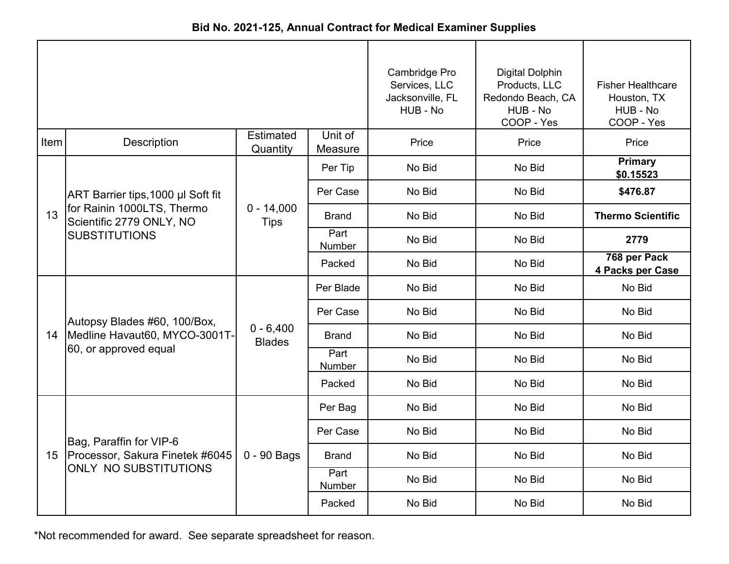|                 |                                                        |                              |                    | Cambridge Pro<br>Services, LLC<br>Jacksonville, FL<br>HUB - No | <b>Digital Dolphin</b><br>Products, LLC<br>Redondo Beach, CA<br>HUB - No<br>COOP - Yes | <b>Fisher Healthcare</b><br>Houston, TX<br>HUB - No<br>COOP - Yes |
|-----------------|--------------------------------------------------------|------------------------------|--------------------|----------------------------------------------------------------|----------------------------------------------------------------------------------------|-------------------------------------------------------------------|
| Item            | Description                                            | Estimated<br>Quantity        | Unit of<br>Measure | Price                                                          | Price                                                                                  | Price                                                             |
|                 |                                                        |                              | Per Tip            | No Bid                                                         | No Bid                                                                                 | <b>Primary</b><br>\$0.15523                                       |
|                 | ART Barrier tips, 1000 µl Soft fit                     |                              | Per Case           | No Bid                                                         | No Bid                                                                                 | \$476.87                                                          |
| 13              | for Rainin 1000LTS, Thermo<br>Scientific 2779 ONLY, NO | $0 - 14,000$<br><b>Tips</b>  | <b>Brand</b>       | No Bid                                                         | No Bid                                                                                 | <b>Thermo Scientific</b>                                          |
|                 | <b>SUBSTITUTIONS</b>                                   |                              | Part<br>Number     | No Bid                                                         | No Bid                                                                                 | 2779                                                              |
|                 |                                                        |                              | Packed             | No Bid                                                         | No Bid                                                                                 | 768 per Pack<br>4 Packs per Case                                  |
|                 |                                                        |                              | Per Blade          | No Bid                                                         | No Bid                                                                                 | No Bid                                                            |
|                 | Autopsy Blades #60, 100/Box,                           | $0 - 6,400$<br><b>Blades</b> | Per Case           | No Bid                                                         | No Bid                                                                                 | No Bid                                                            |
| 14              | Medline Havaut60, MYCO-3001T-                          |                              | <b>Brand</b>       | No Bid                                                         | No Bid                                                                                 | No Bid                                                            |
|                 | 60, or approved equal                                  |                              | Part<br>Number     | No Bid                                                         | No Bid                                                                                 | No Bid                                                            |
|                 |                                                        |                              | Packed             | No Bid                                                         | No Bid                                                                                 | No Bid                                                            |
|                 |                                                        |                              | Per Bag            | No Bid                                                         | No Bid                                                                                 | No Bid                                                            |
|                 | Bag, Paraffin for VIP-6                                |                              | Per Case           | No Bid                                                         | No Bid                                                                                 | No Bid                                                            |
| 15 <sub>1</sub> | Processor, Sakura Finetek #6045                        | $0 - 90$ Bags                | <b>Brand</b>       | No Bid                                                         | No Bid                                                                                 | No Bid                                                            |
|                 | <b>ONLY NO SUBSTITUTIONS</b>                           |                              | Part<br>Number     | No Bid                                                         | No Bid                                                                                 | No Bid                                                            |
|                 |                                                        |                              | Packed             | No Bid                                                         | No Bid                                                                                 | No Bid                                                            |

**Bid No. 2021-125, Annual Contract for Medical Examiner Supplies**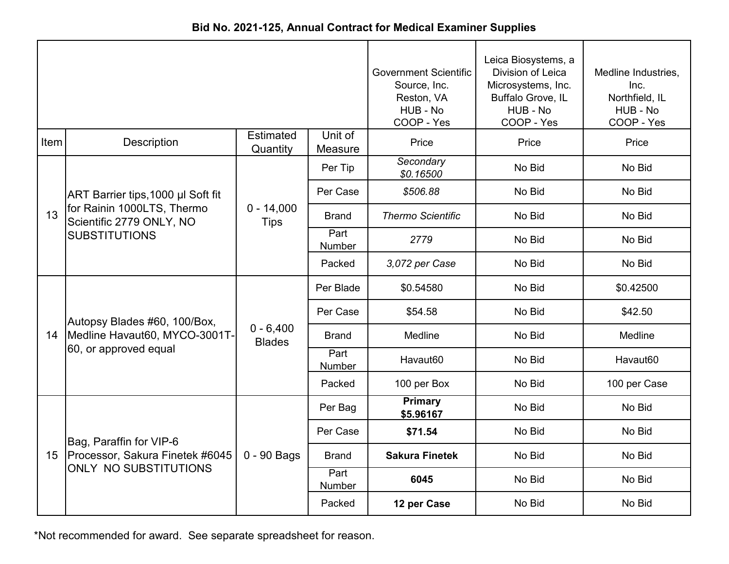|  | Bid No. 2021-125, Annual Contract for Medical Examiner Supplies |  |  |
|--|-----------------------------------------------------------------|--|--|
|--|-----------------------------------------------------------------|--|--|

|      |                                                        |                              | <b>Government Scientific</b><br>Source, Inc.<br>Reston, VA<br>HUB - No<br>COOP - Yes | Leica Biosystems, a<br>Division of Leica<br>Microsystems, Inc.<br>Buffalo Grove, IL<br>HUB - No<br>COOP - Yes | Medline Industries,<br>Inc.<br>Northfield, IL<br>HUB - No<br>COOP - Yes |              |
|------|--------------------------------------------------------|------------------------------|--------------------------------------------------------------------------------------|---------------------------------------------------------------------------------------------------------------|-------------------------------------------------------------------------|--------------|
| Item | <b>Description</b>                                     | <b>Estimated</b><br>Quantity | Unit of<br>Measure                                                                   | Price                                                                                                         | Price                                                                   | Price        |
|      |                                                        |                              | Per Tip                                                                              | Secondary<br>\$0.16500                                                                                        | No Bid                                                                  | No Bid       |
|      | ART Barrier tips, 1000 µl Soft fit                     |                              | Per Case                                                                             | \$506.88                                                                                                      | No Bid                                                                  | No Bid       |
| 13   | for Rainin 1000LTS, Thermo<br>Scientific 2779 ONLY, NO | $0 - 14,000$<br><b>Tips</b>  | <b>Brand</b>                                                                         | <b>Thermo Scientific</b>                                                                                      | No Bid                                                                  | No Bid       |
|      | <b>SUBSTITUTIONS</b>                                   |                              | Part<br>Number                                                                       | 2779                                                                                                          | No Bid                                                                  | No Bid       |
|      |                                                        |                              | Packed                                                                               | 3,072 per Case                                                                                                | No Bid                                                                  | No Bid       |
|      |                                                        | $0 - 6,400$<br><b>Blades</b> | Per Blade                                                                            | \$0.54580                                                                                                     | No Bid                                                                  | \$0.42500    |
|      | Autopsy Blades #60, 100/Box,                           |                              | Per Case                                                                             | \$54.58                                                                                                       | No Bid                                                                  | \$42.50      |
| 14   | Medline Havaut60, MYCO-3001T-                          |                              | <b>Brand</b>                                                                         | Medline                                                                                                       | No Bid                                                                  | Medline      |
|      | 60, or approved equal                                  |                              | Part<br><b>Number</b>                                                                | Havaut60                                                                                                      | No Bid                                                                  | Havaut60     |
|      |                                                        |                              | Packed                                                                               | 100 per Box                                                                                                   | No Bid                                                                  | 100 per Case |
|      |                                                        |                              | Per Bag                                                                              | <b>Primary</b><br>\$5.96167                                                                                   | No Bid                                                                  | No Bid       |
|      | Bag, Paraffin for VIP-6                                |                              | Per Case                                                                             | \$71.54                                                                                                       | No Bid                                                                  | No Bid       |
| 15   | Processor, Sakura Finetek #6045                        | 0 - 90 Bags                  | <b>Brand</b>                                                                         | <b>Sakura Finetek</b>                                                                                         | No Bid                                                                  | No Bid       |
|      | <b>ONLY NO SUBSTITUTIONS</b>                           |                              | Part<br>Number                                                                       | 6045                                                                                                          | No Bid                                                                  | No Bid       |
|      |                                                        |                              | Packed                                                                               | 12 per Case                                                                                                   | No Bid                                                                  | No Bid       |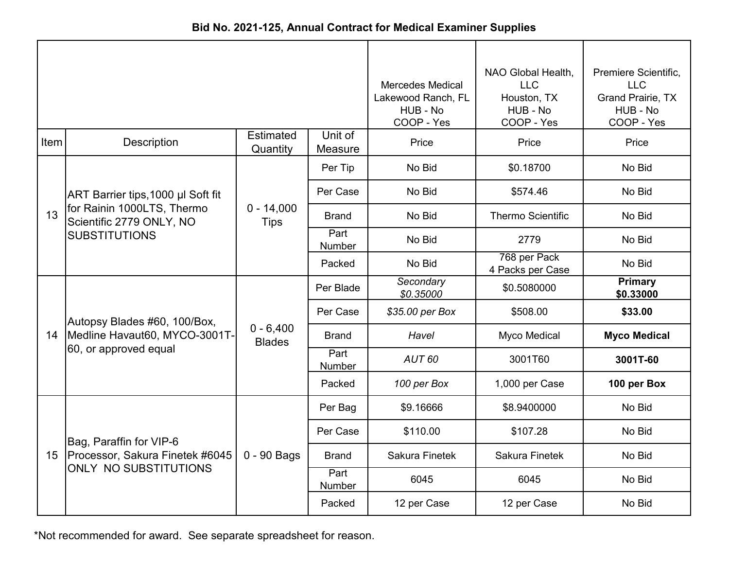|  | Bid No. 2021-125, Annual Contract for Medical Examiner Supplies |  |  |  |
|--|-----------------------------------------------------------------|--|--|--|
|--|-----------------------------------------------------------------|--|--|--|

|      |                                                                                        |                              | <b>Mercedes Medical</b><br>Lakewood Ranch, FL<br>HUB - No<br>COOP - Yes | NAO Global Health,<br><b>LLC</b><br>Houston, TX<br>HUB - No<br>COOP - Yes | Premiere Scientific,<br><b>LLC</b><br>Grand Prairie, TX<br>HUB - No<br>COOP - Yes |                             |
|------|----------------------------------------------------------------------------------------|------------------------------|-------------------------------------------------------------------------|---------------------------------------------------------------------------|-----------------------------------------------------------------------------------|-----------------------------|
| Item | <b>Description</b>                                                                     | <b>Estimated</b><br>Quantity | Unit of<br>Measure                                                      | Price                                                                     | Price                                                                             | Price                       |
|      |                                                                                        |                              | Per Tip                                                                 | No Bid                                                                    | \$0.18700                                                                         | No Bid                      |
|      | ART Barrier tips, 1000 µl Soft fit                                                     |                              | Per Case                                                                | No Bid                                                                    | \$574.46                                                                          | No Bid                      |
| 13   | for Rainin 1000LTS, Thermo<br>Scientific 2779 ONLY, NO                                 | $0 - 14,000$<br><b>Tips</b>  | <b>Brand</b>                                                            | No Bid                                                                    | <b>Thermo Scientific</b>                                                          | No Bid                      |
|      | <b>SUBSTITUTIONS</b>                                                                   |                              | Part<br><b>Number</b>                                                   | No Bid                                                                    | 2779                                                                              | No Bid                      |
|      |                                                                                        |                              | Packed                                                                  | No Bid                                                                    | 768 per Pack<br>4 Packs per Case                                                  | No Bid                      |
|      |                                                                                        | $0 - 6,400$<br><b>Blades</b> | Per Blade                                                               | Secondary<br>\$0.35000                                                    | \$0.5080000                                                                       | <b>Primary</b><br>\$0.33000 |
|      | Autopsy Blades #60, 100/Box,<br>Medline Havaut60, MYCO-3001T-<br>60, or approved equal |                              | Per Case                                                                | \$35.00 per Box                                                           | \$508.00                                                                          | \$33.00                     |
| 14   |                                                                                        |                              | <b>Brand</b>                                                            | Havel                                                                     | Myco Medical                                                                      | <b>Myco Medical</b>         |
|      |                                                                                        |                              | Part<br><b>Number</b>                                                   | AUT <sub>60</sub>                                                         | 3001T60                                                                           | 3001T-60                    |
|      |                                                                                        |                              | Packed                                                                  | 100 per Box                                                               | 1,000 per Case                                                                    | 100 per Box                 |
|      |                                                                                        |                              | Per Bag                                                                 | \$9.16666                                                                 | \$8.9400000                                                                       | No Bid                      |
|      | Bag, Paraffin for VIP-6                                                                |                              | Per Case                                                                | \$110.00                                                                  | \$107.28                                                                          | No Bid                      |
| 15   | Processor, Sakura Finetek #6045                                                        | 0 - 90 Bags                  | <b>Brand</b>                                                            | <b>Sakura Finetek</b>                                                     | <b>Sakura Finetek</b>                                                             | No Bid                      |
|      | <b>ONLY NO SUBSTITUTIONS</b>                                                           |                              | Part<br>Number                                                          | 6045                                                                      | 6045                                                                              | No Bid                      |
|      |                                                                                        |                              | Packed                                                                  | 12 per Case                                                               | 12 per Case                                                                       | No Bid                      |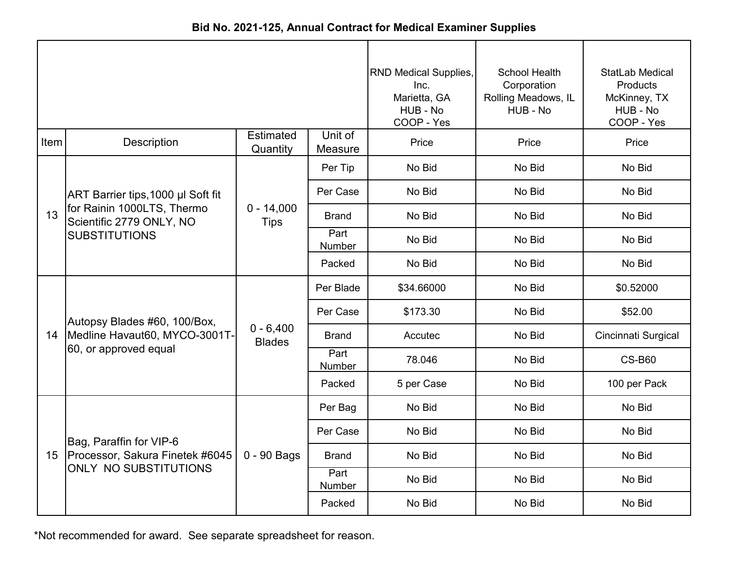| Bid No. 2021-125, Annual Contract for Medical Examiner Supplies |  |
|-----------------------------------------------------------------|--|
|-----------------------------------------------------------------|--|

|      |                                                                                        | RND Medical Supplies,<br>Inc.<br>Marietta, GA<br>HUB - No<br>COOP - Yes | School Health<br>Corporation<br>Rolling Meadows, IL<br>HUB - No | <b>StatLab Medical</b><br><b>Products</b><br>McKinney, TX<br>HUB - No<br>COOP - Yes |        |                     |
|------|----------------------------------------------------------------------------------------|-------------------------------------------------------------------------|-----------------------------------------------------------------|-------------------------------------------------------------------------------------|--------|---------------------|
| Item | Description                                                                            | <b>Estimated</b><br>Quantity                                            | Unit of<br>Measure                                              | Price                                                                               | Price  | Price               |
|      |                                                                                        |                                                                         | Per Tip                                                         | No Bid                                                                              | No Bid | No Bid              |
|      | ART Barrier tips, 1000 µl Soft fit                                                     |                                                                         | Per Case                                                        | No Bid                                                                              | No Bid | No Bid              |
| 13   | for Rainin 1000LTS, Thermo<br>Scientific 2779 ONLY, NO                                 | $0 - 14,000$<br><b>Tips</b>                                             | <b>Brand</b>                                                    | No Bid                                                                              | No Bid | No Bid              |
|      | <b>SUBSTITUTIONS</b>                                                                   |                                                                         | Part<br>Number                                                  | No Bid                                                                              | No Bid | No Bid              |
|      |                                                                                        |                                                                         | Packed                                                          | No Bid                                                                              | No Bid | No Bid              |
|      |                                                                                        | $0 - 6,400$<br><b>Blades</b>                                            | Per Blade                                                       | \$34.66000                                                                          | No Bid | \$0.52000           |
|      | Autopsy Blades #60, 100/Box,<br>Medline Havaut60, MYCO-3001T-<br>60, or approved equal |                                                                         | Per Case                                                        | \$173.30                                                                            | No Bid | \$52.00             |
| 14   |                                                                                        |                                                                         | <b>Brand</b>                                                    | Accutec                                                                             | No Bid | Cincinnati Surgical |
|      |                                                                                        |                                                                         | Part<br>Number                                                  | 78.046                                                                              | No Bid | <b>CS-B60</b>       |
|      |                                                                                        |                                                                         | Packed                                                          | 5 per Case                                                                          | No Bid | 100 per Pack        |
|      |                                                                                        |                                                                         | Per Bag                                                         | No Bid                                                                              | No Bid | No Bid              |
|      | Bag, Paraffin for VIP-6                                                                |                                                                         | Per Case                                                        | No Bid                                                                              | No Bid | No Bid              |
| 15   | Processor, Sakura Finetek #6045                                                        | 0 - 90 Bags                                                             | <b>Brand</b>                                                    | No Bid                                                                              | No Bid | No Bid              |
|      | <b>ONLY NO SUBSTITUTIONS</b>                                                           |                                                                         | Part<br>Number                                                  | No Bid                                                                              | No Bid | No Bid              |
|      |                                                                                        |                                                                         | Packed                                                          | No Bid                                                                              | No Bid | No Bid              |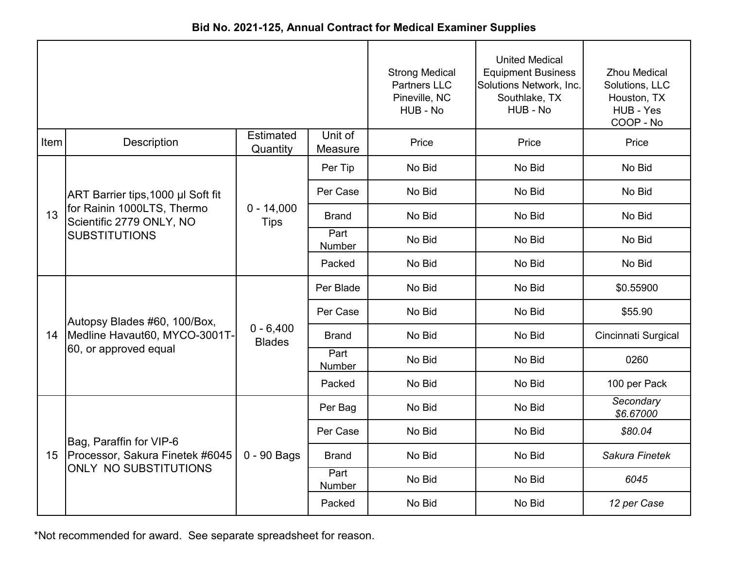| Bid No. 2021-125, Annual Contract for Medical Examiner Supplies |
|-----------------------------------------------------------------|
|-----------------------------------------------------------------|

|                 |                                                        |                              | <b>Strong Medical</b><br><b>Partners LLC</b><br>Pineville, NC<br>HUB - No | <b>United Medical</b><br><b>Equipment Business</b><br>Solutions Network, Inc.<br>Southlake, TX<br>HUB - No | <b>Zhou Medical</b><br>Solutions, LLC<br>Houston, TX<br>HUB - Yes<br>COOP - No |                        |
|-----------------|--------------------------------------------------------|------------------------------|---------------------------------------------------------------------------|------------------------------------------------------------------------------------------------------------|--------------------------------------------------------------------------------|------------------------|
| Item            | Description                                            | <b>Estimated</b><br>Quantity | Unit of<br>Measure                                                        | Price                                                                                                      | Price                                                                          | Price                  |
|                 |                                                        |                              | Per Tip                                                                   | No Bid                                                                                                     | No Bid                                                                         | No Bid                 |
|                 | ART Barrier tips, 1000 µl Soft fit                     |                              | Per Case                                                                  | No Bid                                                                                                     | No Bid                                                                         | No Bid                 |
| 13              | for Rainin 1000LTS, Thermo<br>Scientific 2779 ONLY, NO | $0 - 14,000$<br><b>Tips</b>  | <b>Brand</b>                                                              | No Bid                                                                                                     | No Bid                                                                         | No Bid                 |
|                 | <b>SUBSTITUTIONS</b>                                   |                              | Part<br>Number                                                            | No Bid                                                                                                     | No Bid                                                                         | No Bid                 |
|                 |                                                        |                              | Packed                                                                    | No Bid                                                                                                     | No Bid                                                                         | No Bid                 |
|                 | Autopsy Blades #60, 100/Box,                           | $0 - 6,400$<br><b>Blades</b> | Per Blade                                                                 | No Bid                                                                                                     | No Bid                                                                         | \$0.55900              |
|                 |                                                        |                              | Per Case                                                                  | No Bid                                                                                                     | No Bid                                                                         | \$55.90                |
| 14              | Medline Havaut60, MYCO-3001T-                          |                              | <b>Brand</b>                                                              | No Bid                                                                                                     | No Bid                                                                         | Cincinnati Surgical    |
|                 | 60, or approved equal                                  |                              | Part<br>Number                                                            | No Bid                                                                                                     | No Bid                                                                         | 0260                   |
|                 |                                                        |                              | Packed                                                                    | No Bid                                                                                                     | No Bid                                                                         | 100 per Pack           |
|                 |                                                        |                              | Per Bag                                                                   | No Bid                                                                                                     | No Bid                                                                         | Secondary<br>\$6.67000 |
|                 | Bag, Paraffin for VIP-6                                |                              | Per Case                                                                  | No Bid                                                                                                     | No Bid                                                                         | \$80.04                |
| 15 <sub>1</sub> | Processor, Sakura Finetek #6045                        | 0 - 90 Bags                  | <b>Brand</b>                                                              | No Bid                                                                                                     | No Bid                                                                         | Sakura Finetek         |
|                 | <b>ONLY NO SUBSTITUTIONS</b>                           |                              | Part<br>Number                                                            | No Bid                                                                                                     | No Bid                                                                         | 6045                   |
|                 |                                                        |                              | Packed                                                                    | No Bid                                                                                                     | No Bid                                                                         | 12 per Case            |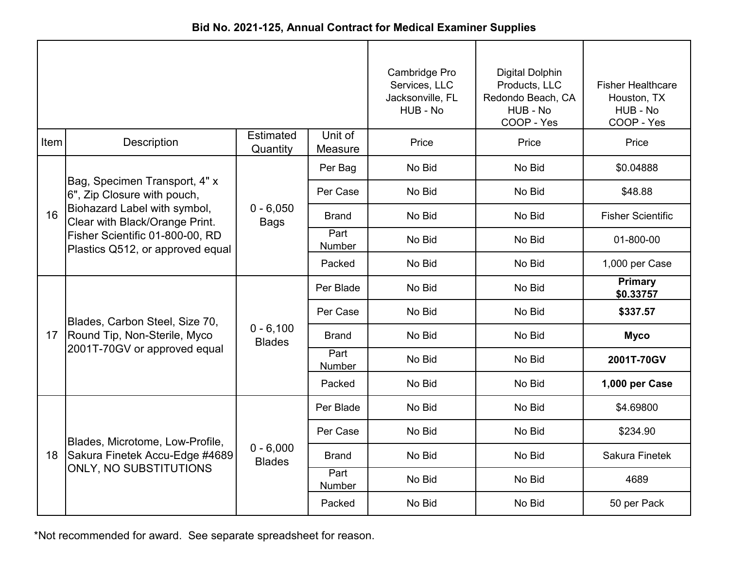| Bid No. 2021-125, Annual Contract for Medical Examiner Supplies |  |
|-----------------------------------------------------------------|--|
|-----------------------------------------------------------------|--|

|                 |                                                                     |                              | Cambridge Pro<br>Services, LLC<br>Jacksonville, FL<br>HUB - No | <b>Digital Dolphin</b><br>Products, LLC<br>Redondo Beach, CA<br>HUB - No<br>COOP - Yes | <b>Fisher Healthcare</b><br>Houston, TX<br>HUB - No<br>COOP - Yes |                          |
|-----------------|---------------------------------------------------------------------|------------------------------|----------------------------------------------------------------|----------------------------------------------------------------------------------------|-------------------------------------------------------------------|--------------------------|
| Item            | Description                                                         | <b>Estimated</b><br>Quantity | Unit of<br>Measure                                             | Price                                                                                  | Price                                                             | Price                    |
|                 |                                                                     |                              | Per Bag                                                        | No Bid                                                                                 | No Bid                                                            | \$0.04888                |
|                 | Bag, Specimen Transport, 4" x<br>6", Zip Closure with pouch,        |                              | Per Case                                                       | No Bid                                                                                 | No Bid                                                            | \$48.88                  |
| 16              | Biohazard Label with symbol,<br>Clear with Black/Orange Print.      | $0 - 6,050$<br><b>Bags</b>   | <b>Brand</b>                                                   | No Bid                                                                                 | No Bid                                                            | <b>Fisher Scientific</b> |
|                 | Fisher Scientific 01-800-00, RD<br>Plastics Q512, or approved equal |                              | Part<br><b>Number</b>                                          | No Bid                                                                                 | No Bid                                                            | 01-800-00                |
|                 |                                                                     |                              | Packed                                                         | No Bid                                                                                 | No Bid                                                            | 1,000 per Case           |
|                 |                                                                     | $0 - 6,100$<br><b>Blades</b> | Per Blade                                                      | No Bid                                                                                 | No Bid                                                            | Primary<br>\$0.33757     |
|                 | Blades, Carbon Steel, Size 70,                                      |                              | Per Case                                                       | No Bid                                                                                 | No Bid                                                            | \$337.57                 |
| 17 <sup>2</sup> | Round Tip, Non-Sterile, Myco                                        |                              | Brand                                                          | No Bid                                                                                 | No Bid                                                            | <b>Myco</b>              |
|                 | 2001T-70GV or approved equal                                        |                              | Part<br><b>Number</b>                                          | No Bid                                                                                 | No Bid                                                            | 2001T-70GV               |
|                 |                                                                     |                              | Packed                                                         | No Bid                                                                                 | No Bid                                                            | 1,000 per Case           |
|                 |                                                                     |                              | Per Blade                                                      | No Bid                                                                                 | No Bid                                                            | \$4.69800                |
|                 | Blades, Microtome, Low-Profile,                                     |                              | Per Case                                                       | No Bid                                                                                 | No Bid                                                            | \$234.90                 |
| 18              | Sakura Finetek Accu-Edge #4689                                      | $0 - 6,000$<br><b>Blades</b> | <b>Brand</b>                                                   | No Bid                                                                                 | No Bid                                                            | <b>Sakura Finetek</b>    |
|                 | <b>ONLY, NO SUBSTITUTIONS</b>                                       |                              | Part<br>Number                                                 | No Bid                                                                                 | No Bid                                                            | 4689                     |
|                 |                                                                     |                              | Packed                                                         | No Bid                                                                                 | No Bid                                                            | 50 per Pack              |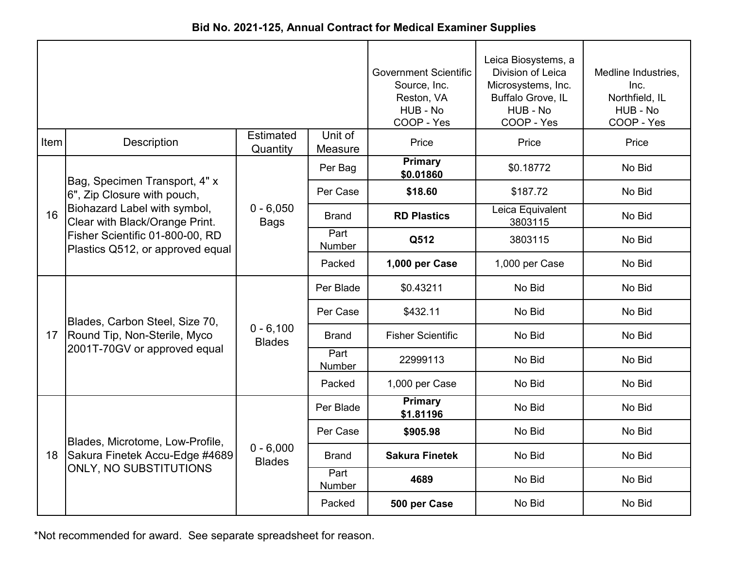|  |  |  | Bid No. 2021-125, Annual Contract for Medical Examiner Supplies |
|--|--|--|-----------------------------------------------------------------|
|--|--|--|-----------------------------------------------------------------|

|                 |                                                                     |                              | <b>Government Scientific</b><br>Source, Inc.<br>Reston, VA<br>HUB - No<br>COOP - Yes | Leica Biosystems, a<br>Division of Leica<br>Microsystems, Inc.<br>Buffalo Grove, IL<br>HUB - No<br>COOP - Yes | Medline Industries,<br>Inc.<br>Northfield, IL<br>HUB - No<br>COOP - Yes |        |
|-----------------|---------------------------------------------------------------------|------------------------------|--------------------------------------------------------------------------------------|---------------------------------------------------------------------------------------------------------------|-------------------------------------------------------------------------|--------|
| Item            | Description                                                         | <b>Estimated</b><br>Quantity | Unit of<br>Measure                                                                   | Price                                                                                                         | Price                                                                   | Price  |
|                 | Bag, Specimen Transport, 4" x                                       |                              | Per Bag                                                                              | Primary<br>\$0.01860                                                                                          | \$0.18772                                                               | No Bid |
|                 | 6", Zip Closure with pouch,                                         |                              | Per Case                                                                             | \$18.60                                                                                                       | \$187.72                                                                | No Bid |
| 16              | Biohazard Label with symbol,<br>Clear with Black/Orange Print.      | $0 - 6,050$<br><b>Bags</b>   | <b>Brand</b>                                                                         | <b>RD Plastics</b>                                                                                            | Leica Equivalent<br>3803115                                             | No Bid |
|                 | Fisher Scientific 01-800-00, RD<br>Plastics Q512, or approved equal |                              | Part<br>Number                                                                       | Q512                                                                                                          | 3803115                                                                 | No Bid |
|                 |                                                                     |                              | Packed                                                                               | 1,000 per Case                                                                                                | 1,000 per Case                                                          | No Bid |
|                 |                                                                     | $0 - 6,100$<br><b>Blades</b> | Per Blade                                                                            | \$0.43211                                                                                                     | No Bid                                                                  | No Bid |
|                 | Blades, Carbon Steel, Size 70,                                      |                              | Per Case                                                                             | \$432.11                                                                                                      | No Bid                                                                  | No Bid |
| 17 <sup>2</sup> | Round Tip, Non-Sterile, Myco                                        |                              | Brand                                                                                | <b>Fisher Scientific</b>                                                                                      | No Bid                                                                  | No Bid |
|                 | 2001T-70GV or approved equal                                        |                              | Part<br><b>Number</b>                                                                | 22999113                                                                                                      | No Bid                                                                  | No Bid |
|                 |                                                                     |                              | Packed                                                                               | 1,000 per Case                                                                                                | No Bid                                                                  | No Bid |
|                 |                                                                     |                              | Per Blade                                                                            | Primary<br>\$1.81196                                                                                          | No Bid                                                                  | No Bid |
|                 | Blades, Microtome, Low-Profile,                                     |                              | Per Case                                                                             | \$905.98                                                                                                      | No Bid                                                                  | No Bid |
| 18              | Sakura Finetek Accu-Edge #4689                                      | $0 - 6,000$<br><b>Blades</b> | Brand                                                                                | <b>Sakura Finetek</b>                                                                                         | No Bid                                                                  | No Bid |
|                 | ONLY, NO SUBSTITUTIONS                                              |                              | Part<br>Number                                                                       | 4689                                                                                                          | No Bid                                                                  | No Bid |
|                 |                                                                     |                              | Packed                                                                               | 500 per Case                                                                                                  | No Bid                                                                  | No Bid |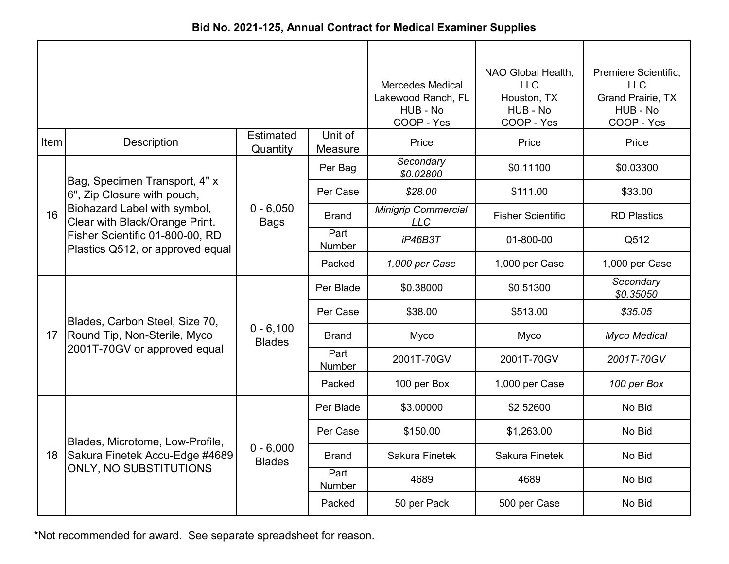| Bid No. 2021-125, Annual Contract for Medical Examiner Supplies |  |  |  |  |  |
|-----------------------------------------------------------------|--|--|--|--|--|
|-----------------------------------------------------------------|--|--|--|--|--|

|                 |                                                                     |                              | <b>Mercedes Medical</b><br>Lakewood Ranch, FL<br>HUB - No<br>COOP - Yes | NAO Global Health,<br><b>LLC</b><br>Houston, TX<br>HUB - No<br>COOP - Yes | Premiere Scientific,<br><b>LLC</b><br><b>Grand Prairie, TX</b><br>HUB - No<br>COOP - Yes |                        |
|-----------------|---------------------------------------------------------------------|------------------------------|-------------------------------------------------------------------------|---------------------------------------------------------------------------|------------------------------------------------------------------------------------------|------------------------|
| Item            | Description                                                         | <b>Estimated</b><br>Quantity | Unit of<br>Measure                                                      | Price                                                                     | Price                                                                                    | Price                  |
|                 | Bag, Specimen Transport, 4" x                                       |                              | Per Bag                                                                 | Secondary<br>\$0.02800                                                    | \$0.11100                                                                                | \$0.03300              |
|                 | 6", Zip Closure with pouch,                                         |                              | Per Case                                                                | \$28.00                                                                   | \$111.00                                                                                 | \$33.00                |
| 16              | Biohazard Label with symbol,<br>Clear with Black/Orange Print.      | $0 - 6,050$<br><b>Bags</b>   | <b>Brand</b>                                                            | <b>Minigrip Commercial</b><br><b>LLC</b>                                  | <b>Fisher Scientific</b>                                                                 | <b>RD Plastics</b>     |
|                 | Fisher Scientific 01-800-00, RD<br>Plastics Q512, or approved equal |                              | Part<br>Number                                                          | iP46B3T                                                                   | 01-800-00                                                                                | Q512                   |
|                 |                                                                     |                              | Packed                                                                  | 1,000 per Case                                                            | 1,000 per Case                                                                           | 1,000 per Case         |
|                 | Blades, Carbon Steel, Size 70,                                      | $0 - 6,100$<br><b>Blades</b> | Per Blade                                                               | \$0.38000                                                                 | \$0.51300                                                                                | Secondary<br>\$0.35050 |
|                 |                                                                     |                              | Per Case                                                                | \$38.00                                                                   | \$513.00                                                                                 | \$35.05                |
| 17 <sup>2</sup> | Round Tip, Non-Sterile, Myco                                        |                              | <b>Brand</b>                                                            | Myco                                                                      | <b>Myco</b>                                                                              | <b>Myco Medical</b>    |
|                 | 2001T-70GV or approved equal                                        |                              | Part<br>Number                                                          | 2001T-70GV                                                                | 2001T-70GV                                                                               | 2001T-70GV             |
|                 |                                                                     |                              | Packed                                                                  | 100 per Box                                                               | 1,000 per Case                                                                           | 100 per Box            |
|                 |                                                                     |                              | Per Blade                                                               | \$3.00000                                                                 | \$2.52600                                                                                | No Bid                 |
|                 | Blades, Microtome, Low-Profile,                                     |                              | Per Case                                                                | \$150.00                                                                  | \$1,263.00                                                                               | No Bid                 |
| 18              | Sakura Finetek Accu-Edge #4689                                      | $0 - 6,000$<br><b>Blades</b> | Brand                                                                   | Sakura Finetek                                                            | Sakura Finetek                                                                           | No Bid                 |
|                 | ONLY, NO SUBSTITUTIONS                                              |                              | Part<br>Number                                                          | 4689                                                                      | 4689                                                                                     | No Bid                 |
|                 |                                                                     |                              | Packed                                                                  | 50 per Pack                                                               | 500 per Case                                                                             | No Bid                 |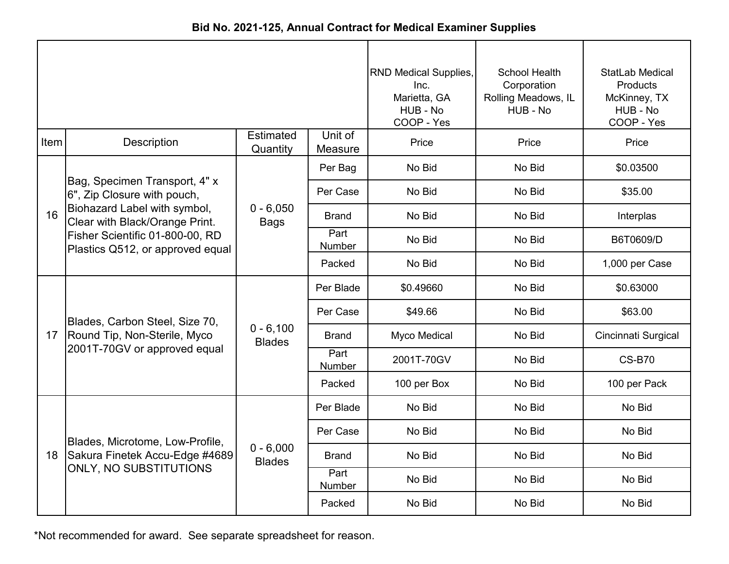| Bid No. 2021-125, Annual Contract for Medical Examiner Supplies |  |
|-----------------------------------------------------------------|--|
|-----------------------------------------------------------------|--|

|      |                                                                     |                              |                    | <b>RND Medical Supplies,</b><br>Inc.<br>Marietta, GA<br>HUB - No<br>COOP - Yes | School Health<br>Corporation<br>Rolling Meadows, IL<br>HUB - No | StatLab Medical<br><b>Products</b><br>McKinney, TX<br>HUB - No<br>COOP - Yes |
|------|---------------------------------------------------------------------|------------------------------|--------------------|--------------------------------------------------------------------------------|-----------------------------------------------------------------|------------------------------------------------------------------------------|
| Item | Description                                                         | <b>Estimated</b><br>Quantity | Unit of<br>Measure | Price                                                                          | Price                                                           | Price                                                                        |
|      |                                                                     |                              | Per Bag            | No Bid                                                                         | No Bid                                                          | \$0.03500                                                                    |
|      | Bag, Specimen Transport, 4" x<br>6", Zip Closure with pouch,        |                              | Per Case           | No Bid                                                                         | No Bid                                                          | \$35.00                                                                      |
| 16   | Biohazard Label with symbol,<br>Clear with Black/Orange Print.      | $0 - 6,050$<br><b>Bags</b>   | <b>Brand</b>       | No Bid                                                                         | No Bid                                                          | Interplas                                                                    |
|      | Fisher Scientific 01-800-00, RD<br>Plastics Q512, or approved equal |                              | Part<br>Number     | No Bid                                                                         | No Bid                                                          | B6T0609/D                                                                    |
|      |                                                                     |                              | Packed             | No Bid                                                                         | No Bid                                                          | 1,000 per Case                                                               |
|      |                                                                     | $0 - 6,100$<br><b>Blades</b> | Per Blade          | \$0.49660                                                                      | No Bid                                                          | \$0.63000                                                                    |
|      | Blades, Carbon Steel, Size 70,                                      |                              | Per Case           | \$49.66                                                                        | No Bid                                                          | \$63.00                                                                      |
| 17   | Round Tip, Non-Sterile, Myco                                        |                              | <b>Brand</b>       | Myco Medical                                                                   | No Bid                                                          | Cincinnati Surgical                                                          |
|      | 2001T-70GV or approved equal                                        |                              | Part<br>Number     | 2001T-70GV                                                                     | No Bid                                                          | <b>CS-B70</b>                                                                |
|      |                                                                     |                              | Packed             | 100 per Box                                                                    | No Bid                                                          | 100 per Pack                                                                 |
|      |                                                                     |                              | Per Blade          | No Bid                                                                         | No Bid                                                          | No Bid                                                                       |
|      | Blades, Microtome, Low-Profile,                                     |                              | Per Case           | No Bid                                                                         | No Bid                                                          | No Bid                                                                       |
| 18   | Sakura Finetek Accu-Edge #4689                                      | $0 - 6,000$<br><b>Blades</b> | <b>Brand</b>       | No Bid                                                                         | No Bid                                                          | No Bid                                                                       |
|      | ONLY, NO SUBSTITUTIONS                                              |                              | Part<br>Number     | No Bid                                                                         | No Bid                                                          | No Bid                                                                       |
|      |                                                                     |                              | Packed             | No Bid                                                                         | No Bid                                                          | No Bid                                                                       |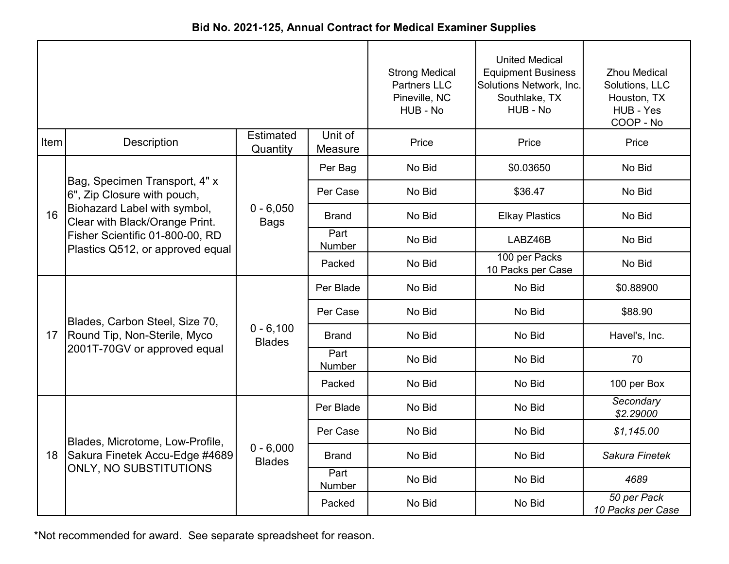| Bid No. 2021-125, Annual Contract for Medical Examiner Supplies |  |
|-----------------------------------------------------------------|--|
|-----------------------------------------------------------------|--|

|      |                                                                     |                              | <b>Strong Medical</b><br><b>Partners LLC</b><br>Pineville, NC<br>HUB - No | <b>United Medical</b><br><b>Equipment Business</b><br>Solutions Network, Inc.<br>Southlake, TX<br>HUB - No | <b>Zhou Medical</b><br>Solutions, LLC<br>Houston, TX<br>HUB - Yes<br>COOP - No |                                  |
|------|---------------------------------------------------------------------|------------------------------|---------------------------------------------------------------------------|------------------------------------------------------------------------------------------------------------|--------------------------------------------------------------------------------|----------------------------------|
| Item | Description                                                         | <b>Estimated</b><br>Quantity | Unit of<br>Measure                                                        | Price                                                                                                      | Price                                                                          | Price                            |
|      |                                                                     |                              | Per Bag                                                                   | No Bid                                                                                                     | \$0.03650                                                                      | No Bid                           |
|      | Bag, Specimen Transport, 4" x<br>6", Zip Closure with pouch,        |                              | Per Case                                                                  | No Bid                                                                                                     | \$36.47                                                                        | No Bid                           |
| 16   | Biohazard Label with symbol,<br>Clear with Black/Orange Print.      | $0 - 6,050$<br><b>Bags</b>   | <b>Brand</b>                                                              | No Bid                                                                                                     | <b>Elkay Plastics</b>                                                          | No Bid                           |
|      | Fisher Scientific 01-800-00, RD<br>Plastics Q512, or approved equal |                              | Part<br>Number                                                            | No Bid                                                                                                     | LABZ46B                                                                        | No Bid                           |
|      |                                                                     |                              | Packed                                                                    | No Bid                                                                                                     | 100 per Packs<br>10 Packs per Case                                             | No Bid                           |
|      |                                                                     | $0 - 6,100$<br><b>Blades</b> | Per Blade                                                                 | No Bid                                                                                                     | No Bid                                                                         | \$0.88900                        |
|      | Blades, Carbon Steel, Size 70,                                      |                              | Per Case                                                                  | No Bid                                                                                                     | No Bid                                                                         | \$88.90                          |
| 17   | Round Tip, Non-Sterile, Myco                                        |                              | <b>Brand</b>                                                              | No Bid                                                                                                     | No Bid                                                                         | Havel's, Inc.                    |
|      | 2001T-70GV or approved equal                                        |                              | Part<br>Number                                                            | No Bid                                                                                                     | No Bid                                                                         | 70                               |
|      |                                                                     |                              | Packed                                                                    | No Bid                                                                                                     | No Bid                                                                         | 100 per Box                      |
|      |                                                                     |                              | Per Blade                                                                 | No Bid                                                                                                     | No Bid                                                                         | Secondary<br>\$2.29000           |
|      | Blades, Microtome, Low-Profile,                                     |                              | Per Case                                                                  | No Bid                                                                                                     | No Bid                                                                         | \$1,145.00                       |
| 18   | Sakura Finetek Accu-Edge #4689                                      | $0 - 6,000$<br><b>Blades</b> | <b>Brand</b>                                                              | No Bid                                                                                                     | No Bid                                                                         | Sakura Finetek                   |
|      | <b>ONLY, NO SUBSTITUTIONS</b>                                       |                              | Part<br>Number                                                            | No Bid                                                                                                     | No Bid                                                                         | 4689                             |
|      |                                                                     |                              | Packed                                                                    | No Bid                                                                                                     | No Bid                                                                         | 50 per Pack<br>10 Packs per Case |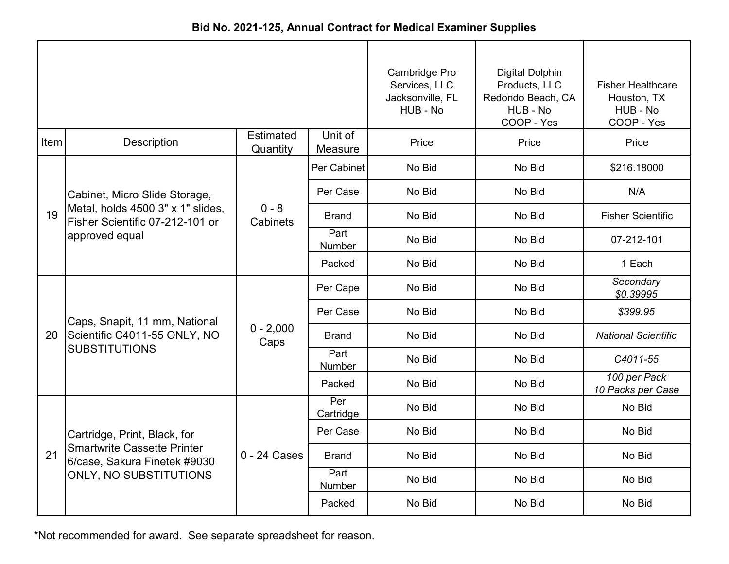|      |                                                                      |                       |                    | Cambridge Pro<br>Services, LLC<br>Jacksonville, FL<br>HUB - No | <b>Digital Dolphin</b><br>Products, LLC<br>Redondo Beach, CA<br>HUB - No<br>COOP - Yes | <b>Fisher Healthcare</b><br>Houston, TX<br>HUB - No<br>COOP - Yes |
|------|----------------------------------------------------------------------|-----------------------|--------------------|----------------------------------------------------------------|----------------------------------------------------------------------------------------|-------------------------------------------------------------------|
| Item | Description                                                          | Estimated<br>Quantity | Unit of<br>Measure | Price                                                          | Price                                                                                  | Price                                                             |
|      |                                                                      |                       | Per Cabinet        | No Bid                                                         | No Bid                                                                                 | \$216.18000                                                       |
|      | Cabinet, Micro Slide Storage,                                        |                       | Per Case           | No Bid                                                         | No Bid                                                                                 | N/A                                                               |
| 19   | Metal, holds 4500 3" x 1" slides,<br>Fisher Scientific 07-212-101 or | $0 - 8$<br>Cabinets   | <b>Brand</b>       | No Bid                                                         | No Bid                                                                                 | <b>Fisher Scientific</b>                                          |
|      | approved equal                                                       |                       | Part<br>Number     | No Bid                                                         | No Bid                                                                                 | 07-212-101                                                        |
|      |                                                                      |                       | Packed             | No Bid                                                         | No Bid                                                                                 | 1 Each                                                            |
|      |                                                                      | $0 - 2,000$<br>Caps   | Per Cape           | No Bid                                                         | No Bid                                                                                 | Secondary<br>\$0.39995                                            |
|      | Caps, Snapit, 11 mm, National                                        |                       | Per Case           | No Bid                                                         | No Bid                                                                                 | \$399.95                                                          |
| 20   | Scientific C4011-55 ONLY, NO                                         |                       | <b>Brand</b>       | No Bid                                                         | No Bid                                                                                 | <b>National Scientific</b>                                        |
|      | <b>SUBSTITUTIONS</b>                                                 |                       | Part<br>Number     | No Bid                                                         | No Bid                                                                                 | C4011-55                                                          |
|      |                                                                      |                       | Packed             | No Bid                                                         | No Bid                                                                                 | 100 per Pack<br>10 Packs per Case                                 |
|      |                                                                      |                       | Per<br>Cartridge   | No Bid                                                         | No Bid                                                                                 | No Bid                                                            |
|      | Cartridge, Print, Black, for                                         |                       | Per Case           | No Bid                                                         | No Bid                                                                                 | No Bid                                                            |
| 21   | <b>Smartwrite Cassette Printer</b><br>6/case, Sakura Finetek #9030   | $0 - 24$ Cases        | <b>Brand</b>       | No Bid                                                         | No Bid                                                                                 | No Bid                                                            |
|      | <b>ONLY, NO SUBSTITUTIONS</b>                                        |                       | Part<br>Number     | No Bid                                                         | No Bid                                                                                 | No Bid                                                            |
|      |                                                                      |                       | Packed             | No Bid                                                         | No Bid                                                                                 | No Bid                                                            |

**Bid No. 2021-125, Annual Contract for Medical Examiner Supplies**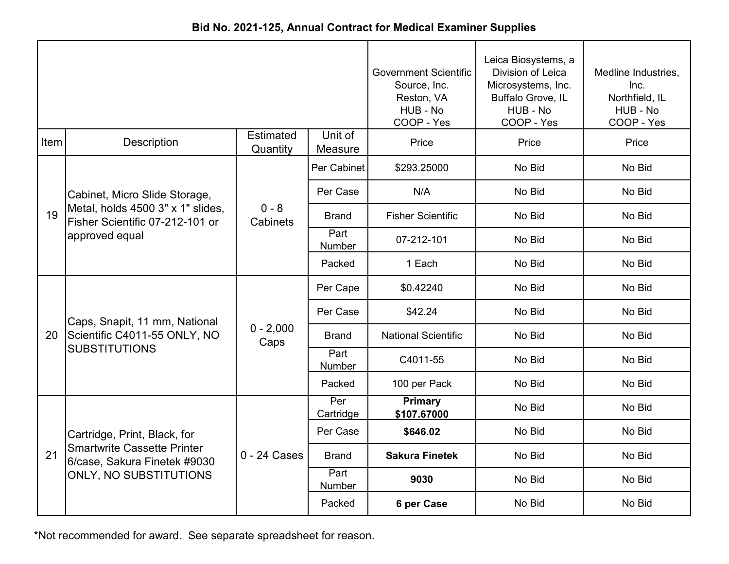|  | Bid No. 2021-125, Annual Contract for Medical Examiner Supplies |  |  |
|--|-----------------------------------------------------------------|--|--|
|--|-----------------------------------------------------------------|--|--|

|      |                                                                                        |                              | <b>Government Scientific</b><br>Source, Inc.<br>Reston, VA<br>HUB - No<br>COOP - Yes | Leica Biosystems, a<br>Division of Leica<br>Microsystems, Inc.<br>Buffalo Grove, IL<br>HUB - No<br>COOP - Yes | Medline Industries,<br>Inc.<br>Northfield, IL<br>HUB - No<br>COOP - Yes |        |
|------|----------------------------------------------------------------------------------------|------------------------------|--------------------------------------------------------------------------------------|---------------------------------------------------------------------------------------------------------------|-------------------------------------------------------------------------|--------|
| Item | <b>Description</b>                                                                     | <b>Estimated</b><br>Quantity | Unit of<br>Measure                                                                   | Price                                                                                                         | Price                                                                   | Price  |
|      |                                                                                        |                              | Per Cabinet                                                                          | \$293.25000                                                                                                   | No Bid                                                                  | No Bid |
|      | Cabinet, Micro Slide Storage,                                                          |                              | Per Case                                                                             | N/A                                                                                                           | No Bid                                                                  | No Bid |
| 19   | Metal, holds 4500 3" x 1" slides,<br>Fisher Scientific 07-212-101 or<br>approved equal | $0 - 8$<br>Cabinets          | <b>Brand</b>                                                                         | <b>Fisher Scientific</b>                                                                                      | No Bid                                                                  | No Bid |
|      |                                                                                        |                              | Part<br><b>Number</b>                                                                | 07-212-101                                                                                                    | No Bid                                                                  | No Bid |
|      |                                                                                        |                              | Packed                                                                               | 1 Each                                                                                                        | No Bid                                                                  | No Bid |
|      |                                                                                        |                              | Per Cape                                                                             | \$0.42240                                                                                                     | No Bid                                                                  | No Bid |
|      | Caps, Snapit, 11 mm, National                                                          |                              | Per Case                                                                             | \$42.24                                                                                                       | No Bid                                                                  | No Bid |
| 20   | Scientific C4011-55 ONLY, NO                                                           | $0 - 2,000$<br>Caps          | Brand                                                                                | <b>National Scientific</b>                                                                                    | No Bid                                                                  | No Bid |
|      | <b>SUBSTITUTIONS</b>                                                                   |                              | Part<br><b>Number</b>                                                                | C4011-55                                                                                                      | No Bid                                                                  | No Bid |
|      |                                                                                        |                              | Packed                                                                               | 100 per Pack                                                                                                  | No Bid                                                                  | No Bid |
|      |                                                                                        |                              | Per<br>Cartridge                                                                     | <b>Primary</b><br>\$107.67000                                                                                 | No Bid                                                                  | No Bid |
|      | Cartridge, Print, Black, for                                                           |                              | Per Case                                                                             | \$646.02                                                                                                      | No Bid                                                                  | No Bid |
| 21   | <b>Smartwrite Cassette Printer</b><br>6/case, Sakura Finetek #9030                     | $0 - 24$ Cases               | <b>Brand</b>                                                                         | <b>Sakura Finetek</b>                                                                                         | No Bid                                                                  | No Bid |
|      | ONLY, NO SUBSTITUTIONS                                                                 |                              | Part<br>Number                                                                       | 9030                                                                                                          | No Bid                                                                  | No Bid |
|      |                                                                                        |                              | Packed                                                                               | 6 per Case                                                                                                    | No Bid                                                                  | No Bid |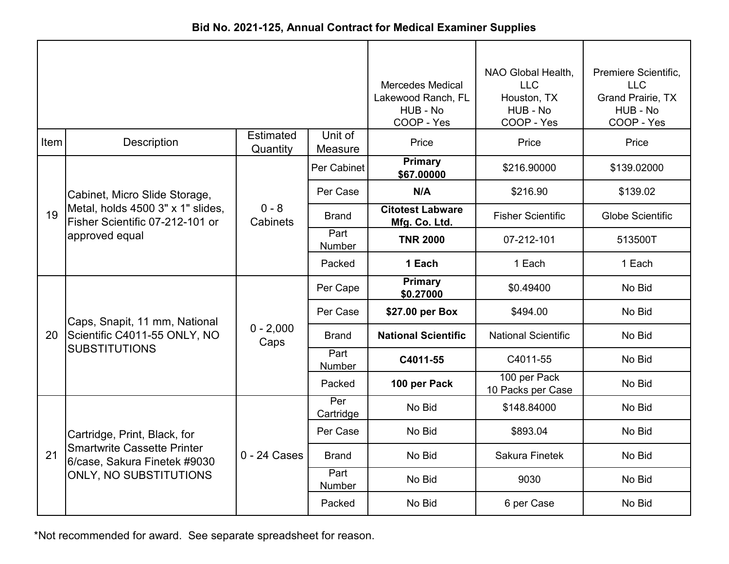| Bid No. 2021-125, Annual Contract for Medical Examiner Supplies |  |  |  |  |  |
|-----------------------------------------------------------------|--|--|--|--|--|
|-----------------------------------------------------------------|--|--|--|--|--|

|      |                                                                                        |                              | <b>Mercedes Medical</b><br>Lakewood Ranch, FL<br>HUB - No<br>COOP - Yes | NAO Global Health,<br><b>LLC</b><br>Houston, TX<br>HUB - No<br>COOP - Yes | Premiere Scientific,<br><b>LLC</b><br>Grand Prairie, TX<br>HUB - No<br>COOP - Yes |                         |
|------|----------------------------------------------------------------------------------------|------------------------------|-------------------------------------------------------------------------|---------------------------------------------------------------------------|-----------------------------------------------------------------------------------|-------------------------|
| Item | <b>Description</b>                                                                     | <b>Estimated</b><br>Quantity | Unit of<br>Measure                                                      | Price                                                                     | Price                                                                             | Price                   |
|      |                                                                                        |                              | Per Cabinet                                                             | <b>Primary</b><br>\$67.00000                                              | \$216.90000                                                                       | \$139.02000             |
|      | Cabinet, Micro Slide Storage,                                                          |                              | Per Case                                                                | N/A                                                                       | \$216.90                                                                          | \$139.02                |
| 19   | Metal, holds 4500 3" x 1" slides,<br>Fisher Scientific 07-212-101 or<br>approved equal | $0 - 8$<br>Cabinets          | <b>Brand</b>                                                            | <b>Citotest Labware</b><br>Mfg. Co. Ltd.                                  | <b>Fisher Scientific</b>                                                          | <b>Globe Scientific</b> |
|      |                                                                                        |                              | Part<br><b>Number</b>                                                   | <b>TNR 2000</b>                                                           | 07-212-101                                                                        | 513500T                 |
|      |                                                                                        |                              | Packed                                                                  | 1 Each                                                                    | 1 Each                                                                            | 1 Each                  |
|      |                                                                                        | $0 - 2,000$<br>Caps          | Per Cape                                                                | Primary<br>\$0.27000                                                      | \$0.49400                                                                         | No Bid                  |
|      | Caps, Snapit, 11 mm, National                                                          |                              | Per Case                                                                | \$27.00 per Box                                                           | \$494.00                                                                          | No Bid                  |
| 20   | Scientific C4011-55 ONLY, NO                                                           |                              | <b>Brand</b>                                                            | <b>National Scientific</b>                                                | <b>National Scientific</b>                                                        | No Bid                  |
|      | <b>SUBSTITUTIONS</b>                                                                   |                              | Part<br><b>Number</b>                                                   | C4011-55                                                                  | C4011-55                                                                          | No Bid                  |
|      |                                                                                        |                              | Packed                                                                  | 100 per Pack                                                              | 100 per Pack<br>10 Packs per Case                                                 | No Bid                  |
|      |                                                                                        |                              | Per<br>Cartridge                                                        | No Bid                                                                    | \$148.84000                                                                       | No Bid                  |
|      | Cartridge, Print, Black, for                                                           |                              | Per Case                                                                | No Bid                                                                    | \$893.04                                                                          | No Bid                  |
| 21   | <b>Smartwrite Cassette Printer</b><br>6/case, Sakura Finetek #9030                     | $0 - 24$ Cases               | <b>Brand</b>                                                            | No Bid                                                                    | <b>Sakura Finetek</b>                                                             | No Bid                  |
|      | ONLY, NO SUBSTITUTIONS                                                                 |                              | Part<br>Number                                                          | No Bid                                                                    | 9030                                                                              | No Bid                  |
|      |                                                                                        |                              | Packed                                                                  | No Bid                                                                    | 6 per Case                                                                        | No Bid                  |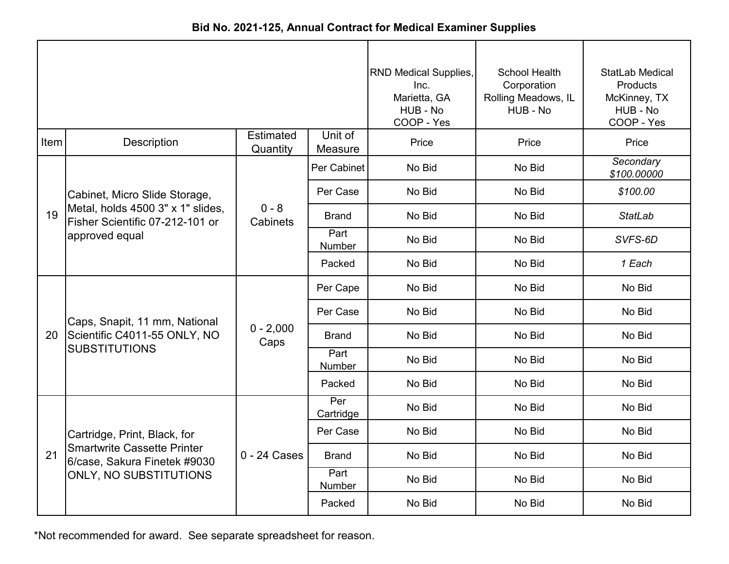| Bid No. 2021-125, Annual Contract for Medical Examiner Supplies |  |
|-----------------------------------------------------------------|--|
|-----------------------------------------------------------------|--|

|      |                                                                      |                              | <b>RND Medical Supplies,</b><br>Inc.<br>Marietta, GA<br>HUB - No<br>COOP - Yes | School Health<br>Corporation<br>Rolling Meadows, IL<br>HUB - No | StatLab Medical<br>Products<br>McKinney, TX<br>HUB - No<br>COOP - Yes |                          |
|------|----------------------------------------------------------------------|------------------------------|--------------------------------------------------------------------------------|-----------------------------------------------------------------|-----------------------------------------------------------------------|--------------------------|
| Item | <b>Description</b>                                                   | <b>Estimated</b><br>Quantity | Unit of<br>Measure                                                             | Price                                                           | Price                                                                 | Price                    |
|      |                                                                      |                              | Per Cabinet                                                                    | No Bid                                                          | No Bid                                                                | Secondary<br>\$100.00000 |
|      | Cabinet, Micro Slide Storage,                                        |                              | Per Case                                                                       | No Bid                                                          | No Bid                                                                | \$100.00                 |
| 19   | Metal, holds 4500 3" x 1" slides,<br>Fisher Scientific 07-212-101 or | $0 - 8$<br>Cabinets          | <b>Brand</b>                                                                   | No Bid                                                          | No Bid                                                                | <b>StatLab</b>           |
|      | approved equal                                                       |                              | Part<br>Number                                                                 | No Bid                                                          | No Bid                                                                | SVFS-6D                  |
|      |                                                                      |                              | Packed                                                                         | No Bid                                                          | No Bid                                                                | 1 Each                   |
|      |                                                                      | $0 - 2,000$<br>Caps          | Per Cape                                                                       | No Bid                                                          | No Bid                                                                | No Bid                   |
|      | Caps, Snapit, 11 mm, National                                        |                              | Per Case                                                                       | No Bid                                                          | No Bid                                                                | No Bid                   |
| 20   | Scientific C4011-55 ONLY, NO                                         |                              | <b>Brand</b>                                                                   | No Bid                                                          | No Bid                                                                | No Bid                   |
|      | <b>SUBSTITUTIONS</b>                                                 |                              | Part<br>Number                                                                 | No Bid                                                          | No Bid                                                                | No Bid                   |
|      |                                                                      |                              | Packed                                                                         | No Bid                                                          | No Bid                                                                | No Bid                   |
|      |                                                                      |                              | Per<br>Cartridge                                                               | No Bid                                                          | No Bid                                                                | No Bid                   |
|      | Cartridge, Print, Black, for                                         |                              | Per Case                                                                       | No Bid                                                          | No Bid                                                                | No Bid                   |
| 21   | <b>Smartwrite Cassette Printer</b><br>6/case, Sakura Finetek #9030   | 0 - 24 Cases                 | <b>Brand</b>                                                                   | No Bid                                                          | No Bid                                                                | No Bid                   |
|      | ONLY, NO SUBSTITUTIONS                                               |                              | Part<br>Number                                                                 | No Bid                                                          | No Bid                                                                | No Bid                   |
|      |                                                                      |                              | Packed                                                                         | No Bid                                                          | No Bid                                                                | No Bid                   |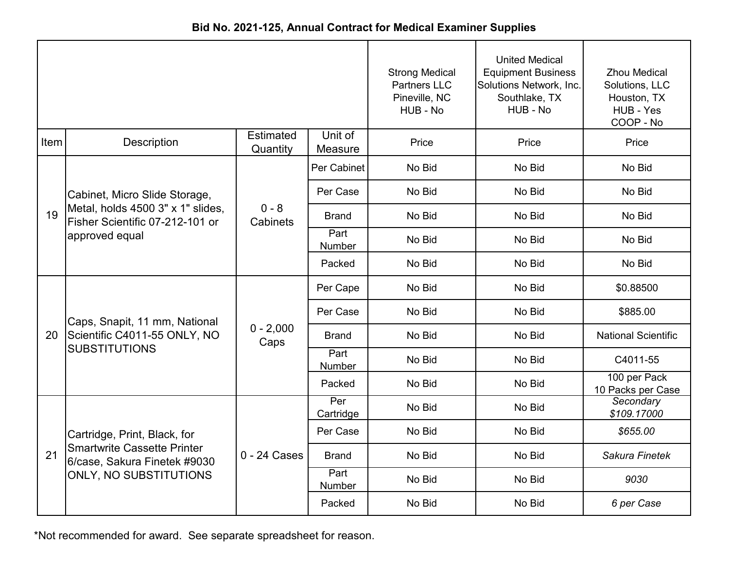| Bid No. 2021-125, Annual Contract for Medical Examiner Supplies |
|-----------------------------------------------------------------|
|-----------------------------------------------------------------|

|      |                                                                                                                              |                              | <b>Strong Medical</b><br><b>Partners LLC</b><br>Pineville, NC<br>HUB - No | <b>United Medical</b><br><b>Equipment Business</b><br>Solutions Network, Inc.<br>Southlake, TX<br>HUB - No | <b>Zhou Medical</b><br>Solutions, LLC<br>Houston, TX<br>HUB - Yes<br>COOP - No |                                   |
|------|------------------------------------------------------------------------------------------------------------------------------|------------------------------|---------------------------------------------------------------------------|------------------------------------------------------------------------------------------------------------|--------------------------------------------------------------------------------|-----------------------------------|
| Item | Description                                                                                                                  | <b>Estimated</b><br>Quantity | Unit of<br>Measure                                                        | Price                                                                                                      | Price                                                                          | Price                             |
| 19   | Cabinet, Micro Slide Storage,<br>Metal, holds 4500 3" x 1" slides,<br>Fisher Scientific 07-212-101 or<br>approved equal      | $0 - 8$<br>Cabinets          | Per Cabinet                                                               | No Bid                                                                                                     | No Bid                                                                         | No Bid                            |
|      |                                                                                                                              |                              | Per Case                                                                  | No Bid                                                                                                     | No Bid                                                                         | No Bid                            |
|      |                                                                                                                              |                              | <b>Brand</b>                                                              | No Bid                                                                                                     | No Bid                                                                         | No Bid                            |
|      |                                                                                                                              |                              | Part<br>Number                                                            | No Bid                                                                                                     | No Bid                                                                         | No Bid                            |
|      |                                                                                                                              |                              | Packed                                                                    | No Bid                                                                                                     | No Bid                                                                         | No Bid                            |
| 20   | Caps, Snapit, 11 mm, National<br>Scientific C4011-55 ONLY, NO<br><b>SUBSTITUTIONS</b>                                        | $0 - 2,000$<br>Caps          | Per Cape                                                                  | No Bid                                                                                                     | No Bid                                                                         | \$0.88500                         |
|      |                                                                                                                              |                              | Per Case                                                                  | No Bid                                                                                                     | No Bid                                                                         | \$885.00                          |
|      |                                                                                                                              |                              | <b>Brand</b>                                                              | No Bid                                                                                                     | No Bid                                                                         | <b>National Scientific</b>        |
|      |                                                                                                                              |                              | Part<br>Number                                                            | No Bid                                                                                                     | No Bid                                                                         | C4011-55                          |
|      |                                                                                                                              |                              | Packed                                                                    | No Bid                                                                                                     | No Bid                                                                         | 100 per Pack<br>10 Packs per Case |
|      | Cartridge, Print, Black, for<br><b>Smartwrite Cassette Printer</b><br>6/case, Sakura Finetek #9030<br>ONLY, NO SUBSTITUTIONS | 0 - 24 Cases                 | Per<br>Cartridge                                                          | No Bid                                                                                                     | No Bid                                                                         | Secondary<br>\$109.17000          |
| 21   |                                                                                                                              |                              | Per Case                                                                  | No Bid                                                                                                     | No Bid                                                                         | \$655.00                          |
|      |                                                                                                                              |                              | <b>Brand</b>                                                              | No Bid                                                                                                     | No Bid                                                                         | Sakura Finetek                    |
|      |                                                                                                                              |                              | Part<br>Number                                                            | No Bid                                                                                                     | No Bid                                                                         | 9030                              |
|      |                                                                                                                              |                              | Packed                                                                    | No Bid                                                                                                     | No Bid                                                                         | 6 per Case                        |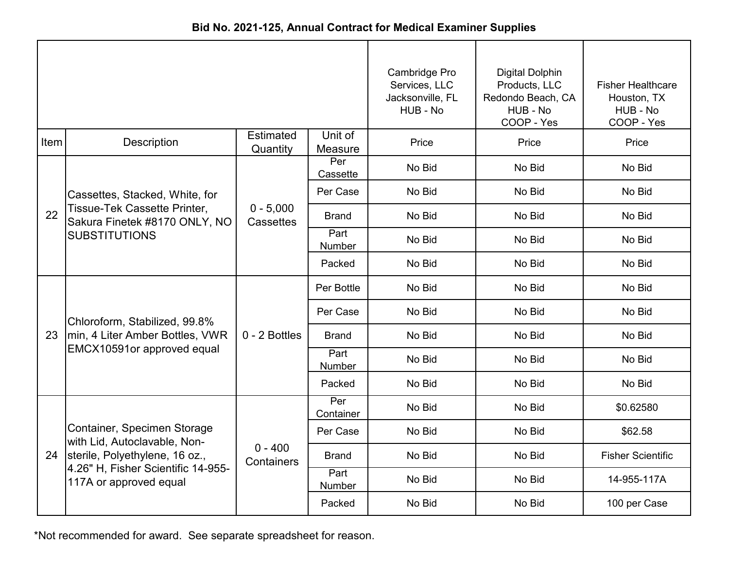|      |                                                                                                                                                                  |                          | Cambridge Pro<br>Services, LLC<br>Jacksonville, FL<br>HUB - No | <b>Digital Dolphin</b><br>Products, LLC<br>Redondo Beach, CA<br>HUB - No<br>COOP - Yes | <b>Fisher Healthcare</b><br>Houston, TX<br>HUB - No<br>COOP - Yes |                          |
|------|------------------------------------------------------------------------------------------------------------------------------------------------------------------|--------------------------|----------------------------------------------------------------|----------------------------------------------------------------------------------------|-------------------------------------------------------------------|--------------------------|
| Item | Description                                                                                                                                                      | Estimated<br>Quantity    | Unit of<br>Measure                                             | Price                                                                                  | Price                                                             | Price                    |
| 22   | Cassettes, Stacked, White, for<br>Tissue-Tek Cassette Printer,<br>Sakura Finetek #8170 ONLY, NO<br><b>SUBSTITUTIONS</b>                                          | $0 - 5,000$<br>Cassettes | Per<br>Cassette                                                | No Bid                                                                                 | No Bid                                                            | No Bid                   |
|      |                                                                                                                                                                  |                          | Per Case                                                       | No Bid                                                                                 | No Bid                                                            | No Bid                   |
|      |                                                                                                                                                                  |                          | <b>Brand</b>                                                   | No Bid                                                                                 | No Bid                                                            | No Bid                   |
|      |                                                                                                                                                                  |                          | Part<br>Number                                                 | No Bid                                                                                 | No Bid                                                            | No Bid                   |
|      |                                                                                                                                                                  |                          | Packed                                                         | No Bid                                                                                 | No Bid                                                            | No Bid                   |
| 23   | Chloroform, Stabilized, 99.8%<br>min, 4 Liter Amber Bottles, VWR<br>EMCX10591or approved equal                                                                   | 0 - 2 Bottles            | Per Bottle                                                     | No Bid                                                                                 | No Bid                                                            | No Bid                   |
|      |                                                                                                                                                                  |                          | Per Case                                                       | No Bid                                                                                 | No Bid                                                            | No Bid                   |
|      |                                                                                                                                                                  |                          | <b>Brand</b>                                                   | No Bid                                                                                 | No Bid                                                            | No Bid                   |
|      |                                                                                                                                                                  |                          | Part<br>Number                                                 | No Bid                                                                                 | No Bid                                                            | No Bid                   |
|      |                                                                                                                                                                  |                          | Packed                                                         | No Bid                                                                                 | No Bid                                                            | No Bid                   |
|      | Container, Specimen Storage<br>with Lid, Autoclavable, Non-<br>24 sterile, Polyethylene, 16 oz.,<br>4.26" H, Fisher Scientific 14-955-<br>117A or approved equal | $0 - 400$<br>Containers  | Per<br>Container                                               | No Bid                                                                                 | No Bid                                                            | \$0.62580                |
|      |                                                                                                                                                                  |                          | Per Case                                                       | No Bid                                                                                 | No Bid                                                            | \$62.58                  |
|      |                                                                                                                                                                  |                          | <b>Brand</b>                                                   | No Bid                                                                                 | No Bid                                                            | <b>Fisher Scientific</b> |
|      |                                                                                                                                                                  |                          | Part<br>Number                                                 | No Bid                                                                                 | No Bid                                                            | 14-955-117A              |
|      |                                                                                                                                                                  |                          | Packed                                                         | No Bid                                                                                 | No Bid                                                            | 100 per Case             |

**Bid No. 2021-125, Annual Contract for Medical Examiner Supplies**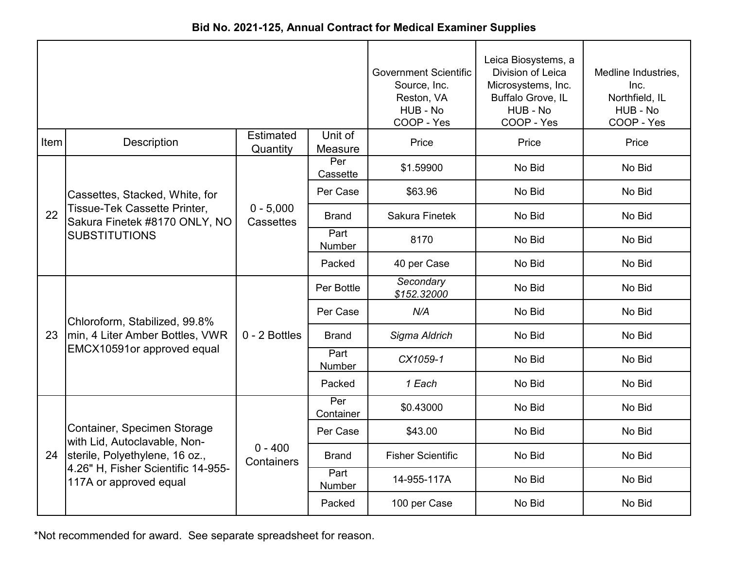| <b>Bid No. 2021-125, Annual Contract for Medical Examiner Supplies</b> |  |
|------------------------------------------------------------------------|--|
|------------------------------------------------------------------------|--|

|      |                                                               |                          | <b>Government Scientific</b><br>Source, Inc.<br>Reston, VA<br>HUB - No<br>COOP - Yes | Leica Biosystems, a<br>Division of Leica<br>Microsystems, Inc.<br>Buffalo Grove, IL<br>HUB - No<br>COOP - Yes | Medline Industries,<br>Inc.<br>Northfield, IL<br>HUB - No<br>COOP - Yes |        |
|------|---------------------------------------------------------------|--------------------------|--------------------------------------------------------------------------------------|---------------------------------------------------------------------------------------------------------------|-------------------------------------------------------------------------|--------|
| Item | <b>Description</b>                                            | Estimated<br>Quantity    | Unit of<br>Measure                                                                   | Price                                                                                                         | Price                                                                   | Price  |
|      |                                                               |                          | Per<br>Cassette                                                                      | \$1.59900                                                                                                     | No Bid                                                                  | No Bid |
|      | Cassettes, Stacked, White, for                                |                          | Per Case                                                                             | \$63.96                                                                                                       | No Bid                                                                  | No Bid |
| 22   | Tissue-Tek Cassette Printer,<br>Sakura Finetek #8170 ONLY, NO | $0 - 5,000$<br>Cassettes | <b>Brand</b>                                                                         | <b>Sakura Finetek</b>                                                                                         | No Bid                                                                  | No Bid |
|      | <b>SUBSTITUTIONS</b>                                          |                          | Part<br>Number                                                                       | 8170                                                                                                          | No Bid                                                                  | No Bid |
|      |                                                               |                          | Packed                                                                               | 40 per Case                                                                                                   | No Bid                                                                  | No Bid |
|      |                                                               | 0 - 2 Bottles            | Per Bottle                                                                           | Secondary<br>\$152.32000                                                                                      | No Bid                                                                  | No Bid |
|      | Chloroform, Stabilized, 99.8%                                 |                          | Per Case                                                                             | N/A                                                                                                           | No Bid                                                                  | No Bid |
| 23   | min, 4 Liter Amber Bottles, VWR                               |                          | <b>Brand</b>                                                                         | Sigma Aldrich                                                                                                 | No Bid                                                                  | No Bid |
|      | EMCX10591or approved equal                                    |                          | Part<br>Number                                                                       | CX1059-1                                                                                                      | No Bid                                                                  | No Bid |
|      |                                                               |                          | Packed                                                                               | 1 Each                                                                                                        | No Bid                                                                  | No Bid |
|      |                                                               |                          | Per<br>Container                                                                     | \$0.43000                                                                                                     | No Bid                                                                  | No Bid |
|      | Container, Specimen Storage<br>with Lid, Autoclavable, Non-   |                          | Per Case                                                                             | \$43.00                                                                                                       | No Bid                                                                  | No Bid |
| 24   | sterile, Polyethylene, 16 oz.,                                | $0 - 400$<br>Containers  | <b>Brand</b>                                                                         | <b>Fisher Scientific</b>                                                                                      | No Bid                                                                  | No Bid |
|      | 4.26" H, Fisher Scientific 14-955-<br>117A or approved equal  |                          | Part<br>Number                                                                       | 14-955-117A                                                                                                   | No Bid                                                                  | No Bid |
|      |                                                               |                          | Packed                                                                               | 100 per Case                                                                                                  | No Bid                                                                  | No Bid |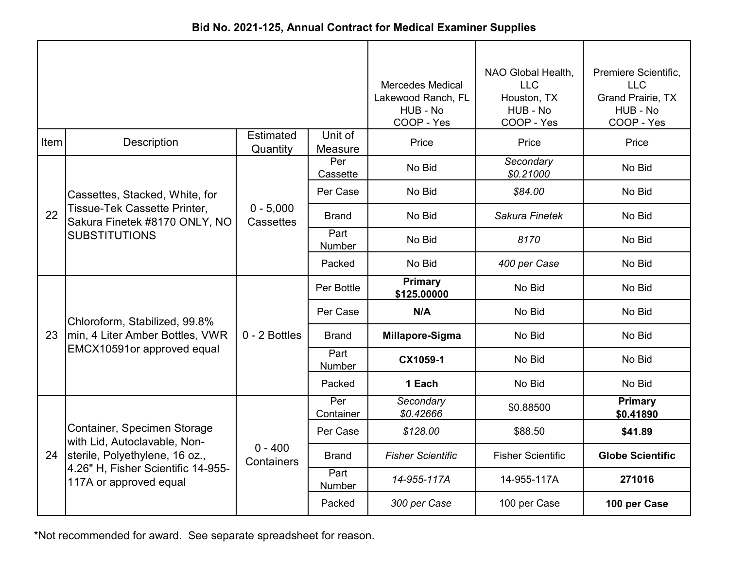| Bid No. 2021-125, Annual Contract for Medical Examiner Supplies |  |
|-----------------------------------------------------------------|--|
|-----------------------------------------------------------------|--|

|      |                                                               |                              | <b>Mercedes Medical</b><br>Lakewood Ranch, FL<br>HUB - No<br>COOP - Yes | NAO Global Health,<br><b>LLC</b><br>Houston, TX<br>HUB - No<br>COOP - Yes | Premiere Scientific,<br><b>LLC</b><br>Grand Prairie, TX<br>HUB - No<br>COOP - Yes |                         |
|------|---------------------------------------------------------------|------------------------------|-------------------------------------------------------------------------|---------------------------------------------------------------------------|-----------------------------------------------------------------------------------|-------------------------|
| Item | Description                                                   | <b>Estimated</b><br>Quantity | Unit of<br>Measure                                                      | Price                                                                     | Price                                                                             | Price                   |
|      |                                                               |                              | Per<br>Cassette                                                         | No Bid                                                                    | Secondary<br>\$0.21000                                                            | No Bid                  |
|      | Cassettes, Stacked, White, for                                |                              | Per Case                                                                | No Bid                                                                    | \$84.00                                                                           | No Bid                  |
| 22   | Tissue-Tek Cassette Printer,<br>Sakura Finetek #8170 ONLY, NO | $0 - 5,000$<br>Cassettes     | <b>Brand</b>                                                            | No Bid                                                                    | Sakura Finetek                                                                    | No Bid                  |
|      | <b>SUBSTITUTIONS</b>                                          |                              | Part<br>Number                                                          | No Bid                                                                    | 8170                                                                              | No Bid                  |
|      |                                                               |                              | Packed                                                                  | No Bid                                                                    | 400 per Case                                                                      | No Bid                  |
|      |                                                               | 0 - 2 Bottles                | Per Bottle                                                              | <b>Primary</b><br>\$125.00000                                             | No Bid                                                                            | No Bid                  |
|      | Chloroform, Stabilized, 99.8%                                 |                              | Per Case                                                                | N/A                                                                       | No Bid                                                                            | No Bid                  |
| 23   | min, 4 Liter Amber Bottles, VWR                               |                              | <b>Brand</b>                                                            | Millapore-Sigma                                                           | No Bid                                                                            | No Bid                  |
|      | EMCX10591or approved equal                                    |                              | Part<br><b>Number</b>                                                   | CX1059-1                                                                  | No Bid                                                                            | No Bid                  |
|      |                                                               |                              | Packed                                                                  | 1 Each                                                                    | No Bid                                                                            | No Bid                  |
|      |                                                               |                              | Per<br>Container                                                        | Secondary<br>\$0.42666                                                    | \$0.88500                                                                         | Primary<br>\$0.41890    |
|      | Container, Specimen Storage<br>with Lid, Autoclavable, Non-   |                              | Per Case                                                                | \$128.00                                                                  | \$88.50                                                                           | \$41.89                 |
|      | 24 sterile, Polyethylene, 16 oz.,                             | $0 - 400$<br>Containers      | <b>Brand</b>                                                            | <b>Fisher Scientific</b>                                                  | <b>Fisher Scientific</b>                                                          | <b>Globe Scientific</b> |
|      | 4.26" H, Fisher Scientific 14-955-<br>117A or approved equal  |                              | Part<br>Number                                                          | 14-955-117A                                                               | 14-955-117A                                                                       | 271016                  |
|      |                                                               |                              | Packed                                                                  | 300 per Case                                                              | 100 per Case                                                                      | 100 per Case            |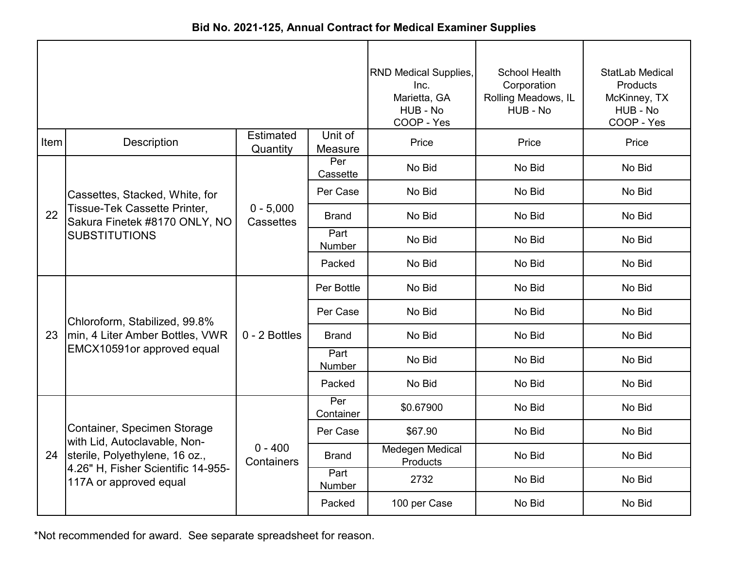|      |                                                               |                              |                    | <b>RND Medical Supplies,</b><br>Inc.<br>Marietta, GA<br>HUB - No<br>COOP - Yes | <b>School Health</b><br>Corporation<br>Rolling Meadows, IL<br>HUB - No | StatLab Medical<br>Products<br>McKinney, TX<br>HUB - No<br>COOP - Yes |
|------|---------------------------------------------------------------|------------------------------|--------------------|--------------------------------------------------------------------------------|------------------------------------------------------------------------|-----------------------------------------------------------------------|
| Item | <b>Description</b>                                            | <b>Estimated</b><br>Quantity | Unit of<br>Measure | Price                                                                          | Price                                                                  | Price                                                                 |
|      |                                                               |                              | Per<br>Cassette    | No Bid                                                                         | No Bid                                                                 | No Bid                                                                |
|      | Cassettes, Stacked, White, for                                |                              | Per Case           | No Bid                                                                         | No Bid                                                                 | No Bid                                                                |
| 22   | Tissue-Tek Cassette Printer,<br>Sakura Finetek #8170 ONLY, NO | $0 - 5,000$<br>Cassettes     | <b>Brand</b>       | No Bid                                                                         | No Bid                                                                 | No Bid                                                                |
|      | <b>SUBSTITUTIONS</b>                                          |                              | Part<br>Number     | No Bid                                                                         | No Bid                                                                 | No Bid                                                                |
|      |                                                               |                              | Packed             | No Bid                                                                         | No Bid                                                                 | No Bid                                                                |
|      |                                                               | 0 - 2 Bottles                | Per Bottle         | No Bid                                                                         | No Bid                                                                 | No Bid                                                                |
|      | Chloroform, Stabilized, 99.8%                                 |                              | Per Case           | No Bid                                                                         | No Bid                                                                 | No Bid                                                                |
| 23   | min, 4 Liter Amber Bottles, VWR                               |                              | <b>Brand</b>       | No Bid                                                                         | No Bid                                                                 | No Bid                                                                |
|      | EMCX10591or approved equal                                    |                              | Part<br>Number     | No Bid                                                                         | No Bid                                                                 | No Bid                                                                |
|      |                                                               |                              | Packed             | No Bid                                                                         | No Bid                                                                 | No Bid                                                                |
|      |                                                               |                              | Per<br>Container   | \$0.67900                                                                      | No Bid                                                                 | No Bid                                                                |
|      | Container, Specimen Storage<br>with Lid, Autoclavable, Non-   |                              | Per Case           | \$67.90                                                                        | No Bid                                                                 | No Bid                                                                |
|      | 24 sterile, Polyethylene, 16 oz.,                             | $0 - 400$<br>Containers      | <b>Brand</b>       | <b>Medegen Medical</b><br><b>Products</b>                                      | No Bid                                                                 | No Bid                                                                |
|      | 4.26" H, Fisher Scientific 14-955-<br>117A or approved equal  |                              | Part<br>Number     | 2732                                                                           | No Bid                                                                 | No Bid                                                                |
|      |                                                               |                              | Packed             | 100 per Case                                                                   | No Bid                                                                 | No Bid                                                                |

**Bid No. 2021-125, Annual Contract for Medical Examiner Supplies**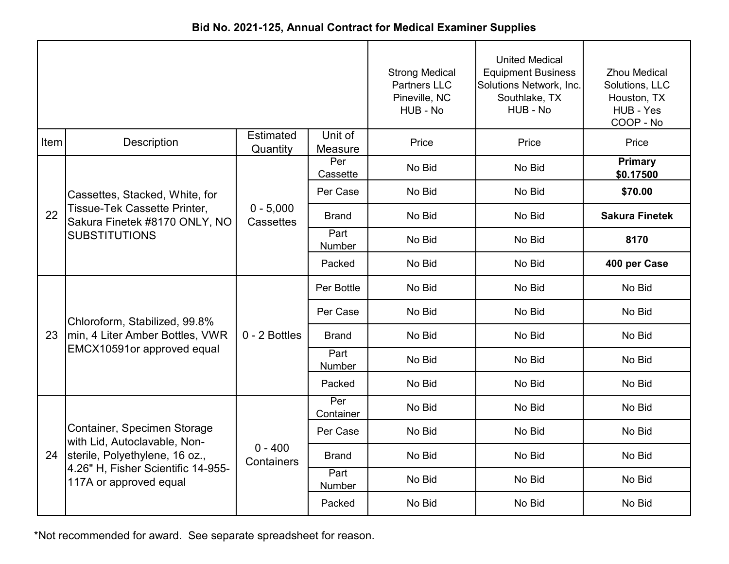|      |                                                               |                              | <b>Strong Medical</b><br><b>Partners LLC</b><br>Pineville, NC<br>HUB - No | <b>United Medical</b><br><b>Equipment Business</b><br>Solutions Network, Inc.<br>Southlake, TX<br>HUB - No | <b>Zhou Medical</b><br>Solutions, LLC<br>Houston, TX<br>HUB - Yes<br>COOP - No |                       |
|------|---------------------------------------------------------------|------------------------------|---------------------------------------------------------------------------|------------------------------------------------------------------------------------------------------------|--------------------------------------------------------------------------------|-----------------------|
| Item | Description                                                   | <b>Estimated</b><br>Quantity | Unit of<br>Measure                                                        | Price                                                                                                      | Price                                                                          | Price                 |
|      |                                                               |                              | Per<br>Cassette                                                           | No Bid                                                                                                     | No Bid                                                                         | Primary<br>\$0.17500  |
|      | Cassettes, Stacked, White, for                                |                              | Per Case                                                                  | No Bid                                                                                                     | No Bid                                                                         | \$70.00               |
| 22   | Tissue-Tek Cassette Printer,<br>Sakura Finetek #8170 ONLY, NO | $0 - 5,000$<br>Cassettes     | <b>Brand</b>                                                              | No Bid                                                                                                     | No Bid                                                                         | <b>Sakura Finetek</b> |
|      | <b>SUBSTITUTIONS</b>                                          |                              | Part<br>Number                                                            | No Bid                                                                                                     | No Bid                                                                         | 8170                  |
|      |                                                               |                              | Packed                                                                    | No Bid                                                                                                     | No Bid                                                                         | 400 per Case          |
|      |                                                               | 0 - 2 Bottles                | Per Bottle                                                                | No Bid                                                                                                     | No Bid                                                                         | No Bid                |
|      | Chloroform, Stabilized, 99.8%                                 |                              | Per Case                                                                  | No Bid                                                                                                     | No Bid                                                                         | No Bid                |
| 23   | min, 4 Liter Amber Bottles, VWR                               |                              | <b>Brand</b>                                                              | No Bid                                                                                                     | No Bid                                                                         | No Bid                |
|      | EMCX10591or approved equal                                    |                              | Part<br>Number                                                            | No Bid                                                                                                     | No Bid                                                                         | No Bid                |
|      |                                                               |                              | Packed                                                                    | No Bid                                                                                                     | No Bid                                                                         | No Bid                |
|      |                                                               |                              | Per<br>Container                                                          | No Bid                                                                                                     | No Bid                                                                         | No Bid                |
|      | Container, Specimen Storage<br>with Lid, Autoclavable, Non-   |                              | Per Case                                                                  | No Bid                                                                                                     | No Bid                                                                         | No Bid                |
|      | 24 sterile, Polyethylene, 16 oz.,                             | $0 - 400$<br>Containers      | <b>Brand</b>                                                              | No Bid                                                                                                     | No Bid                                                                         | No Bid                |
|      | 4.26" H, Fisher Scientific 14-955-<br>117A or approved equal  |                              | Part<br>Number                                                            | No Bid                                                                                                     | No Bid                                                                         | No Bid                |
|      |                                                               |                              | Packed                                                                    | No Bid                                                                                                     | No Bid                                                                         | No Bid                |

**Bid No. 2021-125, Annual Contract for Medical Examiner Supplies**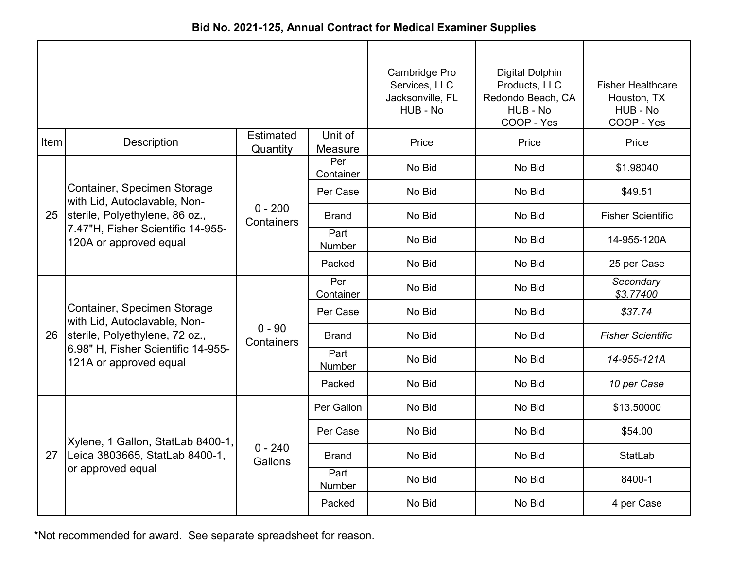| Bid No. 2021-125, Annual Contract for Medical Examiner Supplies |  |
|-----------------------------------------------------------------|--|
|-----------------------------------------------------------------|--|

|      |                                                              |                         | Cambridge Pro<br>Services, LLC<br>Jacksonville, FL<br>HUB - No | <b>Digital Dolphin</b><br>Products, LLC<br>Redondo Beach, CA<br>HUB - No<br>COOP - Yes | <b>Fisher Healthcare</b><br>Houston, TX<br>HUB - No<br>COOP - Yes |                          |
|------|--------------------------------------------------------------|-------------------------|----------------------------------------------------------------|----------------------------------------------------------------------------------------|-------------------------------------------------------------------|--------------------------|
| Item | Description                                                  | Estimated<br>Quantity   | Unit of<br>Measure                                             | Price                                                                                  | Price                                                             | Price                    |
|      |                                                              |                         | Per<br>Container                                               | No Bid                                                                                 | No Bid                                                            | \$1.98040                |
|      | Container, Specimen Storage<br>with Lid, Autoclavable, Non-  |                         | Per Case                                                       | No Bid                                                                                 | No Bid                                                            | \$49.51                  |
| 25   | sterile, Polyethylene, 86 oz.,                               | $0 - 200$<br>Containers | <b>Brand</b>                                                   | No Bid                                                                                 | No Bid                                                            | <b>Fisher Scientific</b> |
|      | 7.47"H, Fisher Scientific 14-955-<br>120A or approved equal  |                         | Part<br>Number                                                 | No Bid                                                                                 | No Bid                                                            | 14-955-120A              |
|      |                                                              |                         | Packed                                                         | No Bid                                                                                 | No Bid                                                            | 25 per Case              |
|      |                                                              | $0 - 90$<br>Containers  | Per<br>Container                                               | No Bid                                                                                 | No Bid                                                            | Secondary<br>\$3.77400   |
|      | Container, Specimen Storage<br>with Lid, Autoclavable, Non-  |                         | Per Case                                                       | No Bid                                                                                 | No Bid                                                            | \$37.74                  |
| 26   | sterile, Polyethylene, 72 oz.,                               |                         | <b>Brand</b>                                                   | No Bid                                                                                 | No Bid                                                            | <b>Fisher Scientific</b> |
|      | 6.98" H, Fisher Scientific 14-955-<br>121A or approved equal |                         | Part<br><b>Number</b>                                          | No Bid                                                                                 | No Bid                                                            | 14-955-121A              |
|      |                                                              |                         | Packed                                                         | No Bid                                                                                 | No Bid                                                            | 10 per Case              |
|      |                                                              |                         | Per Gallon                                                     | No Bid                                                                                 | No Bid                                                            | \$13.50000               |
|      | Xylene, 1 Gallon, StatLab 8400-1,                            |                         | Per Case                                                       | No Bid                                                                                 | No Bid                                                            | \$54.00                  |
| 27   | Leica 3803665, StatLab 8400-1,                               | $0 - 240$<br>Gallons    | Brand                                                          | No Bid                                                                                 | No Bid                                                            | StatLab                  |
|      | or approved equal                                            |                         | Part<br>Number                                                 | No Bid                                                                                 | No Bid                                                            | 8400-1                   |
|      |                                                              |                         | Packed                                                         | No Bid                                                                                 | No Bid                                                            | 4 per Case               |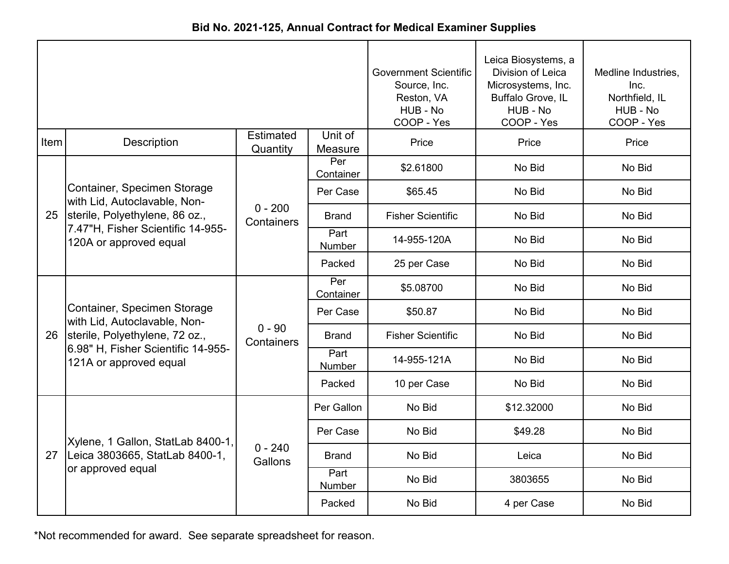| Bid No. 2021-125, Annual Contract for Medical Examiner Supplies |  |  |  |  |
|-----------------------------------------------------------------|--|--|--|--|
|-----------------------------------------------------------------|--|--|--|--|

|      |                                                              |                              | <b>Government Scientific</b><br>Source, Inc.<br>Reston, VA<br>HUB - No<br>COOP - Yes | Leica Biosystems, a<br>Division of Leica<br>Microsystems, Inc.<br>Buffalo Grove, IL<br>HUB - No<br>COOP - Yes | Medline Industries,<br>Inc.<br>Northfield, IL<br>HUB - No<br>COOP - Yes |        |
|------|--------------------------------------------------------------|------------------------------|--------------------------------------------------------------------------------------|---------------------------------------------------------------------------------------------------------------|-------------------------------------------------------------------------|--------|
| Item | Description                                                  | <b>Estimated</b><br>Quantity | Unit of<br>Measure                                                                   | Price                                                                                                         | Price                                                                   | Price  |
|      |                                                              |                              | Per<br>Container                                                                     | \$2.61800                                                                                                     | No Bid                                                                  | No Bid |
|      | Container, Specimen Storage<br>with Lid, Autoclavable, Non-  |                              | Per Case                                                                             | \$65.45                                                                                                       | No Bid                                                                  | No Bid |
| 25   | sterile, Polyethylene, 86 oz.,                               | $0 - 200$<br>Containers      | <b>Brand</b>                                                                         | <b>Fisher Scientific</b>                                                                                      | No Bid                                                                  | No Bid |
|      | 7.47"H, Fisher Scientific 14-955-<br>120A or approved equal  |                              | Part<br><b>Number</b>                                                                | 14-955-120A                                                                                                   | No Bid                                                                  | No Bid |
|      |                                                              |                              | Packed                                                                               | 25 per Case                                                                                                   | No Bid                                                                  | No Bid |
|      |                                                              | $0 - 90$<br>Containers       | Per<br>Container                                                                     | \$5.08700                                                                                                     | No Bid                                                                  | No Bid |
|      | Container, Specimen Storage<br>with Lid, Autoclavable, Non-  |                              | Per Case                                                                             | \$50.87                                                                                                       | No Bid                                                                  | No Bid |
| 26   | sterile, Polyethylene, 72 oz.,                               |                              | <b>Brand</b>                                                                         | <b>Fisher Scientific</b>                                                                                      | No Bid                                                                  | No Bid |
|      | 6.98" H, Fisher Scientific 14-955-<br>121A or approved equal |                              | Part<br><b>Number</b>                                                                | 14-955-121A                                                                                                   | No Bid                                                                  | No Bid |
|      |                                                              |                              | Packed                                                                               | 10 per Case                                                                                                   | No Bid                                                                  | No Bid |
|      |                                                              |                              | Per Gallon                                                                           | No Bid                                                                                                        | \$12.32000                                                              | No Bid |
|      | Xylene, 1 Gallon, StatLab 8400-1,                            |                              | Per Case                                                                             | No Bid                                                                                                        | \$49.28                                                                 | No Bid |
| 27   | Leica 3803665, StatLab 8400-1,                               | $0 - 240$<br>Gallons         | <b>Brand</b>                                                                         | No Bid                                                                                                        | Leica                                                                   | No Bid |
|      | or approved equal                                            |                              | Part<br>Number                                                                       | No Bid                                                                                                        | 3803655                                                                 | No Bid |
|      |                                                              |                              | Packed                                                                               | No Bid                                                                                                        | 4 per Case                                                              | No Bid |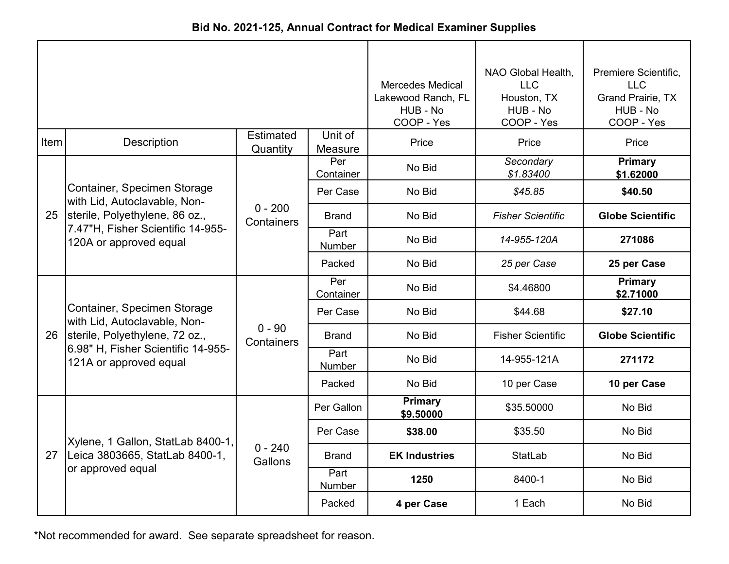| Bid No. 2021-125, Annual Contract for Medical Examiner Supplies |  |  |  |  |  |
|-----------------------------------------------------------------|--|--|--|--|--|
|-----------------------------------------------------------------|--|--|--|--|--|

|      |                                                                                               |                              | <b>Mercedes Medical</b><br>Lakewood Ranch, FL<br>HUB - No<br>COOP - Yes | NAO Global Health,<br><b>LLC</b><br>Houston, TX<br>HUB - No<br>COOP - Yes | Premiere Scientific,<br><b>LLC</b><br><b>Grand Prairie, TX</b><br>HUB - No<br>COOP - Yes |                             |
|------|-----------------------------------------------------------------------------------------------|------------------------------|-------------------------------------------------------------------------|---------------------------------------------------------------------------|------------------------------------------------------------------------------------------|-----------------------------|
| Item | <b>Description</b>                                                                            | <b>Estimated</b><br>Quantity | Unit of<br>Measure                                                      | Price                                                                     | Price                                                                                    | Price                       |
|      |                                                                                               |                              | Per<br>Container                                                        | No Bid                                                                    | Secondary<br>\$1.83400                                                                   | <b>Primary</b><br>\$1.62000 |
|      | Container, Specimen Storage<br>with Lid, Autoclavable, Non-                                   |                              | Per Case                                                                | No Bid                                                                    | \$45.85                                                                                  | \$40.50                     |
| 25   | sterile, Polyethylene, 86 oz.,<br>7.47"H, Fisher Scientific 14-955-<br>120A or approved equal | $0 - 200$<br>Containers      | Brand                                                                   | No Bid                                                                    | <b>Fisher Scientific</b>                                                                 | <b>Globe Scientific</b>     |
|      |                                                                                               |                              | Part<br><b>Number</b>                                                   | No Bid                                                                    | 14-955-120A                                                                              | 271086                      |
|      |                                                                                               |                              | Packed                                                                  | No Bid                                                                    | 25 per Case                                                                              | 25 per Case                 |
|      |                                                                                               | $0 - 90$<br>Containers       | Per<br>Container                                                        | No Bid                                                                    | \$4.46800                                                                                | <b>Primary</b><br>\$2.71000 |
|      | Container, Specimen Storage<br>with Lid, Autoclavable, Non-                                   |                              | Per Case                                                                | No Bid                                                                    | \$44.68                                                                                  | \$27.10                     |
| 26   | sterile, Polyethylene, 72 oz.,                                                                |                              | <b>Brand</b>                                                            | No Bid                                                                    | <b>Fisher Scientific</b>                                                                 | <b>Globe Scientific</b>     |
|      | 6.98" H, Fisher Scientific 14-955-<br>121A or approved equal                                  |                              | Part<br><b>Number</b>                                                   | No Bid                                                                    | 14-955-121A                                                                              | 271172                      |
|      |                                                                                               |                              | Packed                                                                  | No Bid                                                                    | 10 per Case                                                                              | 10 per Case                 |
|      |                                                                                               |                              | Per Gallon                                                              | <b>Primary</b><br>\$9.50000                                               | \$35.50000                                                                               | No Bid                      |
|      | Xylene, 1 Gallon, StatLab 8400-1,                                                             |                              | Per Case                                                                | \$38.00                                                                   | \$35.50                                                                                  | No Bid                      |
| 27   | Leica 3803665, StatLab 8400-1,                                                                | $0 - 240$<br>Gallons         | Brand                                                                   | <b>EK Industries</b>                                                      | StatLab                                                                                  | No Bid                      |
|      | or approved equal                                                                             |                              | Part<br>Number                                                          | 1250                                                                      | 8400-1                                                                                   | No Bid                      |
|      |                                                                                               |                              | Packed                                                                  | 4 per Case                                                                | 1 Each                                                                                   | No Bid                      |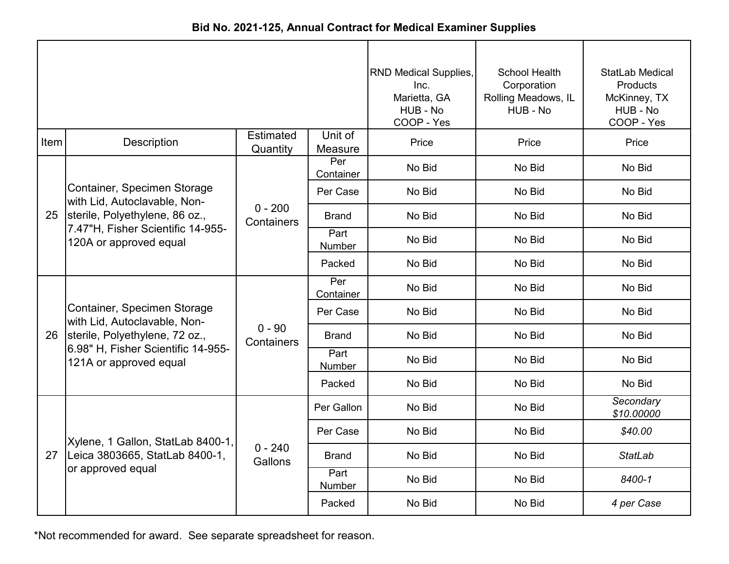| Bid No. 2021-125, Annual Contract for Medical Examiner Supplies |  |  |  |  |
|-----------------------------------------------------------------|--|--|--|--|
|-----------------------------------------------------------------|--|--|--|--|

|      |                                                              |                         |                       | <b>RND Medical Supplies,</b><br>Inc.<br>Marietta, GA<br>HUB - No<br>COOP - Yes | School Health<br>Corporation<br>Rolling Meadows, IL<br>HUB - No | StatLab Medical<br>Products<br>McKinney, TX<br>HUB - No<br>COOP - Yes |
|------|--------------------------------------------------------------|-------------------------|-----------------------|--------------------------------------------------------------------------------|-----------------------------------------------------------------|-----------------------------------------------------------------------|
| Item | <b>Description</b>                                           | Estimated<br>Quantity   | Unit of<br>Measure    | Price                                                                          | Price                                                           | Price                                                                 |
|      |                                                              |                         | Per<br>Container      | No Bid                                                                         | No Bid                                                          | No Bid                                                                |
|      | Container, Specimen Storage<br>with Lid, Autoclavable, Non-  |                         | Per Case              | No Bid                                                                         | No Bid                                                          | No Bid                                                                |
| 25   | sterile, Polyethylene, 86 oz.,                               | $0 - 200$<br>Containers | <b>Brand</b>          | No Bid                                                                         | No Bid                                                          | No Bid                                                                |
|      | 7.47"H, Fisher Scientific 14-955-<br>120A or approved equal  |                         | Part<br>Number        | No Bid                                                                         | No Bid                                                          | No Bid                                                                |
|      |                                                              |                         | Packed                | No Bid                                                                         | No Bid                                                          | No Bid                                                                |
|      |                                                              |                         | Per<br>Container      | No Bid                                                                         | No Bid                                                          | No Bid                                                                |
|      | Container, Specimen Storage<br>with Lid, Autoclavable, Non-  |                         | Per Case              | No Bid                                                                         | No Bid                                                          | No Bid                                                                |
| 26   | sterile, Polyethylene, 72 oz.,                               | $0 - 90$<br>Containers  | <b>Brand</b>          | No Bid                                                                         | No Bid                                                          | No Bid                                                                |
|      | 6.98" H, Fisher Scientific 14-955-<br>121A or approved equal |                         | Part<br><b>Number</b> | No Bid                                                                         | No Bid                                                          | No Bid                                                                |
|      |                                                              |                         | Packed                | No Bid                                                                         | No Bid                                                          | No Bid                                                                |
|      |                                                              |                         | Per Gallon            | No Bid                                                                         | No Bid                                                          | Secondary<br>\$10.00000                                               |
|      | Xylene, 1 Gallon, StatLab 8400-1,                            |                         | Per Case              | No Bid                                                                         | No Bid                                                          | \$40.00                                                               |
| 27   | Leica 3803665, StatLab 8400-1,                               | $0 - 240$<br>Gallons    | <b>Brand</b>          | No Bid                                                                         | No Bid                                                          | <b>StatLab</b>                                                        |
|      | or approved equal                                            |                         | Part<br>Number        | No Bid                                                                         | No Bid                                                          | 8400-1                                                                |
|      |                                                              |                         | Packed                | No Bid                                                                         | No Bid                                                          | 4 per Case                                                            |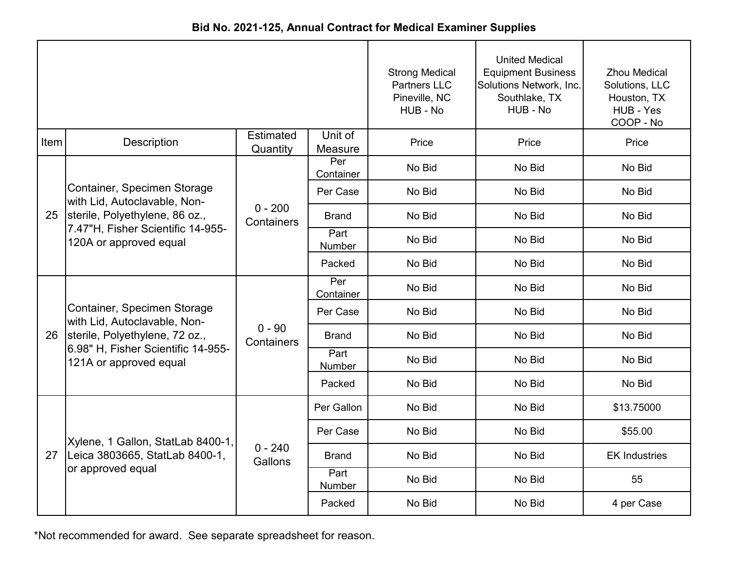| Bid No. 2021-125, Annual Contract for Medical Examiner Supplies |  |  |  |  |
|-----------------------------------------------------------------|--|--|--|--|
|-----------------------------------------------------------------|--|--|--|--|

|      |                                                                                               |                         |                    | <b>Strong Medical</b><br><b>Partners LLC</b><br>Pineville, NC<br>HUB - No | <b>United Medical</b><br><b>Equipment Business</b><br>Solutions Network, Inc.<br>Southlake, TX<br>HUB - No | <b>Zhou Medical</b><br>Solutions, LLC<br>Houston, TX<br>HUB - Yes<br>COOP - No |
|------|-----------------------------------------------------------------------------------------------|-------------------------|--------------------|---------------------------------------------------------------------------|------------------------------------------------------------------------------------------------------------|--------------------------------------------------------------------------------|
| Item | <b>Description</b>                                                                            | Estimated<br>Quantity   | Unit of<br>Measure | Price                                                                     | Price                                                                                                      | Price                                                                          |
|      |                                                                                               |                         | Per<br>Container   | No Bid                                                                    | No Bid                                                                                                     | No Bid                                                                         |
|      | Container, Specimen Storage<br>with Lid, Autoclavable, Non-                                   |                         | Per Case           | No Bid                                                                    | No Bid                                                                                                     | No Bid                                                                         |
| 25   | sterile, Polyethylene, 86 oz.,<br>7.47"H, Fisher Scientific 14-955-<br>120A or approved equal | $0 - 200$<br>Containers | <b>Brand</b>       | No Bid                                                                    | No Bid                                                                                                     | No Bid                                                                         |
|      |                                                                                               |                         | Part<br>Number     | No Bid                                                                    | No Bid                                                                                                     | No Bid                                                                         |
|      |                                                                                               |                         | Packed             | No Bid                                                                    | No Bid                                                                                                     | No Bid                                                                         |
|      |                                                                                               | $0 - 90$<br>Containers  | Per<br>Container   | No Bid                                                                    | No Bid                                                                                                     | No Bid                                                                         |
|      | Container, Specimen Storage<br>with Lid, Autoclavable, Non-                                   |                         | Per Case           | No Bid                                                                    | No Bid                                                                                                     | No Bid                                                                         |
| 26   | sterile, Polyethylene, 72 oz.,                                                                |                         | <b>Brand</b>       | No Bid                                                                    | No Bid                                                                                                     | No Bid                                                                         |
|      | 6.98" H, Fisher Scientific 14-955-<br>121A or approved equal                                  |                         | Part<br>Number     | No Bid                                                                    | No Bid                                                                                                     | No Bid                                                                         |
|      |                                                                                               |                         | Packed             | No Bid                                                                    | No Bid                                                                                                     | No Bid                                                                         |
|      |                                                                                               |                         | Per Gallon         | No Bid                                                                    | No Bid                                                                                                     | \$13.75000                                                                     |
|      | Xylene, 1 Gallon, StatLab 8400-1,                                                             |                         | Per Case           | No Bid                                                                    | No Bid                                                                                                     | \$55.00                                                                        |
| 27   | Leica 3803665, StatLab 8400-1,                                                                | $0 - 240$<br>Gallons    | <b>Brand</b>       | No Bid                                                                    | No Bid                                                                                                     | <b>EK Industries</b>                                                           |
|      | or approved equal                                                                             |                         | Part<br>Number     | No Bid                                                                    | No Bid                                                                                                     | 55                                                                             |
|      |                                                                                               |                         | Packed             | No Bid                                                                    | No Bid                                                                                                     | 4 per Case                                                                     |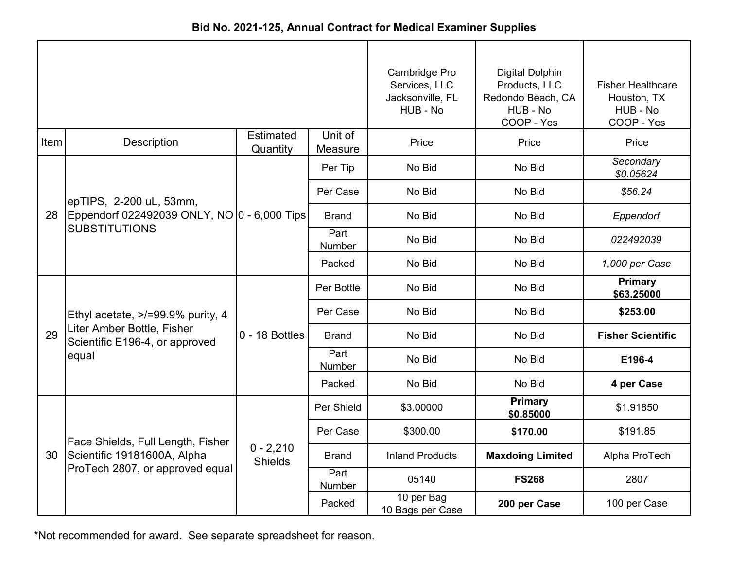| Bid No. 2021-125, Annual Contract for Medical Examiner Supplies |
|-----------------------------------------------------------------|
|-----------------------------------------------------------------|

|      |                                                                        |                               | Cambridge Pro<br>Services, LLC<br>Jacksonville, FL<br>HUB - No | <b>Digital Dolphin</b><br>Products, LLC<br>Redondo Beach, CA<br>HUB - No<br>COOP - Yes | <b>Fisher Healthcare</b><br>Houston, TX<br>HUB - No<br>COOP - Yes |                          |
|------|------------------------------------------------------------------------|-------------------------------|----------------------------------------------------------------|----------------------------------------------------------------------------------------|-------------------------------------------------------------------|--------------------------|
| Item | Description                                                            | <b>Estimated</b><br>Quantity  | Unit of<br>Measure                                             | Price                                                                                  | Price                                                             | Price                    |
|      |                                                                        |                               | Per Tip                                                        | No Bid                                                                                 | No Bid                                                            | Secondary<br>\$0.05624   |
|      | epTIPS, 2-200 uL, 53mm,                                                |                               | Per Case                                                       | No Bid                                                                                 | No Bid                                                            | \$56.24                  |
|      | 28 Eppendorf 022492039 ONLY, NO 0 - 6,000 Tips<br><b>SUBSTITUTIONS</b> |                               | <b>Brand</b>                                                   | No Bid                                                                                 | No Bid                                                            | Eppendorf                |
|      |                                                                        |                               | Part<br>Number                                                 | No Bid                                                                                 | No Bid                                                            | 022492039                |
|      |                                                                        |                               | Packed                                                         | No Bid                                                                                 | No Bid                                                            | 1,000 per Case           |
|      |                                                                        | 0 - 18 Bottles                | Per Bottle                                                     | No Bid                                                                                 | No Bid                                                            | Primary<br>\$63.25000    |
|      | Ethyl acetate, >/=99.9% purity, 4                                      |                               | Per Case                                                       | No Bid                                                                                 | No Bid                                                            | \$253.00                 |
| 29   | Liter Amber Bottle, Fisher<br>Scientific E196-4, or approved           |                               | <b>Brand</b>                                                   | No Bid                                                                                 | No Bid                                                            | <b>Fisher Scientific</b> |
|      | equal                                                                  |                               | Part<br>Number                                                 | No Bid                                                                                 | No Bid                                                            | E196-4                   |
|      |                                                                        |                               | Packed                                                         | No Bid                                                                                 | No Bid                                                            | 4 per Case               |
|      |                                                                        |                               | Per Shield                                                     | \$3.00000                                                                              | <b>Primary</b><br>\$0.85000                                       | \$1.91850                |
|      | Face Shields, Full Length, Fisher                                      |                               | Per Case                                                       | \$300.00                                                                               | \$170.00                                                          | \$191.85                 |
| 30   | Scientific 19181600A, Alpha                                            | $0 - 2,210$<br><b>Shields</b> | Brand                                                          | <b>Inland Products</b>                                                                 | <b>Maxdoing Limited</b>                                           | Alpha ProTech            |
|      | ProTech 2807, or approved equal                                        |                               | Part<br>Number                                                 | 05140                                                                                  | <b>FS268</b>                                                      | 2807                     |
|      |                                                                        |                               | Packed                                                         | 10 per Bag<br>10 Bags per Case                                                         | 200 per Case                                                      | 100 per Case             |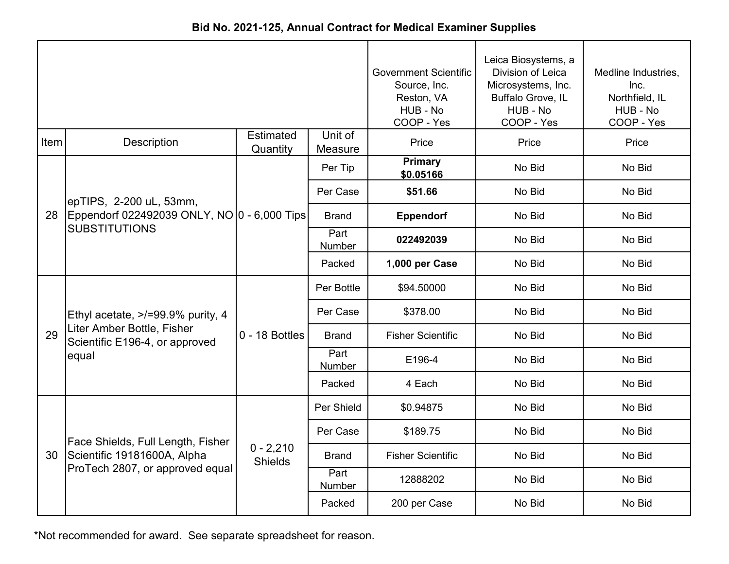|  |  |  | Bid No. 2021-125, Annual Contract for Medical Examiner Supplies |
|--|--|--|-----------------------------------------------------------------|
|--|--|--|-----------------------------------------------------------------|

|      |                                                                     |                               | <b>Government Scientific</b><br>Source, Inc.<br>Reston, VA<br>HUB - No<br>COOP - Yes | Leica Biosystems, a<br>Division of Leica<br>Microsystems, Inc.<br>Buffalo Grove, IL<br>HUB - No<br>COOP - Yes | Medline Industries,<br>Inc.<br>Northfield, IL<br>HUB - No<br>COOP - Yes |        |
|------|---------------------------------------------------------------------|-------------------------------|--------------------------------------------------------------------------------------|---------------------------------------------------------------------------------------------------------------|-------------------------------------------------------------------------|--------|
| Item | <b>Description</b>                                                  | <b>Estimated</b><br>Quantity  | Unit of<br>Measure                                                                   | Price                                                                                                         | Price                                                                   | Price  |
|      |                                                                     |                               | Per Tip                                                                              | <b>Primary</b><br>\$0.05166                                                                                   | No Bid                                                                  | No Bid |
|      | epTIPS, 2-200 uL, 53mm,                                             |                               | Per Case                                                                             | \$51.66                                                                                                       | No Bid                                                                  | No Bid |
| 28   | Eppendorf 022492039 ONLY, NO 0 - 6,000 Tips<br><b>SUBSTITUTIONS</b> |                               | <b>Brand</b>                                                                         | <b>Eppendorf</b>                                                                                              | No Bid                                                                  | No Bid |
|      |                                                                     |                               | Part<br>Number                                                                       | 022492039                                                                                                     | No Bid                                                                  | No Bid |
|      |                                                                     |                               | Packed                                                                               | 1,000 per Case                                                                                                | No Bid                                                                  | No Bid |
|      |                                                                     |                               | Per Bottle                                                                           | \$94.50000                                                                                                    | No Bid                                                                  | No Bid |
|      | Ethyl acetate, >/=99.9% purity, 4                                   |                               | Per Case                                                                             | \$378.00                                                                                                      | No Bid                                                                  | No Bid |
| 29   | Liter Amber Bottle, Fisher<br>Scientific E196-4, or approved        | $0 - 18$ Bottles              | <b>Brand</b>                                                                         | <b>Fisher Scientific</b>                                                                                      | No Bid                                                                  | No Bid |
|      | equal                                                               |                               | Part<br>Number                                                                       | E196-4                                                                                                        | No Bid                                                                  | No Bid |
|      |                                                                     |                               | Packed                                                                               | 4 Each                                                                                                        | No Bid                                                                  | No Bid |
|      |                                                                     |                               | Per Shield                                                                           | \$0.94875                                                                                                     | No Bid                                                                  | No Bid |
|      | Face Shields, Full Length, Fisher                                   |                               | Per Case                                                                             | \$189.75                                                                                                      | No Bid                                                                  | No Bid |
| 30   | Scientific 19181600A, Alpha                                         | $0 - 2,210$<br><b>Shields</b> | <b>Brand</b>                                                                         | <b>Fisher Scientific</b>                                                                                      | No Bid                                                                  | No Bid |
|      | ProTech 2807, or approved equal                                     |                               | Part<br>Number                                                                       | 12888202                                                                                                      | No Bid                                                                  | No Bid |
|      |                                                                     |                               | Packed                                                                               | 200 per Case                                                                                                  | No Bid                                                                  | No Bid |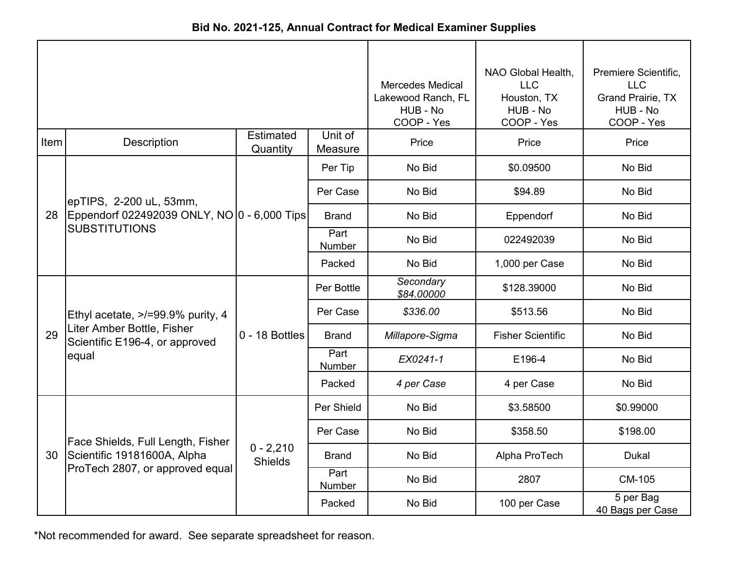| Bid No. 2021-125, Annual Contract for Medical Examiner Supplies |  |  |  |  |
|-----------------------------------------------------------------|--|--|--|--|
|-----------------------------------------------------------------|--|--|--|--|

|      |                                                              |                               | <b>Mercedes Medical</b><br>Lakewood Ranch, FL<br>HUB - No<br>COOP - Yes | NAO Global Health,<br><b>LLC</b><br>Houston, TX<br>HUB - No<br>COOP - Yes | Premiere Scientific,<br><b>LLC</b><br><b>Grand Prairie, TX</b><br>HUB - No<br>COOP - Yes |                               |
|------|--------------------------------------------------------------|-------------------------------|-------------------------------------------------------------------------|---------------------------------------------------------------------------|------------------------------------------------------------------------------------------|-------------------------------|
| Item | <b>Description</b>                                           | <b>Estimated</b><br>Quantity  | Unit of<br>Measure                                                      | Price                                                                     | Price                                                                                    | Price                         |
|      |                                                              |                               | Per Tip                                                                 | No Bid                                                                    | \$0.09500                                                                                | No Bid                        |
|      | epTIPS, 2-200 uL, 53mm,                                      |                               | Per Case                                                                | No Bid                                                                    | \$94.89                                                                                  | No Bid                        |
| 28   | Eppendorf 022492039 ONLY, NO 0 - 6,000 Tips                  |                               | <b>Brand</b>                                                            | No Bid                                                                    | Eppendorf                                                                                | No Bid                        |
|      | <b>SUBSTITUTIONS</b>                                         |                               | Part<br>Number                                                          | No Bid                                                                    | 022492039                                                                                | No Bid                        |
|      |                                                              |                               | Packed                                                                  | No Bid                                                                    | 1,000 per Case                                                                           | No Bid                        |
|      |                                                              | 0 - 18 Bottles                | Per Bottle                                                              | Secondary<br>\$84.00000                                                   | \$128.39000                                                                              | No Bid                        |
|      | Ethyl acetate, >/=99.9% purity, 4                            |                               | Per Case                                                                | \$336.00                                                                  | \$513.56                                                                                 | No Bid                        |
| 29   | Liter Amber Bottle, Fisher<br>Scientific E196-4, or approved |                               | <b>Brand</b>                                                            | Millapore-Sigma                                                           | <b>Fisher Scientific</b>                                                                 | No Bid                        |
|      | equal                                                        |                               | Part<br>Number                                                          | EX0241-1                                                                  | E196-4                                                                                   | No Bid                        |
|      |                                                              |                               | Packed                                                                  | 4 per Case                                                                | 4 per Case                                                                               | No Bid                        |
|      |                                                              |                               | Per Shield                                                              | No Bid                                                                    | \$3.58500                                                                                | \$0.99000                     |
|      | Face Shields, Full Length, Fisher                            |                               | Per Case                                                                | No Bid                                                                    | \$358.50                                                                                 | \$198.00                      |
| 30   | Scientific 19181600A, Alpha                                  | $0 - 2,210$<br><b>Shields</b> | <b>Brand</b>                                                            | No Bid                                                                    | Alpha ProTech                                                                            | <b>Dukal</b>                  |
|      | ProTech 2807, or approved equal                              |                               | Part<br>Number                                                          | No Bid                                                                    | 2807                                                                                     | CM-105                        |
|      |                                                              |                               | Packed                                                                  | No Bid                                                                    | 100 per Case                                                                             | 5 per Bag<br>40 Bags per Case |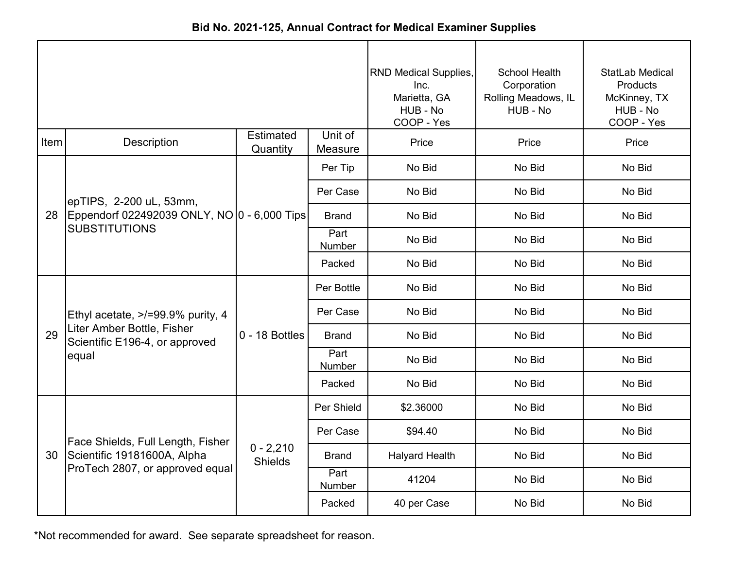|      |                                                              |                               |                    | <b>RND Medical Supplies,</b><br>Inc.<br>Marietta, GA<br>HUB - No<br>COOP - Yes | <b>School Health</b><br>Corporation<br>Rolling Meadows, IL<br>HUB - No | <b>StatLab Medical</b><br><b>Products</b><br>McKinney, TX<br>HUB - No<br>COOP - Yes |
|------|--------------------------------------------------------------|-------------------------------|--------------------|--------------------------------------------------------------------------------|------------------------------------------------------------------------|-------------------------------------------------------------------------------------|
| Item | Description                                                  | Estimated<br>Quantity         | Unit of<br>Measure | Price                                                                          | Price                                                                  | Price                                                                               |
|      |                                                              |                               | Per Tip            | No Bid                                                                         | No Bid                                                                 | No Bid                                                                              |
|      | epTIPS, 2-200 uL, 53mm,                                      |                               | Per Case           | No Bid                                                                         | No Bid                                                                 | No Bid                                                                              |
| 28   | Eppendorf 022492039 ONLY, NO 0 - 6,000 Tips                  |                               | <b>Brand</b>       | No Bid                                                                         | No Bid                                                                 | No Bid                                                                              |
|      | <b>SUBSTITUTIONS</b>                                         |                               | Part<br>Number     | No Bid                                                                         | No Bid                                                                 | No Bid                                                                              |
|      |                                                              |                               | Packed             | No Bid                                                                         | No Bid                                                                 | No Bid                                                                              |
|      |                                                              | $0 - 18$ Bottles              | Per Bottle         | No Bid                                                                         | No Bid                                                                 | No Bid                                                                              |
|      | Ethyl acetate, >/=99.9% purity, 4                            |                               | Per Case           | No Bid                                                                         | No Bid                                                                 | No Bid                                                                              |
| 29   | Liter Amber Bottle, Fisher<br>Scientific E196-4, or approved |                               | <b>Brand</b>       | No Bid                                                                         | No Bid                                                                 | No Bid                                                                              |
|      | equal                                                        |                               | Part<br>Number     | No Bid                                                                         | No Bid                                                                 | No Bid                                                                              |
|      |                                                              |                               | Packed             | No Bid                                                                         | No Bid                                                                 | No Bid                                                                              |
|      |                                                              |                               | Per Shield         | \$2.36000                                                                      | No Bid                                                                 | No Bid                                                                              |
|      | Face Shields, Full Length, Fisher                            |                               | Per Case           | \$94.40                                                                        | No Bid                                                                 | No Bid                                                                              |
| 30   | Scientific 19181600A, Alpha                                  | $0 - 2,210$<br><b>Shields</b> | <b>Brand</b>       | <b>Halyard Health</b>                                                          | No Bid                                                                 | No Bid                                                                              |
|      | ProTech 2807, or approved equal                              |                               | Part<br>Number     | 41204                                                                          | No Bid                                                                 | No Bid                                                                              |
|      |                                                              |                               | Packed             | 40 per Case                                                                    | No Bid                                                                 | No Bid                                                                              |

**Bid No. 2021-125, Annual Contract for Medical Examiner Supplies**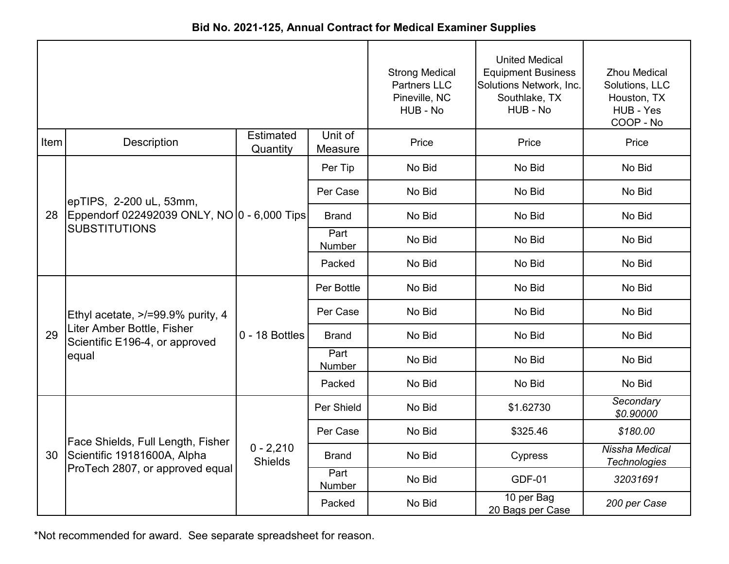| Bid No. 2021-125, Annual Contract for Medical Examiner Supplies |  |  |  |  |
|-----------------------------------------------------------------|--|--|--|--|
|-----------------------------------------------------------------|--|--|--|--|

|      |                                                              |                               |                    | <b>Strong Medical</b><br><b>Partners LLC</b><br>Pineville, NC<br>HUB - No | <b>United Medical</b><br><b>Equipment Business</b><br>Solutions Network, Inc.<br>Southlake, TX<br>HUB - No | <b>Zhou Medical</b><br>Solutions, LLC<br>Houston, TX<br>HUB - Yes<br>COOP - No |
|------|--------------------------------------------------------------|-------------------------------|--------------------|---------------------------------------------------------------------------|------------------------------------------------------------------------------------------------------------|--------------------------------------------------------------------------------|
| Item | Description                                                  | <b>Estimated</b><br>Quantity  | Unit of<br>Measure | Price                                                                     | Price                                                                                                      | Price                                                                          |
|      |                                                              |                               | Per Tip            | No Bid                                                                    | No Bid                                                                                                     | No Bid                                                                         |
|      | epTIPS, 2-200 uL, 53mm,                                      |                               | Per Case           | No Bid                                                                    | No Bid                                                                                                     | No Bid                                                                         |
| 28   | Eppendorf 022492039 ONLY, NO 0 - 6,000 Tips                  |                               | <b>Brand</b>       | No Bid                                                                    | No Bid                                                                                                     | No Bid                                                                         |
|      | <b>SUBSTITUTIONS</b>                                         |                               | Part<br>Number     | No Bid                                                                    | No Bid                                                                                                     | No Bid                                                                         |
|      |                                                              |                               | Packed             | No Bid                                                                    | No Bid                                                                                                     | No Bid                                                                         |
|      |                                                              | $0 - 18$ Bottles              | Per Bottle         | No Bid                                                                    | No Bid                                                                                                     | No Bid                                                                         |
|      | Ethyl acetate, >/=99.9% purity, 4                            |                               | Per Case           | No Bid                                                                    | No Bid                                                                                                     | No Bid                                                                         |
| 29   | Liter Amber Bottle, Fisher<br>Scientific E196-4, or approved |                               | <b>Brand</b>       | No Bid                                                                    | No Bid                                                                                                     | No Bid                                                                         |
|      | equal                                                        |                               | Part<br>Number     | No Bid                                                                    | No Bid                                                                                                     | No Bid                                                                         |
|      |                                                              |                               | Packed             | No Bid                                                                    | No Bid                                                                                                     | No Bid                                                                         |
|      |                                                              |                               | Per Shield         | No Bid                                                                    | \$1.62730                                                                                                  | Secondary<br>\$0.90000                                                         |
|      | Face Shields, Full Length, Fisher                            |                               | Per Case           | No Bid                                                                    | \$325.46                                                                                                   | \$180.00                                                                       |
| 30   | Scientific 19181600A, Alpha                                  | $0 - 2,210$<br><b>Shields</b> | <b>Brand</b>       | No Bid                                                                    | <b>Cypress</b>                                                                                             | Nissha Medical<br><b>Technologies</b>                                          |
|      | ProTech 2807, or approved equal                              |                               | Part<br>Number     | No Bid                                                                    | <b>GDF-01</b>                                                                                              | 32031691                                                                       |
|      |                                                              |                               | Packed             | No Bid                                                                    | 10 per Bag<br>20 Bags per Case                                                                             | 200 per Case                                                                   |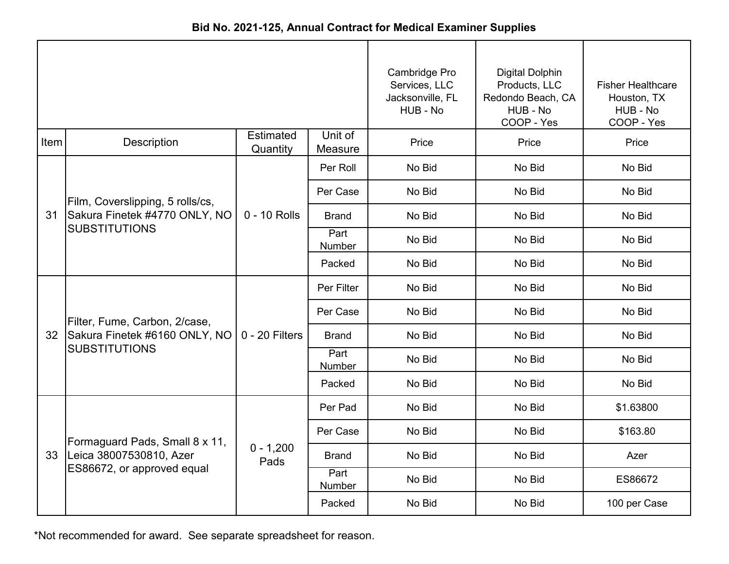| Bid No. 2021-125, Annual Contract for Medical Examiner Supplies |  |
|-----------------------------------------------------------------|--|
|-----------------------------------------------------------------|--|

|      |                                                       |                              |                    | Cambridge Pro<br>Services, LLC<br>Jacksonville, FL<br>HUB - No | <b>Digital Dolphin</b><br>Products, LLC<br>Redondo Beach, CA<br>HUB - No<br>COOP - Yes | <b>Fisher Healthcare</b><br>Houston, TX<br>HUB - No<br>COOP - Yes |
|------|-------------------------------------------------------|------------------------------|--------------------|----------------------------------------------------------------|----------------------------------------------------------------------------------------|-------------------------------------------------------------------|
| Item | Description                                           | <b>Estimated</b><br>Quantity | Unit of<br>Measure | Price                                                          | Price                                                                                  | Price                                                             |
|      |                                                       |                              | Per Roll           | No Bid                                                         | No Bid                                                                                 | No Bid                                                            |
|      | Film, Coverslipping, 5 rolls/cs,                      |                              | Per Case           | No Bid                                                         | No Bid                                                                                 | No Bid                                                            |
| 31   | Sakura Finetek #4770 ONLY, NO<br><b>SUBSTITUTIONS</b> | 0 - 10 Rolls                 | <b>Brand</b>       | No Bid                                                         | No Bid                                                                                 | No Bid                                                            |
|      |                                                       |                              | Part<br>Number     | No Bid                                                         | No Bid                                                                                 | No Bid                                                            |
|      |                                                       |                              | Packed             | No Bid                                                         | No Bid                                                                                 | No Bid                                                            |
|      |                                                       | $0 - 20$ Filters             | Per Filter         | No Bid                                                         | No Bid                                                                                 | No Bid                                                            |
|      | Filter, Fume, Carbon, 2/case,                         |                              | Per Case           | No Bid                                                         | No Bid                                                                                 | No Bid                                                            |
| 32   | Sakura Finetek #6160 ONLY, NO                         |                              | <b>Brand</b>       | No Bid                                                         | No Bid                                                                                 | No Bid                                                            |
|      | <b>SUBSTITUTIONS</b>                                  |                              | Part<br>Number     | No Bid                                                         | No Bid                                                                                 | No Bid                                                            |
|      |                                                       |                              | Packed             | No Bid                                                         | No Bid                                                                                 | No Bid                                                            |
|      |                                                       |                              | Per Pad            | No Bid                                                         | No Bid                                                                                 | \$1.63800                                                         |
|      | Formaguard Pads, Small 8 x 11,                        |                              | Per Case           | No Bid                                                         | No Bid                                                                                 | \$163.80                                                          |
| 33   | Leica 38007530810, Azer                               | $0 - 1,200$<br>Pads          | Brand              | No Bid                                                         | No Bid                                                                                 | Azer                                                              |
|      | ES86672, or approved equal                            |                              | Part<br>Number     | No Bid                                                         | No Bid                                                                                 | ES86672                                                           |
|      |                                                       |                              | Packed             | No Bid                                                         | No Bid                                                                                 | 100 per Case                                                      |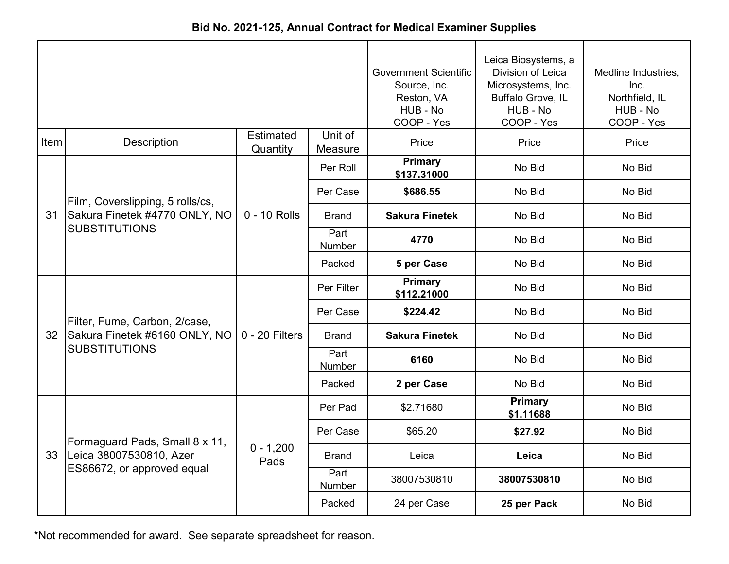|  |  |  | Bid No. 2021-125, Annual Contract for Medical Examiner Supplies |
|--|--|--|-----------------------------------------------------------------|
|--|--|--|-----------------------------------------------------------------|

|      |                                  |                              | <b>Government Scientific</b><br>Source, Inc.<br>Reston, VA<br>HUB - No<br>COOP - Yes | Leica Biosystems, a<br>Division of Leica<br>Microsystems, Inc.<br>Buffalo Grove, IL<br>HUB - No<br>COOP - Yes | Medline Industries,<br>Inc.<br>Northfield, IL<br>HUB - No<br>COOP - Yes |        |
|------|----------------------------------|------------------------------|--------------------------------------------------------------------------------------|---------------------------------------------------------------------------------------------------------------|-------------------------------------------------------------------------|--------|
| Item | <b>Description</b>               | <b>Estimated</b><br>Quantity | Unit of<br>Measure                                                                   | Price                                                                                                         | Price                                                                   | Price  |
|      |                                  |                              | Per Roll                                                                             | <b>Primary</b><br>\$137.31000                                                                                 | No Bid                                                                  | No Bid |
|      | Film, Coverslipping, 5 rolls/cs, |                              | Per Case                                                                             | \$686.55                                                                                                      | No Bid                                                                  | No Bid |
| 31   | Sakura Finetek #4770 ONLY, NO    | 0 - 10 Rolls                 | <b>Brand</b>                                                                         | <b>Sakura Finetek</b>                                                                                         | No Bid                                                                  | No Bid |
|      | <b>SUBSTITUTIONS</b>             |                              | Part<br>Number                                                                       | 4770                                                                                                          | No Bid                                                                  | No Bid |
|      |                                  |                              | Packed                                                                               | 5 per Case                                                                                                    | No Bid                                                                  | No Bid |
|      |                                  | $0 - 20$ Filters             | Per Filter                                                                           | Primary<br>\$112.21000                                                                                        | No Bid                                                                  | No Bid |
|      | Filter, Fume, Carbon, 2/case,    |                              | Per Case                                                                             | \$224.42                                                                                                      | No Bid                                                                  | No Bid |
| 32   | Sakura Finetek #6160 ONLY, NO    |                              | <b>Brand</b>                                                                         | <b>Sakura Finetek</b>                                                                                         | No Bid                                                                  | No Bid |
|      | <b>SUBSTITUTIONS</b>             |                              | Part<br><b>Number</b>                                                                | 6160                                                                                                          | No Bid                                                                  | No Bid |
|      |                                  |                              | Packed                                                                               | 2 per Case                                                                                                    | No Bid                                                                  | No Bid |
|      |                                  |                              | Per Pad                                                                              | \$2.71680                                                                                                     | <b>Primary</b><br>\$1.11688                                             | No Bid |
|      | Formaguard Pads, Small 8 x 11,   |                              | Per Case                                                                             | \$65.20                                                                                                       | \$27.92                                                                 | No Bid |
| 33   | Leica 38007530810, Azer          | $0 - 1,200$<br>Pads          | <b>Brand</b>                                                                         | Leica                                                                                                         | Leica                                                                   | No Bid |
|      | ES86672, or approved equal       |                              | Part<br>Number                                                                       | 38007530810                                                                                                   | 38007530810                                                             | No Bid |
|      |                                  |                              | Packed                                                                               | 24 per Case                                                                                                   | 25 per Pack                                                             | No Bid |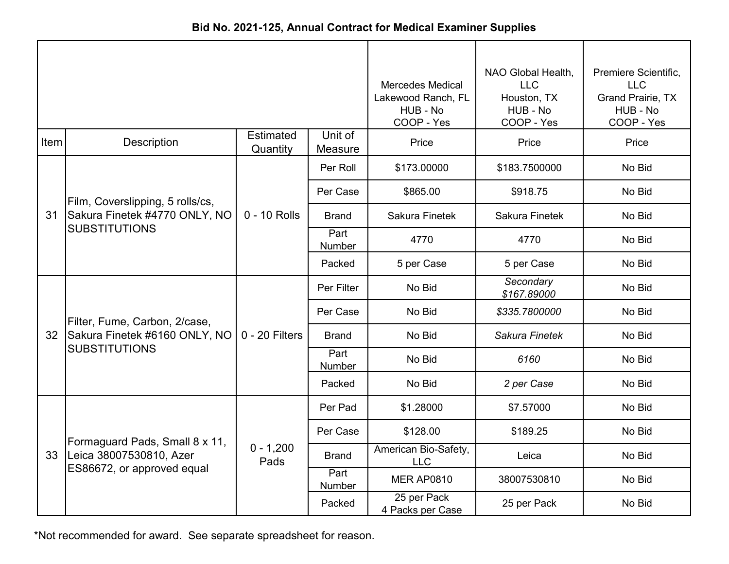| Bid No. 2021-125, Annual Contract for Medical Examiner Supplies |  |  |  |  |  |
|-----------------------------------------------------------------|--|--|--|--|--|
|-----------------------------------------------------------------|--|--|--|--|--|

|      |                                  |                              | <b>Mercedes Medical</b><br>Lakewood Ranch, FL<br>HUB - No<br>COOP - Yes | NAO Global Health,<br><b>LLC</b><br>Houston, TX<br>HUB - No<br>COOP - Yes | Premiere Scientific,<br><b>LLC</b><br><b>Grand Prairie, TX</b><br>HUB - No<br>COOP - Yes |        |
|------|----------------------------------|------------------------------|-------------------------------------------------------------------------|---------------------------------------------------------------------------|------------------------------------------------------------------------------------------|--------|
| Item | <b>Description</b>               | <b>Estimated</b><br>Quantity | Unit of<br>Measure                                                      | Price                                                                     | Price                                                                                    | Price  |
|      |                                  |                              | Per Roll                                                                | \$173.00000                                                               | \$183.7500000                                                                            | No Bid |
|      | Film, Coverslipping, 5 rolls/cs, |                              | Per Case                                                                | \$865.00                                                                  | \$918.75                                                                                 | No Bid |
| 31   | Sakura Finetek #4770 ONLY, NO    | $0 - 10$ Rolls               | <b>Brand</b>                                                            | <b>Sakura Finetek</b>                                                     | <b>Sakura Finetek</b>                                                                    | No Bid |
|      | <b>SUBSTITUTIONS</b>             |                              | Part<br>Number                                                          | 4770                                                                      | 4770                                                                                     | No Bid |
|      |                                  |                              | Packed                                                                  | 5 per Case                                                                | 5 per Case                                                                               | No Bid |
|      |                                  | 0 - 20 Filters               | Per Filter                                                              | No Bid                                                                    | Secondary<br>\$167.89000                                                                 | No Bid |
|      | Filter, Fume, Carbon, 2/case,    |                              | Per Case                                                                | No Bid                                                                    | \$335.7800000                                                                            | No Bid |
| 32   | Sakura Finetek #6160 ONLY, NO    |                              | <b>Brand</b>                                                            | No Bid                                                                    | Sakura Finetek                                                                           | No Bid |
|      | <b>SUBSTITUTIONS</b>             |                              | Part<br>Number                                                          | No Bid                                                                    | 6160                                                                                     | No Bid |
|      |                                  |                              | Packed                                                                  | No Bid                                                                    | 2 per Case                                                                               | No Bid |
|      |                                  |                              | Per Pad                                                                 | \$1.28000                                                                 | \$7.57000                                                                                | No Bid |
|      | Formaguard Pads, Small 8 x 11,   |                              | Per Case                                                                | \$128.00                                                                  | \$189.25                                                                                 | No Bid |
| 33   | Leica 38007530810, Azer          | $0 - 1,200$<br>Pads          | <b>Brand</b>                                                            | American Bio-Safety,<br><b>LLC</b>                                        | Leica                                                                                    | No Bid |
|      | ES86672, or approved equal       |                              | Part<br>Number                                                          | <b>MER AP0810</b>                                                         | 38007530810                                                                              | No Bid |
|      |                                  |                              | Packed                                                                  | 25 per Pack<br>4 Packs per Case                                           | 25 per Pack                                                                              | No Bid |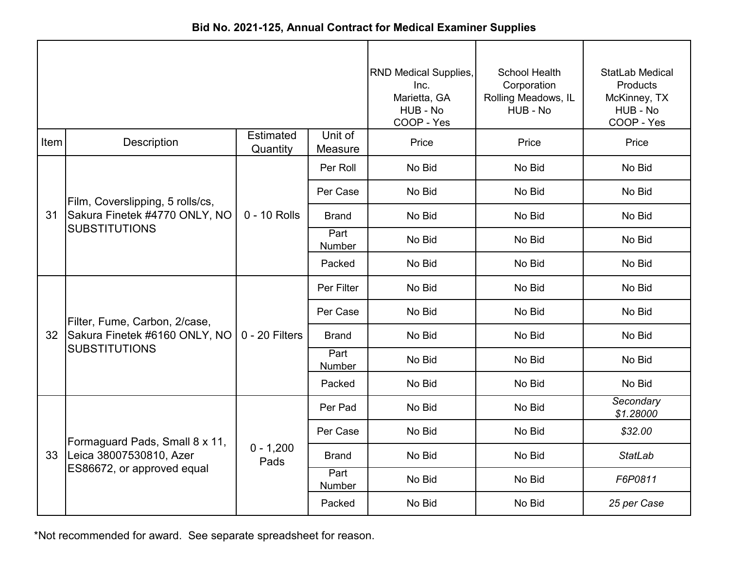| Bid No. 2021-125, Annual Contract for Medical Examiner Supplies |  |
|-----------------------------------------------------------------|--|
|-----------------------------------------------------------------|--|

|      |                                  |                              | RND Medical Supplies,<br>Inc.<br>Marietta, GA<br>HUB - No<br>COOP - Yes | <b>School Health</b><br>Corporation<br>Rolling Meadows, IL<br>HUB - No | <b>StatLab Medical</b><br><b>Products</b><br>McKinney, TX<br>HUB - No<br>COOP - Yes |                        |
|------|----------------------------------|------------------------------|-------------------------------------------------------------------------|------------------------------------------------------------------------|-------------------------------------------------------------------------------------|------------------------|
| Item | <b>Description</b>               | <b>Estimated</b><br>Quantity | Unit of<br>Measure                                                      | Price                                                                  | Price                                                                               | Price                  |
|      |                                  |                              | Per Roll                                                                | No Bid                                                                 | No Bid                                                                              | No Bid                 |
|      | Film, Coverslipping, 5 rolls/cs, |                              | Per Case                                                                | No Bid                                                                 | No Bid                                                                              | No Bid                 |
| 31   | Sakura Finetek #4770 ONLY, NO    | 0 - 10 Rolls                 | <b>Brand</b>                                                            | No Bid                                                                 | No Bid                                                                              | No Bid                 |
|      | <b>SUBSTITUTIONS</b>             |                              | Part<br>Number                                                          | No Bid                                                                 | No Bid                                                                              | No Bid                 |
|      |                                  |                              | Packed                                                                  | No Bid                                                                 | No Bid                                                                              | No Bid                 |
|      |                                  | $0 - 20$ Filters             | Per Filter                                                              | No Bid                                                                 | No Bid                                                                              | No Bid                 |
|      | Filter, Fume, Carbon, 2/case,    |                              | Per Case                                                                | No Bid                                                                 | No Bid                                                                              | No Bid                 |
| 32   | Sakura Finetek #6160 ONLY, NO    |                              | <b>Brand</b>                                                            | No Bid                                                                 | No Bid                                                                              | No Bid                 |
|      | <b>SUBSTITUTIONS</b>             |                              | Part<br>Number                                                          | No Bid                                                                 | No Bid                                                                              | No Bid                 |
|      |                                  |                              | Packed                                                                  | No Bid                                                                 | No Bid                                                                              | No Bid                 |
|      |                                  |                              | Per Pad                                                                 | No Bid                                                                 | No Bid                                                                              | Secondary<br>\$1.28000 |
|      | Formaguard Pads, Small 8 x 11,   |                              | Per Case                                                                | No Bid                                                                 | No Bid                                                                              | \$32.00                |
|      | 33   Leica 38007530810, Azer     | $0 - 1,200$<br>Pads          | <b>Brand</b>                                                            | No Bid                                                                 | No Bid                                                                              | <b>StatLab</b>         |
|      | ES86672, or approved equal       |                              | Part<br>Number                                                          | No Bid                                                                 | No Bid                                                                              | F6P0811                |
|      |                                  |                              | Packed                                                                  | No Bid                                                                 | No Bid                                                                              | 25 per Case            |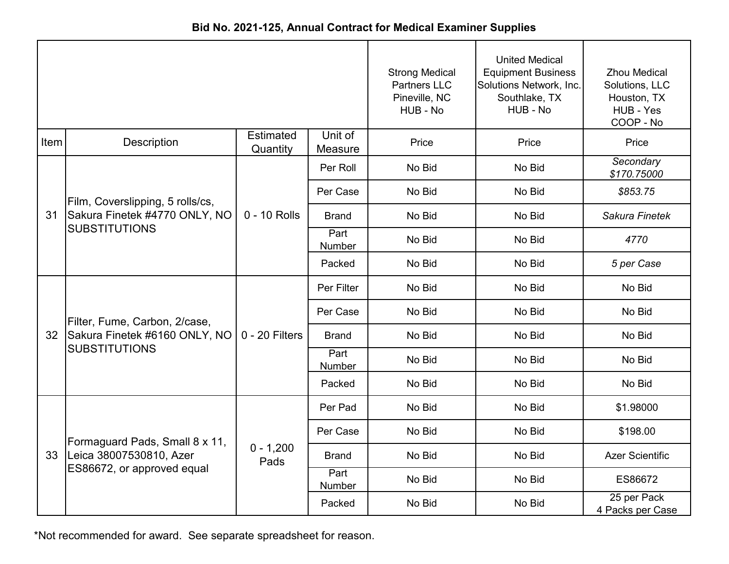| Bid No. 2021-125, Annual Contract for Medical Examiner Supplies |  |
|-----------------------------------------------------------------|--|
|-----------------------------------------------------------------|--|

|      |                                  |                              |                    | <b>Strong Medical</b><br><b>Partners LLC</b><br>Pineville, NC<br>HUB - No | <b>United Medical</b><br><b>Equipment Business</b><br>Solutions Network, Inc.<br>Southlake, TX<br>HUB - No | <b>Zhou Medical</b><br>Solutions, LLC<br>Houston, TX<br>HUB - Yes<br>COOP - No |
|------|----------------------------------|------------------------------|--------------------|---------------------------------------------------------------------------|------------------------------------------------------------------------------------------------------------|--------------------------------------------------------------------------------|
| Item | Description                      | <b>Estimated</b><br>Quantity | Unit of<br>Measure | Price                                                                     | Price                                                                                                      | Price                                                                          |
|      |                                  |                              | Per Roll           | No Bid                                                                    | No Bid                                                                                                     | Secondary<br>\$170.75000                                                       |
|      | Film, Coverslipping, 5 rolls/cs, |                              | Per Case           | No Bid                                                                    | No Bid                                                                                                     | \$853.75                                                                       |
| 31   | Sakura Finetek #4770 ONLY, NO    | 0 - 10 Rolls                 | <b>Brand</b>       | No Bid                                                                    | No Bid                                                                                                     | Sakura Finetek                                                                 |
|      | <b>SUBSTITUTIONS</b>             |                              | Part<br>Number     | No Bid                                                                    | No Bid                                                                                                     | 4770                                                                           |
|      |                                  |                              | Packed             | No Bid                                                                    | No Bid                                                                                                     | 5 per Case                                                                     |
|      | Filter, Fume, Carbon, 2/case,    | $0 - 20$ Filters             | Per Filter         | No Bid                                                                    | No Bid                                                                                                     | No Bid                                                                         |
|      |                                  |                              | Per Case           | No Bid                                                                    | No Bid                                                                                                     | No Bid                                                                         |
| 32   | Sakura Finetek #6160 ONLY, NO    |                              | <b>Brand</b>       | No Bid                                                                    | No Bid                                                                                                     | No Bid                                                                         |
|      | <b>SUBSTITUTIONS</b>             |                              | Part<br>Number     | No Bid                                                                    | No Bid                                                                                                     | No Bid                                                                         |
|      |                                  |                              | Packed             | No Bid                                                                    | No Bid                                                                                                     | No Bid                                                                         |
|      |                                  |                              | Per Pad            | No Bid                                                                    | No Bid                                                                                                     | \$1.98000                                                                      |
|      | Formaguard Pads, Small 8 x 11,   |                              | Per Case           | No Bid                                                                    | No Bid                                                                                                     | \$198.00                                                                       |
| 33   | Leica 38007530810, Azer          | $0 - 1,200$<br>Pads          | <b>Brand</b>       | No Bid                                                                    | No Bid                                                                                                     | <b>Azer Scientific</b>                                                         |
|      | ES86672, or approved equal       |                              | Part<br>Number     | No Bid                                                                    | No Bid                                                                                                     | ES86672                                                                        |
|      |                                  |                              | Packed             | No Bid                                                                    | No Bid                                                                                                     | 25 per Pack<br>4 Packs per Case                                                |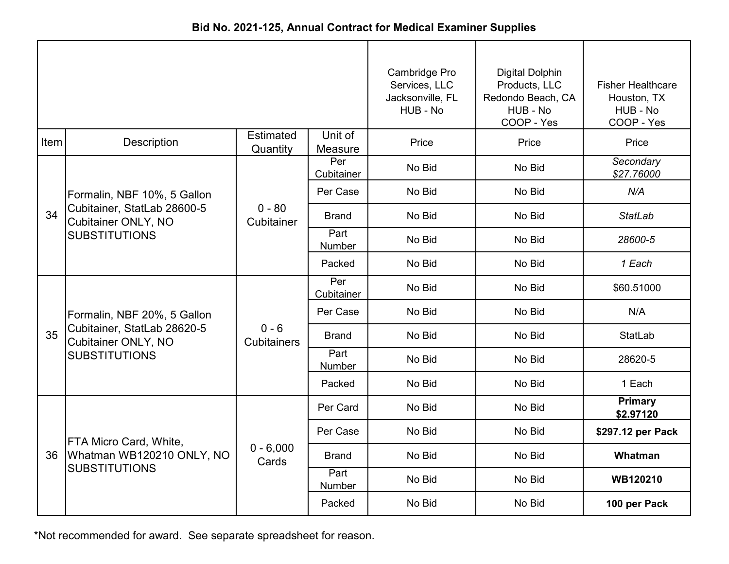|      |                                                                            |                               |                    | Cambridge Pro<br>Services, LLC<br>Jacksonville, FL<br>HUB - No | <b>Digital Dolphin</b><br>Products, LLC<br>Redondo Beach, CA<br>HUB - No<br>COOP - Yes | <b>Fisher Healthcare</b><br>Houston, TX<br>HUB - No<br>COOP - Yes |
|------|----------------------------------------------------------------------------|-------------------------------|--------------------|----------------------------------------------------------------|----------------------------------------------------------------------------------------|-------------------------------------------------------------------|
| Item | Description                                                                | Estimated<br>Quantity         | Unit of<br>Measure | Price                                                          | Price                                                                                  | Price                                                             |
|      |                                                                            |                               | Per<br>Cubitainer  | No Bid                                                         | No Bid                                                                                 | Secondary<br>\$27.76000                                           |
|      | Formalin, NBF 10%, 5 Gallon                                                |                               | Per Case           | No Bid                                                         | No Bid                                                                                 | N/A                                                               |
| 34   | Cubitainer, StatLab 28600-5<br>Cubitainer ONLY, NO<br><b>SUBSTITUTIONS</b> | $0 - 80$<br>Cubitainer        | <b>Brand</b>       | No Bid                                                         | No Bid                                                                                 | <b>StatLab</b>                                                    |
|      |                                                                            |                               | Part<br>Number     | No Bid                                                         | No Bid                                                                                 | 28600-5                                                           |
|      |                                                                            |                               | Packed             | No Bid                                                         | No Bid                                                                                 | 1 Each                                                            |
|      |                                                                            | $0 - 6$<br><b>Cubitainers</b> | Per<br>Cubitainer  | No Bid                                                         | No Bid                                                                                 | \$60.51000                                                        |
|      | Formalin, NBF 20%, 5 Gallon                                                |                               | Per Case           | No Bid                                                         | No Bid                                                                                 | N/A                                                               |
| 35   | Cubitainer, StatLab 28620-5<br>Cubitainer ONLY, NO                         |                               | <b>Brand</b>       | No Bid                                                         | No Bid                                                                                 | StatLab                                                           |
|      | <b>SUBSTITUTIONS</b>                                                       |                               | Part<br>Number     | No Bid                                                         | No Bid                                                                                 | 28620-5                                                           |
|      |                                                                            |                               | Packed             | No Bid                                                         | No Bid                                                                                 | 1 Each                                                            |
|      |                                                                            |                               | Per Card           | No Bid                                                         | No Bid                                                                                 | Primary<br>\$2.97120                                              |
|      | FTA Micro Card, White,                                                     |                               | Per Case           | No Bid                                                         | No Bid                                                                                 | \$297.12 per Pack                                                 |
|      | 36 Whatman WB120210 ONLY, NO                                               | $0 - 6,000$<br>Cards          | <b>Brand</b>       | No Bid                                                         | No Bid                                                                                 | Whatman                                                           |
|      | <b>SUBSTITUTIONS</b>                                                       |                               | Part<br>Number     | No Bid                                                         | No Bid                                                                                 | WB120210                                                          |
|      |                                                                            |                               | Packed             | No Bid                                                         | No Bid                                                                                 | 100 per Pack                                                      |

**Bid No. 2021-125, Annual Contract for Medical Examiner Supplies**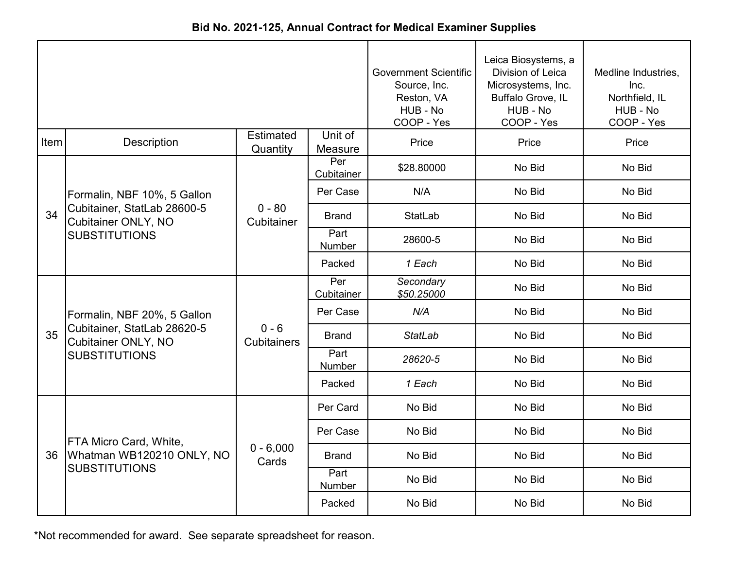|  | Bid No. 2021-125, Annual Contract for Medical Examiner Supplies |  |  |
|--|-----------------------------------------------------------------|--|--|
|--|-----------------------------------------------------------------|--|--|

|      |                                                                                   | <b>Government Scientific</b><br>Source, Inc.<br>Reston, VA<br>HUB - No<br>COOP - Yes | Leica Biosystems, a<br>Division of Leica<br>Microsystems, Inc.<br>Buffalo Grove, IL<br>HUB - No<br>COOP - Yes | Medline Industries,<br>Inc.<br>Northfield, IL<br>HUB - No<br>COOP - Yes |        |        |
|------|-----------------------------------------------------------------------------------|--------------------------------------------------------------------------------------|---------------------------------------------------------------------------------------------------------------|-------------------------------------------------------------------------|--------|--------|
| Item | <b>Description</b>                                                                | Estimated<br>Quantity                                                                | Unit of<br>Measure                                                                                            | Price                                                                   | Price  | Price  |
|      |                                                                                   |                                                                                      | Per<br>Cubitainer                                                                                             | \$28.80000                                                              | No Bid | No Bid |
|      | Formalin, NBF 10%, 5 Gallon                                                       |                                                                                      | Per Case                                                                                                      | N/A                                                                     | No Bid | No Bid |
| 34   | Cubitainer, StatLab 28600-5<br><b>Cubitainer ONLY, NO</b>                         | $0 - 80$<br>Cubitainer                                                               | <b>Brand</b>                                                                                                  | <b>StatLab</b>                                                          | No Bid | No Bid |
|      | <b>SUBSTITUTIONS</b>                                                              |                                                                                      | Part<br>Number                                                                                                | 28600-5                                                                 | No Bid | No Bid |
|      |                                                                                   |                                                                                      | Packed                                                                                                        | 1 Each                                                                  | No Bid | No Bid |
|      |                                                                                   | $0 - 6$<br><b>Cubitainers</b>                                                        | Per<br>Cubitainer                                                                                             | Secondary<br>\$50.25000                                                 | No Bid | No Bid |
|      | Formalin, NBF 20%, 5 Gallon                                                       |                                                                                      | Per Case                                                                                                      | N/A                                                                     | No Bid | No Bid |
| 35   | Cubitainer, StatLab 28620-5<br><b>Cubitainer ONLY, NO</b><br><b>SUBSTITUTIONS</b> |                                                                                      | <b>Brand</b>                                                                                                  | <b>StatLab</b>                                                          | No Bid | No Bid |
|      |                                                                                   |                                                                                      | Part<br>Number                                                                                                | 28620-5                                                                 | No Bid | No Bid |
|      |                                                                                   |                                                                                      | Packed                                                                                                        | 1 Each                                                                  | No Bid | No Bid |
|      |                                                                                   |                                                                                      | Per Card                                                                                                      | No Bid                                                                  | No Bid | No Bid |
|      | FTA Micro Card, White,                                                            |                                                                                      | Per Case                                                                                                      | No Bid                                                                  | No Bid | No Bid |
| 36   | Whatman WB120210 ONLY, NO                                                         | $0 - 6,000$<br>Cards                                                                 | <b>Brand</b>                                                                                                  | No Bid                                                                  | No Bid | No Bid |
|      | <b>SUBSTITUTIONS</b>                                                              |                                                                                      | Part<br>Number                                                                                                | No Bid                                                                  | No Bid | No Bid |
|      |                                                                                   |                                                                                      | Packed                                                                                                        | No Bid                                                                  | No Bid | No Bid |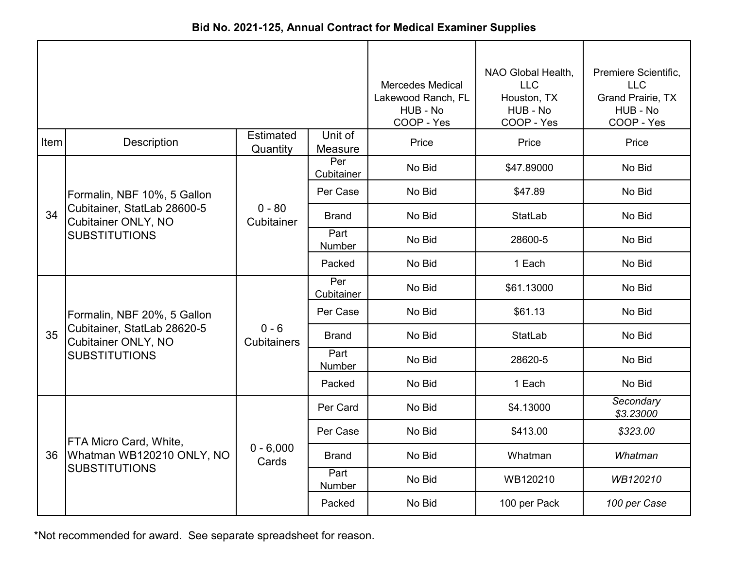| Bid No. 2021-125, Annual Contract for Medical Examiner Supplies |  |
|-----------------------------------------------------------------|--|
|-----------------------------------------------------------------|--|

|      |                                                                                                                  | <b>Mercedes Medical</b><br>Lakewood Ranch, FL<br>HUB - No<br>COOP - Yes | NAO Global Health,<br><b>LLC</b><br>Houston, TX<br>HUB - No<br>COOP - Yes | Premiere Scientific,<br><b>LLC</b><br><b>Grand Prairie, TX</b><br>HUB - No<br>COOP - Yes |                |                        |
|------|------------------------------------------------------------------------------------------------------------------|-------------------------------------------------------------------------|---------------------------------------------------------------------------|------------------------------------------------------------------------------------------|----------------|------------------------|
| Item | Description                                                                                                      | <b>Estimated</b><br>Quantity                                            | Unit of<br>Measure                                                        | Price                                                                                    | Price          | Price                  |
|      |                                                                                                                  |                                                                         | Per<br>Cubitainer                                                         | No Bid                                                                                   | \$47.89000     | No Bid                 |
|      | Formalin, NBF 10%, 5 Gallon                                                                                      |                                                                         | Per Case                                                                  | No Bid                                                                                   | \$47.89        | No Bid                 |
| 34   | Cubitainer, StatLab 28600-5<br>Cubitainer ONLY, NO<br><b>SUBSTITUTIONS</b>                                       | $0 - 80$<br>Cubitainer                                                  | <b>Brand</b>                                                              | No Bid                                                                                   | <b>StatLab</b> | No Bid                 |
|      |                                                                                                                  |                                                                         | Part<br>Number                                                            | No Bid                                                                                   | 28600-5        | No Bid                 |
|      |                                                                                                                  |                                                                         | Packed                                                                    | No Bid                                                                                   | 1 Each         | No Bid                 |
|      | Formalin, NBF 20%, 5 Gallon<br>Cubitainer, StatLab 28620-5<br><b>Cubitainer ONLY, NO</b><br><b>SUBSTITUTIONS</b> | $0 - 6$<br><b>Cubitainers</b>                                           | Per<br>Cubitainer                                                         | No Bid                                                                                   | \$61.13000     | No Bid                 |
|      |                                                                                                                  |                                                                         | Per Case                                                                  | No Bid                                                                                   | \$61.13        | No Bid                 |
| 35   |                                                                                                                  |                                                                         | <b>Brand</b>                                                              | No Bid                                                                                   | StatLab        | No Bid                 |
|      |                                                                                                                  |                                                                         | Part<br>Number                                                            | No Bid                                                                                   | 28620-5        | No Bid                 |
|      |                                                                                                                  |                                                                         | Packed                                                                    | No Bid                                                                                   | 1 Each         | No Bid                 |
|      |                                                                                                                  |                                                                         | Per Card                                                                  | No Bid                                                                                   | \$4.13000      | Secondary<br>\$3.23000 |
|      | FTA Micro Card, White,                                                                                           |                                                                         | Per Case                                                                  | No Bid                                                                                   | \$413.00       | \$323.00               |
| 36   | Whatman WB120210 ONLY, NO                                                                                        | $0 - 6,000$<br>Cards                                                    | <b>Brand</b>                                                              | No Bid                                                                                   | Whatman        | Whatman                |
|      | <b>SUBSTITUTIONS</b>                                                                                             |                                                                         | Part<br>Number                                                            | No Bid                                                                                   | WB120210       | WB120210               |
|      |                                                                                                                  |                                                                         | Packed                                                                    | No Bid                                                                                   | 100 per Pack   | 100 per Case           |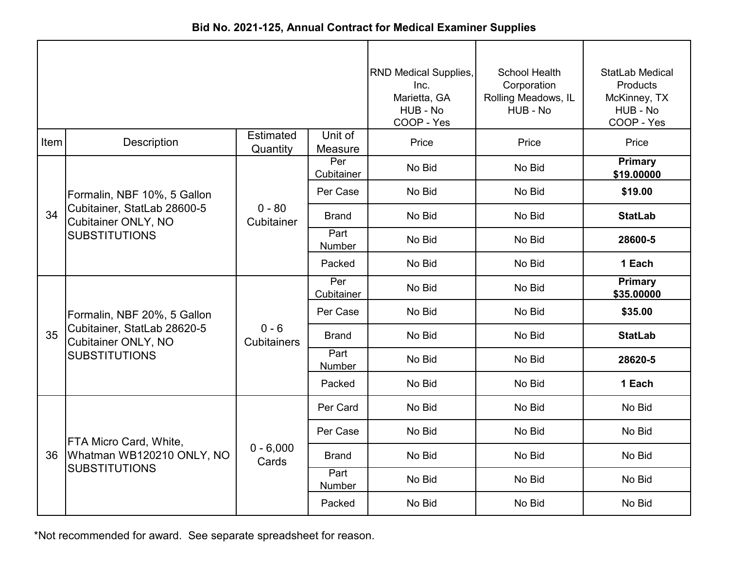| Bid No. 2021-125, Annual Contract for Medical Examiner Supplies |
|-----------------------------------------------------------------|
|-----------------------------------------------------------------|

|      |                                                                                   | <b>RND Medical Supplies,</b><br>Inc.<br>Marietta, GA<br>HUB - No<br>COOP - Yes | <b>School Health</b><br>Corporation<br>Rolling Meadows, IL<br>HUB - No | StatLab Medical<br>Products<br>McKinney, TX<br>HUB - No<br>COOP - Yes |        |                              |
|------|-----------------------------------------------------------------------------------|--------------------------------------------------------------------------------|------------------------------------------------------------------------|-----------------------------------------------------------------------|--------|------------------------------|
| Item | <b>Description</b>                                                                | <b>Estimated</b><br>Quantity                                                   | Unit of<br>Measure                                                     | Price                                                                 | Price  | Price                        |
|      |                                                                                   |                                                                                | Per<br>Cubitainer                                                      | No Bid                                                                | No Bid | <b>Primary</b><br>\$19.00000 |
|      | Formalin, NBF 10%, 5 Gallon                                                       |                                                                                | Per Case                                                               | No Bid                                                                | No Bid | \$19.00                      |
| 34   | Cubitainer, StatLab 28600-5<br><b>Cubitainer ONLY, NO</b>                         | $0 - 80$<br>Cubitainer                                                         | <b>Brand</b>                                                           | No Bid                                                                | No Bid | <b>StatLab</b>               |
|      | <b>SUBSTITUTIONS</b>                                                              |                                                                                | Part<br>Number                                                         | No Bid                                                                | No Bid | 28600-5                      |
|      |                                                                                   |                                                                                | Packed                                                                 | No Bid                                                                | No Bid | 1 Each                       |
|      |                                                                                   |                                                                                | Per<br>Cubitainer                                                      | No Bid                                                                | No Bid | <b>Primary</b><br>\$35.00000 |
|      | Formalin, NBF 20%, 5 Gallon                                                       |                                                                                | Per Case                                                               | No Bid                                                                | No Bid | \$35.00                      |
| 35   | Cubitainer, StatLab 28620-5<br><b>Cubitainer ONLY, NO</b><br><b>SUBSTITUTIONS</b> | $0 - 6$<br><b>Cubitainers</b>                                                  | <b>Brand</b>                                                           | No Bid                                                                | No Bid | <b>StatLab</b>               |
|      |                                                                                   |                                                                                | Part<br><b>Number</b>                                                  | No Bid                                                                | No Bid | 28620-5                      |
|      |                                                                                   |                                                                                | Packed                                                                 | No Bid                                                                | No Bid | 1 Each                       |
|      |                                                                                   |                                                                                | Per Card                                                               | No Bid                                                                | No Bid | No Bid                       |
|      | FTA Micro Card, White,                                                            |                                                                                | Per Case                                                               | No Bid                                                                | No Bid | No Bid                       |
| 36   | Whatman WB120210 ONLY, NO                                                         | $0 - 6,000$<br>Cards                                                           | <b>Brand</b>                                                           | No Bid                                                                | No Bid | No Bid                       |
|      | <b>SUBSTITUTIONS</b>                                                              |                                                                                | Part<br>Number                                                         | No Bid                                                                | No Bid | No Bid                       |
|      |                                                                                   |                                                                                | Packed                                                                 | No Bid                                                                | No Bid | No Bid                       |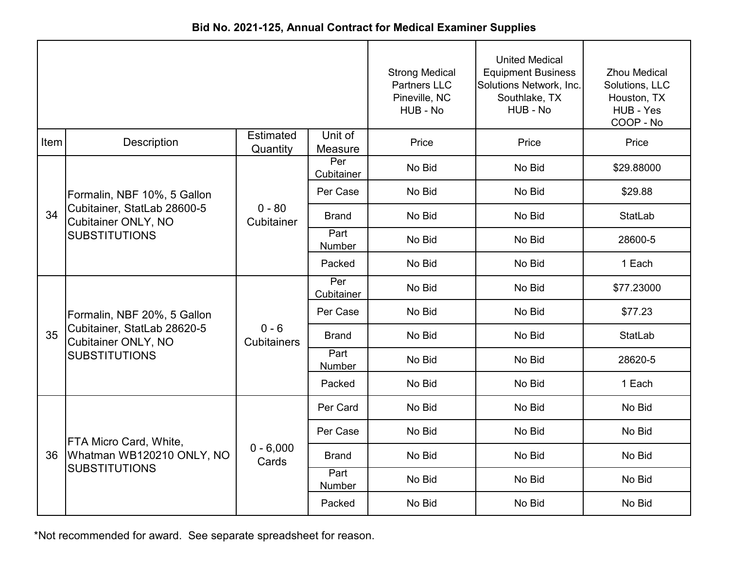| Bid No. 2021-125, Annual Contract for Medical Examiner Supplies |  |
|-----------------------------------------------------------------|--|
|-----------------------------------------------------------------|--|

|      |                                                           | <b>Strong Medical</b><br><b>Partners LLC</b><br>Pineville, NC<br>HUB - No | <b>United Medical</b><br><b>Equipment Business</b><br>Solutions Network, Inc.<br>Southlake, TX<br>HUB - No | <b>Zhou Medical</b><br>Solutions, LLC<br>Houston, TX<br>HUB - Yes<br>COOP - No |        |                |
|------|-----------------------------------------------------------|---------------------------------------------------------------------------|------------------------------------------------------------------------------------------------------------|--------------------------------------------------------------------------------|--------|----------------|
| Item | <b>Description</b>                                        | <b>Estimated</b><br>Quantity                                              | Unit of<br>Measure                                                                                         | Price                                                                          | Price  | Price          |
|      |                                                           |                                                                           | Per<br>Cubitainer                                                                                          | No Bid                                                                         | No Bid | \$29.88000     |
|      | Formalin, NBF 10%, 5 Gallon                               |                                                                           | Per Case                                                                                                   | No Bid                                                                         | No Bid | \$29.88        |
| 34   | Cubitainer, StatLab 28600-5<br><b>Cubitainer ONLY, NO</b> | $0 - 80$<br>Cubitainer                                                    | <b>Brand</b>                                                                                               | No Bid                                                                         | No Bid | <b>StatLab</b> |
|      | <b>SUBSTITUTIONS</b>                                      |                                                                           | Part<br>Number                                                                                             | No Bid                                                                         | No Bid | 28600-5        |
|      |                                                           |                                                                           | Packed                                                                                                     | No Bid                                                                         | No Bid | 1 Each         |
|      |                                                           | $0 - 6$<br><b>Cubitainers</b>                                             | Per<br>Cubitainer                                                                                          | No Bid                                                                         | No Bid | \$77.23000     |
|      | Formalin, NBF 20%, 5 Gallon                               |                                                                           | Per Case                                                                                                   | No Bid                                                                         | No Bid | \$77.23        |
| 35   | Cubitainer, StatLab 28620-5<br><b>Cubitainer ONLY, NO</b> |                                                                           | <b>Brand</b>                                                                                               | No Bid                                                                         | No Bid | <b>StatLab</b> |
|      | <b>SUBSTITUTIONS</b>                                      |                                                                           | Part<br><b>Number</b>                                                                                      | No Bid                                                                         | No Bid | 28620-5        |
|      |                                                           |                                                                           | Packed                                                                                                     | No Bid                                                                         | No Bid | 1 Each         |
|      |                                                           |                                                                           | Per Card                                                                                                   | No Bid                                                                         | No Bid | No Bid         |
|      | FTA Micro Card, White,                                    |                                                                           | Per Case                                                                                                   | No Bid                                                                         | No Bid | No Bid         |
| 36   | Whatman WB120210 ONLY, NO                                 | $0 - 6,000$<br>Cards                                                      | <b>Brand</b>                                                                                               | No Bid                                                                         | No Bid | No Bid         |
|      | <b>SUBSTITUTIONS</b>                                      |                                                                           | Part<br>Number                                                                                             | No Bid                                                                         | No Bid | No Bid         |
|      |                                                           |                                                                           | Packed                                                                                                     | No Bid                                                                         | No Bid | No Bid         |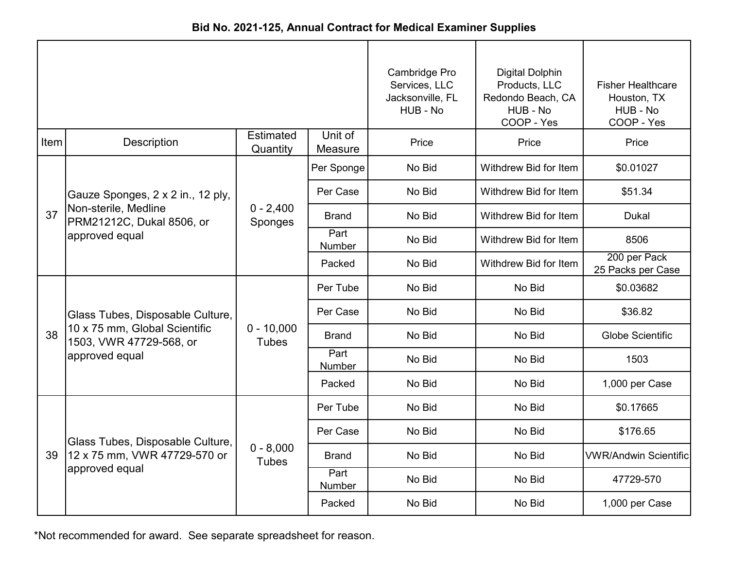| Bid No. 2021-125, Annual Contract for Medical Examiner Supplies |  |
|-----------------------------------------------------------------|--|
|-----------------------------------------------------------------|--|

|      |                                                                                                                |                              | Cambridge Pro<br>Services, LLC<br>Jacksonville, FL<br>HUB - No | <b>Digital Dolphin</b><br>Products, LLC<br>Redondo Beach, CA<br>HUB - No<br>COOP - Yes | <b>Fisher Healthcare</b><br>Houston, TX<br>HUB - No<br>COOP - Yes |                                   |
|------|----------------------------------------------------------------------------------------------------------------|------------------------------|----------------------------------------------------------------|----------------------------------------------------------------------------------------|-------------------------------------------------------------------|-----------------------------------|
| Item | <b>Description</b>                                                                                             | <b>Estimated</b><br>Quantity | Unit of<br>Measure                                             | Price                                                                                  | Price                                                             | Price                             |
|      |                                                                                                                |                              | Per Sponge                                                     | No Bid                                                                                 | Withdrew Bid for Item                                             | \$0.01027                         |
|      | Gauze Sponges, 2 x 2 in., 12 ply,                                                                              |                              | Per Case                                                       | No Bid                                                                                 | Withdrew Bid for Item                                             | \$51.34                           |
| 37   | Non-sterile, Medline<br>PRM21212C, Dukal 8506, or                                                              | $0 - 2,400$<br>Sponges       | <b>Brand</b>                                                   | No Bid                                                                                 | Withdrew Bid for Item                                             | <b>Dukal</b>                      |
|      | approved equal                                                                                                 |                              | Part<br>Number                                                 | No Bid                                                                                 | Withdrew Bid for Item                                             | 8506                              |
|      |                                                                                                                |                              | Packed                                                         | No Bid                                                                                 | Withdrew Bid for Item                                             | 200 per Pack<br>25 Packs per Case |
|      | Glass Tubes, Disposable Culture,<br>10 x 75 mm, Global Scientific<br>1503, VWR 47729-568, or<br>approved equal |                              | Per Tube                                                       | No Bid                                                                                 | No Bid                                                            | \$0.03682                         |
|      |                                                                                                                | $0 - 10,000$<br><b>Tubes</b> | Per Case                                                       | No Bid                                                                                 | No Bid                                                            | \$36.82                           |
| 38   |                                                                                                                |                              | <b>Brand</b>                                                   | No Bid                                                                                 | No Bid                                                            | <b>Globe Scientific</b>           |
|      |                                                                                                                |                              | Part<br><b>Number</b>                                          | No Bid                                                                                 | No Bid                                                            | 1503                              |
|      |                                                                                                                |                              | Packed                                                         | No Bid                                                                                 | No Bid                                                            | 1,000 per Case                    |
|      |                                                                                                                |                              | Per Tube                                                       | No Bid                                                                                 | No Bid                                                            | \$0.17665                         |
|      | Glass Tubes, Disposable Culture,                                                                               |                              | Per Case                                                       | No Bid                                                                                 | No Bid                                                            | \$176.65                          |
| 39   | 12 x 75 mm, VWR 47729-570 or                                                                                   | $0 - 8,000$<br><b>Tubes</b>  | <b>Brand</b>                                                   | No Bid                                                                                 | No Bid                                                            | <b>VWR/Andwin Scientific</b>      |
|      | approved equal                                                                                                 |                              | Part<br>Number                                                 | No Bid                                                                                 | No Bid                                                            | 47729-570                         |
|      |                                                                                                                |                              | Packed                                                         | No Bid                                                                                 | No Bid                                                            | 1,000 per Case                    |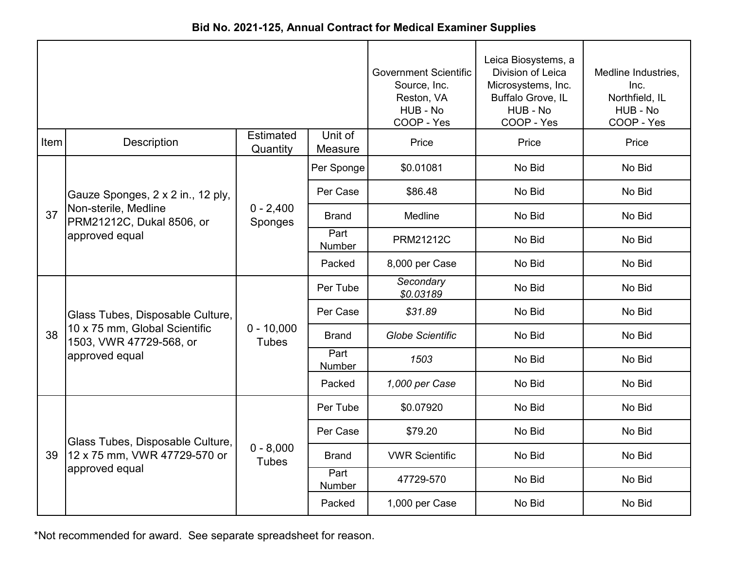|  | Bid No. 2021-125, Annual Contract for Medical Examiner Supplies |  |  |
|--|-----------------------------------------------------------------|--|--|
|--|-----------------------------------------------------------------|--|--|

|      |                                                                                                                | <b>Government Scientific</b><br>Source, Inc.<br>Reston, VA<br>HUB - No<br>COOP - Yes | Leica Biosystems, a<br>Division of Leica<br>Microsystems, Inc.<br>Buffalo Grove, IL<br>HUB - No<br>COOP - Yes | Medline Industries,<br>Inc.<br>Northfield, IL<br>HUB - No<br>COOP - Yes |        |        |
|------|----------------------------------------------------------------------------------------------------------------|--------------------------------------------------------------------------------------|---------------------------------------------------------------------------------------------------------------|-------------------------------------------------------------------------|--------|--------|
| Item | <b>Description</b>                                                                                             | <b>Estimated</b><br>Quantity                                                         | Unit of<br>Measure                                                                                            | Price                                                                   | Price  | Price  |
|      |                                                                                                                |                                                                                      | Per Sponge                                                                                                    | \$0.01081                                                               | No Bid | No Bid |
|      | Gauze Sponges, 2 x 2 in., 12 ply,                                                                              |                                                                                      | Per Case                                                                                                      | \$86.48                                                                 | No Bid | No Bid |
| 37   | Non-sterile, Medline<br>PRM21212C, Dukal 8506, or                                                              | $0 - 2,400$<br>Sponges                                                               | <b>Brand</b>                                                                                                  | <b>Medline</b>                                                          | No Bid | No Bid |
|      | approved equal                                                                                                 |                                                                                      | Part<br><b>Number</b>                                                                                         | PRM21212C                                                               | No Bid | No Bid |
|      |                                                                                                                |                                                                                      | Packed                                                                                                        | 8,000 per Case                                                          | No Bid | No Bid |
|      | Glass Tubes, Disposable Culture,<br>10 x 75 mm, Global Scientific<br>1503, VWR 47729-568, or<br>approved equal | $0 - 10,000$<br><b>Tubes</b>                                                         | Per Tube                                                                                                      | Secondary<br>\$0.03189                                                  | No Bid | No Bid |
|      |                                                                                                                |                                                                                      | Per Case                                                                                                      | \$31.89                                                                 | No Bid | No Bid |
| 38   |                                                                                                                |                                                                                      | <b>Brand</b>                                                                                                  | <b>Globe Scientific</b>                                                 | No Bid | No Bid |
|      |                                                                                                                |                                                                                      | Part<br><b>Number</b>                                                                                         | 1503                                                                    | No Bid | No Bid |
|      |                                                                                                                |                                                                                      | Packed                                                                                                        | 1,000 per Case                                                          | No Bid | No Bid |
|      |                                                                                                                |                                                                                      | Per Tube                                                                                                      | \$0.07920                                                               | No Bid | No Bid |
|      | Glass Tubes, Disposable Culture,                                                                               |                                                                                      | Per Case                                                                                                      | \$79.20                                                                 | No Bid | No Bid |
| 39   | 12 x 75 mm, VWR 47729-570 or                                                                                   | $0 - 8,000$<br><b>Tubes</b>                                                          | <b>Brand</b>                                                                                                  | <b>VWR Scientific</b>                                                   | No Bid | No Bid |
|      | approved equal                                                                                                 |                                                                                      | Part<br>Number                                                                                                | 47729-570                                                               | No Bid | No Bid |
|      |                                                                                                                |                                                                                      | Packed                                                                                                        | 1,000 per Case                                                          | No Bid | No Bid |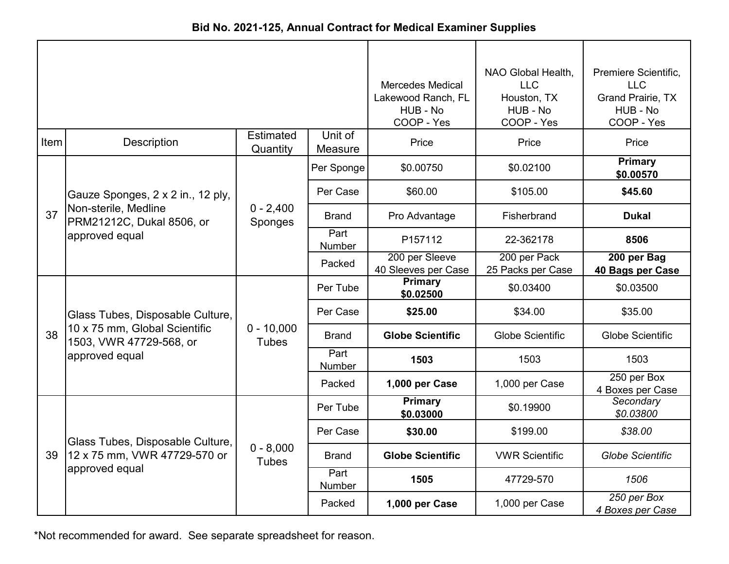| Bid No. 2021-125, Annual Contract for Medical Examiner Supplies |  |  |  |  |  |
|-----------------------------------------------------------------|--|--|--|--|--|
|-----------------------------------------------------------------|--|--|--|--|--|

|      |                                                          |                              |                    | <b>Mercedes Medical</b><br>Lakewood Ranch, FL<br>HUB - No<br>COOP - Yes | NAO Global Health,<br><b>LLC</b><br>Houston, TX<br>HUB - No<br>COOP - Yes | Premiere Scientific,<br>LLC<br><b>Grand Prairie, TX</b><br>HUB - No<br>COOP - Yes |
|------|----------------------------------------------------------|------------------------------|--------------------|-------------------------------------------------------------------------|---------------------------------------------------------------------------|-----------------------------------------------------------------------------------|
| Item | <b>Description</b>                                       | Estimated<br>Quantity        | Unit of<br>Measure | Price                                                                   | Price                                                                     | Price                                                                             |
|      |                                                          |                              | Per Sponge         | \$0.00750                                                               | \$0.02100                                                                 | Primary<br>\$0.00570                                                              |
|      | Gauze Sponges, 2 x 2 in., 12 ply,                        |                              | Per Case           | \$60.00                                                                 | \$105.00                                                                  | \$45.60                                                                           |
| 37   | Non-sterile, Medline<br>PRM21212C, Dukal 8506, or        | $0 - 2,400$<br>Sponges       | <b>Brand</b>       | Pro Advantage                                                           | Fisherbrand                                                               | <b>Dukal</b>                                                                      |
|      | approved equal                                           |                              | Part<br>Number     | P157112                                                                 | 22-362178                                                                 | 8506                                                                              |
|      |                                                          |                              | Packed             | 200 per Sleeve<br>40 Sleeves per Case                                   | 200 per Pack<br>25 Packs per Case                                         | 200 per Bag<br>40 Bags per Case                                                   |
|      |                                                          |                              | Per Tube           | <b>Primary</b><br>\$0.02500                                             | \$0.03400                                                                 | \$0.03500                                                                         |
|      | Glass Tubes, Disposable Culture,                         |                              | Per Case           | \$25.00                                                                 | \$34.00                                                                   | \$35.00                                                                           |
| 38   | 10 x 75 mm, Global Scientific<br>1503, VWR 47729-568, or | $0 - 10,000$<br><b>Tubes</b> | <b>Brand</b>       | <b>Globe Scientific</b>                                                 | <b>Globe Scientific</b>                                                   | <b>Globe Scientific</b>                                                           |
|      | approved equal                                           |                              | Part<br>Number     | 1503                                                                    | 1503                                                                      | 1503                                                                              |
|      |                                                          |                              | Packed             | 1,000 per Case                                                          | 1,000 per Case                                                            | 250 per Box<br>4 Boxes per Case                                                   |
|      |                                                          |                              | Per Tube           | Primary<br>\$0.03000                                                    | \$0.19900                                                                 | Secondary<br>\$0.03800                                                            |
|      | Glass Tubes, Disposable Culture,                         |                              | Per Case           | \$30.00                                                                 | \$199.00                                                                  | \$38.00                                                                           |
| 39   | 12 x 75 mm, VWR 47729-570 or                             | $0 - 8,000$<br><b>Tubes</b>  | <b>Brand</b>       | <b>Globe Scientific</b>                                                 | <b>VWR Scientific</b>                                                     | <b>Globe Scientific</b>                                                           |
|      | approved equal                                           |                              | Part<br>Number     | 1505                                                                    | 47729-570                                                                 | 1506                                                                              |
|      |                                                          |                              | Packed             | 1,000 per Case                                                          | 1,000 per Case                                                            | 250 per Box<br>4 Boxes per Case                                                   |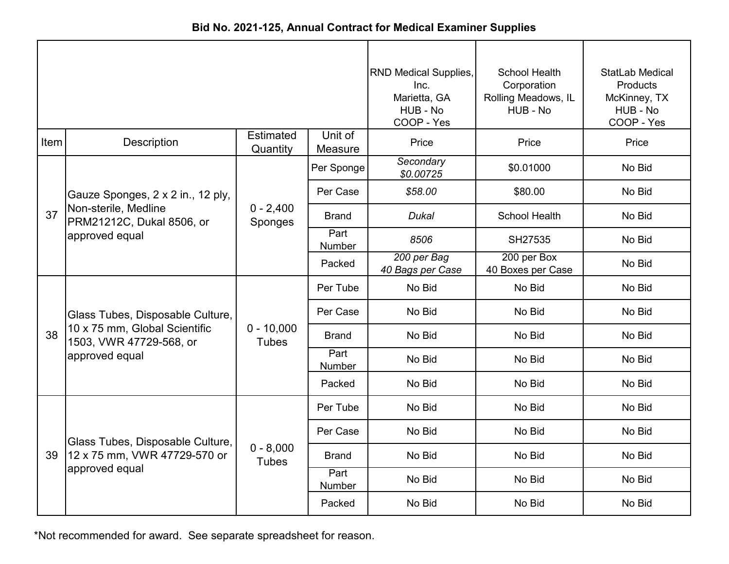| Bid No. 2021-125, Annual Contract for Medical Examiner Supplies |  |
|-----------------------------------------------------------------|--|
|-----------------------------------------------------------------|--|

|      |                                                          |                              |                    | RND Medical Supplies,<br>Inc.<br>Marietta, GA<br>HUB - No<br>COOP - Yes | School Health<br>Corporation<br>Rolling Meadows, IL<br>HUB - No | <b>StatLab Medical</b><br><b>Products</b><br>McKinney, TX<br>HUB - No<br>COOP - Yes |
|------|----------------------------------------------------------|------------------------------|--------------------|-------------------------------------------------------------------------|-----------------------------------------------------------------|-------------------------------------------------------------------------------------|
| Item | Description                                              | <b>Estimated</b><br>Quantity | Unit of<br>Measure | Price                                                                   | Price                                                           | Price                                                                               |
|      |                                                          |                              | Per Sponge         | Secondary<br>\$0.00725                                                  | \$0.01000                                                       | No Bid                                                                              |
|      | Gauze Sponges, 2 x 2 in., 12 ply,                        |                              | Per Case           | \$58.00                                                                 | \$80.00                                                         | No Bid                                                                              |
| 37   | Non-sterile, Medline<br>PRM21212C, Dukal 8506, or        | $0 - 2,400$<br>Sponges       | <b>Brand</b>       | <b>Dukal</b>                                                            | <b>School Health</b>                                            | No Bid                                                                              |
|      | approved equal                                           |                              | Part<br>Number     | 8506                                                                    | SH27535                                                         | No Bid                                                                              |
|      |                                                          |                              | Packed             | 200 per Bag<br>40 Bags per Case                                         | 200 per Box<br>40 Boxes per Case                                | No Bid                                                                              |
|      |                                                          |                              | Per Tube           | No Bid                                                                  | No Bid                                                          | No Bid                                                                              |
|      | Glass Tubes, Disposable Culture,                         |                              | Per Case           | No Bid                                                                  | No Bid                                                          | No Bid                                                                              |
| 38   | 10 x 75 mm, Global Scientific<br>1503, VWR 47729-568, or | $0 - 10,000$<br><b>Tubes</b> | <b>Brand</b>       | No Bid                                                                  | No Bid                                                          | No Bid                                                                              |
|      | approved equal                                           |                              | Part<br>Number     | No Bid                                                                  | No Bid                                                          | No Bid                                                                              |
|      |                                                          |                              | Packed             | No Bid                                                                  | No Bid                                                          | No Bid                                                                              |
|      |                                                          |                              | Per Tube           | No Bid                                                                  | No Bid                                                          | No Bid                                                                              |
|      | Glass Tubes, Disposable Culture,                         |                              | Per Case           | No Bid                                                                  | No Bid                                                          | No Bid                                                                              |
| 39   | 12 x 75 mm, VWR 47729-570 or                             | $0 - 8,000$<br><b>Tubes</b>  | <b>Brand</b>       | No Bid                                                                  | No Bid                                                          | No Bid                                                                              |
|      | approved equal                                           |                              | Part<br>Number     | No Bid                                                                  | No Bid                                                          | No Bid                                                                              |
|      |                                                          |                              | Packed             | No Bid                                                                  | No Bid                                                          | No Bid                                                                              |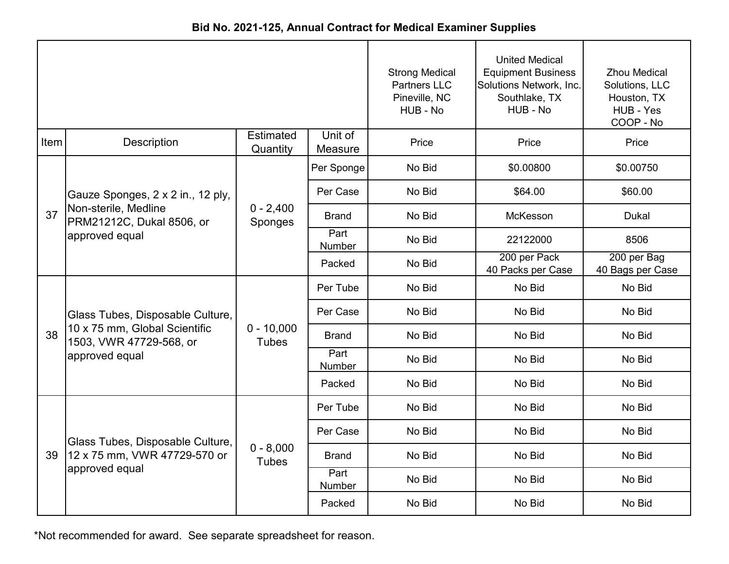|  | Bid No. 2021-125, Annual Contract for Medical Examiner Supplies |  |  |
|--|-----------------------------------------------------------------|--|--|
|--|-----------------------------------------------------------------|--|--|

|      |                                                                     |                              |                       | <b>Strong Medical</b><br><b>Partners LLC</b><br>Pineville, NC<br>HUB - No | <b>United Medical</b><br><b>Equipment Business</b><br>Solutions Network, Inc.<br>Southlake, TX<br>HUB - No | <b>Zhou Medical</b><br>Solutions, LLC<br>Houston, TX<br>HUB - Yes<br>COOP - No |
|------|---------------------------------------------------------------------|------------------------------|-----------------------|---------------------------------------------------------------------------|------------------------------------------------------------------------------------------------------------|--------------------------------------------------------------------------------|
| Item | Description                                                         | Estimated<br>Quantity        | Unit of<br>Measure    | Price                                                                     | Price                                                                                                      | Price                                                                          |
|      |                                                                     |                              | Per Sponge            | No Bid                                                                    | \$0.00800                                                                                                  | \$0.00750                                                                      |
|      | Gauze Sponges, 2 x 2 in., 12 ply,                                   |                              | Per Case              | No Bid                                                                    | \$64.00                                                                                                    | \$60.00                                                                        |
| 37   | Non-sterile, Medline<br>PRM21212C, Dukal 8506, or<br>approved equal | $0 - 2,400$<br>Sponges       | <b>Brand</b>          | No Bid                                                                    | McKesson                                                                                                   | <b>Dukal</b>                                                                   |
|      |                                                                     |                              | Part<br>Number        | No Bid                                                                    | 22122000                                                                                                   | 8506                                                                           |
|      |                                                                     |                              | Packed                | No Bid                                                                    | 200 per Pack<br>40 Packs per Case                                                                          | 200 per Bag<br>40 Bags per Case                                                |
|      |                                                                     |                              | Per Tube              | No Bid                                                                    | No Bid                                                                                                     | No Bid                                                                         |
|      | Glass Tubes, Disposable Culture,                                    |                              | Per Case              | No Bid                                                                    | No Bid                                                                                                     | No Bid                                                                         |
| 38   | 10 x 75 mm, Global Scientific<br>1503, VWR 47729-568, or            | $0 - 10,000$<br><b>Tubes</b> | <b>Brand</b>          | No Bid                                                                    | No Bid                                                                                                     | No Bid                                                                         |
|      | approved equal                                                      |                              | Part<br><b>Number</b> | No Bid                                                                    | No Bid                                                                                                     | No Bid                                                                         |
|      |                                                                     |                              | Packed                | No Bid                                                                    | No Bid                                                                                                     | No Bid                                                                         |
|      |                                                                     |                              | Per Tube              | No Bid                                                                    | No Bid                                                                                                     | No Bid                                                                         |
|      | Glass Tubes, Disposable Culture,                                    |                              | Per Case              | No Bid                                                                    | No Bid                                                                                                     | No Bid                                                                         |
| 39   | 12 x 75 mm, VWR 47729-570 or                                        | $0 - 8,000$<br><b>Tubes</b>  | Brand                 | No Bid                                                                    | No Bid                                                                                                     | No Bid                                                                         |
|      | approved equal                                                      |                              | Part<br>Number        | No Bid                                                                    | No Bid                                                                                                     | No Bid                                                                         |
|      |                                                                     |                              | Packed                | No Bid                                                                    | No Bid                                                                                                     | No Bid                                                                         |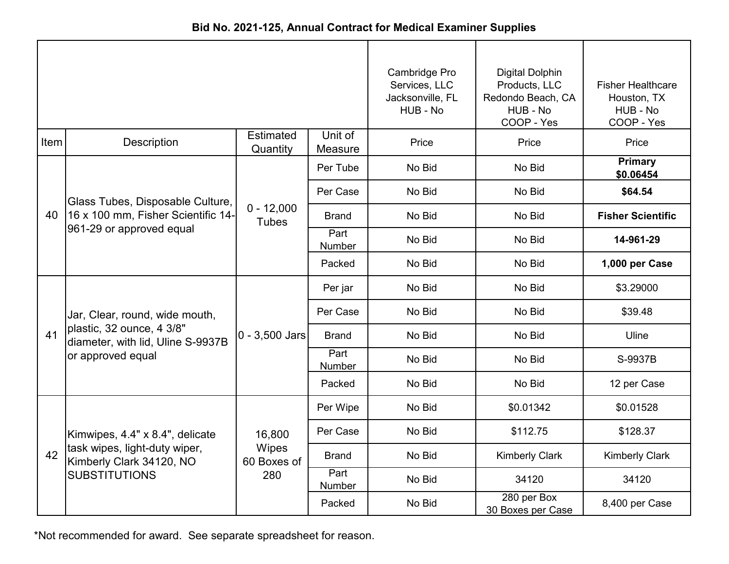|      |                                                                |                              |                    | Cambridge Pro<br>Services, LLC<br>Jacksonville, FL<br>HUB - No | <b>Digital Dolphin</b><br>Products, LLC<br>Redondo Beach, CA<br>HUB - No<br>COOP - Yes | <b>Fisher Healthcare</b><br>Houston, TX<br>HUB - No<br>COOP - Yes |
|------|----------------------------------------------------------------|------------------------------|--------------------|----------------------------------------------------------------|----------------------------------------------------------------------------------------|-------------------------------------------------------------------|
| Item | <b>Description</b>                                             | <b>Estimated</b><br>Quantity | Unit of<br>Measure | Price                                                          | Price                                                                                  | Price                                                             |
|      |                                                                |                              | Per Tube           | No Bid                                                         | No Bid                                                                                 | <b>Primary</b><br>\$0.06454                                       |
|      | Glass Tubes, Disposable Culture,                               |                              | Per Case           | No Bid                                                         | No Bid                                                                                 | \$64.54                                                           |
| 40   | 16 x 100 mm, Fisher Scientific 14-                             | $0 - 12,000$<br><b>Tubes</b> | <b>Brand</b>       | No Bid                                                         | No Bid                                                                                 | <b>Fisher Scientific</b>                                          |
|      | 961-29 or approved equal                                       |                              | Part<br>Number     | No Bid                                                         | No Bid                                                                                 | 14-961-29                                                         |
|      |                                                                |                              | Packed             | No Bid                                                         | No Bid                                                                                 | 1,000 per Case                                                    |
|      |                                                                |                              | Per jar            | No Bid                                                         | No Bid                                                                                 | \$3.29000                                                         |
|      | Jar, Clear, round, wide mouth,                                 |                              | Per Case           | No Bid                                                         | No Bid                                                                                 | \$39.48                                                           |
| 41   | plastic, 32 ounce, 4 3/8"<br>diameter, with lid, Uline S-9937B | $0 - 3,500$ Jars             | <b>Brand</b>       | No Bid                                                         | No Bid                                                                                 | Uline                                                             |
|      | or approved equal                                              |                              | Part<br>Number     | No Bid                                                         | No Bid                                                                                 | S-9937B                                                           |
|      |                                                                |                              | Packed             | No Bid                                                         | No Bid                                                                                 | 12 per Case                                                       |
|      |                                                                |                              | Per Wipe           | No Bid                                                         | \$0.01342                                                                              | \$0.01528                                                         |
|      | Kimwipes, 4.4" x 8.4", delicate                                | 16,800                       | Per Case           | No Bid                                                         | \$112.75                                                                               | \$128.37                                                          |
| 42   | task wipes, light-duty wiper,<br>Kimberly Clark 34120, NO      | Wipes<br>60 Boxes of         | <b>Brand</b>       | No Bid                                                         | <b>Kimberly Clark</b>                                                                  | <b>Kimberly Clark</b>                                             |
|      | <b>SUBSTITUTIONS</b>                                           | 280                          | Part<br>Number     | No Bid                                                         | 34120                                                                                  | 34120                                                             |
|      |                                                                |                              | Packed             | No Bid                                                         | 280 per Box<br>30 Boxes per Case                                                       | 8,400 per Case                                                    |

**Bid No. 2021-125, Annual Contract for Medical Examiner Supplies**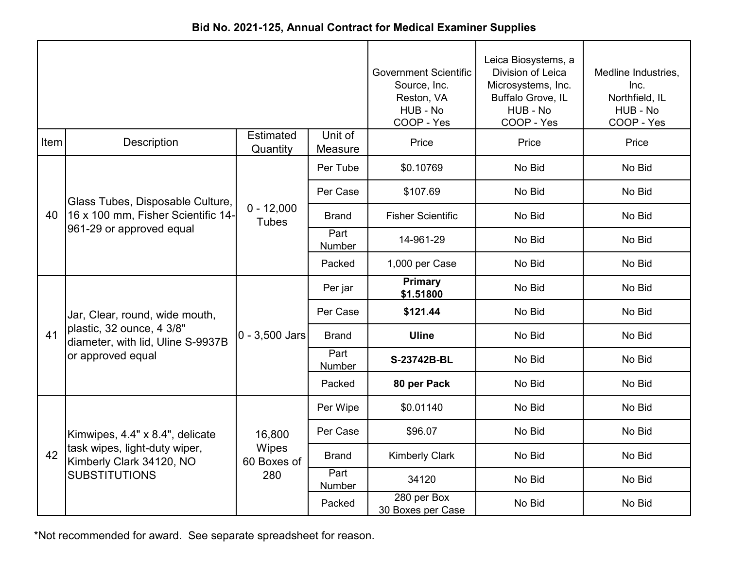|             |                                                                |                              | <b>Government Scientific</b><br>Source, Inc.<br>Reston, VA<br>HUB - No<br>COOP - Yes | Leica Biosystems, a<br>Division of Leica<br>Microsystems, Inc.<br>Buffalo Grove, IL<br>HUB - No<br>COOP - Yes | Medline Industries,<br>Inc.<br>Northfield, IL<br>HUB - No<br>COOP - Yes |        |
|-------------|----------------------------------------------------------------|------------------------------|--------------------------------------------------------------------------------------|---------------------------------------------------------------------------------------------------------------|-------------------------------------------------------------------------|--------|
| <b>Item</b> | <b>Description</b>                                             | <b>Estimated</b><br>Quantity | Unit of<br>Measure                                                                   | Price                                                                                                         | Price                                                                   | Price  |
|             |                                                                |                              | Per Tube                                                                             | \$0.10769                                                                                                     | No Bid                                                                  | No Bid |
|             | Glass Tubes, Disposable Culture,                               |                              | Per Case                                                                             | \$107.69                                                                                                      | No Bid                                                                  | No Bid |
| 40          | 16 x 100 mm, Fisher Scientific 14-                             | $0 - 12,000$<br><b>Tubes</b> | <b>Brand</b>                                                                         | <b>Fisher Scientific</b>                                                                                      | No Bid                                                                  | No Bid |
|             | 961-29 or approved equal                                       |                              | Part<br>Number                                                                       | 14-961-29                                                                                                     | No Bid                                                                  | No Bid |
|             |                                                                |                              | Packed                                                                               | 1,000 per Case                                                                                                | No Bid                                                                  | No Bid |
|             |                                                                |                              | Per jar                                                                              | <b>Primary</b><br>\$1.51800                                                                                   | No Bid                                                                  | No Bid |
|             | Jar, Clear, round, wide mouth,                                 |                              | Per Case                                                                             | \$121.44                                                                                                      | No Bid                                                                  | No Bid |
| 41          | plastic, 32 ounce, 4 3/8"<br>diameter, with lid, Uline S-9937B | $0 - 3,500$ Jars             | <b>Brand</b>                                                                         | <b>Uline</b>                                                                                                  | No Bid                                                                  | No Bid |
|             | or approved equal                                              |                              | Part<br><b>Number</b>                                                                | S-23742B-BL                                                                                                   | No Bid                                                                  | No Bid |
|             |                                                                |                              | Packed                                                                               | 80 per Pack                                                                                                   | No Bid                                                                  | No Bid |
|             |                                                                |                              | Per Wipe                                                                             | \$0.01140                                                                                                     | No Bid                                                                  | No Bid |
|             | Kimwipes, 4.4" x 8.4", delicate                                | 16,800                       | Per Case                                                                             | \$96.07                                                                                                       | No Bid                                                                  | No Bid |
| 42          | task wipes, light-duty wiper,<br>Kimberly Clark 34120, NO      | Wipes<br>60 Boxes of<br>280  | <b>Brand</b>                                                                         | <b>Kimberly Clark</b>                                                                                         | No Bid                                                                  | No Bid |
|             | <b>SUBSTITUTIONS</b>                                           |                              | Part<br>Number                                                                       | 34120                                                                                                         | No Bid                                                                  | No Bid |
|             |                                                                |                              | Packed                                                                               | 280 per Box<br>30 Boxes per Case                                                                              | No Bid                                                                  | No Bid |

**Bid No. 2021-125, Annual Contract for Medical Examiner Supplies**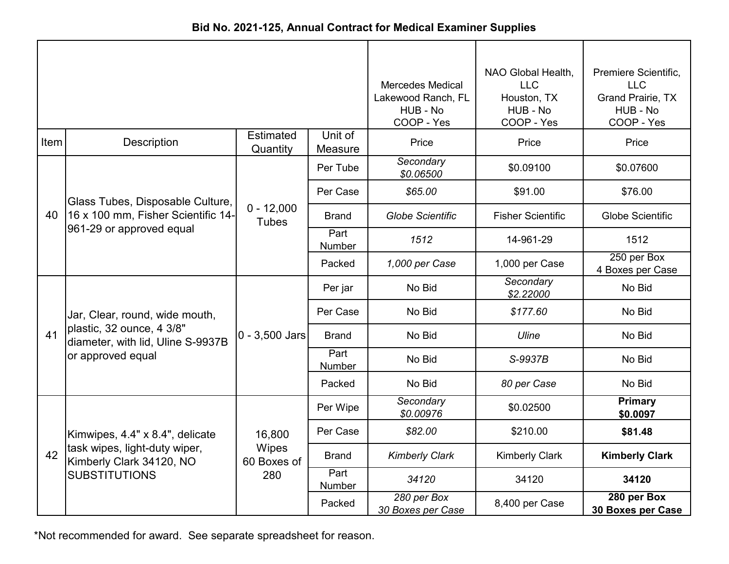| Bid No. 2021-125, Annual Contract for Medical Examiner Supplies |  |
|-----------------------------------------------------------------|--|
|-----------------------------------------------------------------|--|

|      |                                                                |                              |                       | <b>Mercedes Medical</b><br>Lakewood Ranch, FL<br>HUB - No<br>COOP - Yes | NAO Global Health,<br><b>LLC</b><br>Houston, TX<br>HUB - No<br>COOP - Yes | Premiere Scientific,<br><b>LLC</b><br><b>Grand Prairie, TX</b><br>HUB - No<br>COOP - Yes |
|------|----------------------------------------------------------------|------------------------------|-----------------------|-------------------------------------------------------------------------|---------------------------------------------------------------------------|------------------------------------------------------------------------------------------|
| Item | <b>Description</b>                                             | Estimated<br>Quantity        | Unit of<br>Measure    | Price                                                                   | Price                                                                     | Price                                                                                    |
|      |                                                                |                              | Per Tube              | Secondary<br>\$0.06500                                                  | \$0.09100                                                                 | \$0.07600                                                                                |
|      | Glass Tubes, Disposable Culture,                               |                              | Per Case              | \$65.00                                                                 | \$91.00                                                                   | \$76.00                                                                                  |
| 40   | 16 x 100 mm, Fisher Scientific 14-                             | $0 - 12,000$<br><b>Tubes</b> | <b>Brand</b>          | <b>Globe Scientific</b>                                                 | <b>Fisher Scientific</b>                                                  | Globe Scientific                                                                         |
|      | 961-29 or approved equal                                       |                              | Part<br><b>Number</b> | 1512                                                                    | 14-961-29                                                                 | 1512                                                                                     |
|      |                                                                |                              | Packed                | 1,000 per Case                                                          | 1,000 per Case                                                            | 250 per Box<br>4 Boxes per Case                                                          |
|      |                                                                |                              | Per jar               | No Bid                                                                  | Secondary<br>\$2.22000                                                    | No Bid                                                                                   |
|      | Jar, Clear, round, wide mouth,                                 |                              | Per Case              | No Bid                                                                  | \$177.60                                                                  | No Bid                                                                                   |
| 41   | plastic, 32 ounce, 4 3/8"<br>diameter, with lid, Uline S-9937B | $0 - 3,500$ Jars             | <b>Brand</b>          | No Bid                                                                  | Uline                                                                     | No Bid                                                                                   |
|      | or approved equal                                              |                              | Part<br>Number        | No Bid                                                                  | S-9937B                                                                   | No Bid                                                                                   |
|      |                                                                |                              | Packed                | No Bid                                                                  | 80 per Case                                                               | No Bid                                                                                   |
|      |                                                                |                              | Per Wipe              | Secondary<br>\$0.00976                                                  | \$0.02500                                                                 | Primary<br>\$0.0097                                                                      |
|      | Kimwipes, 4.4" x 8.4", delicate                                | 16,800                       | Per Case              | \$82.00                                                                 | \$210.00                                                                  | \$81.48                                                                                  |
| 42   | task wipes, light-duty wiper,<br>Kimberly Clark 34120, NO      | Wipes<br>60 Boxes of         | <b>Brand</b>          | <b>Kimberly Clark</b>                                                   | <b>Kimberly Clark</b>                                                     | <b>Kimberly Clark</b>                                                                    |
|      | <b>SUBSTITUTIONS</b>                                           | 280                          | Part<br>Number        | 34120                                                                   | 34120                                                                     | 34120                                                                                    |
|      |                                                                |                              | Packed                | 280 per Box<br>30 Boxes per Case                                        | 8,400 per Case                                                            | 280 per Box<br>30 Boxes per Case                                                         |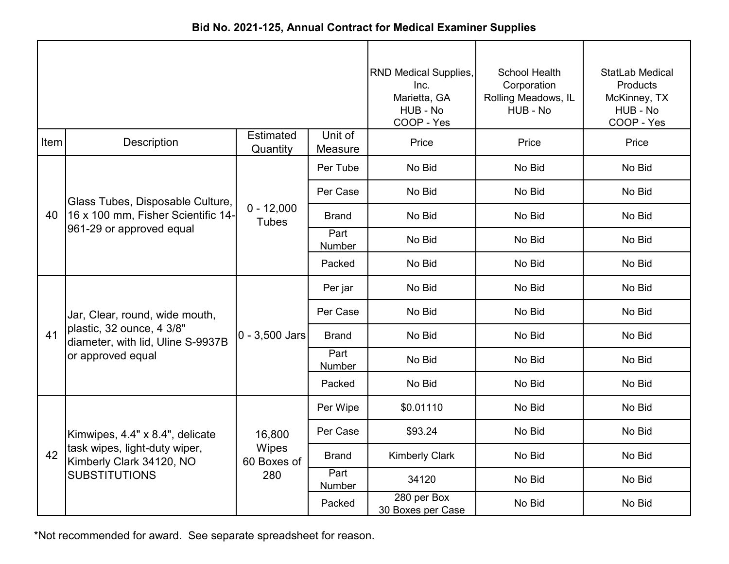|      |                                                                |                              |                    | <b>RND Medical Supplies,</b><br>Inc.<br>Marietta, GA<br>HUB - No<br>COOP - Yes | <b>School Health</b><br>Corporation<br>Rolling Meadows, IL<br>HUB - No | StatLab Medical<br>Products<br>McKinney, TX<br>HUB - No<br>COOP - Yes |
|------|----------------------------------------------------------------|------------------------------|--------------------|--------------------------------------------------------------------------------|------------------------------------------------------------------------|-----------------------------------------------------------------------|
| Item | <b>Description</b>                                             | <b>Estimated</b><br>Quantity | Unit of<br>Measure | Price                                                                          | Price                                                                  | Price                                                                 |
|      |                                                                |                              | Per Tube           | No Bid                                                                         | No Bid                                                                 | No Bid                                                                |
|      | Glass Tubes, Disposable Culture,                               |                              | Per Case           | No Bid                                                                         | No Bid                                                                 | No Bid                                                                |
| 40   | 16 x 100 mm, Fisher Scientific 14-<br>961-29 or approved equal | $0 - 12,000$<br><b>Tubes</b> | <b>Brand</b>       | No Bid                                                                         | No Bid                                                                 | No Bid                                                                |
|      |                                                                |                              | Part<br>Number     | No Bid                                                                         | No Bid                                                                 | No Bid                                                                |
|      |                                                                |                              | Packed             | No Bid                                                                         | No Bid                                                                 | No Bid                                                                |
|      |                                                                |                              | Per jar            | No Bid                                                                         | No Bid                                                                 | No Bid                                                                |
|      | Jar, Clear, round, wide mouth,                                 |                              | Per Case           | No Bid                                                                         | No Bid                                                                 | No Bid                                                                |
| 41   | plastic, 32 ounce, 4 3/8"<br>diameter, with lid, Uline S-9937B | $0 - 3,500$ Jars             | <b>Brand</b>       | No Bid                                                                         | No Bid                                                                 | No Bid                                                                |
|      | or approved equal                                              |                              | Part<br>Number     | No Bid                                                                         | No Bid                                                                 | No Bid                                                                |
|      |                                                                |                              | Packed             | No Bid                                                                         | No Bid                                                                 | No Bid                                                                |
|      |                                                                |                              | Per Wipe           | \$0.01110                                                                      | No Bid                                                                 | No Bid                                                                |
|      | Kimwipes, 4.4" x 8.4", delicate                                | 16,800                       | Per Case           | \$93.24                                                                        | No Bid                                                                 | No Bid                                                                |
| 42   | task wipes, light-duty wiper,<br>Kimberly Clark 34120, NO      | Wipes<br>60 Boxes of         | <b>Brand</b>       | <b>Kimberly Clark</b>                                                          | No Bid                                                                 | No Bid                                                                |
|      | <b>SUBSTITUTIONS</b>                                           | 280                          | Part<br>Number     | 34120                                                                          | No Bid                                                                 | No Bid                                                                |
|      |                                                                |                              | Packed             | 280 per Box<br>30 Boxes per Case                                               | No Bid                                                                 | No Bid                                                                |

**Bid No. 2021-125, Annual Contract for Medical Examiner Supplies**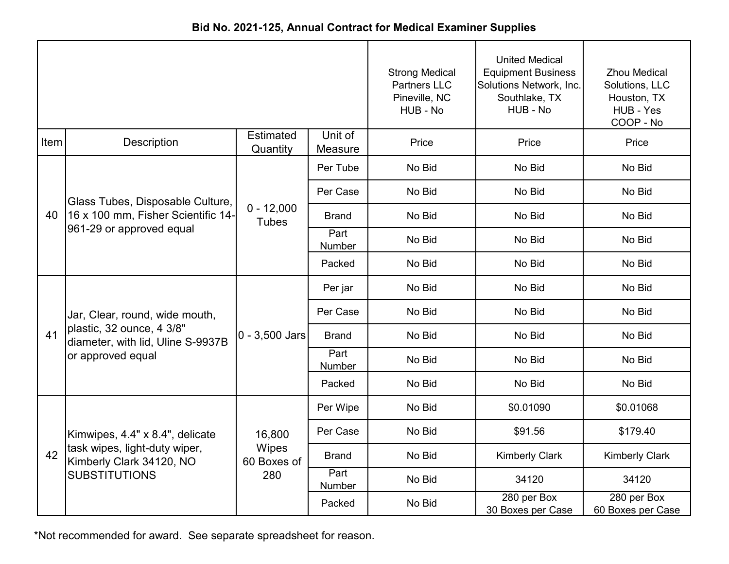|      |                                                                |                              |                    | <b>Strong Medical</b><br><b>Partners LLC</b><br>Pineville, NC<br>HUB - No | <b>United Medical</b><br><b>Equipment Business</b><br>Solutions Network, Inc.<br>Southlake, TX<br>HUB - No | <b>Zhou Medical</b><br>Solutions, LLC<br>Houston, TX<br>HUB - Yes<br>COOP - No |
|------|----------------------------------------------------------------|------------------------------|--------------------|---------------------------------------------------------------------------|------------------------------------------------------------------------------------------------------------|--------------------------------------------------------------------------------|
| Item | <b>Description</b>                                             | <b>Estimated</b><br>Quantity | Unit of<br>Measure | Price                                                                     | Price                                                                                                      | Price                                                                          |
|      |                                                                |                              | Per Tube           | No Bid                                                                    | No Bid                                                                                                     | No Bid                                                                         |
|      | Glass Tubes, Disposable Culture,                               |                              | Per Case           | No Bid                                                                    | No Bid                                                                                                     | No Bid                                                                         |
| 40   | 16 x 100 mm, Fisher Scientific 14-                             | $0 - 12,000$<br><b>Tubes</b> | <b>Brand</b>       | No Bid                                                                    | No Bid                                                                                                     | No Bid                                                                         |
|      | 961-29 or approved equal                                       |                              | Part<br>Number     | No Bid                                                                    | No Bid                                                                                                     | No Bid                                                                         |
|      |                                                                |                              | Packed             | No Bid                                                                    | No Bid                                                                                                     | No Bid                                                                         |
|      |                                                                | $0 - 3,500$ Jars             | Per jar            | No Bid                                                                    | No Bid                                                                                                     | No Bid                                                                         |
|      | Jar, Clear, round, wide mouth,                                 |                              | Per Case           | No Bid                                                                    | No Bid                                                                                                     | No Bid                                                                         |
| 41   | plastic, 32 ounce, 4 3/8"<br>diameter, with lid, Uline S-9937B |                              | <b>Brand</b>       | No Bid                                                                    | No Bid                                                                                                     | No Bid                                                                         |
|      | or approved equal                                              |                              | Part<br>Number     | No Bid                                                                    | No Bid                                                                                                     | No Bid                                                                         |
|      |                                                                |                              | Packed             | No Bid                                                                    | No Bid                                                                                                     | No Bid                                                                         |
|      |                                                                |                              | Per Wipe           | No Bid                                                                    | \$0.01090                                                                                                  | \$0.01068                                                                      |
|      | Kimwipes, 4.4" x 8.4", delicate                                | 16,800                       | Per Case           | No Bid                                                                    | \$91.56                                                                                                    | \$179.40                                                                       |
| 42   | task wipes, light-duty wiper,<br>Kimberly Clark 34120, NO      | Wipes<br>60 Boxes of         | <b>Brand</b>       | No Bid                                                                    | <b>Kimberly Clark</b>                                                                                      | <b>Kimberly Clark</b>                                                          |
|      | <b>SUBSTITUTIONS</b>                                           | 280                          | Part<br>Number     | No Bid                                                                    | 34120                                                                                                      | 34120                                                                          |
|      |                                                                |                              | Packed             | No Bid                                                                    | 280 per Box<br>30 Boxes per Case                                                                           | 280 per Box<br>60 Boxes per Case                                               |

**Bid No. 2021-125, Annual Contract for Medical Examiner Supplies**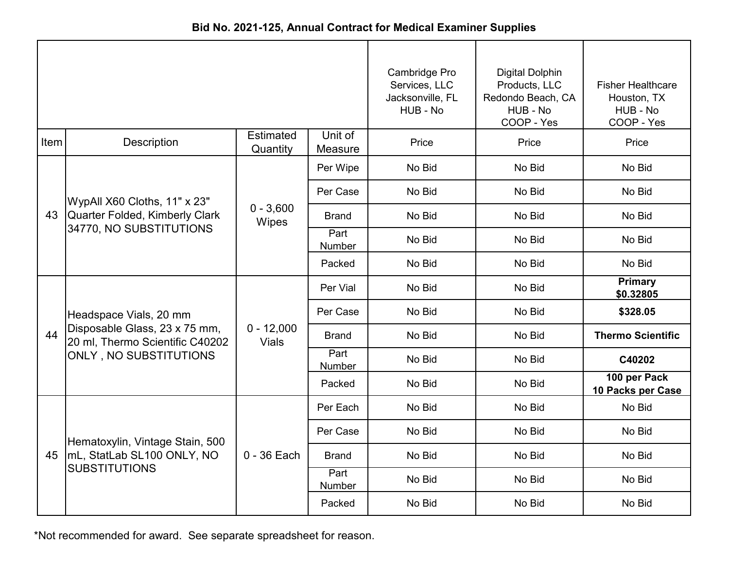|      |                                                                                                                      |                              |                    | Cambridge Pro<br>Services, LLC<br>Jacksonville, FL<br>HUB - No | <b>Digital Dolphin</b><br>Products, LLC<br>Redondo Beach, CA<br>HUB - No<br>COOP - Yes | <b>Fisher Healthcare</b><br>Houston, TX<br>HUB - No<br>COOP - Yes |
|------|----------------------------------------------------------------------------------------------------------------------|------------------------------|--------------------|----------------------------------------------------------------|----------------------------------------------------------------------------------------|-------------------------------------------------------------------|
| Item | <b>Description</b>                                                                                                   | Estimated<br>Quantity        | Unit of<br>Measure | Price                                                          | Price                                                                                  | Price                                                             |
| 43   | WypAll X60 Cloths, 11" x 23"<br><b>Quarter Folded, Kimberly Clark</b><br>34770, NO SUBSTITUTIONS                     | $0 - 3,600$<br>Wipes         | Per Wipe           | No Bid                                                         | No Bid                                                                                 | No Bid                                                            |
|      |                                                                                                                      |                              | Per Case           | No Bid                                                         | No Bid                                                                                 | No Bid                                                            |
|      |                                                                                                                      |                              | <b>Brand</b>       | No Bid                                                         | No Bid                                                                                 | No Bid                                                            |
|      |                                                                                                                      |                              | Part<br>Number     | No Bid                                                         | No Bid                                                                                 | No Bid                                                            |
|      |                                                                                                                      |                              | Packed             | No Bid                                                         | No Bid                                                                                 | No Bid                                                            |
| 44   | Headspace Vials, 20 mm<br>Disposable Glass, 23 x 75 mm,<br>20 ml, Thermo Scientific C40202<br>ONLY, NO SUBSTITUTIONS | $0 - 12,000$<br><b>Vials</b> | Per Vial           | No Bid                                                         | No Bid                                                                                 | Primary<br>\$0.32805                                              |
|      |                                                                                                                      |                              | Per Case           | No Bid                                                         | No Bid                                                                                 | \$328.05                                                          |
|      |                                                                                                                      |                              | Brand              | No Bid                                                         | No Bid                                                                                 | <b>Thermo Scientific</b>                                          |
|      |                                                                                                                      |                              | Part<br>Number     | No Bid                                                         | No Bid                                                                                 | C40202                                                            |
|      |                                                                                                                      |                              | Packed             | No Bid                                                         | No Bid                                                                                 | 100 per Pack<br>10 Packs per Case                                 |
|      | Hematoxylin, Vintage Stain, 500<br>45   mL, StatLab SL100 ONLY, NO<br><b>SUBSTITUTIONS</b>                           | $0 - 36$ Each                | Per Each           | No Bid                                                         | No Bid                                                                                 | No Bid                                                            |
|      |                                                                                                                      |                              | Per Case           | No Bid                                                         | No Bid                                                                                 | No Bid                                                            |
|      |                                                                                                                      |                              | <b>Brand</b>       | No Bid                                                         | No Bid                                                                                 | No Bid                                                            |
|      |                                                                                                                      |                              | Part<br>Number     | No Bid                                                         | No Bid                                                                                 | No Bid                                                            |
|      |                                                                                                                      |                              | Packed             | No Bid                                                         | No Bid                                                                                 | No Bid                                                            |

**Bid No. 2021-125, Annual Contract for Medical Examiner Supplies**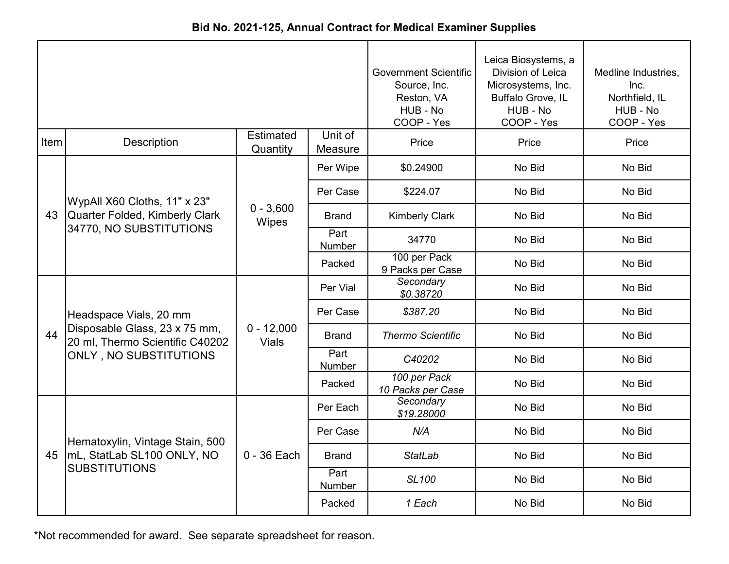| Bid No. 2021-125, Annual Contract for Medical Examiner Supplies |  |
|-----------------------------------------------------------------|--|
|-----------------------------------------------------------------|--|

|      |                                                                                                                      |                              |                       | <b>Government Scientific</b><br>Source, Inc.<br>Reston, VA<br>HUB - No<br>COOP - Yes | Leica Biosystems, a<br>Division of Leica<br>Microsystems, Inc.<br>Buffalo Grove, IL<br>HUB - No<br>COOP - Yes | Medline Industries,<br>Inc.<br>Northfield, IL<br>HUB - No<br>COOP - Yes |
|------|----------------------------------------------------------------------------------------------------------------------|------------------------------|-----------------------|--------------------------------------------------------------------------------------|---------------------------------------------------------------------------------------------------------------|-------------------------------------------------------------------------|
| Item | Description                                                                                                          | <b>Estimated</b><br>Quantity | Unit of<br>Measure    | Price                                                                                | Price                                                                                                         | Price                                                                   |
| 43   | WypAll X60 Cloths, 11" x 23"<br>Quarter Folded, Kimberly Clark<br>34770, NO SUBSTITUTIONS                            | $0 - 3,600$<br>Wipes         | Per Wipe              | \$0.24900                                                                            | No Bid                                                                                                        | No Bid                                                                  |
|      |                                                                                                                      |                              | Per Case              | \$224.07                                                                             | No Bid                                                                                                        | No Bid                                                                  |
|      |                                                                                                                      |                              | Brand                 | <b>Kimberly Clark</b>                                                                | No Bid                                                                                                        | No Bid                                                                  |
|      |                                                                                                                      |                              | Part<br><b>Number</b> | 34770                                                                                | No Bid                                                                                                        | No Bid                                                                  |
|      |                                                                                                                      |                              | Packed                | 100 per Pack<br>9 Packs per Case                                                     | No Bid                                                                                                        | No Bid                                                                  |
| 44   | Headspace Vials, 20 mm<br>Disposable Glass, 23 x 75 mm,<br>20 ml, Thermo Scientific C40202<br>ONLY, NO SUBSTITUTIONS | $0 - 12,000$<br><b>Vials</b> | Per Vial              | Secondary<br>\$0.38720                                                               | No Bid                                                                                                        | No Bid                                                                  |
|      |                                                                                                                      |                              | Per Case              | \$387.20                                                                             | No Bid                                                                                                        | No Bid                                                                  |
|      |                                                                                                                      |                              | <b>Brand</b>          | <b>Thermo Scientific</b>                                                             | No Bid                                                                                                        | No Bid                                                                  |
|      |                                                                                                                      |                              | Part<br><b>Number</b> | C40202                                                                               | No Bid                                                                                                        | No Bid                                                                  |
|      |                                                                                                                      |                              | Packed                | 100 per Pack<br>10 Packs per Case                                                    | No Bid                                                                                                        | No Bid                                                                  |
| 45   | Hematoxylin, Vintage Stain, 500<br>mL, StatLab SL100 ONLY, NO<br><b>SUBSTITUTIONS</b>                                | $0 - 36$ Each                | Per Each              | Secondary<br>\$19.28000                                                              | No Bid                                                                                                        | No Bid                                                                  |
|      |                                                                                                                      |                              | Per Case              | N/A                                                                                  | No Bid                                                                                                        | No Bid                                                                  |
|      |                                                                                                                      |                              | <b>Brand</b>          | <b>StatLab</b>                                                                       | No Bid                                                                                                        | No Bid                                                                  |
|      |                                                                                                                      |                              | Part<br>Number        | <b>SL100</b>                                                                         | No Bid                                                                                                        | No Bid                                                                  |
|      |                                                                                                                      |                              | Packed                | 1 Each                                                                               | No Bid                                                                                                        | No Bid                                                                  |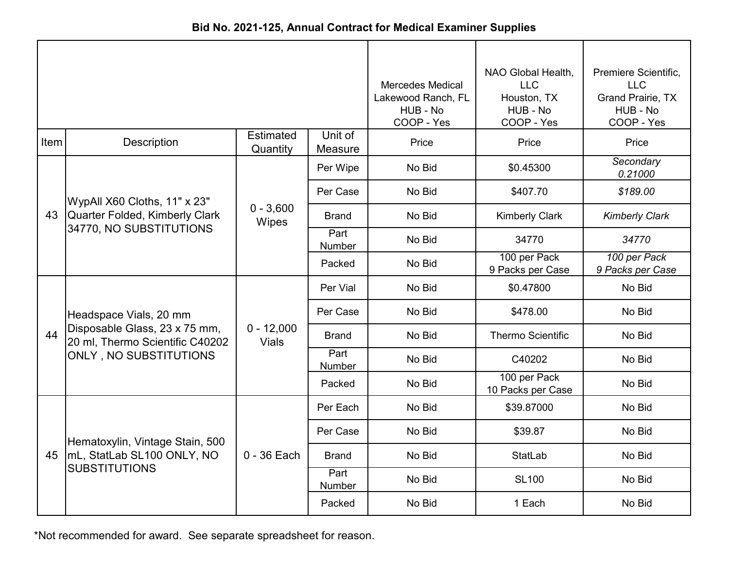| Bid No. 2021-125, Annual Contract for Medical Examiner Supplies |  |
|-----------------------------------------------------------------|--|
|-----------------------------------------------------------------|--|

|      |                                                                  |                              | <b>Mercedes Medical</b><br>Lakewood Ranch, FL<br>HUB - No<br>COOP - Yes | NAO Global Health,<br><b>LLC</b><br>Houston, TX<br>HUB - No<br>COOP - Yes | Premiere Scientific,<br><b>LLC</b><br><b>Grand Prairie, TX</b><br>HUB - No<br>COOP - Yes |                                  |
|------|------------------------------------------------------------------|------------------------------|-------------------------------------------------------------------------|---------------------------------------------------------------------------|------------------------------------------------------------------------------------------|----------------------------------|
| Item | Description                                                      | <b>Estimated</b><br>Quantity | Unit of<br>Measure                                                      | Price                                                                     | Price                                                                                    | Price                            |
|      |                                                                  |                              | Per Wipe                                                                | No Bid                                                                    | \$0.45300                                                                                | Secondary<br>0.21000             |
|      | WypAll X60 Cloths, 11" x 23"                                     |                              | Per Case                                                                | No Bid                                                                    | \$407.70                                                                                 | \$189.00                         |
|      | 43 Quarter Folded, Kimberly Clark                                | $0 - 3,600$<br>Wipes         | <b>Brand</b>                                                            | No Bid                                                                    | <b>Kimberly Clark</b>                                                                    | <b>Kimberly Clark</b>            |
|      | 34770, NO SUBSTITUTIONS                                          |                              | Part<br>Number                                                          | No Bid                                                                    | 34770                                                                                    | 34770                            |
|      |                                                                  |                              | Packed                                                                  | No Bid                                                                    | 100 per Pack<br>9 Packs per Case                                                         | 100 per Pack<br>9 Packs per Case |
|      |                                                                  | $0 - 12,000$<br><b>Vials</b> | Per Vial                                                                | No Bid                                                                    | \$0.47800                                                                                | No Bid                           |
|      | Headspace Vials, 20 mm                                           |                              | Per Case                                                                | No Bid                                                                    | \$478.00                                                                                 | No Bid                           |
| 44   | Disposable Glass, 23 x 75 mm,<br>20 ml, Thermo Scientific C40202 |                              | <b>Brand</b>                                                            | No Bid                                                                    | <b>Thermo Scientific</b>                                                                 | No Bid                           |
|      | ONLY, NO SUBSTITUTIONS                                           |                              | Part<br>Number                                                          | No Bid                                                                    | C40202                                                                                   | No Bid                           |
|      |                                                                  |                              | Packed                                                                  | No Bid                                                                    | 100 per Pack<br>10 Packs per Case                                                        | No Bid                           |
|      |                                                                  |                              | Per Each                                                                | No Bid                                                                    | \$39.87000                                                                               | No Bid                           |
|      | Hematoxylin, Vintage Stain, 500                                  |                              | Per Case                                                                | No Bid                                                                    | \$39.87                                                                                  | No Bid                           |
| 45   | mL, StatLab SL100 ONLY, NO                                       | $0 - 36$ Each                | <b>Brand</b>                                                            | No Bid                                                                    | <b>StatLab</b>                                                                           | No Bid                           |
|      | <b>SUBSTITUTIONS</b>                                             |                              | Part<br>Number                                                          | No Bid                                                                    | <b>SL100</b>                                                                             | No Bid                           |
|      |                                                                  |                              | Packed                                                                  | No Bid                                                                    | 1 Each                                                                                   | No Bid                           |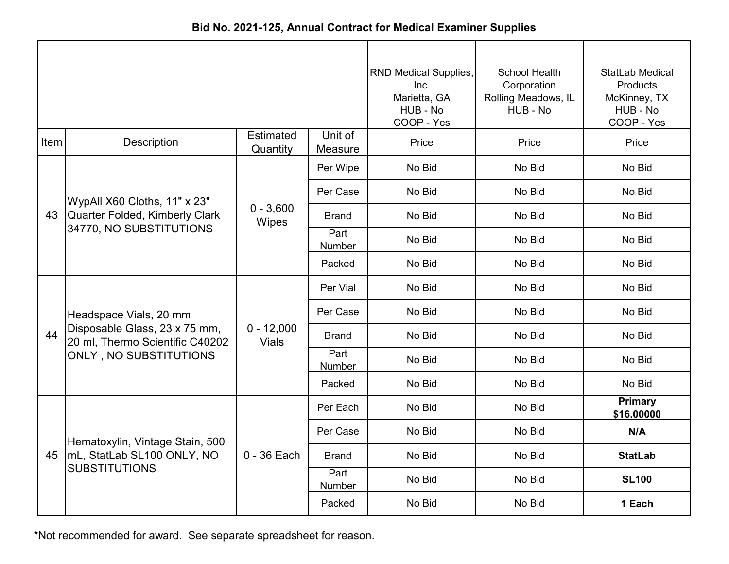|      |                                                                  |                              |                    | <b>RND Medical Supplies,</b><br>Inc.<br>Marietta, GA<br>HUB - No<br>COOP - Yes | School Health<br>Corporation<br>Rolling Meadows, IL<br>HUB - No | StatLab Medical<br><b>Products</b><br>McKinney, TX<br>HUB - No<br>COOP - Yes |
|------|------------------------------------------------------------------|------------------------------|--------------------|--------------------------------------------------------------------------------|-----------------------------------------------------------------|------------------------------------------------------------------------------|
| Item | <b>Description</b>                                               | <b>Estimated</b><br>Quantity | Unit of<br>Measure | Price                                                                          | Price                                                           | Price                                                                        |
|      |                                                                  |                              | Per Wipe           | No Bid                                                                         | No Bid                                                          | No Bid                                                                       |
|      | WypAll X60 Cloths, 11" x 23"                                     |                              | Per Case           | No Bid                                                                         | No Bid                                                          | No Bid                                                                       |
| 43   | Quarter Folded, Kimberly Clark                                   | $0 - 3,600$<br>Wipes         | <b>Brand</b>       | No Bid                                                                         | No Bid                                                          | No Bid                                                                       |
|      | 34770, NO SUBSTITUTIONS                                          |                              | Part<br>Number     | No Bid                                                                         | No Bid                                                          | No Bid                                                                       |
|      |                                                                  |                              | Packed             | No Bid                                                                         | No Bid                                                          | No Bid                                                                       |
|      |                                                                  | $0 - 12,000$<br><b>Vials</b> | Per Vial           | No Bid                                                                         | No Bid                                                          | No Bid                                                                       |
|      | Headspace Vials, 20 mm                                           |                              | Per Case           | No Bid                                                                         | No Bid                                                          | No Bid                                                                       |
| 44   | Disposable Glass, 23 x 75 mm,<br>20 ml, Thermo Scientific C40202 |                              | Brand              | No Bid                                                                         | No Bid                                                          | No Bid                                                                       |
|      | ONLY, NO SUBSTITUTIONS                                           |                              | Part<br>Number     | No Bid                                                                         | No Bid                                                          | No Bid                                                                       |
|      |                                                                  |                              | Packed             | No Bid                                                                         | No Bid                                                          | No Bid                                                                       |
|      |                                                                  |                              | Per Each           | No Bid                                                                         | No Bid                                                          | <b>Primary</b><br>\$16.00000                                                 |
|      | Hematoxylin, Vintage Stain, 500                                  |                              | Per Case           | No Bid                                                                         | No Bid                                                          | N/A                                                                          |
|      | 45   mL, StatLab SL100 ONLY, NO                                  | $0 - 36$ Each                | <b>Brand</b>       | No Bid                                                                         | No Bid                                                          | <b>StatLab</b>                                                               |
|      | <b>SUBSTITUTIONS</b>                                             |                              | Part<br>Number     | No Bid                                                                         | No Bid                                                          | <b>SL100</b>                                                                 |
|      |                                                                  |                              | Packed             | No Bid                                                                         | No Bid                                                          | 1 Each                                                                       |

**Bid No. 2021-125, Annual Contract for Medical Examiner Supplies**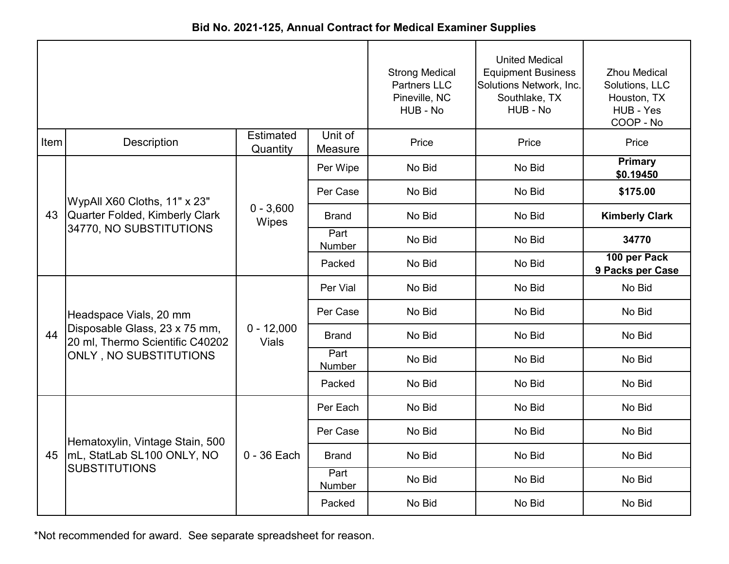|      |                                                                  |                              |                    | <b>Strong Medical</b><br><b>Partners LLC</b><br>Pineville, NC<br>HUB - No | <b>United Medical</b><br><b>Equipment Business</b><br>Solutions Network, Inc.<br>Southlake, TX<br>HUB - No | <b>Zhou Medical</b><br>Solutions, LLC<br>Houston, TX<br>HUB - Yes<br>COOP - No |
|------|------------------------------------------------------------------|------------------------------|--------------------|---------------------------------------------------------------------------|------------------------------------------------------------------------------------------------------------|--------------------------------------------------------------------------------|
| Item | <b>Description</b>                                               | <b>Estimated</b><br>Quantity | Unit of<br>Measure | Price                                                                     | Price                                                                                                      | Price                                                                          |
|      |                                                                  |                              | Per Wipe           | No Bid                                                                    | No Bid                                                                                                     | Primary<br>\$0.19450                                                           |
|      | WypAll X60 Cloths, 11" x 23"                                     |                              | Per Case           | No Bid                                                                    | No Bid                                                                                                     | \$175.00                                                                       |
| 43   | Quarter Folded, Kimberly Clark                                   | $0 - 3,600$<br>Wipes         | <b>Brand</b>       | No Bid                                                                    | No Bid                                                                                                     | <b>Kimberly Clark</b>                                                          |
|      | 34770, NO SUBSTITUTIONS                                          |                              | Part<br>Number     | No Bid                                                                    | No Bid                                                                                                     | 34770                                                                          |
|      |                                                                  |                              | Packed             | No Bid                                                                    | No Bid                                                                                                     | 100 per Pack<br>9 Packs per Case                                               |
|      |                                                                  | $0 - 12,000$<br><b>Vials</b> | Per Vial           | No Bid                                                                    | No Bid                                                                                                     | No Bid                                                                         |
|      | Headspace Vials, 20 mm                                           |                              | Per Case           | No Bid                                                                    | No Bid                                                                                                     | No Bid                                                                         |
| 44   | Disposable Glass, 23 x 75 mm,<br>20 ml, Thermo Scientific C40202 |                              | <b>Brand</b>       | No Bid                                                                    | No Bid                                                                                                     | No Bid                                                                         |
|      | ONLY, NO SUBSTITUTIONS                                           |                              | Part<br>Number     | No Bid                                                                    | No Bid                                                                                                     | No Bid                                                                         |
|      |                                                                  |                              | Packed             | No Bid                                                                    | No Bid                                                                                                     | No Bid                                                                         |
|      |                                                                  |                              | Per Each           | No Bid                                                                    | No Bid                                                                                                     | No Bid                                                                         |
|      | Hematoxylin, Vintage Stain, 500                                  |                              | Per Case           | No Bid                                                                    | No Bid                                                                                                     | No Bid                                                                         |
|      | 45  mL, StatLab SL100 ONLY, NO                                   | $0 - 36$ Each                | <b>Brand</b>       | No Bid                                                                    | No Bid                                                                                                     | No Bid                                                                         |
|      | <b>SUBSTITUTIONS</b>                                             |                              | Part<br>Number     | No Bid                                                                    | No Bid                                                                                                     | No Bid                                                                         |
|      |                                                                  |                              | Packed             | No Bid                                                                    | No Bid                                                                                                     | No Bid                                                                         |

**Bid No. 2021-125, Annual Contract for Medical Examiner Supplies**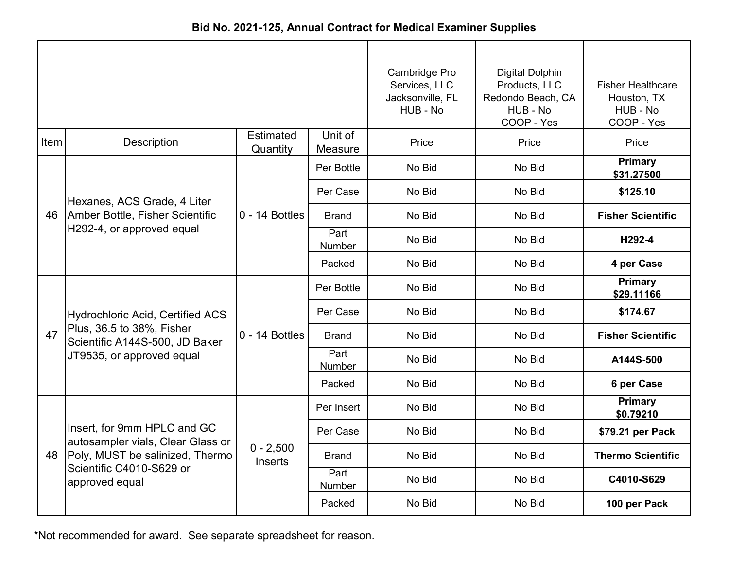|      |                                                                  |                              |                       | Cambridge Pro<br>Services, LLC<br>Jacksonville, FL<br>HUB - No | Digital Dolphin<br>Products, LLC<br>Redondo Beach, CA<br>HUB - No<br>COOP - Yes | <b>Fisher Healthcare</b><br>Houston, TX<br>HUB - No<br>COOP - Yes |
|------|------------------------------------------------------------------|------------------------------|-----------------------|----------------------------------------------------------------|---------------------------------------------------------------------------------|-------------------------------------------------------------------|
| Item | <b>Description</b>                                               | <b>Estimated</b><br>Quantity | Unit of<br>Measure    | Price                                                          | Price                                                                           | Price                                                             |
|      |                                                                  |                              | Per Bottle            | No Bid                                                         | No Bid                                                                          | Primary<br>\$31.27500                                             |
|      | Hexanes, ACS Grade, 4 Liter                                      |                              | Per Case              | No Bid                                                         | No Bid                                                                          | \$125.10                                                          |
|      | 46   Amber Bottle, Fisher Scientific                             | $0 - 14$ Bottles             | <b>Brand</b>          | No Bid                                                         | No Bid                                                                          | <b>Fisher Scientific</b>                                          |
|      | H292-4, or approved equal                                        |                              | Part<br>Number        | No Bid                                                         | No Bid                                                                          | H292-4                                                            |
|      |                                                                  |                              | Packed                | No Bid                                                         | No Bid                                                                          | 4 per Case                                                        |
|      |                                                                  | $0 - 14$ Bottles             | Per Bottle            | No Bid                                                         | No Bid                                                                          | <b>Primary</b><br>\$29.11166                                      |
|      | <b>Hydrochloric Acid, Certified ACS</b>                          |                              | Per Case              | No Bid                                                         | No Bid                                                                          | \$174.67                                                          |
| 47   | Plus, 36.5 to 38%, Fisher<br>Scientific A144S-500, JD Baker      |                              | <b>Brand</b>          | No Bid                                                         | No Bid                                                                          | <b>Fisher Scientific</b>                                          |
|      | JT9535, or approved equal                                        |                              | Part<br><b>Number</b> | No Bid                                                         | No Bid                                                                          | A144S-500                                                         |
|      |                                                                  |                              | Packed                | No Bid                                                         | No Bid                                                                          | 6 per Case                                                        |
|      |                                                                  |                              | Per Insert            | No Bid                                                         | No Bid                                                                          | Primary<br>\$0.79210                                              |
|      | Insert, for 9mm HPLC and GC<br>autosampler vials, Clear Glass or |                              | Per Case              | No Bid                                                         | No Bid                                                                          | \$79.21 per Pack                                                  |
| 48   | Poly, MUST be salinized, Thermo                                  | $0 - 2,500$<br>Inserts       | Brand                 | No Bid                                                         | No Bid                                                                          | <b>Thermo Scientific</b>                                          |
|      | Scientific C4010-S629 or<br>approved equal                       |                              | Part<br>Number        | No Bid                                                         | No Bid                                                                          | C4010-S629                                                        |
|      |                                                                  |                              | Packed                | No Bid                                                         | No Bid                                                                          | 100 per Pack                                                      |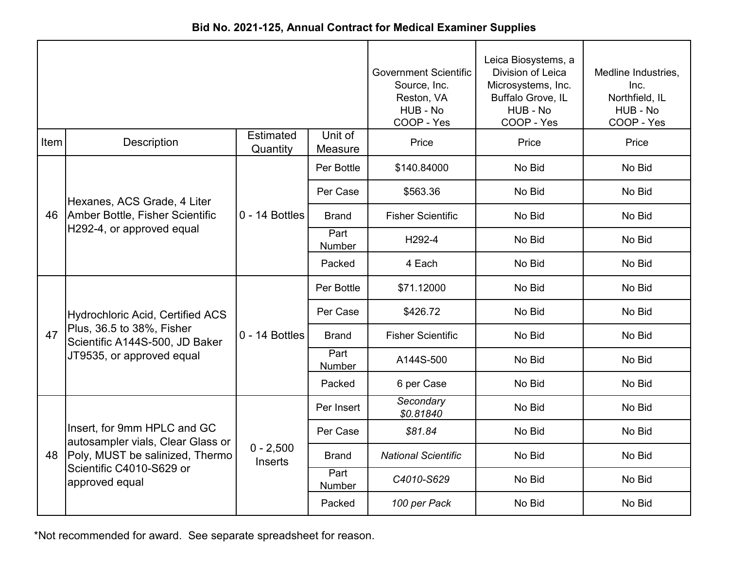|  | Bid No. 2021-125, Annual Contract for Medical Examiner Supplies |  |  |
|--|-----------------------------------------------------------------|--|--|
|--|-----------------------------------------------------------------|--|--|

|      |                                                                  |                               | <b>Government Scientific</b><br>Source, Inc.<br>Reston, VA<br>HUB - No<br>COOP - Yes | Leica Biosystems, a<br>Division of Leica<br>Microsystems, Inc.<br>Buffalo Grove, IL<br>HUB - No<br>COOP - Yes | Medline Industries,<br>Inc.<br>Northfield, IL<br>HUB - No<br>COOP - Yes |        |
|------|------------------------------------------------------------------|-------------------------------|--------------------------------------------------------------------------------------|---------------------------------------------------------------------------------------------------------------|-------------------------------------------------------------------------|--------|
| Item | <b>Description</b>                                               | <b>Estimated</b><br>Quantity  | Unit of<br>Measure                                                                   | Price                                                                                                         | Price                                                                   | Price  |
|      |                                                                  |                               | Per Bottle                                                                           | \$140.84000                                                                                                   | No Bid                                                                  | No Bid |
|      | Hexanes, ACS Grade, 4 Liter                                      |                               | Per Case                                                                             | \$563.36                                                                                                      | No Bid                                                                  | No Bid |
|      | 46   Amber Bottle, Fisher Scientific                             | $0 - 14$ Bottles              | <b>Brand</b>                                                                         | <b>Fisher Scientific</b>                                                                                      | No Bid                                                                  | No Bid |
|      | H292-4, or approved equal                                        |                               | Part<br>Number                                                                       | H292-4                                                                                                        | No Bid                                                                  | No Bid |
|      |                                                                  |                               | Packed                                                                               | 4 Each                                                                                                        | No Bid                                                                  | No Bid |
|      |                                                                  | $0 - 14$ Bottles              | Per Bottle                                                                           | \$71.12000                                                                                                    | No Bid                                                                  | No Bid |
|      | <b>Hydrochloric Acid, Certified ACS</b>                          |                               | Per Case                                                                             | \$426.72                                                                                                      | No Bid                                                                  | No Bid |
| 47   | Plus, 36.5 to 38%, Fisher<br>Scientific A144S-500, JD Baker      |                               | <b>Brand</b>                                                                         | <b>Fisher Scientific</b>                                                                                      | No Bid                                                                  | No Bid |
|      | JT9535, or approved equal                                        |                               | Part<br><b>Number</b>                                                                | A144S-500                                                                                                     | No Bid                                                                  | No Bid |
|      |                                                                  |                               | Packed                                                                               | 6 per Case                                                                                                    | No Bid                                                                  | No Bid |
|      |                                                                  |                               | Per Insert                                                                           | Secondary<br>\$0.81840                                                                                        | No Bid                                                                  | No Bid |
|      | Insert, for 9mm HPLC and GC<br>autosampler vials, Clear Glass or |                               | Per Case                                                                             | \$81.84                                                                                                       | No Bid                                                                  | No Bid |
| 48   | Poly, MUST be salinized, Thermo                                  | $0 - 2,500$<br><b>Inserts</b> | <b>Brand</b>                                                                         | <b>National Scientific</b>                                                                                    | No Bid                                                                  | No Bid |
|      | Scientific C4010-S629 or<br>approved equal                       |                               | Part<br>Number                                                                       | C4010-S629                                                                                                    | No Bid                                                                  | No Bid |
|      |                                                                  |                               | Packed                                                                               | 100 per Pack                                                                                                  | No Bid                                                                  | No Bid |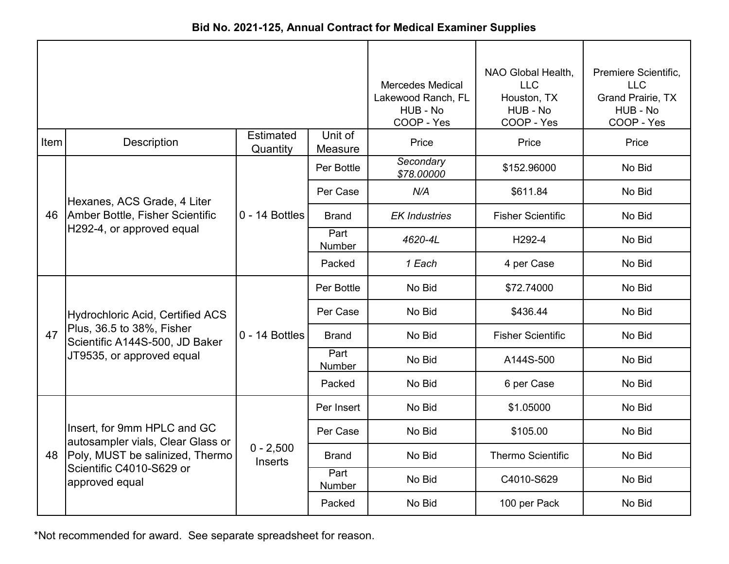| Bid No. 2021-125, Annual Contract for Medical Examiner Supplies |  |  |  |  |  |
|-----------------------------------------------------------------|--|--|--|--|--|
|-----------------------------------------------------------------|--|--|--|--|--|

|      |                                                                  |                               | <b>Mercedes Medical</b><br>Lakewood Ranch, FL<br>HUB - No<br>COOP - Yes | NAO Global Health,<br><b>LLC</b><br>Houston, TX<br>HUB - No<br>COOP - Yes | Premiere Scientific,<br><b>LLC</b><br>Grand Prairie, TX<br>HUB - No<br>COOP - Yes |        |
|------|------------------------------------------------------------------|-------------------------------|-------------------------------------------------------------------------|---------------------------------------------------------------------------|-----------------------------------------------------------------------------------|--------|
| Item | <b>Description</b>                                               | <b>Estimated</b><br>Quantity  | Unit of<br>Measure                                                      | Price                                                                     | Price                                                                             | Price  |
|      |                                                                  |                               | Per Bottle                                                              | Secondary<br>\$78.00000                                                   | \$152.96000                                                                       | No Bid |
|      | Hexanes, ACS Grade, 4 Liter                                      |                               | Per Case                                                                | N/A                                                                       | \$611.84                                                                          | No Bid |
|      | 46   Amber Bottle, Fisher Scientific                             | $0 - 14$ Bottles              | <b>Brand</b>                                                            | <b>EK Industries</b>                                                      | <b>Fisher Scientific</b>                                                          | No Bid |
|      | H292-4, or approved equal                                        |                               | Part<br>Number                                                          | 4620-4L                                                                   | H292-4                                                                            | No Bid |
|      |                                                                  |                               | Packed                                                                  | 1 Each                                                                    | 4 per Case                                                                        | No Bid |
|      |                                                                  | $0 - 14$ Bottles              | Per Bottle                                                              | No Bid                                                                    | \$72.74000                                                                        | No Bid |
|      | <b>Hydrochloric Acid, Certified ACS</b>                          |                               | Per Case                                                                | No Bid                                                                    | \$436.44                                                                          | No Bid |
| 47   | Plus, 36.5 to 38%, Fisher<br>Scientific A144S-500, JD Baker      |                               | Brand                                                                   | No Bid                                                                    | <b>Fisher Scientific</b>                                                          | No Bid |
|      | JT9535, or approved equal                                        |                               | Part<br>Number                                                          | No Bid                                                                    | A144S-500                                                                         | No Bid |
|      |                                                                  |                               | Packed                                                                  | No Bid                                                                    | 6 per Case                                                                        | No Bid |
|      |                                                                  |                               | Per Insert                                                              | No Bid                                                                    | \$1.05000                                                                         | No Bid |
|      | Insert, for 9mm HPLC and GC<br>autosampler vials, Clear Glass or |                               | Per Case                                                                | No Bid                                                                    | \$105.00                                                                          | No Bid |
| 48   | Poly, MUST be salinized, Thermo                                  | $0 - 2,500$<br><b>Inserts</b> | <b>Brand</b>                                                            | No Bid                                                                    | <b>Thermo Scientific</b>                                                          | No Bid |
|      | Scientific C4010-S629 or<br>approved equal                       |                               | Part<br>Number                                                          | No Bid                                                                    | C4010-S629                                                                        | No Bid |
|      |                                                                  |                               | Packed                                                                  | No Bid                                                                    | 100 per Pack                                                                      | No Bid |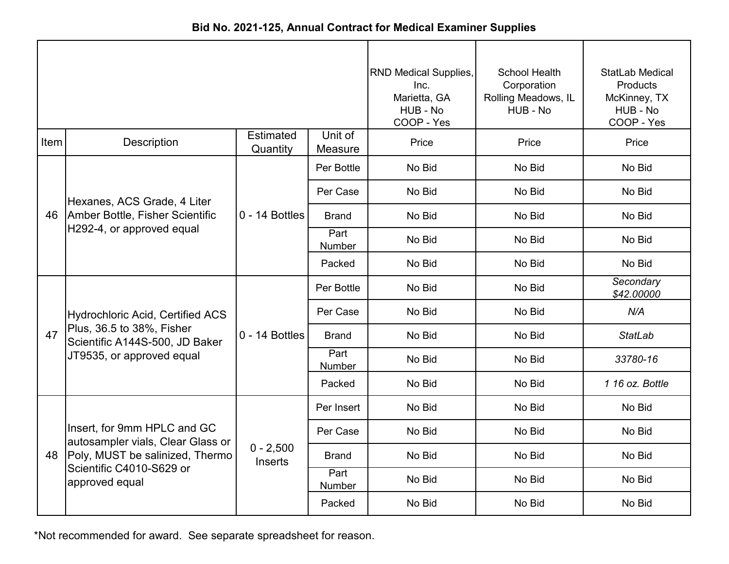|             | Did NV. 2021-123, Annual Contract for Medical Examiner Supplies  |                               |                           |                                                                                |                                                                        |                                                                              |  |  |
|-------------|------------------------------------------------------------------|-------------------------------|---------------------------|--------------------------------------------------------------------------------|------------------------------------------------------------------------|------------------------------------------------------------------------------|--|--|
|             |                                                                  |                               |                           | <b>RND Medical Supplies,</b><br>Inc.<br>Marietta, GA<br>HUB - No<br>COOP - Yes | <b>School Health</b><br>Corporation<br>Rolling Meadows, IL<br>HUB - No | <b>StatLab Medical</b><br>Products<br>McKinney, TX<br>HUB - No<br>COOP - Yes |  |  |
| <b>Item</b> | Description                                                      | <b>Estimated</b><br>Quantity  | Unit of<br>Measure        | Price                                                                          | Price                                                                  | Price                                                                        |  |  |
|             |                                                                  |                               | Per Bottle                | No Bid                                                                         | No Bid                                                                 | No Bid                                                                       |  |  |
| 46          | Hexanes, ACS Grade, 4 Liter                                      |                               | Per Case                  | No Bid                                                                         | No Bid                                                                 | No Bid                                                                       |  |  |
|             | Amber Bottle, Fisher Scientific<br>H292-4, or approved equal     | $0 - 14$ Bottles              | <b>Brand</b>              | No Bid                                                                         | No Bid                                                                 | No Bid                                                                       |  |  |
|             |                                                                  |                               | Part<br>Number            | No Bid                                                                         | No Bid                                                                 | No Bid                                                                       |  |  |
|             |                                                                  |                               | Packed                    | No Bid                                                                         | No Bid                                                                 | No Bid                                                                       |  |  |
|             |                                                                  | $0 - 14$ Bottles              | Per Bottle                | No Bid                                                                         | No Bid                                                                 | Secondary<br>\$42.00000                                                      |  |  |
|             | <b>Hydrochloric Acid, Certified ACS</b>                          |                               | Per Case                  | No Bid                                                                         | No Bid                                                                 | N/A                                                                          |  |  |
| 47          | Plus, 36.5 to 38%, Fisher<br>Scientific A144S-500, JD Baker      |                               | <b>Brand</b>              | No Bid                                                                         | No Bid                                                                 | <b>StatLab</b>                                                               |  |  |
|             | JT9535, or approved equal                                        |                               | Part<br>Number            | No Bid                                                                         | No Bid                                                                 | 33780-16                                                                     |  |  |
|             |                                                                  |                               | Packed                    | No Bid                                                                         | No Bid                                                                 | 1 16 oz. Bottle                                                              |  |  |
|             |                                                                  |                               | Per Insert                | No Bid                                                                         | No Bid                                                                 | No Bid                                                                       |  |  |
|             | Insert, for 9mm HPLC and GC<br>autosampler vials, Clear Glass or |                               | Per Case                  | No Bid                                                                         | No Bid                                                                 | No Bid                                                                       |  |  |
| 48          | Poly, MUST be salinized, Thermo<br>Scientific C4010-S629 or      | $0 - 2,500$<br><b>Inserts</b> | <b>Brand</b>              | No Bid                                                                         | No Bid                                                                 | No Bid                                                                       |  |  |
|             | annroved equal                                                   |                               | Part<br><b>N</b> Louis Li | No Bid                                                                         | No Bid                                                                 | No Bid                                                                       |  |  |

Number Packed

No Bid No Bid No Bid

**Bid No. 2021-125, Annual Contract for Medical Examiner Supplies**

\*Not recommended for award. See separate spreadsheet for reason.

approved equal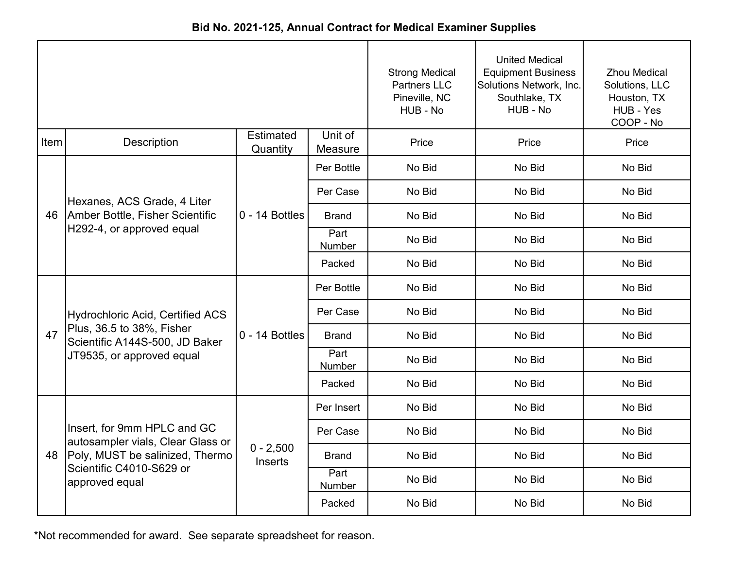| Bid No. 2021-125, Annual Contract for Medical Examiner Supplies |  |
|-----------------------------------------------------------------|--|
|-----------------------------------------------------------------|--|

|      |                                                                  |                              | <b>Strong Medical</b><br><b>Partners LLC</b><br>Pineville, NC<br>HUB - No | <b>United Medical</b><br><b>Equipment Business</b><br>Solutions Network, Inc.<br>Southlake, TX<br>HUB - No | <b>Zhou Medical</b><br>Solutions, LLC<br>Houston, TX<br>HUB - Yes<br>COOP - No |        |
|------|------------------------------------------------------------------|------------------------------|---------------------------------------------------------------------------|------------------------------------------------------------------------------------------------------------|--------------------------------------------------------------------------------|--------|
| Item | <b>Description</b>                                               | <b>Estimated</b><br>Quantity | Unit of<br>Measure                                                        | Price                                                                                                      | Price                                                                          | Price  |
|      |                                                                  |                              | Per Bottle                                                                | No Bid                                                                                                     | No Bid                                                                         | No Bid |
|      | Hexanes, ACS Grade, 4 Liter                                      |                              | Per Case                                                                  | No Bid                                                                                                     | No Bid                                                                         | No Bid |
| 46   | Amber Bottle, Fisher Scientific                                  | 0 - 14 Bottles               | <b>Brand</b>                                                              | No Bid                                                                                                     | No Bid                                                                         | No Bid |
|      | H292-4, or approved equal                                        |                              | Part<br>Number                                                            | No Bid                                                                                                     | No Bid                                                                         | No Bid |
|      |                                                                  |                              | Packed                                                                    | No Bid                                                                                                     | No Bid                                                                         | No Bid |
|      |                                                                  | 0 - 14 Bottles               | Per Bottle                                                                | No Bid                                                                                                     | No Bid                                                                         | No Bid |
|      | <b>Hydrochloric Acid, Certified ACS</b>                          |                              | Per Case                                                                  | No Bid                                                                                                     | No Bid                                                                         | No Bid |
| 47   | Plus, 36.5 to 38%, Fisher<br>Scientific A144S-500, JD Baker      |                              | <b>Brand</b>                                                              | No Bid                                                                                                     | No Bid                                                                         | No Bid |
|      | JT9535, or approved equal                                        |                              | Part<br><b>Number</b>                                                     | No Bid                                                                                                     | No Bid                                                                         | No Bid |
|      |                                                                  |                              | Packed                                                                    | No Bid                                                                                                     | No Bid                                                                         | No Bid |
|      |                                                                  |                              | Per Insert                                                                | No Bid                                                                                                     | No Bid                                                                         | No Bid |
|      | Insert, for 9mm HPLC and GC<br>autosampler vials, Clear Glass or |                              | Per Case                                                                  | No Bid                                                                                                     | No Bid                                                                         | No Bid |
| 48   | Poly, MUST be salinized, Thermo                                  | $0 - 2,500$<br>Inserts       | Brand                                                                     | No Bid                                                                                                     | No Bid                                                                         | No Bid |
|      | Scientific C4010-S629 or<br>approved equal                       |                              | Part<br>Number                                                            | No Bid                                                                                                     | No Bid                                                                         | No Bid |
|      |                                                                  |                              | Packed                                                                    | No Bid                                                                                                     | No Bid                                                                         | No Bid |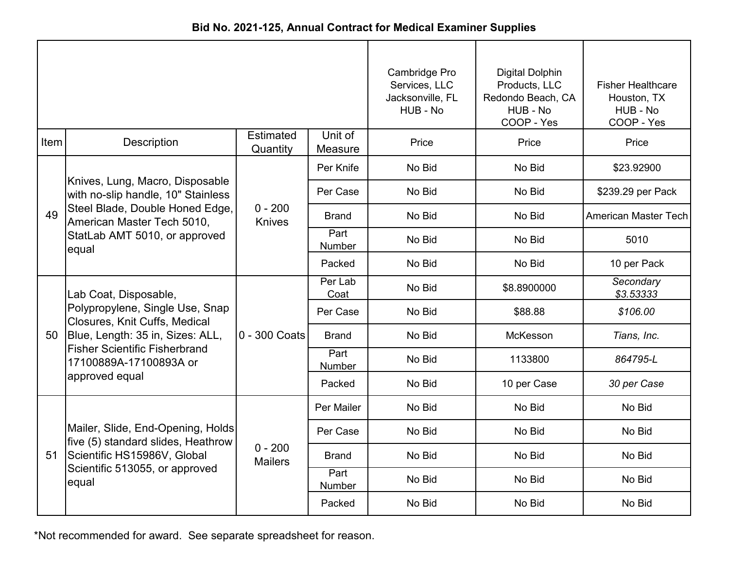| Bid No. 2021-125, Annual Contract for Medical Examiner Supplies |  |
|-----------------------------------------------------------------|--|
|-----------------------------------------------------------------|--|

|      |                                                                         |                              | Cambridge Pro<br>Services, LLC<br>Jacksonville, FL<br>HUB - No | Digital Dolphin<br>Products, LLC<br>Redondo Beach, CA<br>HUB - No<br>COOP - Yes | <b>Fisher Healthcare</b><br>Houston, TX<br>HUB - No<br>COOP - Yes |                        |
|------|-------------------------------------------------------------------------|------------------------------|----------------------------------------------------------------|---------------------------------------------------------------------------------|-------------------------------------------------------------------|------------------------|
| Item | Description                                                             | <b>Estimated</b><br>Quantity | Unit of<br>Measure                                             | Price                                                                           | Price                                                             | Price                  |
|      |                                                                         |                              | Per Knife                                                      | No Bid                                                                          | No Bid                                                            | \$23.92900             |
|      | Knives, Lung, Macro, Disposable<br>with no-slip handle, 10" Stainless   |                              | Per Case                                                       | No Bid                                                                          | No Bid                                                            | \$239.29 per Pack      |
| 49   | Steel Blade, Double Honed Edge,<br>American Master Tech 5010,           | $0 - 200$<br><b>Knives</b>   | <b>Brand</b>                                                   | No Bid                                                                          | No Bid                                                            | American Master Tech   |
|      | StatLab AMT 5010, or approved<br>equal                                  |                              | Part<br><b>Number</b>                                          | No Bid                                                                          | No Bid                                                            | 5010                   |
|      |                                                                         |                              | Packed                                                         | No Bid                                                                          | No Bid                                                            | 10 per Pack            |
|      | Lab Coat, Disposable,                                                   | 0 - 300 Coats                | Per Lab<br>Coat                                                | No Bid                                                                          | \$8.8900000                                                       | Secondary<br>\$3.53333 |
|      | Polypropylene, Single Use, Snap<br>Closures, Knit Cuffs, Medical        |                              | Per Case                                                       | No Bid                                                                          | \$88.88                                                           | \$106.00               |
| 50   | Blue, Length: 35 in, Sizes: ALL,                                        |                              | <b>Brand</b>                                                   | No Bid                                                                          | McKesson                                                          | Tians, Inc.            |
|      | <b>Fisher Scientific Fisherbrand</b><br>17100889A-17100893A or          |                              | Part<br><b>Number</b>                                          | No Bid                                                                          | 1133800                                                           | 864795-L               |
|      | approved equal                                                          |                              | Packed                                                         | No Bid                                                                          | 10 per Case                                                       | 30 per Case            |
|      |                                                                         |                              | Per Mailer                                                     | No Bid                                                                          | No Bid                                                            | No Bid                 |
|      | Mailer, Slide, End-Opening, Holds<br>five (5) standard slides, Heathrow |                              | Per Case                                                       | No Bid                                                                          | No Bid                                                            | No Bid                 |
| 51   | Scientific HS15986V, Global                                             | $0 - 200$<br><b>Mailers</b>  | Brand                                                          | No Bid                                                                          | No Bid                                                            | No Bid                 |
|      | Scientific 513055, or approved<br>equal                                 |                              | Part<br>Number                                                 | No Bid                                                                          | No Bid                                                            | No Bid                 |
|      |                                                                         |                              | Packed                                                         | No Bid                                                                          | No Bid                                                            | No Bid                 |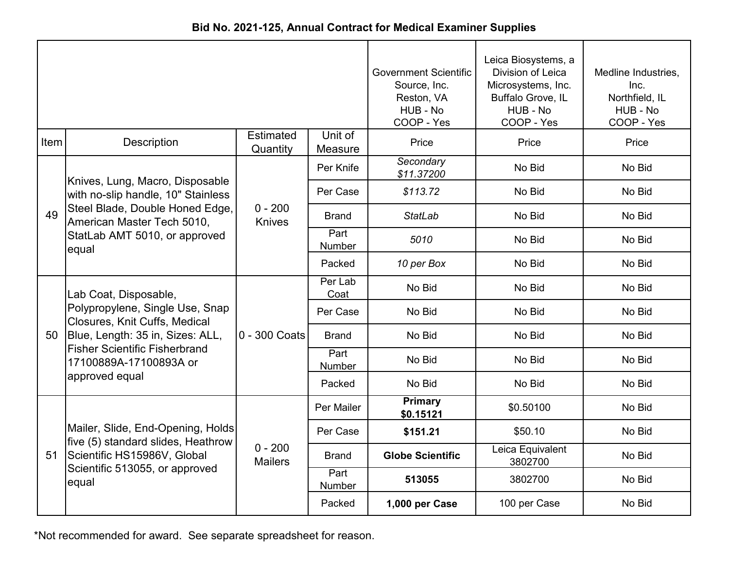|  | Bid No. 2021-125, Annual Contract for Medical Examiner Supplies |  |  |
|--|-----------------------------------------------------------------|--|--|
|--|-----------------------------------------------------------------|--|--|

|      |                                                                         |                             | <b>Government Scientific</b><br>Source, Inc.<br>Reston, VA<br>HUB - No<br>COOP - Yes | Leica Biosystems, a<br>Division of Leica<br>Microsystems, Inc.<br>Buffalo Grove, IL<br>HUB - No<br>COOP - Yes | Medline Industries,<br>Inc.<br>Northfield, IL<br>HUB - No<br>COOP - Yes |        |
|------|-------------------------------------------------------------------------|-----------------------------|--------------------------------------------------------------------------------------|---------------------------------------------------------------------------------------------------------------|-------------------------------------------------------------------------|--------|
| Item | <b>Description</b>                                                      | Estimated<br>Quantity       | Unit of<br>Measure                                                                   | Price                                                                                                         | Price                                                                   | Price  |
|      | Knives, Lung, Macro, Disposable                                         |                             | Per Knife                                                                            | Secondary<br>\$11.37200                                                                                       | No Bid                                                                  | No Bid |
|      | with no-slip handle, 10" Stainless                                      |                             | Per Case                                                                             | \$113.72                                                                                                      | No Bid                                                                  | No Bid |
| 49   | Steel Blade, Double Honed Edge,<br>American Master Tech 5010,           | $0 - 200$<br><b>Knives</b>  | Brand                                                                                | <b>StatLab</b>                                                                                                | No Bid                                                                  | No Bid |
|      | StatLab AMT 5010, or approved<br>equal                                  |                             | Part<br>Number                                                                       | 5010                                                                                                          | No Bid                                                                  | No Bid |
|      |                                                                         |                             | Packed                                                                               | 10 per Box                                                                                                    | No Bid                                                                  | No Bid |
|      | Lab Coat, Disposable,                                                   | 0 - 300 Coats               | Per Lab<br>Coat                                                                      | No Bid                                                                                                        | No Bid                                                                  | No Bid |
|      | Polypropylene, Single Use, Snap<br>Closures, Knit Cuffs, Medical        |                             | Per Case                                                                             | No Bid                                                                                                        | No Bid                                                                  | No Bid |
| 50   | Blue, Length: 35 in, Sizes: ALL,                                        |                             | <b>Brand</b>                                                                         | No Bid                                                                                                        | No Bid                                                                  | No Bid |
|      | <b>Fisher Scientific Fisherbrand</b><br>17100889A-17100893A or          |                             | Part<br>Number                                                                       | No Bid                                                                                                        | No Bid                                                                  | No Bid |
|      | approved equal                                                          |                             | Packed                                                                               | No Bid                                                                                                        | No Bid                                                                  | No Bid |
|      |                                                                         |                             | Per Mailer                                                                           | <b>Primary</b><br>\$0.15121                                                                                   | \$0.50100                                                               | No Bid |
|      | Mailer, Slide, End-Opening, Holds<br>five (5) standard slides, Heathrow |                             | Per Case                                                                             | \$151.21                                                                                                      | \$50.10                                                                 | No Bid |
| 51   | Scientific HS15986V, Global                                             | $0 - 200$<br><b>Mailers</b> | <b>Brand</b>                                                                         | <b>Globe Scientific</b>                                                                                       | Leica Equivalent<br>3802700                                             | No Bid |
|      | Scientific 513055, or approved<br>equal                                 |                             | Part<br>Number                                                                       | 513055                                                                                                        | 3802700                                                                 | No Bid |
|      |                                                                         |                             | Packed                                                                               | 1,000 per Case                                                                                                | 100 per Case                                                            | No Bid |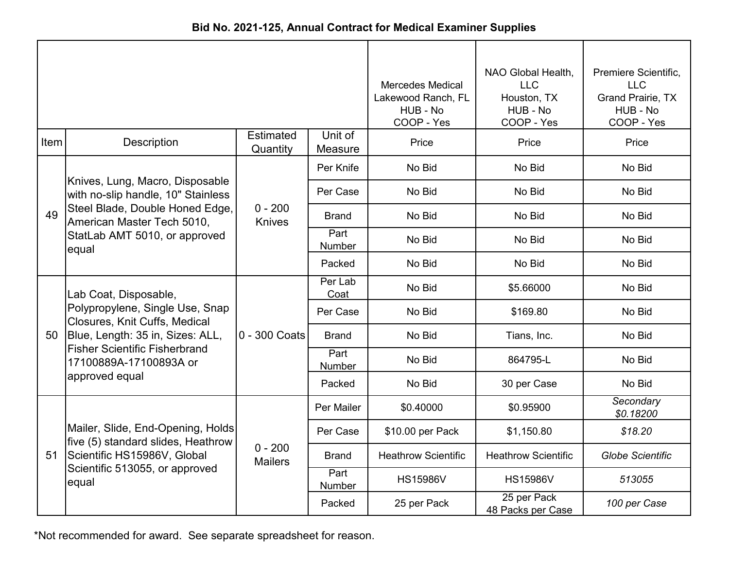| Bid No. 2021-125, Annual Contract for Medical Examiner Supplies |  |  |  |  |  |
|-----------------------------------------------------------------|--|--|--|--|--|
|-----------------------------------------------------------------|--|--|--|--|--|

|      |                                                                          |                             | <b>Mercedes Medical</b><br>Lakewood Ranch, FL<br>HUB - No<br>COOP - Yes | NAO Global Health,<br><b>LLC</b><br>Houston, TX<br>HUB - No<br>COOP - Yes | Premiere Scientific,<br><b>LLC</b><br><b>Grand Prairie, TX</b><br>HUB - No<br>COOP - Yes |                         |
|------|--------------------------------------------------------------------------|-----------------------------|-------------------------------------------------------------------------|---------------------------------------------------------------------------|------------------------------------------------------------------------------------------|-------------------------|
| Item | Description                                                              | Estimated<br>Quantity       | Unit of<br>Measure                                                      | Price                                                                     | Price                                                                                    | Price                   |
|      |                                                                          |                             | Per Knife                                                               | No Bid                                                                    | No Bid                                                                                   | No Bid                  |
|      | Knives, Lung, Macro, Disposable<br>with no-slip handle, 10" Stainless    |                             | Per Case                                                                | No Bid                                                                    | No Bid                                                                                   | No Bid                  |
| 49   | Steel Blade, Double Honed Edge,<br>American Master Tech 5010,            | $0 - 200$<br>Knives         | <b>Brand</b>                                                            | No Bid                                                                    | No Bid                                                                                   | No Bid                  |
|      | StatLab AMT 5010, or approved<br>equal                                   |                             | Part<br>Number                                                          | No Bid                                                                    | No Bid                                                                                   | No Bid                  |
|      |                                                                          |                             | Packed                                                                  | No Bid                                                                    | No Bid                                                                                   | No Bid                  |
|      | Lab Coat, Disposable,                                                    | 0 - 300 Coats               | Per Lab<br>Coat                                                         | No Bid                                                                    | \$5.66000                                                                                | No Bid                  |
|      | Polypropylene, Single Use, Snap<br>Closures, Knit Cuffs, Medical         |                             | Per Case                                                                | No Bid                                                                    | \$169.80                                                                                 | No Bid                  |
| 50   | Blue, Length: 35 in, Sizes: ALL,<br><b>Fisher Scientific Fisherbrand</b> |                             | <b>Brand</b>                                                            | No Bid                                                                    | Tians, Inc.                                                                              | No Bid                  |
|      | 17100889A-17100893A or                                                   |                             | Part<br>Number                                                          | No Bid                                                                    | 864795-L                                                                                 | No Bid                  |
|      | approved equal                                                           |                             | Packed                                                                  | No Bid                                                                    | 30 per Case                                                                              | No Bid                  |
|      |                                                                          |                             | Per Mailer                                                              | \$0.40000                                                                 | \$0.95900                                                                                | Secondary<br>\$0.18200  |
|      | Mailer, Slide, End-Opening, Holds<br>five (5) standard slides, Heathrow  |                             | Per Case                                                                | \$10.00 per Pack                                                          | \$1,150.80                                                                               | \$18.20                 |
| 51   | Scientific HS15986V, Global                                              | $0 - 200$<br><b>Mailers</b> | <b>Brand</b>                                                            | <b>Heathrow Scientific</b>                                                | <b>Heathrow Scientific</b>                                                               | <b>Globe Scientific</b> |
|      | Scientific 513055, or approved<br>equal                                  |                             | Part<br>Number                                                          | <b>HS15986V</b>                                                           | <b>HS15986V</b>                                                                          | 513055                  |
|      |                                                                          |                             | Packed                                                                  | 25 per Pack                                                               | 25 per Pack<br>48 Packs per Case                                                         | 100 per Case            |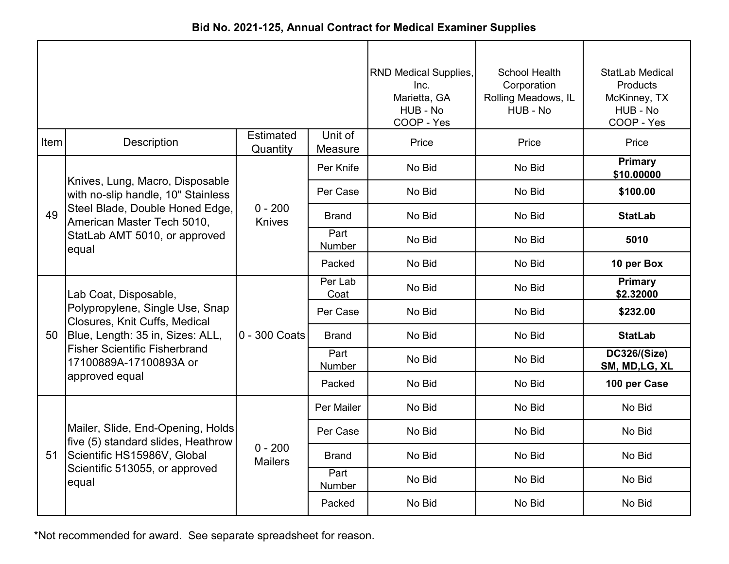| Bid No. 2021-125, Annual Contract for Medical Examiner Supplies |  |
|-----------------------------------------------------------------|--|
|-----------------------------------------------------------------|--|

|      |                                                                         | <b>RND Medical Supplies,</b><br>Inc.<br>Marietta, GA<br>HUB - No<br>COOP - Yes | School Health<br>Corporation<br>Rolling Meadows, IL<br>HUB - No | StatLab Medical<br>Products<br>McKinney, TX<br>HUB - No<br>COOP - Yes |        |                                       |
|------|-------------------------------------------------------------------------|--------------------------------------------------------------------------------|-----------------------------------------------------------------|-----------------------------------------------------------------------|--------|---------------------------------------|
| Item | <b>Description</b>                                                      | <b>Estimated</b><br>Quantity                                                   | Unit of<br>Measure                                              | Price                                                                 | Price  | Price                                 |
|      |                                                                         |                                                                                | Per Knife                                                       | No Bid                                                                | No Bid | <b>Primary</b><br>\$10.00000          |
|      | Knives, Lung, Macro, Disposable<br>with no-slip handle, 10" Stainless   |                                                                                | Per Case                                                        | No Bid                                                                | No Bid | \$100.00                              |
| 49   | Steel Blade, Double Honed Edge,<br>American Master Tech 5010,           | $0 - 200$<br><b>Knives</b>                                                     | Brand                                                           | No Bid                                                                | No Bid | <b>StatLab</b>                        |
|      | StatLab AMT 5010, or approved<br>equal                                  |                                                                                | Part<br>Number                                                  | No Bid                                                                | No Bid | 5010                                  |
|      |                                                                         |                                                                                | Packed                                                          | No Bid                                                                | No Bid | 10 per Box                            |
|      | Lab Coat, Disposable,                                                   | 0 - 300 Coats                                                                  | Per Lab<br>Coat                                                 | No Bid                                                                | No Bid | <b>Primary</b><br>\$2.32000           |
|      | Polypropylene, Single Use, Snap<br>Closures, Knit Cuffs, Medical        |                                                                                | Per Case                                                        | No Bid                                                                | No Bid | \$232.00                              |
| 50   | Blue, Length: 35 in, Sizes: ALL,                                        |                                                                                | <b>Brand</b>                                                    | No Bid                                                                | No Bid | <b>StatLab</b>                        |
|      | <b>Fisher Scientific Fisherbrand</b><br>17100889A-17100893A or          |                                                                                | Part<br>Number                                                  | No Bid                                                                | No Bid | <b>DC326/(Size)</b><br>SM, MD, LG, XL |
|      | approved equal                                                          |                                                                                | Packed                                                          | No Bid                                                                | No Bid | 100 per Case                          |
|      |                                                                         |                                                                                | Per Mailer                                                      | No Bid                                                                | No Bid | No Bid                                |
|      | Mailer, Slide, End-Opening, Holds<br>five (5) standard slides, Heathrow |                                                                                | Per Case                                                        | No Bid                                                                | No Bid | No Bid                                |
| 51   | Scientific HS15986V, Global                                             | $0 - 200$<br><b>Mailers</b>                                                    | <b>Brand</b>                                                    | No Bid                                                                | No Bid | No Bid                                |
|      | Scientific 513055, or approved<br>equal                                 |                                                                                | Part<br>Number                                                  | No Bid                                                                | No Bid | No Bid                                |
|      |                                                                         |                                                                                | Packed                                                          | No Bid                                                                | No Bid | No Bid                                |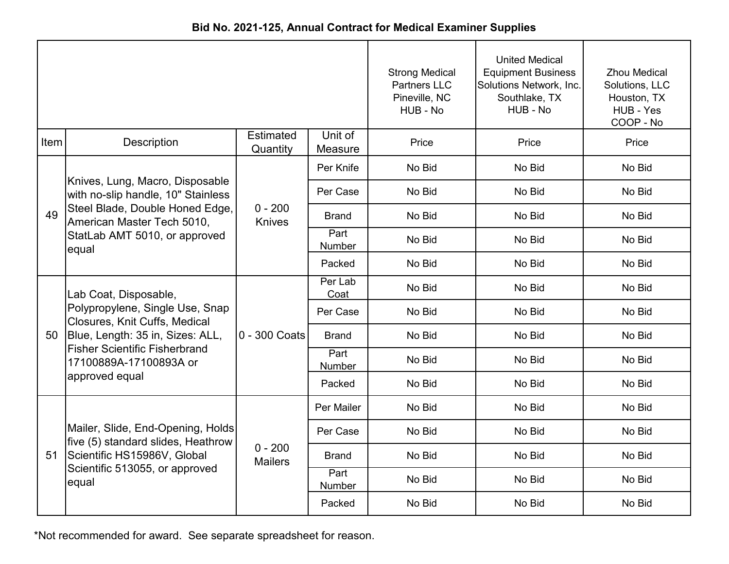| Bid No. 2021-125, Annual Contract for Medical Examiner Supplies |  |  |  |  |  |
|-----------------------------------------------------------------|--|--|--|--|--|
|-----------------------------------------------------------------|--|--|--|--|--|

|      |                                                                         |                             | <b>Strong Medical</b><br><b>Partners LLC</b><br>Pineville, NC<br>HUB - No | <b>United Medical</b><br><b>Equipment Business</b><br>Solutions Network, Inc.<br>Southlake, TX<br>HUB - No | <b>Zhou Medical</b><br>Solutions, LLC<br>Houston, TX<br>HUB - Yes<br>COOP - No |        |
|------|-------------------------------------------------------------------------|-----------------------------|---------------------------------------------------------------------------|------------------------------------------------------------------------------------------------------------|--------------------------------------------------------------------------------|--------|
| Item | Description                                                             | Estimated<br>Quantity       | Unit of<br>Measure                                                        | Price                                                                                                      | Price                                                                          | Price  |
|      |                                                                         |                             | Per Knife                                                                 | No Bid                                                                                                     | No Bid                                                                         | No Bid |
|      | Knives, Lung, Macro, Disposable<br>with no-slip handle, 10" Stainless   |                             | Per Case                                                                  | No Bid                                                                                                     | No Bid                                                                         | No Bid |
| 49   | Steel Blade, Double Honed Edge,<br>American Master Tech 5010,           | $0 - 200$<br><b>Knives</b>  | <b>Brand</b>                                                              | No Bid                                                                                                     | No Bid                                                                         | No Bid |
|      | StatLab AMT 5010, or approved<br>equal                                  |                             | Part<br>Number                                                            | No Bid                                                                                                     | No Bid                                                                         | No Bid |
|      |                                                                         |                             | Packed                                                                    | No Bid                                                                                                     | No Bid                                                                         | No Bid |
|      | Lab Coat, Disposable,                                                   | 0 - 300 Coats               | Per Lab<br>Coat                                                           | No Bid                                                                                                     | No Bid                                                                         | No Bid |
|      | Polypropylene, Single Use, Snap<br>Closures, Knit Cuffs, Medical        |                             | Per Case                                                                  | No Bid                                                                                                     | No Bid                                                                         | No Bid |
| 50   | Blue, Length: 35 in, Sizes: ALL,                                        |                             | <b>Brand</b>                                                              | No Bid                                                                                                     | No Bid                                                                         | No Bid |
|      | <b>Fisher Scientific Fisherbrand</b><br>17100889A-17100893A or          |                             | Part<br>Number                                                            | No Bid                                                                                                     | No Bid                                                                         | No Bid |
|      | approved equal                                                          |                             | Packed                                                                    | No Bid                                                                                                     | No Bid                                                                         | No Bid |
|      |                                                                         |                             | Per Mailer                                                                | No Bid                                                                                                     | No Bid                                                                         | No Bid |
|      | Mailer, Slide, End-Opening, Holds<br>five (5) standard slides, Heathrow |                             | Per Case                                                                  | No Bid                                                                                                     | No Bid                                                                         | No Bid |
| 51   | Scientific HS15986V, Global                                             | $0 - 200$<br><b>Mailers</b> | <b>Brand</b>                                                              | No Bid                                                                                                     | No Bid                                                                         | No Bid |
|      | Scientific 513055, or approved<br>equal                                 |                             | Part<br>Number                                                            | No Bid                                                                                                     | No Bid                                                                         | No Bid |
|      |                                                                         |                             | Packed                                                                    | No Bid                                                                                                     | No Bid                                                                         | No Bid |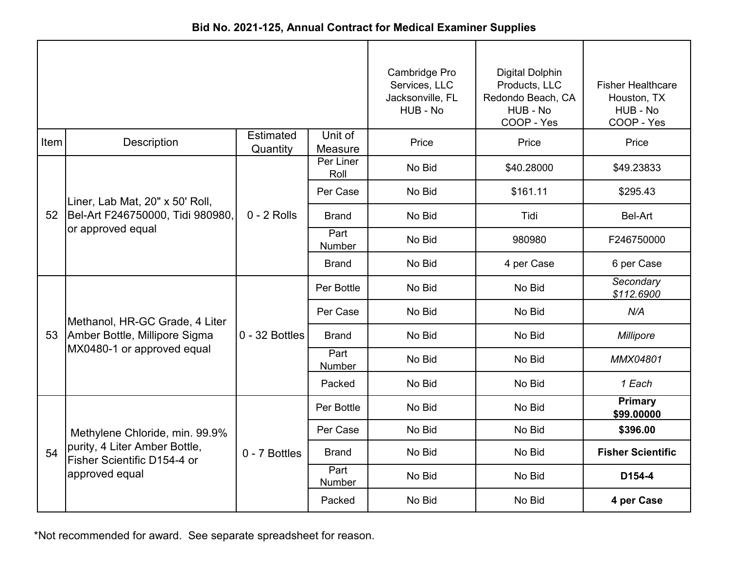|      |                                                              |                              |                    | Cambridge Pro<br>Services, LLC<br>Jacksonville, FL<br>HUB - No | <b>Digital Dolphin</b><br>Products, LLC<br>Redondo Beach, CA<br>HUB - No<br>COOP - Yes | <b>Fisher Healthcare</b><br>Houston, TX<br>HUB - No<br>COOP - Yes |
|------|--------------------------------------------------------------|------------------------------|--------------------|----------------------------------------------------------------|----------------------------------------------------------------------------------------|-------------------------------------------------------------------|
| Item | Description                                                  | <b>Estimated</b><br>Quantity | Unit of<br>Measure | Price                                                          | Price                                                                                  | Price                                                             |
|      |                                                              |                              | Per Liner<br>Roll  | No Bid                                                         | \$40.28000                                                                             | \$49.23833                                                        |
|      | Liner, Lab Mat, 20" x 50' Roll,                              |                              | Per Case           | No Bid                                                         | \$161.11                                                                               | \$295.43                                                          |
| 52   | Bel-Art F246750000, Tidi 980980,                             | $0 - 2$ Rolls                | <b>Brand</b>       | No Bid                                                         | Tidi                                                                                   | Bel-Art                                                           |
|      | or approved equal                                            |                              | Part<br>Number     | No Bid                                                         | 980980                                                                                 | F246750000                                                        |
|      |                                                              |                              | <b>Brand</b>       | No Bid                                                         | 4 per Case                                                                             | 6 per Case                                                        |
|      |                                                              | $0 - 32$ Bottles             | Per Bottle         | No Bid                                                         | No Bid                                                                                 | Secondary<br>\$112.6900                                           |
|      | Methanol, HR-GC Grade, 4 Liter                               |                              | Per Case           | No Bid                                                         | No Bid                                                                                 | N/A                                                               |
| 53   | Amber Bottle, Millipore Sigma                                |                              | Brand              | No Bid                                                         | No Bid                                                                                 | Millipore                                                         |
|      | MX0480-1 or approved equal                                   |                              | Part<br>Number     | No Bid                                                         | No Bid                                                                                 | <b>MMX04801</b>                                                   |
|      |                                                              |                              | Packed             | No Bid                                                         | No Bid                                                                                 | 1 Each                                                            |
|      |                                                              |                              | Per Bottle         | No Bid                                                         | No Bid                                                                                 | <b>Primary</b><br>\$99.00000                                      |
|      | Methylene Chloride, min. 99.9%                               |                              | Per Case           | No Bid                                                         | No Bid                                                                                 | \$396.00                                                          |
| 54   | purity, 4 Liter Amber Bottle,<br>Fisher Scientific D154-4 or | 0 - 7 Bottles                | <b>Brand</b>       | No Bid                                                         | No Bid                                                                                 | <b>Fisher Scientific</b>                                          |
|      | approved equal                                               |                              | Part<br>Number     | No Bid                                                         | No Bid                                                                                 | D154-4                                                            |
|      |                                                              |                              | Packed             | No Bid                                                         | No Bid                                                                                 | 4 per Case                                                        |

**Bid No. 2021-125, Annual Contract for Medical Examiner Supplies**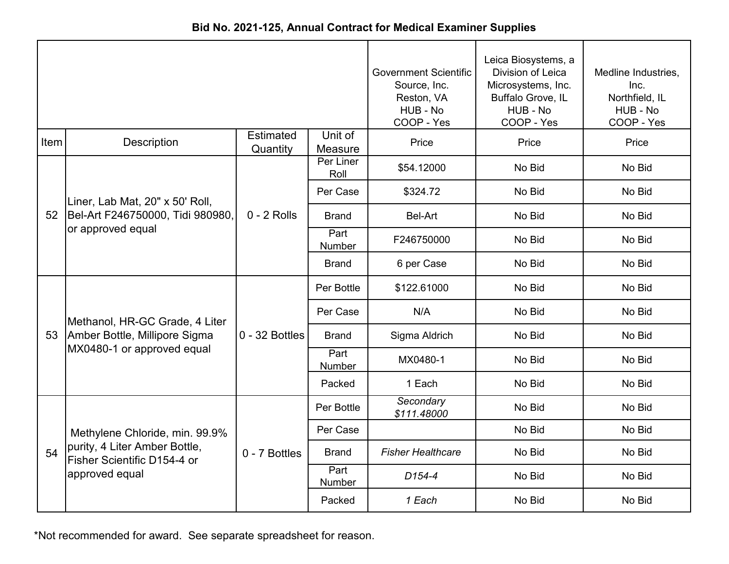|      |                                                              |                              |                       | <b>Government Scientific</b><br>Source, Inc.<br>Reston, VA<br>HUB - No<br>COOP - Yes | Leica Biosystems, a<br>Division of Leica<br>Microsystems, Inc.<br>Buffalo Grove, IL<br>HUB - No<br>COOP - Yes | Medline Industries,<br>Inc.<br>Northfield, IL<br>HUB - No<br>COOP - Yes |
|------|--------------------------------------------------------------|------------------------------|-----------------------|--------------------------------------------------------------------------------------|---------------------------------------------------------------------------------------------------------------|-------------------------------------------------------------------------|
| Item | <b>Description</b>                                           | <b>Estimated</b><br>Quantity | Unit of<br>Measure    | Price                                                                                | Price                                                                                                         | Price                                                                   |
|      |                                                              |                              | Per Liner<br>Roll     | \$54.12000                                                                           | No Bid                                                                                                        | No Bid                                                                  |
|      | Liner, Lab Mat, 20" x 50' Roll,                              |                              | Per Case              | \$324.72                                                                             | No Bid                                                                                                        | No Bid                                                                  |
| 52   | Bel-Art F246750000, Tidi 980980,                             | $0 - 2$ Rolls                | <b>Brand</b>          | Bel-Art                                                                              | No Bid                                                                                                        | No Bid                                                                  |
|      | or approved equal                                            |                              | Part<br><b>Number</b> | F246750000                                                                           | No Bid                                                                                                        | No Bid                                                                  |
|      |                                                              |                              | <b>Brand</b>          | 6 per Case                                                                           | No Bid                                                                                                        | No Bid                                                                  |
|      |                                                              | $0 - 32$ Bottles             | Per Bottle            | \$122.61000                                                                          | No Bid                                                                                                        | No Bid                                                                  |
|      | Methanol, HR-GC Grade, 4 Liter                               |                              | Per Case              | N/A                                                                                  | No Bid                                                                                                        | No Bid                                                                  |
| 53   | Amber Bottle, Millipore Sigma                                |                              | <b>Brand</b>          | Sigma Aldrich                                                                        | No Bid                                                                                                        | No Bid                                                                  |
|      | MX0480-1 or approved equal                                   |                              | Part<br>Number        | MX0480-1                                                                             | No Bid                                                                                                        | No Bid                                                                  |
|      |                                                              |                              | Packed                | 1 Each                                                                               | No Bid                                                                                                        | No Bid                                                                  |
|      |                                                              |                              | Per Bottle            | Secondary<br>\$111.48000                                                             | No Bid                                                                                                        | No Bid                                                                  |
|      | Methylene Chloride, min. 99.9%                               |                              | Per Case              |                                                                                      | No Bid                                                                                                        | No Bid                                                                  |
| 54   | purity, 4 Liter Amber Bottle,<br>Fisher Scientific D154-4 or | 0 - 7 Bottles                | <b>Brand</b>          | <b>Fisher Healthcare</b>                                                             | No Bid                                                                                                        | No Bid                                                                  |
|      | approved equal                                               |                              | Part<br>Number        | D <sub>154-4</sub>                                                                   | No Bid                                                                                                        | No Bid                                                                  |
|      |                                                              |                              | Packed                | 1 Each                                                                               | No Bid                                                                                                        | No Bid                                                                  |

**Bid No. 2021-125, Annual Contract for Medical Examiner Supplies**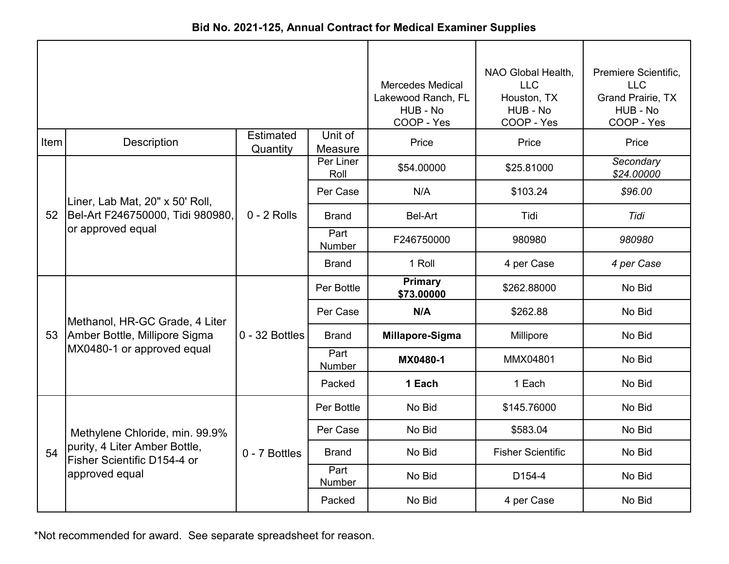| Bid No. 2021-125, Annual Contract for Medical Examiner Supplies |  |
|-----------------------------------------------------------------|--|
|-----------------------------------------------------------------|--|

|      |                                                              | <b>Mercedes Medical</b><br>Lakewood Ranch, FL<br>HUB - No<br>COOP - Yes | NAO Global Health,<br><b>LLC</b><br>Houston, TX<br>HUB - No<br>COOP - Yes | Premiere Scientific,<br><b>LLC</b><br><b>Grand Prairie, TX</b><br>HUB - No<br>COOP - Yes |                          |                         |
|------|--------------------------------------------------------------|-------------------------------------------------------------------------|---------------------------------------------------------------------------|------------------------------------------------------------------------------------------|--------------------------|-------------------------|
| Item | Description                                                  | <b>Estimated</b><br>Quantity                                            | Unit of<br>Measure                                                        | Price                                                                                    | Price                    | Price                   |
|      |                                                              |                                                                         | Per Liner<br>Roll                                                         | \$54.00000                                                                               | \$25.81000               | Secondary<br>\$24.00000 |
|      | Liner, Lab Mat, 20" x 50' Roll,                              |                                                                         | Per Case                                                                  | N/A                                                                                      | \$103.24                 | \$96.00                 |
| 52   | Bel-Art F246750000, Tidi 980980,                             | $0 - 2$ Rolls                                                           | <b>Brand</b>                                                              | <b>Bel-Art</b>                                                                           | Tidi                     | Tidi                    |
|      | or approved equal                                            |                                                                         | Part<br><b>Number</b>                                                     | F246750000                                                                               | 980980                   | 980980                  |
|      |                                                              |                                                                         | Brand                                                                     | 1 Roll                                                                                   | 4 per Case               | 4 per Case              |
|      |                                                              | $0 - 32$ Bottles                                                        | Per Bottle                                                                | <b>Primary</b><br>\$73.00000                                                             | \$262.88000              | No Bid                  |
|      | Methanol, HR-GC Grade, 4 Liter                               |                                                                         | Per Case                                                                  | N/A                                                                                      | \$262.88                 | No Bid                  |
| 53   | Amber Bottle, Millipore Sigma                                |                                                                         | <b>Brand</b>                                                              | Millapore-Sigma                                                                          | Millipore                | No Bid                  |
|      | MX0480-1 or approved equal                                   |                                                                         | Part<br><b>Number</b>                                                     | MX0480-1                                                                                 | MMX04801                 | No Bid                  |
|      |                                                              |                                                                         | Packed                                                                    | 1 Each                                                                                   | 1 Each                   | No Bid                  |
|      |                                                              |                                                                         | Per Bottle                                                                | No Bid                                                                                   | \$145.76000              | No Bid                  |
|      | Methylene Chloride, min. 99.9%                               |                                                                         | Per Case                                                                  | No Bid                                                                                   | \$583.04                 | No Bid                  |
| 54   | purity, 4 Liter Amber Bottle,<br>Fisher Scientific D154-4 or | 0 - 7 Bottles                                                           | <b>Brand</b>                                                              | No Bid                                                                                   | <b>Fisher Scientific</b> | No Bid                  |
|      | approved equal                                               |                                                                         | Part<br>Number                                                            | No Bid                                                                                   | D <sub>154-4</sub>       | No Bid                  |
|      |                                                              |                                                                         | Packed                                                                    | No Bid                                                                                   | 4 per Case               | No Bid                  |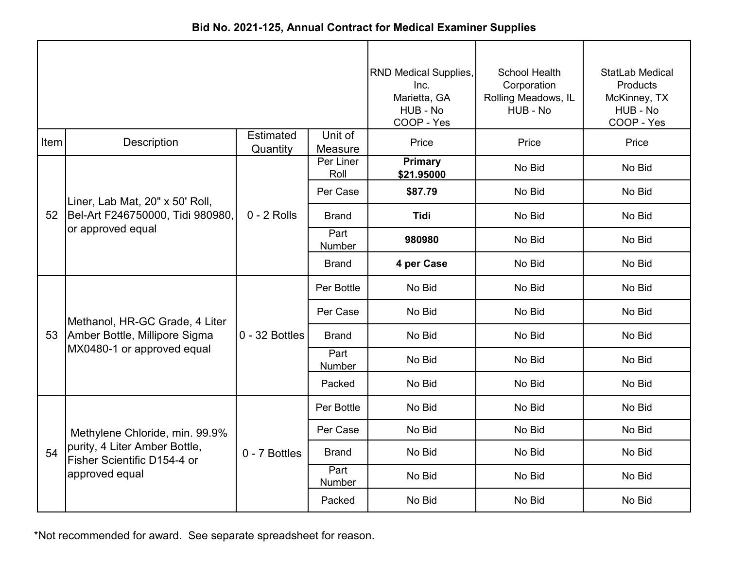|      |                                                              |                              |                    | <b>RND Medical Supplies,</b><br>Inc.<br>Marietta, GA<br>HUB - No<br>COOP - Yes | <b>School Health</b><br>Corporation<br>Rolling Meadows, IL<br>HUB - No | StatLab Medical<br>Products<br>McKinney, TX<br>HUB - No<br>COOP - Yes |
|------|--------------------------------------------------------------|------------------------------|--------------------|--------------------------------------------------------------------------------|------------------------------------------------------------------------|-----------------------------------------------------------------------|
| Item | Description                                                  | <b>Estimated</b><br>Quantity | Unit of<br>Measure | Price                                                                          | Price                                                                  | Price                                                                 |
|      |                                                              |                              | Per Liner<br>Roll  | <b>Primary</b><br>\$21.95000                                                   | No Bid                                                                 | No Bid                                                                |
|      | Liner, Lab Mat, 20" x 50' Roll,                              |                              | Per Case           | \$87.79                                                                        | No Bid                                                                 | No Bid                                                                |
| 52   | Bel-Art F246750000, Tidi 980980,                             | $0 - 2$ Rolls                | <b>Brand</b>       | <b>Tidi</b>                                                                    | No Bid                                                                 | No Bid                                                                |
|      | or approved equal                                            |                              | Part<br>Number     | 980980                                                                         | No Bid                                                                 | No Bid                                                                |
|      |                                                              |                              | <b>Brand</b>       | 4 per Case                                                                     | No Bid                                                                 | No Bid                                                                |
|      |                                                              | $0 - 32$ Bottles             | Per Bottle         | No Bid                                                                         | No Bid                                                                 | No Bid                                                                |
|      | Methanol, HR-GC Grade, 4 Liter                               |                              | Per Case           | No Bid                                                                         | No Bid                                                                 | No Bid                                                                |
| 53   | Amber Bottle, Millipore Sigma                                |                              | <b>Brand</b>       | No Bid                                                                         | No Bid                                                                 | No Bid                                                                |
|      | MX0480-1 or approved equal                                   |                              | Part<br>Number     | No Bid                                                                         | No Bid                                                                 | No Bid                                                                |
|      |                                                              |                              | Packed             | No Bid                                                                         | No Bid                                                                 | No Bid                                                                |
|      |                                                              |                              | Per Bottle         | No Bid                                                                         | No Bid                                                                 | No Bid                                                                |
|      | Methylene Chloride, min. 99.9%                               |                              | Per Case           | No Bid                                                                         | No Bid                                                                 | No Bid                                                                |
| 54   | purity, 4 Liter Amber Bottle,<br>Fisher Scientific D154-4 or | 0 - 7 Bottles                | <b>Brand</b>       | No Bid                                                                         | No Bid                                                                 | No Bid                                                                |
|      | approved equal                                               |                              | Part<br>Number     | No Bid                                                                         | No Bid                                                                 | No Bid                                                                |
|      |                                                              |                              | Packed             | No Bid                                                                         | No Bid                                                                 | No Bid                                                                |

**Bid No. 2021-125, Annual Contract for Medical Examiner Supplies**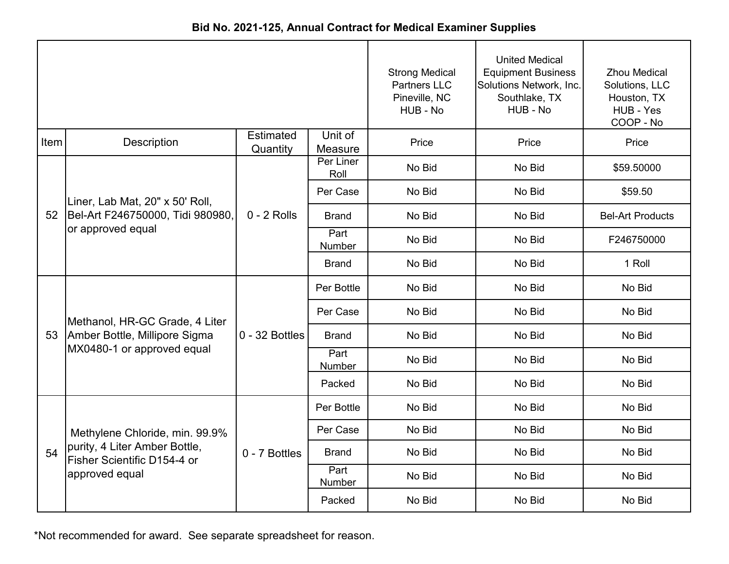|      |                                                              |                              |                       | <b>Strong Medical</b><br><b>Partners LLC</b><br>Pineville, NC<br>HUB - No | <b>United Medical</b><br><b>Equipment Business</b><br>Solutions Network, Inc.<br>Southlake, TX<br>HUB - No | <b>Zhou Medical</b><br>Solutions, LLC<br>Houston, TX<br>HUB - Yes<br>COOP - No |
|------|--------------------------------------------------------------|------------------------------|-----------------------|---------------------------------------------------------------------------|------------------------------------------------------------------------------------------------------------|--------------------------------------------------------------------------------|
| Item | <b>Description</b>                                           | <b>Estimated</b><br>Quantity | Unit of<br>Measure    | Price                                                                     | Price                                                                                                      | Price                                                                          |
|      |                                                              |                              | Per Liner<br>Roll     | No Bid                                                                    | No Bid                                                                                                     | \$59.50000                                                                     |
|      | Liner, Lab Mat, 20" x 50' Roll,                              |                              | Per Case              | No Bid                                                                    | No Bid                                                                                                     | \$59.50                                                                        |
| 52   | Bel-Art F246750000, Tidi 980980,                             | $0 - 2$ Rolls                | <b>Brand</b>          | No Bid                                                                    | No Bid                                                                                                     | <b>Bel-Art Products</b>                                                        |
|      | or approved equal                                            |                              | Part<br>Number        | No Bid                                                                    | No Bid                                                                                                     | F246750000                                                                     |
|      |                                                              |                              | <b>Brand</b>          | No Bid                                                                    | No Bid                                                                                                     | 1 Roll                                                                         |
|      |                                                              | $0 - 32$ Bottles             | Per Bottle            | No Bid                                                                    | No Bid                                                                                                     | No Bid                                                                         |
|      | Methanol, HR-GC Grade, 4 Liter                               |                              | Per Case              | No Bid                                                                    | No Bid                                                                                                     | No Bid                                                                         |
| 53   | Amber Bottle, Millipore Sigma                                |                              | <b>Brand</b>          | No Bid                                                                    | No Bid                                                                                                     | No Bid                                                                         |
|      | MX0480-1 or approved equal                                   |                              | Part<br><b>Number</b> | No Bid                                                                    | No Bid                                                                                                     | No Bid                                                                         |
|      |                                                              |                              | Packed                | No Bid                                                                    | No Bid                                                                                                     | No Bid                                                                         |
|      |                                                              |                              | Per Bottle            | No Bid                                                                    | No Bid                                                                                                     | No Bid                                                                         |
|      | Methylene Chloride, min. 99.9%                               |                              | Per Case              | No Bid                                                                    | No Bid                                                                                                     | No Bid                                                                         |
| 54   | purity, 4 Liter Amber Bottle,<br>Fisher Scientific D154-4 or | 0 - 7 Bottles                | <b>Brand</b>          | No Bid                                                                    | No Bid                                                                                                     | No Bid                                                                         |
|      | approved equal                                               |                              | Part<br>Number        | No Bid                                                                    | No Bid                                                                                                     | No Bid                                                                         |
|      |                                                              |                              | Packed                | No Bid                                                                    | No Bid                                                                                                     | No Bid                                                                         |

**Bid No. 2021-125, Annual Contract for Medical Examiner Supplies**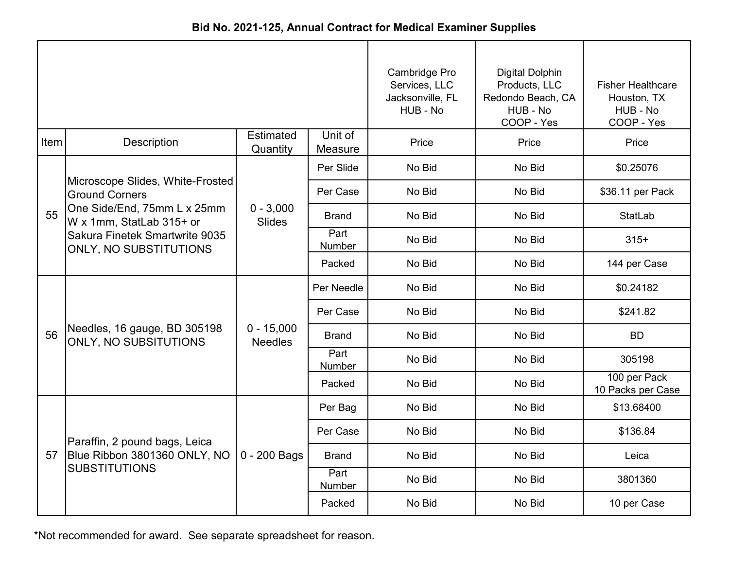|  | Bid No. 2021-125, Annual Contract for Medical Examiner Supplies |  |
|--|-----------------------------------------------------------------|--|
|--|-----------------------------------------------------------------|--|

|      |                                                                 |                                | Cambridge Pro<br>Services, LLC<br>Jacksonville, FL<br>HUB - No | <b>Digital Dolphin</b><br>Products, LLC<br>Redondo Beach, CA<br>HUB - No<br>COOP - Yes | <b>Fisher Healthcare</b><br>Houston, TX<br>HUB - No<br>COOP - Yes |                                   |
|------|-----------------------------------------------------------------|--------------------------------|----------------------------------------------------------------|----------------------------------------------------------------------------------------|-------------------------------------------------------------------|-----------------------------------|
| Item | Description                                                     | <b>Estimated</b><br>Quantity   | Unit of<br>Measure                                             | Price                                                                                  | Price                                                             | Price                             |
|      |                                                                 |                                | Per Slide                                                      | No Bid                                                                                 | No Bid                                                            | \$0.25076                         |
|      | Microscope Slides, White-Frosted<br><b>Ground Corners</b>       |                                | Per Case                                                       | No Bid                                                                                 | No Bid                                                            | \$36.11 per Pack                  |
| 55   | One Side/End, 75mm L x 25mm<br>W x 1mm, StatLab 315+ or         | $0 - 3,000$<br><b>Slides</b>   | <b>Brand</b>                                                   | No Bid                                                                                 | No Bid                                                            | <b>StatLab</b>                    |
|      | Sakura Finetek Smartwrite 9035<br><b>ONLY, NO SUBSTITUTIONS</b> |                                | Part<br>Number                                                 | No Bid                                                                                 | No Bid                                                            | $315+$                            |
|      |                                                                 |                                | Packed                                                         | No Bid                                                                                 | No Bid                                                            | 144 per Case                      |
|      |                                                                 | $0 - 15,000$<br><b>Needles</b> | Per Needle                                                     | No Bid                                                                                 | No Bid                                                            | \$0.24182                         |
|      |                                                                 |                                | Per Case                                                       | No Bid                                                                                 | No Bid                                                            | \$241.82                          |
| 56   | Needles, 16 gauge, BD 305198<br><b>ONLY, NO SUBSITUTIONS</b>    |                                | <b>Brand</b>                                                   | No Bid                                                                                 | No Bid                                                            | <b>BD</b>                         |
|      |                                                                 |                                | Part<br>Number                                                 | No Bid                                                                                 | No Bid                                                            | 305198                            |
|      |                                                                 |                                | Packed                                                         | No Bid                                                                                 | No Bid                                                            | 100 per Pack<br>10 Packs per Case |
|      |                                                                 |                                | Per Bag                                                        | No Bid                                                                                 | No Bid                                                            | \$13.68400                        |
|      | Paraffin, 2 pound bags, Leica                                   |                                | Per Case                                                       | No Bid                                                                                 | No Bid                                                            | \$136.84                          |
| 57   | Blue Ribbon 3801360 ONLY, NO                                    | $0 - 200$ Bags                 | <b>Brand</b>                                                   | No Bid                                                                                 | No Bid                                                            | Leica                             |
|      | <b>SUBSTITUTIONS</b>                                            |                                | Part<br>Number                                                 | No Bid                                                                                 | No Bid                                                            | 3801360                           |
|      |                                                                 |                                | Packed                                                         | No Bid                                                                                 | No Bid                                                            | 10 per Case                       |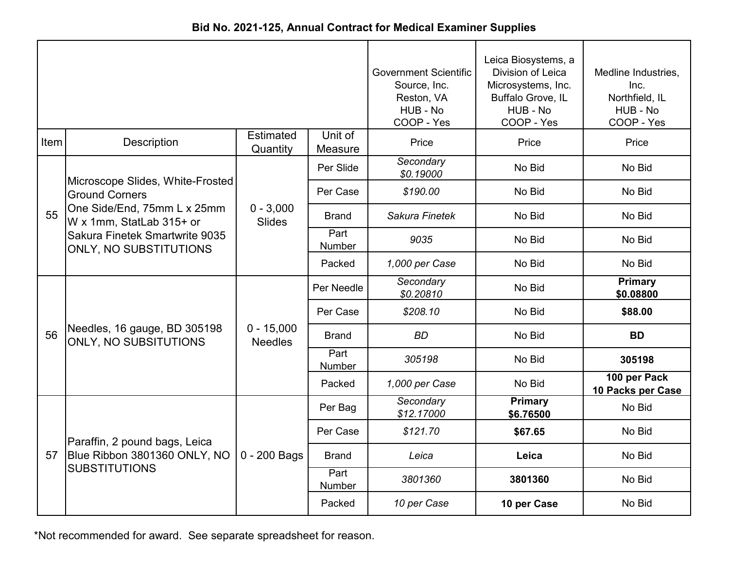|  |  |  | Bid No. 2021-125, Annual Contract for Medical Examiner Supplies |
|--|--|--|-----------------------------------------------------------------|
|--|--|--|-----------------------------------------------------------------|

|      |                                                                 |                                | <b>Government Scientific</b><br>Source, Inc.<br>Reston, VA<br>HUB - No<br>COOP - Yes | Leica Biosystems, a<br>Division of Leica<br>Microsystems, Inc.<br>Buffalo Grove, IL<br>HUB - No<br>COOP - Yes | Medline Industries,<br>Inc.<br>Northfield, IL<br>HUB - No<br>COOP - Yes |                                   |
|------|-----------------------------------------------------------------|--------------------------------|--------------------------------------------------------------------------------------|---------------------------------------------------------------------------------------------------------------|-------------------------------------------------------------------------|-----------------------------------|
| Item | <b>Description</b>                                              | <b>Estimated</b><br>Quantity   | Unit of<br>Measure                                                                   | Price                                                                                                         | Price                                                                   | Price                             |
|      | Microscope Slides, White-Frosted                                |                                | Per Slide                                                                            | Secondary<br>\$0.19000                                                                                        | No Bid                                                                  | No Bid                            |
|      | <b>Ground Corners</b>                                           |                                | Per Case                                                                             | \$190.00                                                                                                      | No Bid                                                                  | No Bid                            |
| 55   | One Side/End, 75mm L x 25mm<br>W x 1mm, StatLab 315+ or         | $0 - 3,000$<br><b>Slides</b>   | <b>Brand</b>                                                                         | Sakura Finetek                                                                                                | No Bid                                                                  | No Bid                            |
|      | Sakura Finetek Smartwrite 9035<br><b>ONLY, NO SUBSTITUTIONS</b> |                                | Part<br>Number                                                                       | 9035                                                                                                          | No Bid                                                                  | No Bid                            |
|      |                                                                 |                                | Packed                                                                               | 1,000 per Case                                                                                                | No Bid                                                                  | No Bid                            |
|      |                                                                 | $0 - 15,000$<br><b>Needles</b> | Per Needle                                                                           | Secondary<br>\$0.20810                                                                                        | No Bid                                                                  | <b>Primary</b><br>\$0.08800       |
|      |                                                                 |                                | Per Case                                                                             | \$208.10                                                                                                      | No Bid                                                                  | \$88.00                           |
| 56   | Needles, 16 gauge, BD 305198<br><b>ONLY, NO SUBSITUTIONS</b>    |                                | <b>Brand</b>                                                                         | <b>BD</b>                                                                                                     | No Bid                                                                  | <b>BD</b>                         |
|      |                                                                 |                                | Part<br>Number                                                                       | 305198                                                                                                        | No Bid                                                                  | 305198                            |
|      |                                                                 |                                | Packed                                                                               | 1,000 per Case                                                                                                | No Bid                                                                  | 100 per Pack<br>10 Packs per Case |
|      |                                                                 |                                | Per Bag                                                                              | Secondary<br>\$12.17000                                                                                       | <b>Primary</b><br>\$6.76500                                             | No Bid                            |
|      | Paraffin, 2 pound bags, Leica                                   |                                | Per Case                                                                             | \$121.70                                                                                                      | \$67.65                                                                 | No Bid                            |
| 57   | Blue Ribbon 3801360 ONLY, NO                                    | $0 - 200$ Bags                 | <b>Brand</b>                                                                         | Leica                                                                                                         | Leica                                                                   | No Bid                            |
|      | <b>SUBSTITUTIONS</b>                                            |                                | Part<br>Number                                                                       | 3801360                                                                                                       | 3801360                                                                 | No Bid                            |
|      |                                                                 |                                | Packed                                                                               | 10 per Case                                                                                                   | 10 per Case                                                             | No Bid                            |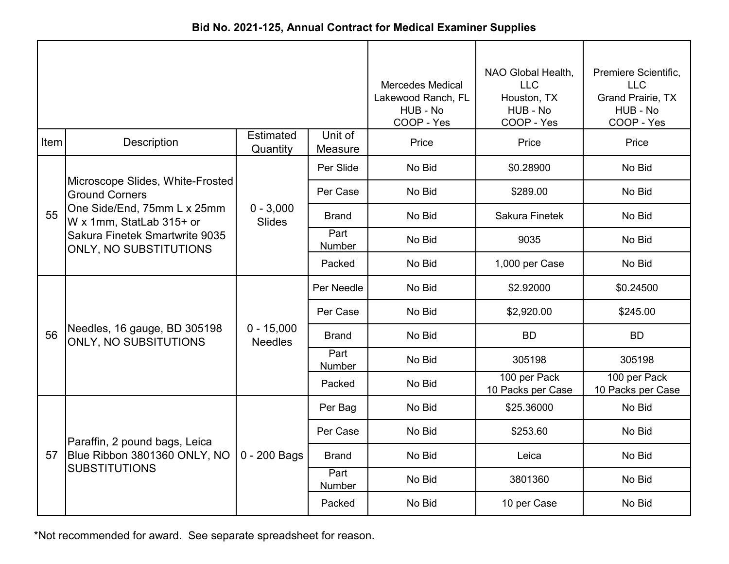| Bid No. 2021-125, Annual Contract for Medical Examiner Supplies |  |  |  |  |  |
|-----------------------------------------------------------------|--|--|--|--|--|
|-----------------------------------------------------------------|--|--|--|--|--|

|      |                                                           | <b>Mercedes Medical</b><br>Lakewood Ranch, FL<br>HUB - No<br>COOP - Yes | NAO Global Health,<br><b>LLC</b><br>Houston, TX<br>HUB - No<br>COOP - Yes | Premiere Scientific,<br><b>LLC</b><br><b>Grand Prairie, TX</b><br>HUB - No<br>COOP - Yes |                                   |                                   |
|------|-----------------------------------------------------------|-------------------------------------------------------------------------|---------------------------------------------------------------------------|------------------------------------------------------------------------------------------|-----------------------------------|-----------------------------------|
| Item | <b>Description</b>                                        | <b>Estimated</b><br>Quantity                                            | Unit of<br>Measure                                                        | Price                                                                                    | Price                             | Price                             |
|      |                                                           |                                                                         | Per Slide                                                                 | No Bid                                                                                   | \$0.28900                         | No Bid                            |
|      | Microscope Slides, White-Frosted<br><b>Ground Corners</b> |                                                                         | Per Case                                                                  | No Bid                                                                                   | \$289.00                          | No Bid                            |
| 55   | One Side/End, 75mm L x 25mm<br>W x 1mm, StatLab 315+ or   | $0 - 3,000$<br><b>Slides</b>                                            | <b>Brand</b>                                                              | No Bid                                                                                   | Sakura Finetek                    | No Bid                            |
|      | Sakura Finetek Smartwrite 9035<br>ONLY, NO SUBSTITUTIONS  |                                                                         | Part<br>Number                                                            | No Bid                                                                                   | 9035                              | No Bid                            |
|      |                                                           |                                                                         | Packed                                                                    | No Bid                                                                                   | 1,000 per Case                    | No Bid                            |
|      |                                                           | $0 - 15,000$<br><b>Needles</b>                                          | Per Needle                                                                | No Bid                                                                                   | \$2.92000                         | \$0.24500                         |
|      |                                                           |                                                                         | Per Case                                                                  | No Bid                                                                                   | \$2,920.00                        | \$245.00                          |
| 56   | Needles, 16 gauge, BD 305198<br>ONLY, NO SUBSITUTIONS     |                                                                         | <b>Brand</b>                                                              | No Bid                                                                                   | <b>BD</b>                         | <b>BD</b>                         |
|      |                                                           |                                                                         | Part<br>Number                                                            | No Bid                                                                                   | 305198                            | 305198                            |
|      |                                                           |                                                                         | Packed                                                                    | No Bid                                                                                   | 100 per Pack<br>10 Packs per Case | 100 per Pack<br>10 Packs per Case |
|      |                                                           |                                                                         | Per Bag                                                                   | No Bid                                                                                   | \$25.36000                        | No Bid                            |
|      | Paraffin, 2 pound bags, Leica                             |                                                                         | Per Case                                                                  | No Bid                                                                                   | \$253.60                          | No Bid                            |
| 57   | Blue Ribbon 3801360 ONLY, NO                              | $0 - 200$ Bags                                                          | <b>Brand</b>                                                              | No Bid                                                                                   | Leica                             | No Bid                            |
|      | <b>SUBSTITUTIONS</b>                                      |                                                                         | Part<br>Number                                                            | No Bid                                                                                   | 3801360                           | No Bid                            |
|      |                                                           |                                                                         | Packed                                                                    | No Bid                                                                                   | 10 per Case                       | No Bid                            |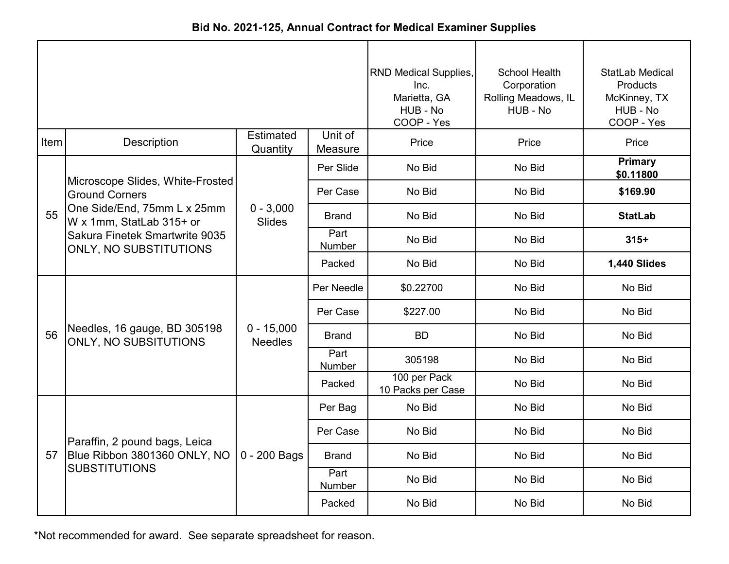|  |  |  | Bid No. 2021-125, Annual Contract for Medical Examiner Supplies |
|--|--|--|-----------------------------------------------------------------|
|--|--|--|-----------------------------------------------------------------|

|      |                                                                 |                                | RND Medical Supplies,<br>Inc.<br>Marietta, GA<br>HUB - No<br>COOP - Yes | School Health<br>Corporation<br>Rolling Meadows, IL<br>HUB - No | <b>StatLab Medical</b><br><b>Products</b><br>McKinney, TX<br>HUB - No<br>COOP - Yes |                             |
|------|-----------------------------------------------------------------|--------------------------------|-------------------------------------------------------------------------|-----------------------------------------------------------------|-------------------------------------------------------------------------------------|-----------------------------|
| Item | <b>Description</b>                                              | <b>Estimated</b><br>Quantity   | Unit of<br>Measure                                                      | Price                                                           | Price                                                                               | Price                       |
|      |                                                                 |                                | Per Slide                                                               | No Bid                                                          | No Bid                                                                              | <b>Primary</b><br>\$0.11800 |
|      | Microscope Slides, White-Frosted<br><b>Ground Corners</b>       |                                | Per Case                                                                | No Bid                                                          | No Bid                                                                              | \$169.90                    |
| 55   | One Side/End, 75mm L x 25mm<br>W x 1mm, StatLab 315+ or         | $0 - 3,000$<br>Slides          | <b>Brand</b>                                                            | No Bid                                                          | No Bid                                                                              | <b>StatLab</b>              |
|      | Sakura Finetek Smartwrite 9035<br><b>ONLY, NO SUBSTITUTIONS</b> |                                | Part<br>Number                                                          | No Bid                                                          | No Bid                                                                              | $315+$                      |
|      |                                                                 |                                | Packed                                                                  | No Bid                                                          | No Bid                                                                              | 1,440 Slides                |
|      |                                                                 | $0 - 15,000$<br><b>Needles</b> | Per Needle                                                              | \$0.22700                                                       | No Bid                                                                              | No Bid                      |
|      |                                                                 |                                | Per Case                                                                | \$227.00                                                        | No Bid                                                                              | No Bid                      |
| 56   | Needles, 16 gauge, BD 305198<br><b>ONLY, NO SUBSITUTIONS</b>    |                                | <b>Brand</b>                                                            | <b>BD</b>                                                       | No Bid                                                                              | No Bid                      |
|      |                                                                 |                                | Part<br>Number                                                          | 305198                                                          | No Bid                                                                              | No Bid                      |
|      |                                                                 |                                | Packed                                                                  | 100 per Pack<br>10 Packs per Case                               | No Bid                                                                              | No Bid                      |
|      |                                                                 |                                | Per Bag                                                                 | No Bid                                                          | No Bid                                                                              | No Bid                      |
|      | Paraffin, 2 pound bags, Leica                                   |                                | Per Case                                                                | No Bid                                                          | No Bid                                                                              | No Bid                      |
| 57   | Blue Ribbon 3801360 ONLY, NO                                    | 0 - 200 Bags                   | <b>Brand</b>                                                            | No Bid                                                          | No Bid                                                                              | No Bid                      |
|      | <b>SUBSTITUTIONS</b>                                            |                                | Part<br>Number                                                          | No Bid                                                          | No Bid                                                                              | No Bid                      |
|      |                                                                 |                                | Packed                                                                  | No Bid                                                          | No Bid                                                                              | No Bid                      |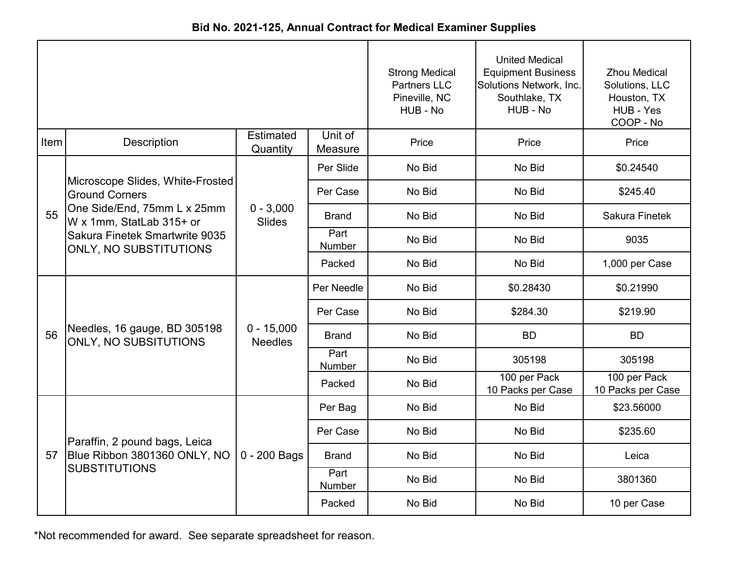| Bid No. 2021-125, Annual Contract for Medical Examiner Supplies |  |
|-----------------------------------------------------------------|--|
|-----------------------------------------------------------------|--|

|      |                                                                 |                                |                    | <b>Strong Medical</b><br><b>Partners LLC</b><br>Pineville, NC<br>HUB - No | <b>United Medical</b><br><b>Equipment Business</b><br>Solutions Network, Inc.<br>Southlake, TX<br>HUB - No | <b>Zhou Medical</b><br>Solutions, LLC<br>Houston, TX<br>HUB - Yes<br>COOP - No |
|------|-----------------------------------------------------------------|--------------------------------|--------------------|---------------------------------------------------------------------------|------------------------------------------------------------------------------------------------------------|--------------------------------------------------------------------------------|
| Item | Description                                                     | <b>Estimated</b><br>Quantity   | Unit of<br>Measure | Price                                                                     | Price                                                                                                      | Price                                                                          |
|      |                                                                 |                                | Per Slide          | No Bid                                                                    | No Bid                                                                                                     | \$0.24540                                                                      |
|      | Microscope Slides, White-Frosted<br><b>Ground Corners</b>       |                                | Per Case           | No Bid                                                                    | No Bid                                                                                                     | \$245.40                                                                       |
| 55   | One Side/End, 75mm L x 25mm<br>W x 1mm, StatLab 315+ or         | $0 - 3,000$<br><b>Slides</b>   | <b>Brand</b>       | No Bid                                                                    | No Bid                                                                                                     | Sakura Finetek                                                                 |
|      | Sakura Finetek Smartwrite 9035<br><b>ONLY, NO SUBSTITUTIONS</b> |                                | Part<br>Number     | No Bid                                                                    | No Bid                                                                                                     | 9035                                                                           |
|      |                                                                 |                                | Packed             | No Bid                                                                    | No Bid                                                                                                     | 1,000 per Case                                                                 |
|      |                                                                 | $0 - 15,000$<br><b>Needles</b> | Per Needle         | No Bid                                                                    | \$0.28430                                                                                                  | \$0.21990                                                                      |
|      |                                                                 |                                | Per Case           | No Bid                                                                    | \$284.30                                                                                                   | \$219.90                                                                       |
| 56   | Needles, 16 gauge, BD 305198<br><b>ONLY, NO SUBSITUTIONS</b>    |                                | <b>Brand</b>       | No Bid                                                                    | <b>BD</b>                                                                                                  | <b>BD</b>                                                                      |
|      |                                                                 |                                | Part<br>Number     | No Bid                                                                    | 305198                                                                                                     | 305198                                                                         |
|      |                                                                 |                                | Packed             | No Bid                                                                    | 100 per Pack<br>10 Packs per Case                                                                          | 100 per Pack<br>10 Packs per Case                                              |
|      |                                                                 |                                | Per Bag            | No Bid                                                                    | No Bid                                                                                                     | \$23.56000                                                                     |
|      | Paraffin, 2 pound bags, Leica                                   |                                | Per Case           | No Bid                                                                    | No Bid                                                                                                     | \$235.60                                                                       |
| 57   | Blue Ribbon 3801360 ONLY, NO                                    | 0 - 200 Bags                   | <b>Brand</b>       | No Bid                                                                    | No Bid                                                                                                     | Leica                                                                          |
|      | <b>SUBSTITUTIONS</b>                                            |                                | Part<br>Number     | No Bid                                                                    | No Bid                                                                                                     | 3801360                                                                        |
|      |                                                                 |                                | Packed             | No Bid                                                                    | No Bid                                                                                                     | 10 per Case                                                                    |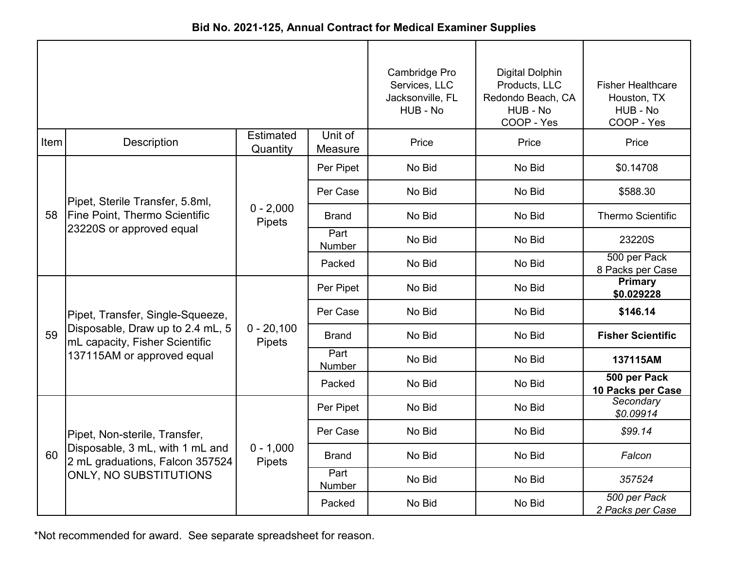|      |                                                                    |                              |                    | Cambridge Pro<br>Services, LLC<br>Jacksonville, FL<br>HUB - No | <b>Digital Dolphin</b><br>Products, LLC<br>Redondo Beach, CA<br>HUB - No<br>COOP - Yes | <b>Fisher Healthcare</b><br>Houston, TX<br>HUB - No<br>COOP - Yes |
|------|--------------------------------------------------------------------|------------------------------|--------------------|----------------------------------------------------------------|----------------------------------------------------------------------------------------|-------------------------------------------------------------------|
| Item | Description                                                        | <b>Estimated</b><br>Quantity | Unit of<br>Measure | Price                                                          | Price                                                                                  | Price                                                             |
|      |                                                                    |                              | Per Pipet          | No Bid                                                         | No Bid                                                                                 | \$0.14708                                                         |
|      | Pipet, Sterile Transfer, 5.8ml,                                    |                              | Per Case           | No Bid                                                         | No Bid                                                                                 | \$588.30                                                          |
| 58   | <b>Fine Point, Thermo Scientific</b><br>23220S or approved equal   | $0 - 2,000$<br>Pipets        | <b>Brand</b>       | No Bid                                                         | No Bid                                                                                 | <b>Thermo Scientific</b>                                          |
|      |                                                                    |                              | Part<br>Number     | No Bid                                                         | No Bid                                                                                 | 23220S                                                            |
|      |                                                                    |                              | Packed             | No Bid                                                         | No Bid                                                                                 | 500 per Pack<br>8 Packs per Case                                  |
|      | Pipet, Transfer, Single-Squeeze,                                   | $0 - 20,100$<br>Pipets       | Per Pipet          | No Bid                                                         | No Bid                                                                                 | Primary<br>\$0.029228                                             |
|      |                                                                    |                              | Per Case           | No Bid                                                         | No Bid                                                                                 | \$146.14                                                          |
| 59   | Disposable, Draw up to 2.4 mL, 5<br>mL capacity, Fisher Scientific |                              | <b>Brand</b>       | No Bid                                                         | No Bid                                                                                 | <b>Fisher Scientific</b>                                          |
|      | 137115AM or approved equal                                         |                              | Part<br>Number     | No Bid                                                         | No Bid                                                                                 | 137115AM                                                          |
|      |                                                                    |                              | Packed             | No Bid                                                         | No Bid                                                                                 | 500 per Pack<br>10 Packs per Case                                 |
|      |                                                                    |                              | Per Pipet          | No Bid                                                         | No Bid                                                                                 | Secondary<br>\$0.09914                                            |
|      | Pipet, Non-sterile, Transfer,                                      |                              | Per Case           | No Bid                                                         | No Bid                                                                                 | \$99.14                                                           |
| 60   | Disposable, 3 mL, with 1 mL and<br>2 mL graduations, Falcon 357524 | $0 - 1,000$<br>Pipets        | <b>Brand</b>       | No Bid                                                         | No Bid                                                                                 | Falcon                                                            |
|      | ONLY, NO SUBSTITUTIONS                                             |                              | Part<br>Number     | No Bid                                                         | No Bid                                                                                 | 357524                                                            |
|      |                                                                    |                              | Packed             | No Bid                                                         | No Bid                                                                                 | 500 per Pack<br>2 Packs per Case                                  |

**Bid No. 2021-125, Annual Contract for Medical Examiner Supplies**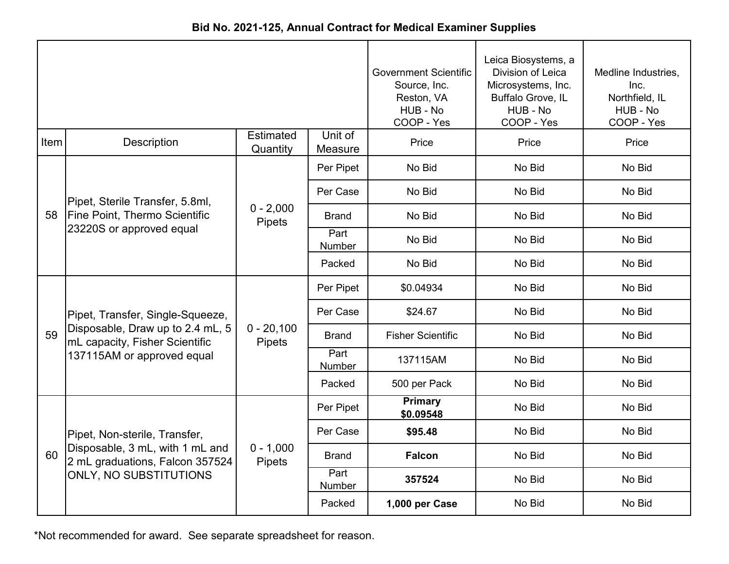|             |                                                                    |                               |                    | <b>Government Scientific</b><br>Source, Inc.<br>Reston, VA<br>HUB - No<br>COOP - Yes | Leica Biosystems, a<br>Division of Leica<br>Microsystems, Inc.<br>Buffalo Grove, IL<br>HUB - No<br>COOP - Yes | Medline Industries,<br>Inc.<br>Northfield, IL<br>HUB - No<br>COOP - Yes |
|-------------|--------------------------------------------------------------------|-------------------------------|--------------------|--------------------------------------------------------------------------------------|---------------------------------------------------------------------------------------------------------------|-------------------------------------------------------------------------|
| <b>Item</b> | <b>Description</b>                                                 | Estimated<br>Quantity         | Unit of<br>Measure | Price                                                                                | Price                                                                                                         | Price                                                                   |
|             |                                                                    |                               | Per Pipet          | No Bid                                                                               | No Bid                                                                                                        | No Bid                                                                  |
|             | Pipet, Sterile Transfer, 5.8ml,                                    |                               | Per Case           | No Bid                                                                               | No Bid                                                                                                        | No Bid                                                                  |
| 58          | <b>Fine Point, Thermo Scientific</b><br>23220S or approved equal   | $0 - 2,000$<br>Pipets         | <b>Brand</b>       | No Bid                                                                               | No Bid                                                                                                        | No Bid                                                                  |
|             |                                                                    |                               | Part<br>Number     | No Bid                                                                               | No Bid                                                                                                        | No Bid                                                                  |
|             |                                                                    |                               | Packed             | No Bid                                                                               | No Bid                                                                                                        | No Bid                                                                  |
|             |                                                                    | $0 - 20,100$<br><b>Pipets</b> | Per Pipet          | \$0.04934                                                                            | No Bid                                                                                                        | No Bid                                                                  |
|             | Pipet, Transfer, Single-Squeeze,                                   |                               | Per Case           | \$24.67                                                                              | No Bid                                                                                                        | No Bid                                                                  |
| 59          | Disposable, Draw up to 2.4 mL, 5<br>mL capacity, Fisher Scientific |                               | Brand              | <b>Fisher Scientific</b>                                                             | No Bid                                                                                                        | No Bid                                                                  |
|             | 137115AM or approved equal                                         |                               | Part<br>Number     | 137115AM                                                                             | No Bid                                                                                                        | No Bid                                                                  |
|             |                                                                    |                               | Packed             | 500 per Pack                                                                         | No Bid                                                                                                        | No Bid                                                                  |
|             |                                                                    |                               | Per Pipet          | Primary<br>\$0.09548                                                                 | No Bid                                                                                                        | No Bid                                                                  |
|             | Pipet, Non-sterile, Transfer,                                      |                               | Per Case           | \$95.48                                                                              | No Bid                                                                                                        | No Bid                                                                  |
| 60          | Disposable, 3 mL, with 1 mL and<br>2 mL graduations, Falcon 357524 | $0 - 1,000$<br>Pipets         | <b>Brand</b>       | <b>Falcon</b>                                                                        | No Bid                                                                                                        | No Bid                                                                  |
|             | <b>ONLY, NO SUBSTITUTIONS</b>                                      |                               | Part<br>Number     | 357524                                                                               | No Bid                                                                                                        | No Bid                                                                  |
|             |                                                                    |                               | Packed             | 1,000 per Case                                                                       | No Bid                                                                                                        | No Bid                                                                  |

**Bid No. 2021-125, Annual Contract for Medical Examiner Supplies**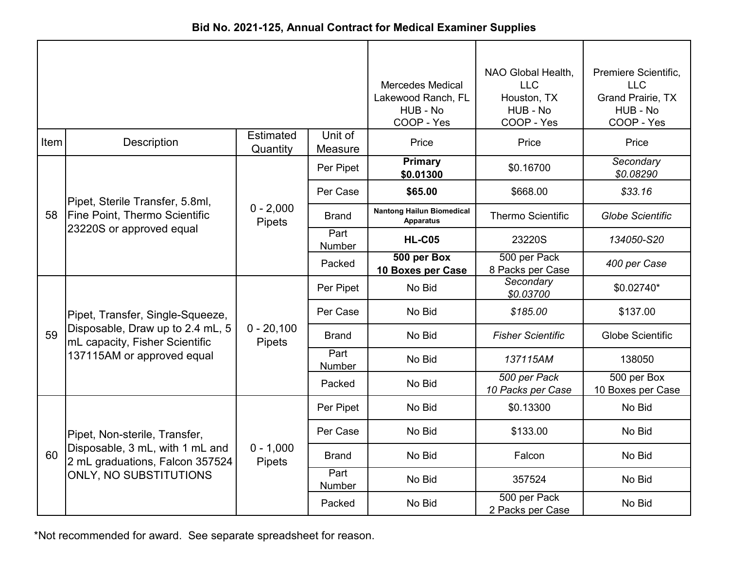| Bid No. 2021-125, Annual Contract for Medical Examiner Supplies |  |
|-----------------------------------------------------------------|--|
|-----------------------------------------------------------------|--|

|      |                                                                    |                              |                       | <b>Mercedes Medical</b><br>Lakewood Ranch, FL<br>HUB - No<br>COOP - Yes | NAO Global Health,<br><b>LLC</b><br>Houston, TX<br>HUB - No<br>COOP - Yes | Premiere Scientific,<br><b>LLC</b><br><b>Grand Prairie, TX</b><br>HUB - No<br>COOP - Yes |
|------|--------------------------------------------------------------------|------------------------------|-----------------------|-------------------------------------------------------------------------|---------------------------------------------------------------------------|------------------------------------------------------------------------------------------|
| Item | Description                                                        | <b>Estimated</b><br>Quantity | Unit of<br>Measure    | Price                                                                   | Price                                                                     | Price                                                                                    |
|      |                                                                    |                              | Per Pipet             | <b>Primary</b><br>\$0.01300                                             | \$0.16700                                                                 | Secondary<br>\$0.08290                                                                   |
|      | Pipet, Sterile Transfer, 5.8ml,                                    |                              | Per Case              | \$65.00                                                                 | \$668.00                                                                  | \$33.16                                                                                  |
| 58   | <b>Fine Point, Thermo Scientific</b><br>23220S or approved equal   | $0 - 2,000$<br>Pipets        | <b>Brand</b>          | <b>Nantong Hailun Biomedical</b><br><b>Apparatus</b>                    | <b>Thermo Scientific</b>                                                  | <b>Globe Scientific</b>                                                                  |
|      |                                                                    |                              | Part<br><b>Number</b> | <b>HL-C05</b>                                                           | 23220S                                                                    | 134050-S20                                                                               |
|      |                                                                    |                              | Packed                | 500 per Box<br>10 Boxes per Case                                        | 500 per Pack<br>8 Packs per Case                                          | 400 per Case                                                                             |
|      |                                                                    | $0 - 20,100$<br>Pipets       | Per Pipet             | No Bid                                                                  | Secondary<br>\$0.03700                                                    | \$0.02740*                                                                               |
|      | Pipet, Transfer, Single-Squeeze,                                   |                              | Per Case              | No Bid                                                                  | \$185.00                                                                  | \$137.00                                                                                 |
| 59   | Disposable, Draw up to 2.4 mL, 5<br>mL capacity, Fisher Scientific |                              | Brand                 | No Bid                                                                  | <b>Fisher Scientific</b>                                                  | <b>Globe Scientific</b>                                                                  |
|      | 137115AM or approved equal                                         |                              | Part<br><b>Number</b> | No Bid                                                                  | 137115AM                                                                  | 138050                                                                                   |
|      |                                                                    |                              | Packed                | No Bid                                                                  | 500 per Pack<br>10 Packs per Case                                         | 500 per Box<br>10 Boxes per Case                                                         |
|      |                                                                    |                              | Per Pipet             | No Bid                                                                  | \$0.13300                                                                 | No Bid                                                                                   |
|      | Pipet, Non-sterile, Transfer,                                      |                              | Per Case              | No Bid                                                                  | \$133.00                                                                  | No Bid                                                                                   |
| 60   | Disposable, 3 mL, with 1 mL and<br>2 mL graduations, Falcon 357524 | $0 - 1,000$<br>Pipets        | Brand                 | No Bid                                                                  | Falcon                                                                    | No Bid                                                                                   |
|      | ONLY, NO SUBSTITUTIONS                                             |                              | Part<br>Number        | No Bid                                                                  | 357524                                                                    | No Bid                                                                                   |
|      |                                                                    |                              | Packed                | No Bid                                                                  | 500 per Pack<br>2 Packs per Case                                          | No Bid                                                                                   |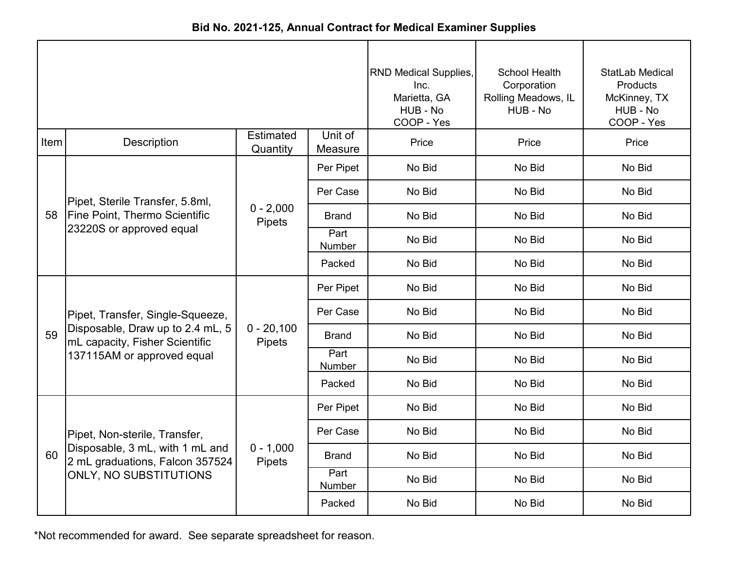|      |                                                                    |                        |                    | <b>RND Medical Supplies,</b><br>Inc.<br>Marietta, GA<br>HUB - No<br>COOP - Yes | <b>School Health</b><br>Corporation<br>Rolling Meadows, IL<br>HUB - No | StatLab Medical<br>Products<br>McKinney, TX<br>HUB - No<br>COOP - Yes |
|------|--------------------------------------------------------------------|------------------------|--------------------|--------------------------------------------------------------------------------|------------------------------------------------------------------------|-----------------------------------------------------------------------|
| Item | <b>Description</b>                                                 | Estimated<br>Quantity  | Unit of<br>Measure | Price                                                                          | Price                                                                  | Price                                                                 |
|      |                                                                    |                        | Per Pipet          | No Bid                                                                         | No Bid                                                                 | No Bid                                                                |
|      | Pipet, Sterile Transfer, 5.8ml,                                    |                        | Per Case           | No Bid                                                                         | No Bid                                                                 | No Bid                                                                |
| 58   | <b>Fine Point, Thermo Scientific</b><br>23220S or approved equal   | $0 - 2,000$<br>Pipets  | <b>Brand</b>       | No Bid                                                                         | No Bid                                                                 | No Bid                                                                |
|      |                                                                    |                        | Part<br>Number     | No Bid                                                                         | No Bid                                                                 | No Bid                                                                |
|      |                                                                    |                        | Packed             | No Bid                                                                         | No Bid                                                                 | No Bid                                                                |
|      |                                                                    |                        | Per Pipet          | No Bid                                                                         | No Bid                                                                 | No Bid                                                                |
|      | Pipet, Transfer, Single-Squeeze,                                   |                        | Per Case           | No Bid                                                                         | No Bid                                                                 | No Bid                                                                |
| 59   | Disposable, Draw up to 2.4 mL, 5<br>mL capacity, Fisher Scientific | $0 - 20,100$<br>Pipets | <b>Brand</b>       | No Bid                                                                         | No Bid                                                                 | No Bid                                                                |
|      | 137115AM or approved equal                                         |                        | Part<br>Number     | No Bid                                                                         | No Bid                                                                 | No Bid                                                                |
|      |                                                                    |                        | Packed             | No Bid                                                                         | No Bid                                                                 | No Bid                                                                |
|      |                                                                    |                        | Per Pipet          | No Bid                                                                         | No Bid                                                                 | No Bid                                                                |
|      | Pipet, Non-sterile, Transfer,                                      |                        | Per Case           | No Bid                                                                         | No Bid                                                                 | No Bid                                                                |
| 60   | Disposable, 3 mL, with 1 mL and<br>2 mL graduations, Falcon 357524 | $0 - 1,000$<br>Pipets  | Brand              | No Bid                                                                         | No Bid                                                                 | No Bid                                                                |
|      | <b>ONLY, NO SUBSTITUTIONS</b>                                      |                        | Part<br>Number     | No Bid                                                                         | No Bid                                                                 | No Bid                                                                |
|      |                                                                    |                        | Packed             | No Bid                                                                         | No Bid                                                                 | No Bid                                                                |

**Bid No. 2021-125, Annual Contract for Medical Examiner Supplies**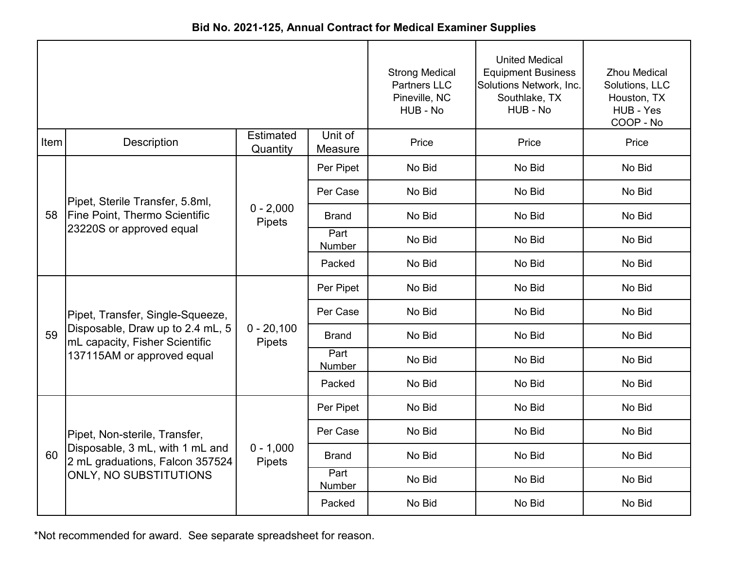|             |                                                                    |                        |                    | <b>Strong Medical</b><br><b>Partners LLC</b><br>Pineville, NC<br>HUB - No | <b>United Medical</b><br><b>Equipment Business</b><br>Solutions Network, Inc.<br>Southlake, TX<br>HUB - No | <b>Zhou Medical</b><br>Solutions, LLC<br>Houston, TX<br>HUB - Yes<br>COOP - No |
|-------------|--------------------------------------------------------------------|------------------------|--------------------|---------------------------------------------------------------------------|------------------------------------------------------------------------------------------------------------|--------------------------------------------------------------------------------|
| <b>Item</b> | <b>Description</b>                                                 | Estimated<br>Quantity  | Unit of<br>Measure | Price                                                                     | Price                                                                                                      | Price                                                                          |
|             |                                                                    |                        | Per Pipet          | No Bid                                                                    | No Bid                                                                                                     | No Bid                                                                         |
|             | Pipet, Sterile Transfer, 5.8ml,                                    |                        | Per Case           | No Bid                                                                    | No Bid                                                                                                     | No Bid                                                                         |
| 58          | <b>Fine Point, Thermo Scientific</b><br>23220S or approved equal   | $0 - 2,000$<br>Pipets  | <b>Brand</b>       | No Bid                                                                    | No Bid                                                                                                     | No Bid                                                                         |
|             |                                                                    |                        | Part<br>Number     | No Bid                                                                    | No Bid                                                                                                     | No Bid                                                                         |
|             |                                                                    |                        | Packed             | No Bid                                                                    | No Bid                                                                                                     | No Bid                                                                         |
|             |                                                                    | $0 - 20,100$<br>Pipets | Per Pipet          | No Bid                                                                    | No Bid                                                                                                     | No Bid                                                                         |
|             | Pipet, Transfer, Single-Squeeze,                                   |                        | Per Case           | No Bid                                                                    | No Bid                                                                                                     | No Bid                                                                         |
| 59          | Disposable, Draw up to 2.4 mL, 5<br>mL capacity, Fisher Scientific |                        | <b>Brand</b>       | No Bid                                                                    | No Bid                                                                                                     | No Bid                                                                         |
|             | 137115AM or approved equal                                         |                        | Part<br>Number     | No Bid                                                                    | No Bid                                                                                                     | No Bid                                                                         |
|             |                                                                    |                        | Packed             | No Bid                                                                    | No Bid                                                                                                     | No Bid                                                                         |
|             |                                                                    |                        | Per Pipet          | No Bid                                                                    | No Bid                                                                                                     | No Bid                                                                         |
|             | Pipet, Non-sterile, Transfer,                                      |                        | Per Case           | No Bid                                                                    | No Bid                                                                                                     | No Bid                                                                         |
| 60          | Disposable, 3 mL, with 1 mL and<br>2 mL graduations, Falcon 357524 | $0 - 1,000$<br>Pipets  | <b>Brand</b>       | No Bid                                                                    | No Bid                                                                                                     | No Bid                                                                         |
|             | ONLY, NO SUBSTITUTIONS                                             |                        | Part<br>Number     | No Bid                                                                    | No Bid                                                                                                     | No Bid                                                                         |
|             |                                                                    |                        | Packed             | No Bid                                                                    | No Bid                                                                                                     | No Bid                                                                         |

**Bid No. 2021-125, Annual Contract for Medical Examiner Supplies**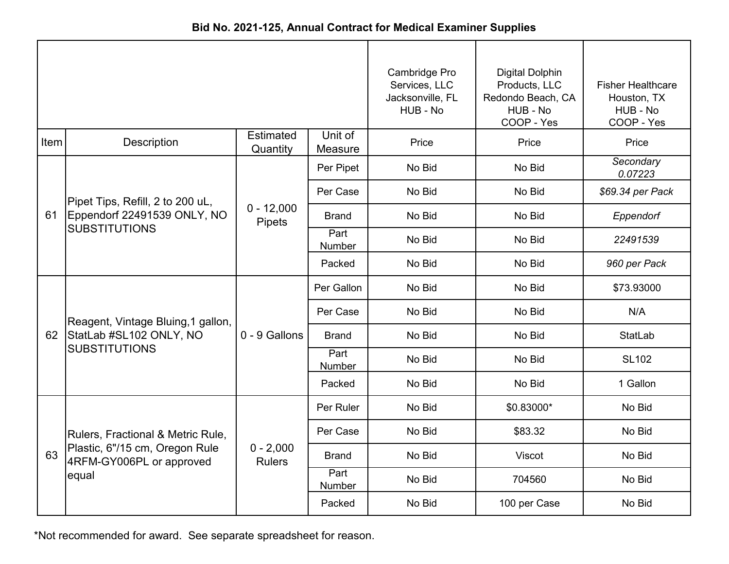|      |                                                            |                              |                    | Cambridge Pro<br>Services, LLC<br>Jacksonville, FL<br>HUB - No | <b>Digital Dolphin</b><br>Products, LLC<br>Redondo Beach, CA<br>HUB - No<br>COOP - Yes | <b>Fisher Healthcare</b><br>Houston, TX<br>HUB - No<br>COOP - Yes |
|------|------------------------------------------------------------|------------------------------|--------------------|----------------------------------------------------------------|----------------------------------------------------------------------------------------|-------------------------------------------------------------------|
| Item | Description                                                | <b>Estimated</b><br>Quantity | Unit of<br>Measure | Price                                                          | Price                                                                                  | Price                                                             |
|      |                                                            |                              | Per Pipet          | No Bid                                                         | No Bid                                                                                 | Secondary<br>0.07223                                              |
|      | Pipet Tips, Refill, 2 to 200 uL,                           |                              | Per Case           | No Bid                                                         | No Bid                                                                                 | \$69.34 per Pack                                                  |
| 61   | Eppendorf 22491539 ONLY, NO                                | $0 - 12,000$<br>Pipets       | <b>Brand</b>       | No Bid                                                         | No Bid                                                                                 | Eppendorf                                                         |
|      | <b>SUBSTITUTIONS</b>                                       |                              | Part<br>Number     | No Bid                                                         | No Bid                                                                                 | 22491539                                                          |
|      |                                                            |                              | Packed             | No Bid                                                         | No Bid                                                                                 | 960 per Pack                                                      |
|      |                                                            |                              | Per Gallon         | No Bid                                                         | No Bid                                                                                 | \$73.93000                                                        |
|      | Reagent, Vintage Bluing, 1 gallon,                         |                              | Per Case           | No Bid                                                         | No Bid                                                                                 | N/A                                                               |
| 62   | StatLab #SL102 ONLY, NO                                    | 0 - 9 Gallons                | <b>Brand</b>       | No Bid                                                         | No Bid                                                                                 | <b>StatLab</b>                                                    |
|      | <b>SUBSTITUTIONS</b>                                       |                              | Part<br>Number     | No Bid                                                         | No Bid                                                                                 | <b>SL102</b>                                                      |
|      |                                                            |                              | Packed             | No Bid                                                         | No Bid                                                                                 | 1 Gallon                                                          |
|      |                                                            |                              | Per Ruler          | No Bid                                                         | \$0.83000*                                                                             | No Bid                                                            |
|      | Rulers, Fractional & Metric Rule,                          |                              | Per Case           | No Bid                                                         | \$83.32                                                                                | No Bid                                                            |
| 63   | Plastic, 6"/15 cm, Oregon Rule<br>4RFM-GY006PL or approved | $0 - 2,000$<br><b>Rulers</b> | <b>Brand</b>       | No Bid                                                         | <b>Viscot</b>                                                                          | No Bid                                                            |
|      | equal                                                      |                              | Part<br>Number     | No Bid                                                         | 704560                                                                                 | No Bid                                                            |
|      |                                                            |                              | Packed             | No Bid                                                         | 100 per Case                                                                           | No Bid                                                            |

**Bid No. 2021-125, Annual Contract for Medical Examiner Supplies**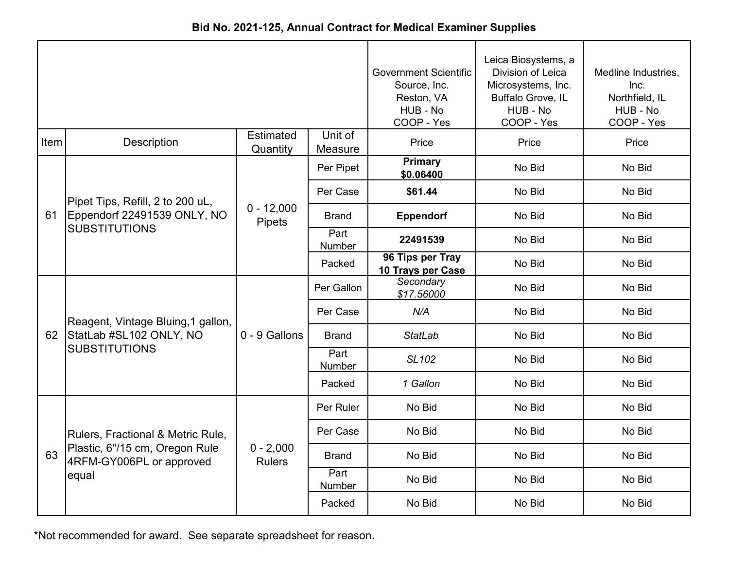|      |                                                            |                              |                    | <b>Government Scientific</b><br>Source, Inc. | Leica Biosystems, a<br>Division of Leica<br>Microsystems, Inc. | Medline Industries,<br>Inc.              |
|------|------------------------------------------------------------|------------------------------|--------------------|----------------------------------------------|----------------------------------------------------------------|------------------------------------------|
|      |                                                            |                              |                    | Reston, VA<br>HUB - No<br>COOP - Yes         | Buffalo Grove, IL<br>HUB - No<br>COOP - Yes                    | Northfield, IL<br>HUB - No<br>COOP - Yes |
| Item | <b>Description</b>                                         | <b>Estimated</b><br>Quantity | Unit of<br>Measure | Price                                        | Price                                                          | Price                                    |
|      |                                                            |                              | Per Pipet          | <b>Primary</b><br>\$0.06400                  | No Bid                                                         | No Bid                                   |
|      | Pipet Tips, Refill, 2 to 200 uL,                           |                              | Per Case           | \$61.44                                      | No Bid                                                         | No Bid                                   |
| 61   | Eppendorf 22491539 ONLY, NO                                | $0 - 12,000$<br>Pipets       | Brand              | <b>Eppendorf</b>                             | No Bid                                                         | No Bid                                   |
|      | <b>SUBSTITUTIONS</b>                                       |                              | Part<br>Number     | 22491539                                     | No Bid                                                         | No Bid                                   |
|      |                                                            |                              | Packed             | 96 Tips per Tray<br>10 Trays per Case        | No Bid                                                         | No Bid                                   |
|      |                                                            | 0 - 9 Gallons                | Per Gallon         | Secondary<br>\$17.56000                      | No Bid                                                         | No Bid                                   |
|      | Reagent, Vintage Bluing, 1 gallon,                         |                              | Per Case           | N/A                                          | No Bid                                                         | No Bid                                   |
| 62   | StatLab #SL102 ONLY, NO                                    |                              | <b>Brand</b>       | <b>StatLab</b>                               | No Bid                                                         | No Bid                                   |
|      | <b>SUBSTITUTIONS</b>                                       |                              | Part<br>Number     | SL102                                        | No Bid                                                         | No Bid                                   |
|      |                                                            |                              | Packed             | 1 Gallon                                     | No Bid                                                         | No Bid                                   |
|      |                                                            |                              | Per Ruler          | No Bid                                       | No Bid                                                         | No Bid                                   |
|      | Rulers, Fractional & Metric Rule,                          |                              | Per Case           | No Bid                                       | No Bid                                                         | No Bid                                   |
| 63   | Plastic, 6"/15 cm, Oregon Rule<br>4RFM-GY006PL or approved | $0 - 2,000$<br><b>Rulers</b> | <b>Brand</b>       | No Bid                                       | No Bid                                                         | No Bid                                   |
|      | equal                                                      |                              | Part<br>Number     | No Bid                                       | No Bid                                                         | No Bid                                   |
|      |                                                            |                              | Packed             | No Bid                                       | No Bid                                                         | No Bid                                   |

**Bid No. 2021-125, Annual Contract for Medical Examiner Supplies**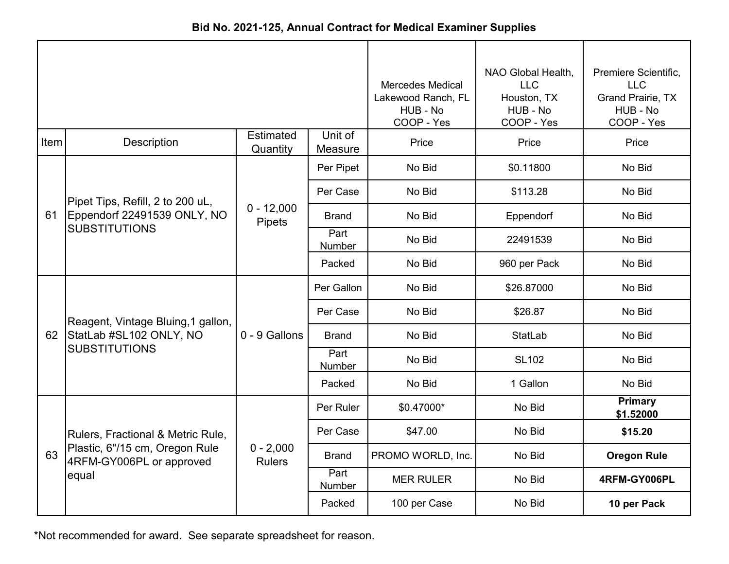| Bid No. 2021-125, Annual Contract for Medical Examiner Supplies |  |
|-----------------------------------------------------------------|--|
|-----------------------------------------------------------------|--|

|      |                                                                                                 |                              | <b>Mercedes Medical</b><br>Lakewood Ranch, FL<br>HUB - No<br>COOP - Yes | NAO Global Health,<br><b>LLC</b><br>Houston, TX<br>HUB - No<br>COOP - Yes | Premiere Scientific,<br><b>LLC</b><br><b>Grand Prairie, TX</b><br>HUB - No<br>COOP - Yes                                       |                             |
|------|-------------------------------------------------------------------------------------------------|------------------------------|-------------------------------------------------------------------------|---------------------------------------------------------------------------|--------------------------------------------------------------------------------------------------------------------------------|-----------------------------|
| Item | Description                                                                                     | <b>Estimated</b><br>Quantity | Unit of<br>Measure                                                      | Price                                                                     | Price                                                                                                                          | Price                       |
|      |                                                                                                 |                              | Per Pipet                                                               | No Bid                                                                    | \$0.11800                                                                                                                      | No Bid                      |
|      | Pipet Tips, Refill, 2 to 200 uL,                                                                |                              | Per Case                                                                | No Bid                                                                    | \$113.28                                                                                                                       | No Bid                      |
| 61   | Eppendorf 22491539 ONLY, NO                                                                     | $0 - 12,000$<br>Pipets       | <b>Brand</b>                                                            | No Bid                                                                    | Eppendorf                                                                                                                      | No Bid                      |
|      | <b>SUBSTITUTIONS</b>                                                                            |                              | Part<br>Number                                                          | No Bid                                                                    | 22491539                                                                                                                       | No Bid                      |
|      |                                                                                                 |                              | Packed                                                                  | No Bid                                                                    | 960 per Pack<br>\$26.87000<br>\$26.87<br>StatLab<br><b>SL102</b><br>1 Gallon<br>No Bid<br>No Bid<br>No Bid<br>No Bid<br>No Bid | No Bid                      |
|      | Reagent, Vintage Bluing, 1 gallon,                                                              |                              | Per Gallon                                                              | No Bid                                                                    |                                                                                                                                | No Bid                      |
|      |                                                                                                 |                              | Per Case                                                                | No Bid                                                                    |                                                                                                                                | No Bid                      |
| 62   | StatLab #SL102 ONLY, NO                                                                         | 0 - 9 Gallons                | <b>Brand</b>                                                            | No Bid                                                                    |                                                                                                                                | No Bid                      |
|      | <b>SUBSTITUTIONS</b>                                                                            |                              | Part<br>Number                                                          | No Bid                                                                    |                                                                                                                                | No Bid                      |
|      |                                                                                                 |                              | Packed                                                                  | No Bid                                                                    |                                                                                                                                | No Bid                      |
|      |                                                                                                 |                              | Per Ruler                                                               | \$0.47000*                                                                |                                                                                                                                | <b>Primary</b><br>\$1.52000 |
|      | Rulers, Fractional & Metric Rule,<br>Plastic, 6"/15 cm, Oregon Rule<br>4RFM-GY006PL or approved |                              | Per Case                                                                | \$47.00                                                                   |                                                                                                                                | \$15.20                     |
| 63   |                                                                                                 | $0 - 2,000$<br><b>Rulers</b> | <b>Brand</b>                                                            | PROMO WORLD, Inc.                                                         |                                                                                                                                | <b>Oregon Rule</b>          |
|      | equal                                                                                           |                              | Part<br>Number                                                          | <b>MER RULER</b>                                                          |                                                                                                                                | 4RFM-GY006PL                |
|      |                                                                                                 |                              | Packed                                                                  | 100 per Case                                                              |                                                                                                                                | 10 per Pack                 |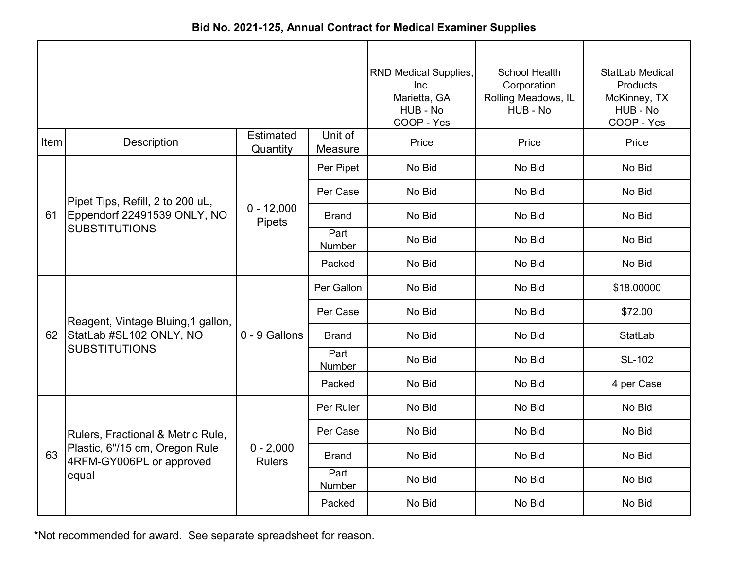|      |                                                                                                          |                              |                       | <b>RND Medical Supplies,</b><br>Inc.<br>Marietta, GA<br>HUB - No<br>COOP - Yes | School Health<br>Corporation<br>Rolling Meadows, IL<br>HUB - No | StatLab Medical<br>Products<br>McKinney, TX<br>HUB - No<br>COOP - Yes |
|------|----------------------------------------------------------------------------------------------------------|------------------------------|-----------------------|--------------------------------------------------------------------------------|-----------------------------------------------------------------|-----------------------------------------------------------------------|
| Item | Description                                                                                              | <b>Estimated</b><br>Quantity | Unit of<br>Measure    | Price                                                                          | Price                                                           | Price                                                                 |
|      |                                                                                                          |                              | Per Pipet             | No Bid                                                                         | No Bid                                                          | No Bid                                                                |
|      | Pipet Tips, Refill, 2 to 200 uL,                                                                         |                              | Per Case              | No Bid                                                                         | No Bid                                                          | No Bid                                                                |
| 61   | Eppendorf 22491539 ONLY, NO<br><b>SUBSTITUTIONS</b>                                                      | $0 - 12,000$<br>Pipets       | Brand                 | No Bid                                                                         | No Bid                                                          | No Bid                                                                |
|      |                                                                                                          |                              | Part<br>Number        | No Bid                                                                         | No Bid                                                          | No Bid                                                                |
|      |                                                                                                          |                              | Packed                | No Bid                                                                         | No Bid                                                          | No Bid                                                                |
|      | Reagent, Vintage Bluing, 1 gallon,<br>StatLab #SL102 ONLY, NO<br><b>SUBSTITUTIONS</b>                    | 0 - 9 Gallons                | Per Gallon            | No Bid                                                                         | No Bid                                                          | \$18.00000                                                            |
|      |                                                                                                          |                              | Per Case              | No Bid                                                                         | No Bid                                                          | \$72.00                                                               |
| 62   |                                                                                                          |                              | <b>Brand</b>          | No Bid                                                                         | No Bid                                                          | <b>StatLab</b>                                                        |
|      |                                                                                                          |                              | Part<br><b>Number</b> | No Bid                                                                         | No Bid                                                          | SL-102                                                                |
|      |                                                                                                          |                              | Packed                | No Bid                                                                         | No Bid                                                          | 4 per Case                                                            |
|      |                                                                                                          | $0 - 2,000$<br><b>Rulers</b> | Per Ruler             | No Bid                                                                         | No Bid                                                          | No Bid                                                                |
|      | Rulers, Fractional & Metric Rule,<br>Plastic, 6"/15 cm, Oregon Rule<br>4RFM-GY006PL or approved<br>equal |                              | Per Case              | No Bid                                                                         | No Bid                                                          | No Bid                                                                |
| 63   |                                                                                                          |                              | <b>Brand</b>          | No Bid                                                                         | No Bid                                                          | No Bid                                                                |
|      |                                                                                                          |                              | Part<br>Number        | No Bid                                                                         | No Bid                                                          | No Bid                                                                |
|      |                                                                                                          |                              | Packed                | No Bid                                                                         | No Bid                                                          | No Bid                                                                |

**Bid No. 2021-125, Annual Contract for Medical Examiner Supplies**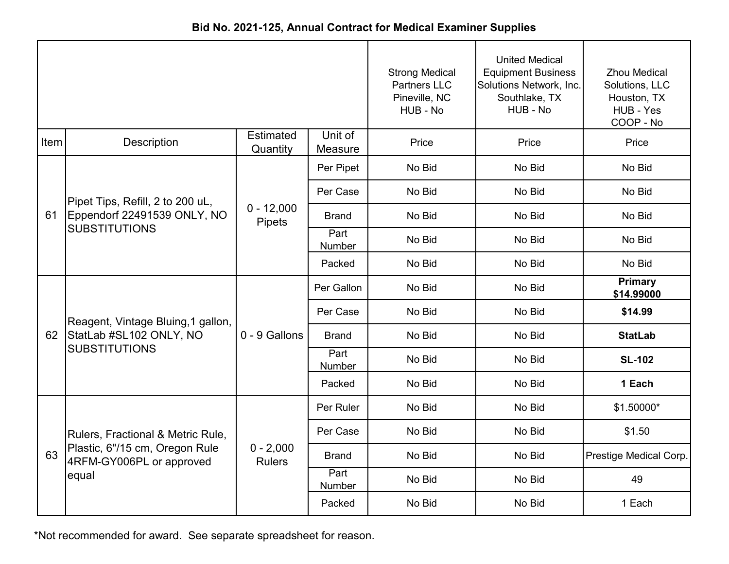|      |                                                                                                          |                              | <b>Strong Medical</b><br><b>Partners LLC</b><br>Pineville, NC<br>HUB - No | <b>United Medical</b><br><b>Equipment Business</b><br>Solutions Network, Inc.<br>Southlake, TX<br>HUB - No | <b>Zhou Medical</b><br>Solutions, LLC<br>Houston, TX<br>HUB - Yes<br>COOP - No |                              |
|------|----------------------------------------------------------------------------------------------------------|------------------------------|---------------------------------------------------------------------------|------------------------------------------------------------------------------------------------------------|--------------------------------------------------------------------------------|------------------------------|
| Item | Description                                                                                              | <b>Estimated</b><br>Quantity | Unit of<br>Measure                                                        | Price                                                                                                      | Price                                                                          | Price                        |
|      |                                                                                                          |                              | Per Pipet                                                                 | No Bid                                                                                                     | No Bid                                                                         | No Bid                       |
|      | Pipet Tips, Refill, 2 to 200 uL,                                                                         | $0 - 12,000$<br>Pipets       | Per Case                                                                  | No Bid                                                                                                     | No Bid                                                                         | No Bid                       |
| 61   | Eppendorf 22491539 ONLY, NO<br><b>SUBSTITUTIONS</b>                                                      |                              | <b>Brand</b>                                                              | No Bid                                                                                                     | No Bid                                                                         | No Bid                       |
|      |                                                                                                          |                              | Part<br>Number                                                            | No Bid                                                                                                     | No Bid                                                                         | No Bid                       |
|      |                                                                                                          |                              | Packed                                                                    | No Bid                                                                                                     | No Bid                                                                         | No Bid                       |
|      | Reagent, Vintage Bluing, 1 gallon,<br>StatLab #SL102 ONLY, NO<br><b>SUBSTITUTIONS</b>                    | 0 - 9 Gallons                | Per Gallon                                                                | No Bid                                                                                                     | No Bid                                                                         | <b>Primary</b><br>\$14.99000 |
|      |                                                                                                          |                              | Per Case                                                                  | No Bid                                                                                                     | No Bid                                                                         | \$14.99                      |
| 62   |                                                                                                          |                              | <b>Brand</b>                                                              | No Bid                                                                                                     | No Bid                                                                         | <b>StatLab</b>               |
|      |                                                                                                          |                              | Part<br>Number                                                            | No Bid                                                                                                     | No Bid                                                                         | <b>SL-102</b>                |
|      |                                                                                                          |                              | Packed                                                                    | No Bid                                                                                                     | No Bid                                                                         | 1 Each                       |
|      |                                                                                                          |                              | Per Ruler                                                                 | No Bid                                                                                                     | No Bid                                                                         | \$1.50000*                   |
|      | Rulers, Fractional & Metric Rule,<br>Plastic, 6"/15 cm, Oregon Rule<br>4RFM-GY006PL or approved<br>equal | $0 - 2,000$<br><b>Rulers</b> | Per Case                                                                  | No Bid                                                                                                     | No Bid                                                                         | \$1.50                       |
| 63   |                                                                                                          |                              | <b>Brand</b>                                                              | No Bid                                                                                                     | No Bid                                                                         | Prestige Medical Corp.       |
|      |                                                                                                          |                              | Part<br>Number                                                            | No Bid                                                                                                     | No Bid                                                                         | 49                           |
|      |                                                                                                          |                              | Packed                                                                    | No Bid                                                                                                     | No Bid                                                                         | 1 Each                       |

**Bid No. 2021-125, Annual Contract for Medical Examiner Supplies**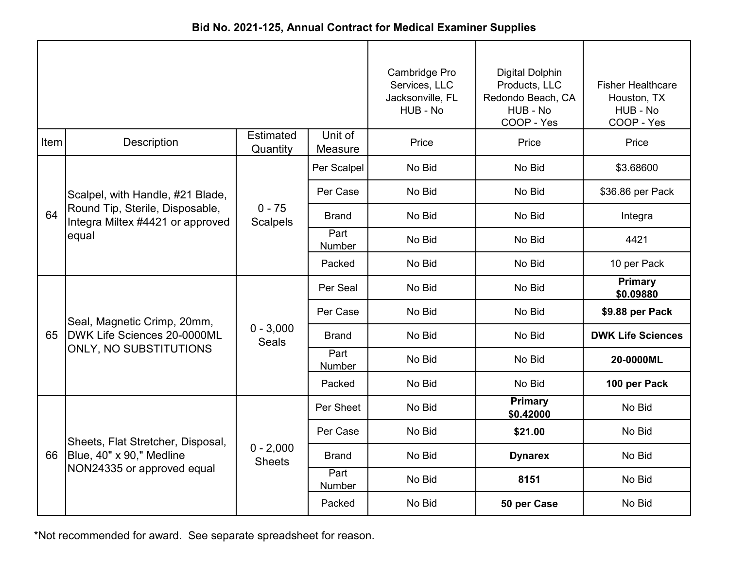|      |                                                                                      |                              | Cambridge Pro<br>Services, LLC<br>Jacksonville, FL<br>HUB - No | <b>Digital Dolphin</b><br>Products, LLC<br>Redondo Beach, CA<br>HUB - No<br>COOP - Yes | <b>Fisher Healthcare</b><br>Houston, TX<br>HUB - No<br>COOP - Yes |                             |
|------|--------------------------------------------------------------------------------------|------------------------------|----------------------------------------------------------------|----------------------------------------------------------------------------------------|-------------------------------------------------------------------|-----------------------------|
| Item | Description                                                                          | Estimated<br>Quantity        | Unit of<br>Measure                                             | Price                                                                                  | Price                                                             | Price                       |
|      |                                                                                      |                              | Per Scalpel                                                    | No Bid                                                                                 | No Bid                                                            | \$3.68600                   |
|      | Scalpel, with Handle, #21 Blade,                                                     | $0 - 75$<br><b>Scalpels</b>  | Per Case                                                       | No Bid                                                                                 | No Bid                                                            | \$36.86 per Pack            |
| 64   | Round Tip, Sterile, Disposable,<br>Integra Miltex #4421 or approved<br>equal         |                              | <b>Brand</b>                                                   | No Bid                                                                                 | No Bid                                                            | Integra                     |
|      |                                                                                      |                              | Part<br>Number                                                 | No Bid                                                                                 | No Bid                                                            | 4421                        |
|      |                                                                                      |                              | Packed                                                         | No Bid                                                                                 | No Bid                                                            | 10 per Pack                 |
|      | Seal, Magnetic Crimp, 20mm,<br>DWK Life Sciences 20-0000ML<br>ONLY, NO SUBSTITUTIONS | $0 - 3,000$<br><b>Seals</b>  | Per Seal                                                       | No Bid                                                                                 | No Bid                                                            | <b>Primary</b><br>\$0.09880 |
|      |                                                                                      |                              | Per Case                                                       | No Bid                                                                                 | No Bid                                                            | \$9.88 per Pack             |
| 65   |                                                                                      |                              | <b>Brand</b>                                                   | No Bid                                                                                 | No Bid                                                            | <b>DWK Life Sciences</b>    |
|      |                                                                                      |                              | Part<br>Number                                                 | No Bid                                                                                 | No Bid                                                            | 20-0000ML                   |
|      |                                                                                      |                              | Packed                                                         | No Bid                                                                                 | No Bid                                                            | 100 per Pack                |
|      |                                                                                      |                              | Per Sheet                                                      | No Bid                                                                                 | <b>Primary</b><br>\$0.42000                                       | No Bid                      |
|      | Sheets, Flat Stretcher, Disposal,                                                    |                              | Per Case                                                       | No Bid                                                                                 | \$21.00                                                           | No Bid                      |
|      | 66   Blue, 40" x 90," Medline<br>NON24335 or approved equal                          | $0 - 2,000$<br><b>Sheets</b> | <b>Brand</b>                                                   | No Bid                                                                                 | <b>Dynarex</b>                                                    | No Bid                      |
|      |                                                                                      |                              | Part<br>Number                                                 | No Bid                                                                                 | 8151                                                              | No Bid                      |
|      |                                                                                      |                              | Packed                                                         | No Bid                                                                                 | 50 per Case                                                       | No Bid                      |

**Bid No. 2021-125, Annual Contract for Medical Examiner Supplies**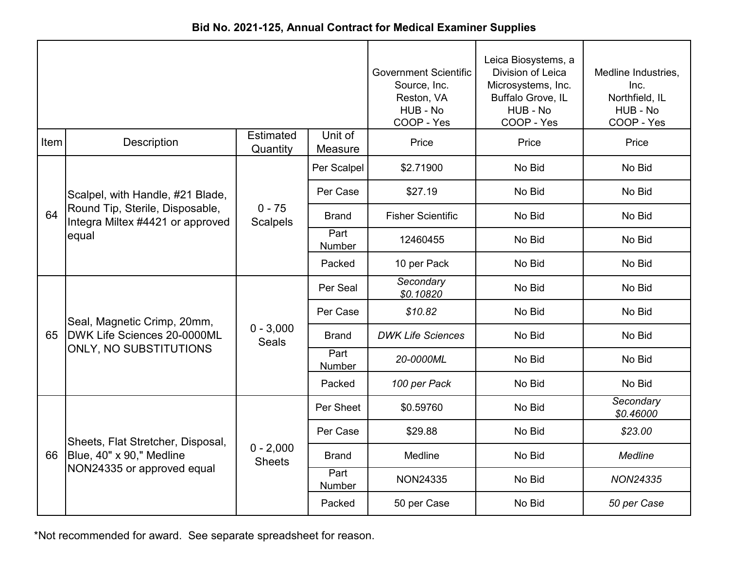|  | Bid No. 2021-125, Annual Contract for Medical Examiner Supplies |  |  |
|--|-----------------------------------------------------------------|--|--|
|--|-----------------------------------------------------------------|--|--|

|      |                                                                                      |                              | <b>Government Scientific</b><br>Source, Inc.<br>Reston, VA<br>HUB - No<br>COOP - Yes | Leica Biosystems, a<br>Division of Leica<br>Microsystems, Inc.<br>Buffalo Grove, IL<br>HUB - No<br>COOP - Yes | Medline Industries,<br>Inc.<br>Northfield, IL<br>HUB - No<br>COOP - Yes |                        |
|------|--------------------------------------------------------------------------------------|------------------------------|--------------------------------------------------------------------------------------|---------------------------------------------------------------------------------------------------------------|-------------------------------------------------------------------------|------------------------|
| Item | <b>Description</b>                                                                   | <b>Estimated</b><br>Quantity | Unit of<br>Measure                                                                   | Price                                                                                                         | Price                                                                   | Price                  |
|      |                                                                                      |                              | Per Scalpel                                                                          | \$2.71900                                                                                                     | No Bid                                                                  | No Bid                 |
|      | Scalpel, with Handle, #21 Blade,                                                     |                              | Per Case                                                                             | \$27.19                                                                                                       | No Bid                                                                  | No Bid                 |
| 64   | Round Tip, Sterile, Disposable,<br>Integra Miltex #4421 or approved                  | $0 - 75$<br><b>Scalpels</b>  | <b>Brand</b>                                                                         | <b>Fisher Scientific</b>                                                                                      | No Bid                                                                  | No Bid                 |
|      | equal                                                                                |                              | Part<br>Number                                                                       | 12460455                                                                                                      | No Bid                                                                  | No Bid                 |
|      |                                                                                      |                              | Packed                                                                               | 10 per Pack                                                                                                   | No Bid                                                                  | No Bid                 |
|      | Seal, Magnetic Crimp, 20mm,<br>DWK Life Sciences 20-0000ML<br>ONLY, NO SUBSTITUTIONS | $0 - 3,000$<br><b>Seals</b>  | Per Seal                                                                             | Secondary<br>\$0.10820                                                                                        | No Bid                                                                  | No Bid                 |
|      |                                                                                      |                              | Per Case                                                                             | \$10.82                                                                                                       | No Bid                                                                  | No Bid                 |
| 65   |                                                                                      |                              | <b>Brand</b>                                                                         | <b>DWK Life Sciences</b>                                                                                      | No Bid                                                                  | No Bid                 |
|      |                                                                                      |                              | Part<br>Number                                                                       | 20-0000ML                                                                                                     | No Bid                                                                  | No Bid                 |
|      |                                                                                      |                              | Packed                                                                               | 100 per Pack                                                                                                  | No Bid                                                                  | No Bid                 |
|      |                                                                                      |                              | Per Sheet                                                                            | \$0.59760                                                                                                     | No Bid                                                                  | Secondary<br>\$0.46000 |
|      | Sheets, Flat Stretcher, Disposal,                                                    | $0 - 2,000$<br><b>Sheets</b> | Per Case                                                                             | \$29.88                                                                                                       | No Bid                                                                  | \$23.00                |
| 66   | Blue, 40" x 90," Medline<br>NON24335 or approved equal                               |                              | <b>Brand</b>                                                                         | Medline                                                                                                       | No Bid                                                                  | <b>Medline</b>         |
|      |                                                                                      |                              | Part<br>Number                                                                       | <b>NON24335</b>                                                                                               | No Bid                                                                  | <b>NON24335</b>        |
|      |                                                                                      |                              | Packed                                                                               | 50 per Case                                                                                                   | No Bid                                                                  | 50 per Case            |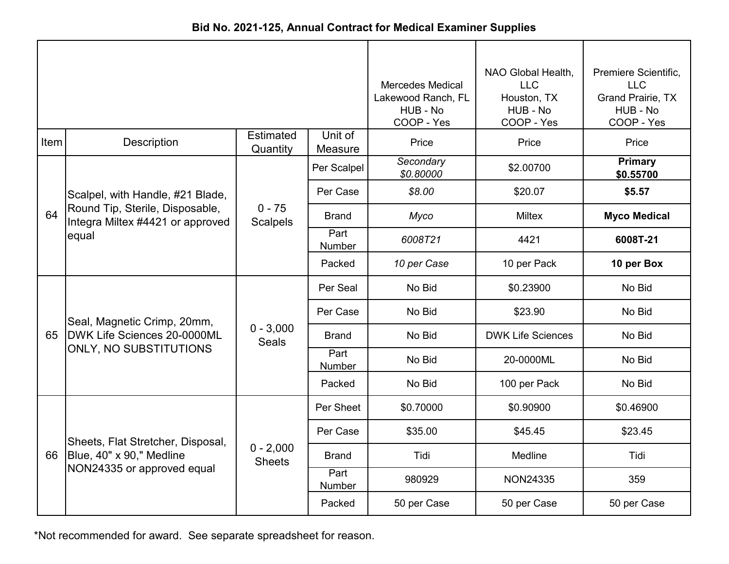| Bid No. 2021-125, Annual Contract for Medical Examiner Supplies |  |
|-----------------------------------------------------------------|--|
|-----------------------------------------------------------------|--|

|      |                                                                                      |                              | <b>Mercedes Medical</b><br>Lakewood Ranch, FL<br>HUB - No<br>COOP - Yes | NAO Global Health,<br><b>LLC</b><br>Houston, TX<br>HUB - No<br>COOP - Yes | Premiere Scientific,<br><b>LLC</b><br><b>Grand Prairie, TX</b><br>HUB - No<br>COOP - Yes |                             |
|------|--------------------------------------------------------------------------------------|------------------------------|-------------------------------------------------------------------------|---------------------------------------------------------------------------|------------------------------------------------------------------------------------------|-----------------------------|
| Item | Description                                                                          | <b>Estimated</b><br>Quantity | Unit of<br>Measure                                                      | Price                                                                     | Price                                                                                    | Price                       |
|      |                                                                                      |                              | Per Scalpel                                                             | Secondary<br>\$0.80000                                                    | \$2.00700                                                                                | <b>Primary</b><br>\$0.55700 |
|      | Scalpel, with Handle, #21 Blade,                                                     |                              | Per Case                                                                | \$8.00                                                                    | \$20.07                                                                                  | \$5.57                      |
| 64   | Round Tip, Sterile, Disposable,<br>Integra Miltex #4421 or approved<br>equal         | $0 - 75$<br><b>Scalpels</b>  | <b>Brand</b>                                                            | Myco                                                                      | <b>Miltex</b>                                                                            | <b>Myco Medical</b>         |
|      |                                                                                      |                              | Part<br><b>Number</b>                                                   | 6008T21                                                                   | 4421                                                                                     | 6008T-21                    |
|      |                                                                                      |                              | Packed                                                                  | 10 per Case                                                               | 10 per Pack                                                                              | 10 per Box                  |
|      | Seal, Magnetic Crimp, 20mm,<br>DWK Life Sciences 20-0000ML<br>ONLY, NO SUBSTITUTIONS | $0 - 3,000$<br><b>Seals</b>  | Per Seal                                                                | No Bid                                                                    | \$0.23900                                                                                | No Bid                      |
|      |                                                                                      |                              | Per Case                                                                | No Bid                                                                    | \$23.90                                                                                  | No Bid                      |
| 65   |                                                                                      |                              | <b>Brand</b>                                                            | No Bid                                                                    | <b>DWK Life Sciences</b>                                                                 | No Bid                      |
|      |                                                                                      |                              | Part<br>Number                                                          | No Bid                                                                    | 20-0000ML                                                                                | No Bid                      |
|      |                                                                                      |                              | Packed                                                                  | No Bid                                                                    | 100 per Pack                                                                             | No Bid                      |
|      |                                                                                      |                              | Per Sheet                                                               | \$0.70000                                                                 | \$0.90900                                                                                | \$0.46900                   |
|      | Sheets, Flat Stretcher, Disposal,                                                    | $0 - 2,000$<br><b>Sheets</b> | Per Case                                                                | \$35.00                                                                   | \$45.45                                                                                  | \$23.45                     |
| 66   | Blue, 40" x 90," Medline<br>NON24335 or approved equal                               |                              | Brand                                                                   | Tidi                                                                      | Medline                                                                                  | Tidi                        |
|      |                                                                                      |                              | Part<br>Number                                                          | 980929                                                                    | <b>NON24335</b>                                                                          | 359                         |
|      |                                                                                      |                              | Packed                                                                  | 50 per Case                                                               | 50 per Case                                                                              | 50 per Case                 |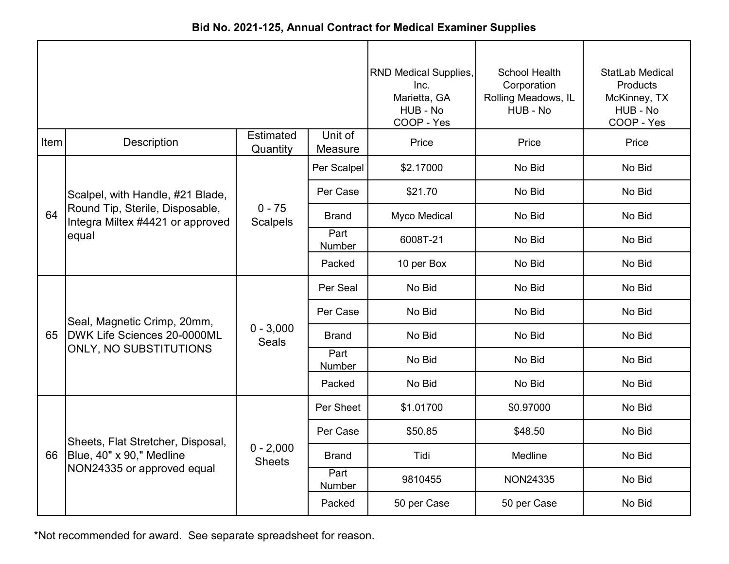| Bid No. 2021-125, Annual Contract for Medical Examiner Supplies |  |
|-----------------------------------------------------------------|--|
|-----------------------------------------------------------------|--|

|      |                                                                     |                              |                       | <b>RND Medical Supplies,</b><br>Inc.<br>Marietta, GA<br>HUB - No<br>COOP - Yes | <b>School Health</b><br>Corporation<br>Rolling Meadows, IL<br>HUB - No | StatLab Medical<br><b>Products</b><br>McKinney, TX<br>HUB - No<br>COOP - Yes |
|------|---------------------------------------------------------------------|------------------------------|-----------------------|--------------------------------------------------------------------------------|------------------------------------------------------------------------|------------------------------------------------------------------------------|
| Item | Description                                                         | <b>Estimated</b><br>Quantity | Unit of<br>Measure    | Price                                                                          | Price                                                                  | Price                                                                        |
|      |                                                                     |                              | Per Scalpel           | \$2.17000                                                                      | No Bid                                                                 | No Bid                                                                       |
|      | Scalpel, with Handle, #21 Blade,                                    |                              | Per Case              | \$21.70                                                                        | No Bid                                                                 | No Bid                                                                       |
| 64   | Round Tip, Sterile, Disposable,<br>Integra Miltex #4421 or approved | $0 - 75$<br><b>Scalpels</b>  | <b>Brand</b>          | Myco Medical                                                                   | No Bid                                                                 | No Bid                                                                       |
|      | equal                                                               |                              | Part<br>Number        | 6008T-21                                                                       | No Bid                                                                 | No Bid                                                                       |
|      |                                                                     |                              | Packed                | 10 per Box                                                                     | No Bid                                                                 | No Bid                                                                       |
|      | Seal, Magnetic Crimp, 20mm,                                         | $0 - 3,000$<br><b>Seals</b>  | Per Seal              | No Bid                                                                         | No Bid                                                                 | No Bid                                                                       |
|      |                                                                     |                              | Per Case              | No Bid                                                                         | No Bid                                                                 | No Bid                                                                       |
| 65   | DWK Life Sciences 20-0000ML                                         |                              | <b>Brand</b>          | No Bid                                                                         | No Bid                                                                 | No Bid                                                                       |
|      | ONLY, NO SUBSTITUTIONS                                              |                              | Part<br><b>Number</b> | No Bid                                                                         | No Bid                                                                 | No Bid                                                                       |
|      |                                                                     |                              | Packed                | No Bid                                                                         | No Bid                                                                 | No Bid                                                                       |
|      |                                                                     |                              | Per Sheet             | \$1.01700                                                                      | \$0.97000                                                              | No Bid                                                                       |
|      | Sheets, Flat Stretcher, Disposal,                                   |                              | Per Case              | \$50.85                                                                        | \$48.50                                                                | No Bid                                                                       |
| 66   | Blue, 40" x 90," Medline                                            | $0 - 2,000$<br><b>Sheets</b> | <b>Brand</b>          | Tidi                                                                           | Medline                                                                | No Bid                                                                       |
|      | NON24335 or approved equal                                          |                              | Part<br>Number        | 9810455                                                                        | <b>NON24335</b>                                                        | No Bid                                                                       |
|      |                                                                     |                              | Packed                | 50 per Case                                                                    | 50 per Case                                                            | No Bid                                                                       |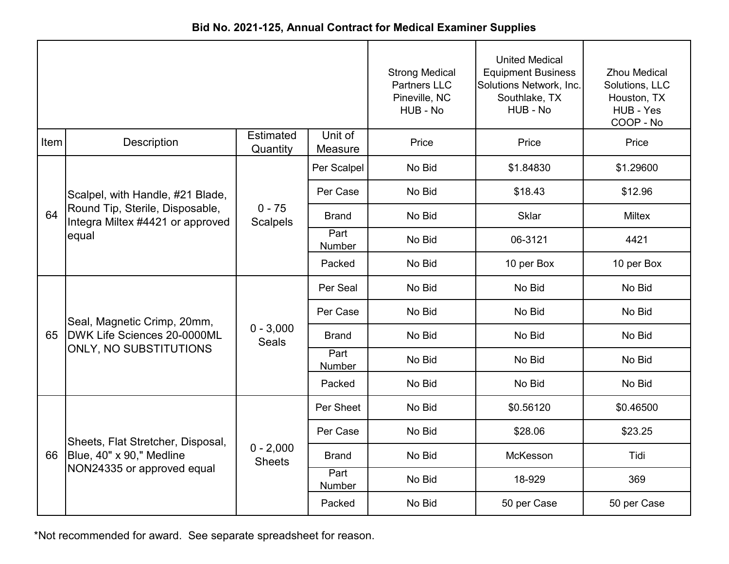| Bid No. 2021-125, Annual Contract for Medical Examiner Supplies |  |
|-----------------------------------------------------------------|--|
|-----------------------------------------------------------------|--|

|      |                                                                     |                              |                    | <b>Strong Medical</b><br><b>Partners LLC</b><br>Pineville, NC<br>HUB - No | <b>United Medical</b><br><b>Equipment Business</b><br>Solutions Network, Inc.<br>Southlake, TX<br>HUB - No | <b>Zhou Medical</b><br>Solutions, LLC<br>Houston, TX<br>HUB - Yes<br>COOP - No |
|------|---------------------------------------------------------------------|------------------------------|--------------------|---------------------------------------------------------------------------|------------------------------------------------------------------------------------------------------------|--------------------------------------------------------------------------------|
| Item | Description                                                         | <b>Estimated</b><br>Quantity | Unit of<br>Measure | Price                                                                     | Price                                                                                                      | Price                                                                          |
|      |                                                                     |                              | Per Scalpel        | No Bid                                                                    | \$1.84830                                                                                                  | \$1.29600                                                                      |
|      | Scalpel, with Handle, #21 Blade,                                    |                              | Per Case           | No Bid                                                                    | \$18.43                                                                                                    | \$12.96                                                                        |
| 64   | Round Tip, Sterile, Disposable,<br>Integra Miltex #4421 or approved | $0 - 75$<br><b>Scalpels</b>  | <b>Brand</b>       | No Bid                                                                    | <b>Sklar</b>                                                                                               | <b>Miltex</b>                                                                  |
|      | equal                                                               |                              | Part<br>Number     | No Bid                                                                    | 06-3121                                                                                                    | 4421                                                                           |
|      |                                                                     |                              | Packed             | No Bid                                                                    | 10 per Box                                                                                                 | 10 per Box                                                                     |
|      |                                                                     | $0 - 3,000$<br><b>Seals</b>  | Per Seal           | No Bid                                                                    | No Bid                                                                                                     | No Bid                                                                         |
|      | Seal, Magnetic Crimp, 20mm,                                         |                              | Per Case           | No Bid                                                                    | No Bid                                                                                                     | No Bid                                                                         |
| 65   | DWK Life Sciences 20-0000ML                                         |                              | <b>Brand</b>       | No Bid                                                                    | No Bid                                                                                                     | No Bid                                                                         |
|      | ONLY, NO SUBSTITUTIONS                                              |                              | Part<br>Number     | No Bid                                                                    | No Bid                                                                                                     | No Bid                                                                         |
|      |                                                                     |                              | Packed             | No Bid                                                                    | No Bid                                                                                                     | No Bid                                                                         |
|      |                                                                     |                              | Per Sheet          | No Bid                                                                    | \$0.56120                                                                                                  | \$0.46500                                                                      |
|      | Sheets, Flat Stretcher, Disposal,                                   |                              | Per Case           | No Bid                                                                    | \$28.06                                                                                                    | \$23.25                                                                        |
| 66   | Blue, 40" x 90," Medline                                            | $0 - 2,000$<br><b>Sheets</b> | <b>Brand</b>       | No Bid                                                                    | McKesson                                                                                                   | Tidi                                                                           |
|      | NON24335 or approved equal                                          |                              | Part<br>Number     | No Bid                                                                    | 18-929                                                                                                     | 369                                                                            |
|      |                                                                     |                              | Packed             | No Bid                                                                    | 50 per Case                                                                                                | 50 per Case                                                                    |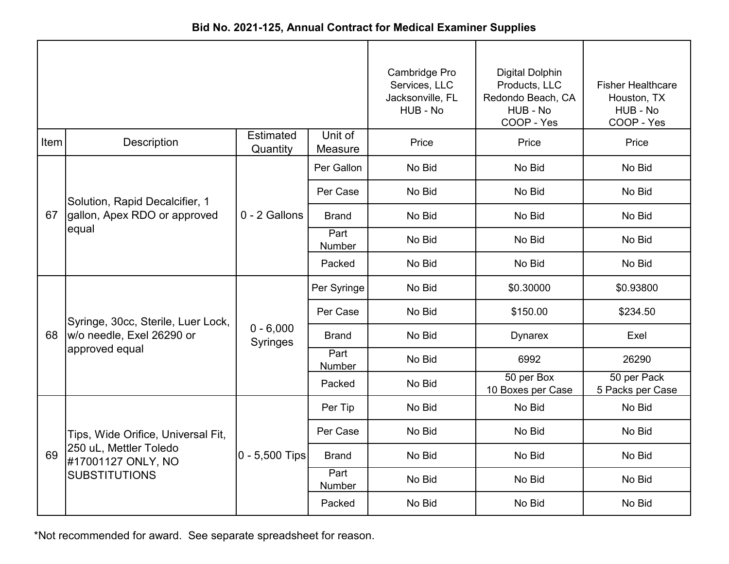|      |                                              |                                |                    | Cambridge Pro<br>Services, LLC<br>Jacksonville, FL<br>HUB - No | <b>Digital Dolphin</b><br>Products, LLC<br>Redondo Beach, CA<br>HUB - No<br>COOP - Yes | <b>Fisher Healthcare</b><br>Houston, TX<br>HUB - No<br>COOP - Yes |
|------|----------------------------------------------|--------------------------------|--------------------|----------------------------------------------------------------|----------------------------------------------------------------------------------------|-------------------------------------------------------------------|
| Item | Description                                  | <b>Estimated</b><br>Quantity   | Unit of<br>Measure | Price                                                          | Price                                                                                  | Price                                                             |
|      |                                              |                                | Per Gallon         | No Bid                                                         | No Bid                                                                                 | No Bid                                                            |
|      | Solution, Rapid Decalcifier, 1               |                                | Per Case           | No Bid                                                         | No Bid                                                                                 | No Bid                                                            |
| 67   | gallon, Apex RDO or approved                 | 0 - 2 Gallons                  | <b>Brand</b>       | No Bid                                                         | No Bid                                                                                 | No Bid                                                            |
|      | equal                                        |                                | Part<br>Number     | No Bid                                                         | No Bid                                                                                 | No Bid                                                            |
|      |                                              |                                | Packed             | No Bid                                                         | No Bid                                                                                 | No Bid                                                            |
|      |                                              | $0 - 6,000$<br><b>Syringes</b> | Per Syringe        | No Bid                                                         | \$0.30000                                                                              | \$0.93800                                                         |
|      | Syringe, 30cc, Sterile, Luer Lock,           |                                | Per Case           | No Bid                                                         | \$150.00                                                                               | \$234.50                                                          |
| 68   | w/o needle, Exel 26290 or                    |                                | <b>Brand</b>       | No Bid                                                         | <b>Dynarex</b>                                                                         | Exel                                                              |
|      | approved equal                               |                                | Part<br>Number     | No Bid                                                         | 6992                                                                                   | 26290                                                             |
|      |                                              |                                | Packed             | No Bid                                                         | 50 per Box<br>10 Boxes per Case                                                        | 50 per Pack<br>5 Packs per Case                                   |
|      |                                              |                                | Per Tip            | No Bid                                                         | No Bid                                                                                 | No Bid                                                            |
|      | Tips, Wide Orifice, Universal Fit,           |                                | Per Case           | No Bid                                                         | No Bid                                                                                 | No Bid                                                            |
| 69   | 250 uL, Mettler Toledo<br>#17001127 ONLY, NO | 0 - 5,500 Tips                 | <b>Brand</b>       | No Bid                                                         | No Bid                                                                                 | No Bid                                                            |
|      | <b>SUBSTITUTIONS</b>                         |                                | Part<br>Number     | No Bid                                                         | No Bid                                                                                 | No Bid                                                            |
|      |                                              |                                | Packed             | No Bid                                                         | No Bid                                                                                 | No Bid                                                            |

**Bid No. 2021-125, Annual Contract for Medical Examiner Supplies**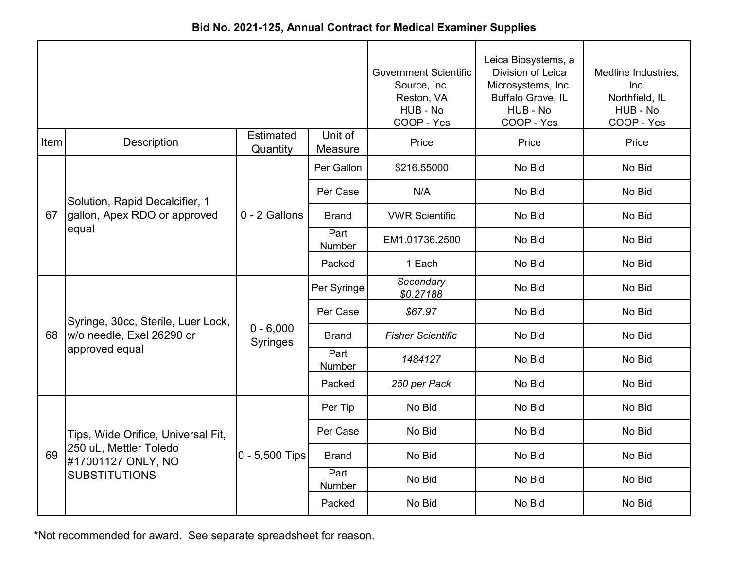|      |                                              |                                |                    | <b>Government Scientific</b><br>Source, Inc.<br>Reston, VA<br>HUB - No<br>COOP - Yes | Leica Biosystems, a<br>Division of Leica<br>Microsystems, Inc.<br>Buffalo Grove, IL<br>HUB - No<br>COOP - Yes | Medline Industries,<br>Inc.<br>Northfield, IL<br>HUB - No<br>COOP - Yes |
|------|----------------------------------------------|--------------------------------|--------------------|--------------------------------------------------------------------------------------|---------------------------------------------------------------------------------------------------------------|-------------------------------------------------------------------------|
| Item | <b>Description</b>                           | Estimated<br>Quantity          | Unit of<br>Measure | Price                                                                                | Price                                                                                                         | Price                                                                   |
|      |                                              |                                | Per Gallon         | \$216.55000                                                                          | No Bid                                                                                                        | No Bid                                                                  |
|      | Solution, Rapid Decalcifier, 1               |                                | Per Case           | N/A                                                                                  | No Bid                                                                                                        | No Bid                                                                  |
| 67   | gallon, Apex RDO or approved                 | 0 - 2 Gallons                  | <b>Brand</b>       | <b>VWR Scientific</b>                                                                | No Bid                                                                                                        | No Bid                                                                  |
|      | equal                                        |                                | Part<br>Number     | EM1.01736.2500                                                                       | No Bid                                                                                                        | No Bid                                                                  |
|      |                                              |                                | Packed             | 1 Each                                                                               | No Bid                                                                                                        | No Bid                                                                  |
|      |                                              | $0 - 6,000$<br><b>Syringes</b> | Per Syringe        | Secondary<br>\$0.27188                                                               | No Bid                                                                                                        | No Bid                                                                  |
|      | Syringe, 30cc, Sterile, Luer Lock,           |                                | Per Case           | \$67.97                                                                              | No Bid                                                                                                        | No Bid                                                                  |
| 68   | w/o needle, Exel 26290 or                    |                                | <b>Brand</b>       | <b>Fisher Scientific</b>                                                             | No Bid                                                                                                        | No Bid                                                                  |
|      | approved equal                               |                                | Part<br>Number     | 1484127                                                                              | No Bid                                                                                                        | No Bid                                                                  |
|      |                                              |                                | Packed             | 250 per Pack                                                                         | No Bid                                                                                                        | No Bid                                                                  |
|      |                                              |                                | Per Tip            | No Bid                                                                               | No Bid                                                                                                        | No Bid                                                                  |
|      | Tips, Wide Orifice, Universal Fit,           |                                | Per Case           | No Bid                                                                               | No Bid                                                                                                        | No Bid                                                                  |
| 69   | 250 uL, Mettler Toledo<br>#17001127 ONLY, NO | 0 - 5,500 Tips                 | <b>Brand</b>       | No Bid                                                                               | No Bid                                                                                                        | No Bid                                                                  |
|      | <b>SUBSTITUTIONS</b>                         |                                | Part<br>Number     | No Bid                                                                               | No Bid                                                                                                        | No Bid                                                                  |
|      |                                              |                                | Packed             | No Bid                                                                               | No Bid                                                                                                        | No Bid                                                                  |

**Bid No. 2021-125, Annual Contract for Medical Examiner Supplies**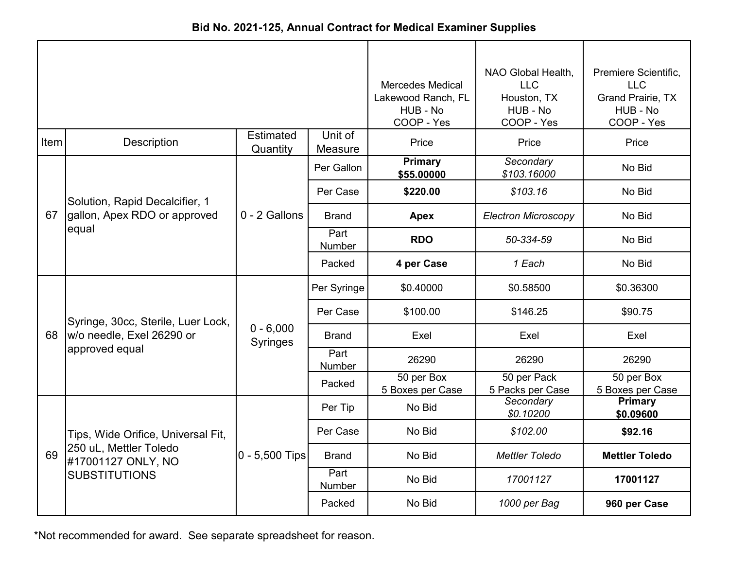| Bid No. 2021-125, Annual Contract for Medical Examiner Supplies |  |
|-----------------------------------------------------------------|--|
|-----------------------------------------------------------------|--|

|      |                                              |                                |                    | <b>Mercedes Medical</b><br>Lakewood Ranch, FL<br>HUB - No<br>COOP - Yes | NAO Global Health,<br><b>LLC</b><br>Houston, TX<br>HUB - No<br>COOP - Yes | Premiere Scientific,<br><b>LLC</b><br><b>Grand Prairie, TX</b><br>HUB - No<br>COOP - Yes |
|------|----------------------------------------------|--------------------------------|--------------------|-------------------------------------------------------------------------|---------------------------------------------------------------------------|------------------------------------------------------------------------------------------|
| Item | <b>Description</b>                           | <b>Estimated</b><br>Quantity   | Unit of<br>Measure | Price                                                                   | Price                                                                     | Price                                                                                    |
|      |                                              |                                | Per Gallon         | <b>Primary</b><br>\$55.00000                                            | Secondary<br>\$103.16000                                                  | No Bid                                                                                   |
|      | Solution, Rapid Decalcifier, 1               |                                | Per Case           | \$220.00                                                                | \$103.16                                                                  | No Bid                                                                                   |
| 67   | gallon, Apex RDO or approved                 | 0 - 2 Gallons                  | <b>Brand</b>       | <b>Apex</b>                                                             | <b>Electron Microscopy</b>                                                | No Bid                                                                                   |
|      | equal                                        |                                | Part<br>Number     | <b>RDO</b>                                                              | 50-334-59                                                                 | No Bid                                                                                   |
|      |                                              |                                | Packed             | 4 per Case                                                              | 1 Each                                                                    | No Bid                                                                                   |
|      |                                              | $0 - 6,000$<br><b>Syringes</b> | Per Syringe        | \$0.40000                                                               | \$0.58500                                                                 | \$0.36300                                                                                |
|      | Syringe, 30cc, Sterile, Luer Lock,           |                                | Per Case           | \$100.00                                                                | \$146.25                                                                  | \$90.75                                                                                  |
| 68   | w/o needle, Exel 26290 or                    |                                | <b>Brand</b>       | Exel                                                                    | Exel                                                                      | Exel                                                                                     |
|      | approved equal                               |                                | Part<br>Number     | 26290                                                                   | 26290                                                                     | 26290                                                                                    |
|      |                                              |                                | Packed             | 50 per Box<br>5 Boxes per Case                                          | 50 per Pack<br>5 Packs per Case                                           | 50 per Box<br>5 Boxes per Case                                                           |
|      |                                              |                                | Per Tip            | No Bid                                                                  | Secondary<br>\$0.10200                                                    | Primary<br>\$0.09600                                                                     |
|      | Tips, Wide Orifice, Universal Fit,           |                                | Per Case           | No Bid                                                                  | \$102.00                                                                  | \$92.16                                                                                  |
| 69   | 250 uL, Mettler Toledo<br>#17001127 ONLY, NO | $0 - 5,500$ Tips               | <b>Brand</b>       | No Bid                                                                  | <b>Mettler Toledo</b>                                                     | <b>Mettler Toledo</b>                                                                    |
|      | <b>SUBSTITUTIONS</b>                         |                                | Part<br>Number     | No Bid                                                                  | 17001127                                                                  | 17001127                                                                                 |
|      |                                              |                                | Packed             | No Bid                                                                  | 1000 per Bag                                                              | 960 per Case                                                                             |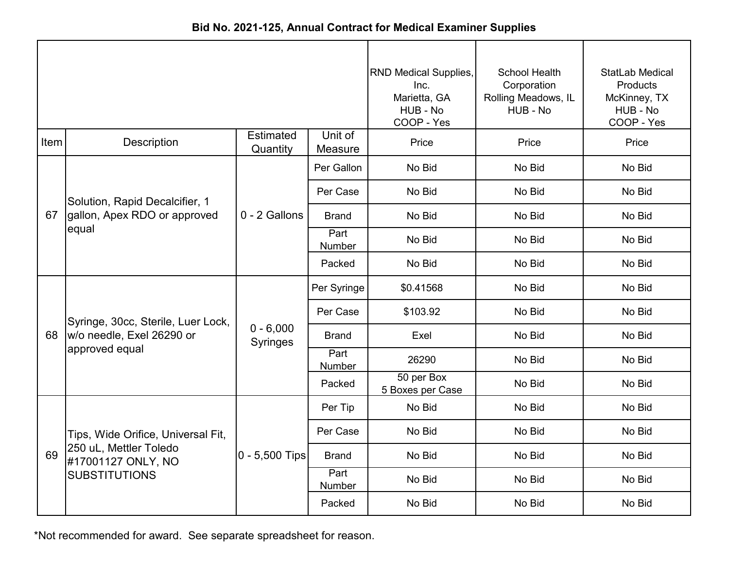|      |                                              |                              |                    | <b>RND Medical Supplies,</b><br>Inc.<br>Marietta, GA<br>HUB - No<br>COOP - Yes | School Health<br>Corporation<br>Rolling Meadows, IL<br>HUB - No | StatLab Medical<br>Products<br>McKinney, TX<br>HUB - No<br>COOP - Yes |
|------|----------------------------------------------|------------------------------|--------------------|--------------------------------------------------------------------------------|-----------------------------------------------------------------|-----------------------------------------------------------------------|
| Item | <b>Description</b>                           | <b>Estimated</b><br>Quantity | Unit of<br>Measure | Price                                                                          | Price                                                           | Price                                                                 |
|      |                                              |                              | Per Gallon         | No Bid                                                                         | No Bid                                                          | No Bid                                                                |
|      | Solution, Rapid Decalcifier, 1               |                              | Per Case           | No Bid                                                                         | No Bid                                                          | No Bid                                                                |
| 67   | gallon, Apex RDO or approved<br>equal        | 0 - 2 Gallons                | <b>Brand</b>       | No Bid                                                                         | No Bid                                                          | No Bid                                                                |
|      |                                              |                              | Part<br>Number     | No Bid                                                                         | No Bid                                                          | No Bid                                                                |
|      |                                              |                              | Packed             | No Bid                                                                         | No Bid                                                          | No Bid                                                                |
|      |                                              | $0 - 6,000$<br>Syringes      | Per Syringe        | \$0.41568                                                                      | No Bid                                                          | No Bid                                                                |
|      | Syringe, 30cc, Sterile, Luer Lock,           |                              | Per Case           | \$103.92                                                                       | No Bid                                                          | No Bid                                                                |
| 68   | w/o needle, Exel 26290 or                    |                              | Brand              | Exel                                                                           | No Bid                                                          | No Bid                                                                |
|      | approved equal                               |                              | Part<br>Number     | 26290                                                                          | No Bid                                                          | No Bid                                                                |
|      |                                              |                              | Packed             | 50 per Box<br>5 Boxes per Case                                                 | No Bid                                                          | No Bid                                                                |
|      |                                              |                              | Per Tip            | No Bid                                                                         | No Bid                                                          | No Bid                                                                |
|      | Tips, Wide Orifice, Universal Fit,           |                              | Per Case           | No Bid                                                                         | No Bid                                                          | No Bid                                                                |
| 69   | 250 uL, Mettler Toledo<br>#17001127 ONLY, NO | $0 - 5,500$ Tips             | <b>Brand</b>       | No Bid                                                                         | No Bid                                                          | No Bid                                                                |
|      | <b>SUBSTITUTIONS</b>                         |                              | Part<br>Number     | No Bid                                                                         | No Bid                                                          | No Bid                                                                |
|      |                                              |                              | Packed             | No Bid                                                                         | No Bid                                                          | No Bid                                                                |

**Bid No. 2021-125, Annual Contract for Medical Examiner Supplies**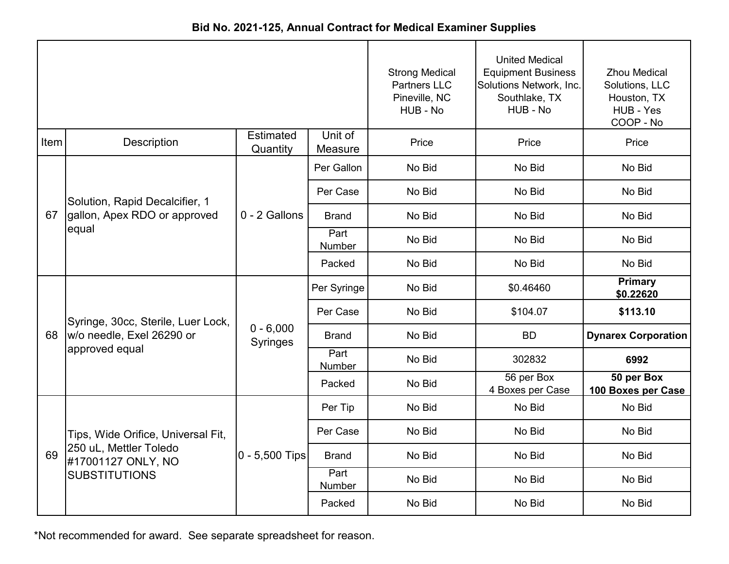|      |                                                                      |                         |                    | <b>Strong Medical</b><br><b>Partners LLC</b> | <b>United Medical</b><br><b>Equipment Business</b><br>Solutions Network, Inc. | <b>Zhou Medical</b><br>Solutions, LLC |
|------|----------------------------------------------------------------------|-------------------------|--------------------|----------------------------------------------|-------------------------------------------------------------------------------|---------------------------------------|
|      |                                                                      |                         |                    | Pineville, NC<br>HUB - No                    | Southlake, TX<br>HUB - No                                                     | Houston, TX<br>HUB - Yes<br>COOP - No |
| Item | <b>Description</b>                                                   | Estimated<br>Quantity   | Unit of<br>Measure | Price                                        | Price                                                                         | Price                                 |
|      |                                                                      |                         | Per Gallon         | No Bid                                       | No Bid                                                                        | No Bid                                |
|      | Solution, Rapid Decalcifier, 1                                       |                         | Per Case           | No Bid                                       | No Bid                                                                        | No Bid                                |
| 67   | gallon, Apex RDO or approved                                         | 0 - 2 Gallons           | <b>Brand</b>       | No Bid                                       | No Bid                                                                        | No Bid                                |
|      | equal                                                                |                         | Part<br>Number     | No Bid                                       | No Bid                                                                        | No Bid                                |
|      |                                                                      |                         | Packed             | No Bid                                       | No Bid                                                                        | No Bid                                |
|      |                                                                      | $0 - 6,000$<br>Syringes | Per Syringe        | No Bid                                       | \$0.46460                                                                     | <b>Primary</b><br>\$0.22620           |
|      | Syringe, 30cc, Sterile, Luer Lock,                                   |                         | Per Case           | No Bid                                       | \$104.07                                                                      | \$113.10                              |
| 68   | w/o needle, Exel 26290 or                                            |                         | Brand              | No Bid                                       | <b>BD</b>                                                                     | <b>Dynarex Corporation</b>            |
|      | approved equal                                                       |                         | Part<br>Number     | No Bid                                       | 302832                                                                        | 6992                                  |
|      |                                                                      |                         | Packed             | No Bid                                       | 56 per Box<br>4 Boxes per Case                                                | 50 per Box<br>100 Boxes per Case      |
|      |                                                                      |                         | Per Tip            | No Bid                                       | No Bid                                                                        | No Bid                                |
|      | Tips, Wide Orifice, Universal Fit,                                   |                         | Per Case           | No Bid                                       | No Bid                                                                        | No Bid                                |
| 69   | 250 uL, Mettler Toledo<br>#17001127 ONLY, NO<br><b>SUBSTITUTIONS</b> | $0 - 5,500$ Tips        | <b>Brand</b>       | No Bid                                       | No Bid                                                                        | No Bid                                |
|      |                                                                      |                         | Part<br>Number     | No Bid                                       | No Bid                                                                        | No Bid                                |
|      |                                                                      |                         | Packed             | No Bid                                       | No Bid                                                                        | No Bid                                |

**Bid No. 2021-125, Annual Contract for Medical Examiner Supplies**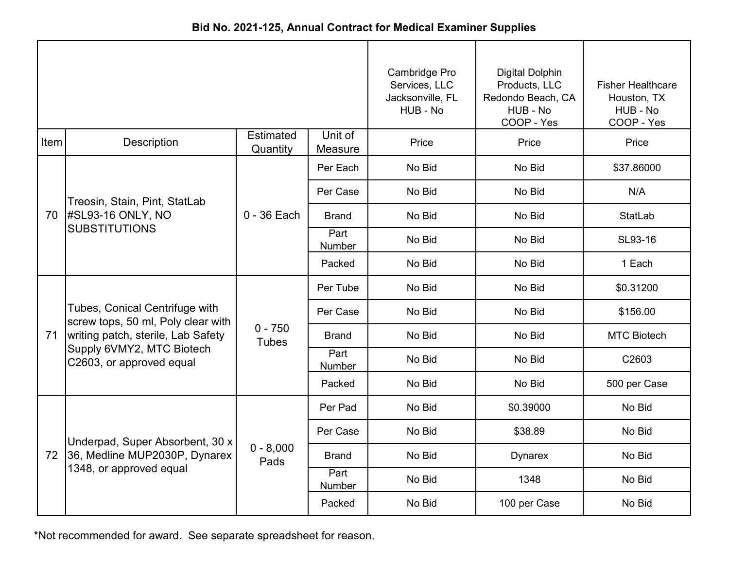| Bid No. 2021-125, Annual Contract for Medical Examiner Supplies |
|-----------------------------------------------------------------|
|-----------------------------------------------------------------|

|      |                                                                      |                           |                    | Cambridge Pro<br>Services, LLC<br>Jacksonville, FL<br>HUB - No | <b>Digital Dolphin</b><br>Products, LLC<br>Redondo Beach, CA<br>HUB - No<br>COOP - Yes | <b>Fisher Healthcare</b><br>Houston, TX<br>HUB - No<br>COOP - Yes |
|------|----------------------------------------------------------------------|---------------------------|--------------------|----------------------------------------------------------------|----------------------------------------------------------------------------------------|-------------------------------------------------------------------|
| Item | <b>Description</b>                                                   | Estimated<br>Quantity     | Unit of<br>Measure | Price                                                          | Price                                                                                  | Price                                                             |
|      |                                                                      |                           | Per Each           | No Bid                                                         | No Bid                                                                                 | \$37.86000                                                        |
|      | Treosin, Stain, Pint, StatLab                                        |                           | Per Case           | No Bid                                                         | No Bid                                                                                 | N/A                                                               |
| 70   | <b>#SL93-16 ONLY, NO</b>                                             | $0 - 36$ Each             | <b>Brand</b>       | No Bid                                                         | No Bid                                                                                 | StatLab                                                           |
|      | <b>SUBSTITUTIONS</b>                                                 |                           | Part<br>Number     | No Bid                                                         | No Bid                                                                                 | SL93-16                                                           |
|      |                                                                      |                           | Packed             | No Bid                                                         | No Bid                                                                                 | 1 Each                                                            |
|      |                                                                      | $0 - 750$<br><b>Tubes</b> | Per Tube           | No Bid                                                         | No Bid                                                                                 | \$0.31200                                                         |
|      | Tubes, Conical Centrifuge with<br>screw tops, 50 ml, Poly clear with |                           | Per Case           | No Bid                                                         | No Bid                                                                                 | \$156.00                                                          |
| 71   | writing patch, sterile, Lab Safety                                   |                           | <b>Brand</b>       | No Bid                                                         | No Bid                                                                                 | <b>MTC Biotech</b>                                                |
|      | Supply 6VMY2, MTC Biotech<br>C2603, or approved equal                |                           | Part<br>Number     | No Bid                                                         | No Bid                                                                                 | C2603                                                             |
|      |                                                                      |                           | Packed             | No Bid                                                         | No Bid                                                                                 | 500 per Case                                                      |
|      |                                                                      |                           | Per Pad            | No Bid                                                         | \$0.39000                                                                              | No Bid                                                            |
|      | Underpad, Super Absorbent, 30 x                                      |                           | Per Case           | No Bid                                                         | \$38.89                                                                                | No Bid                                                            |
| 72   | 36, Medline MUP2030P, Dynarex                                        | $0 - 8,000$<br>Pads       | <b>Brand</b>       | No Bid                                                         | <b>Dynarex</b>                                                                         | No Bid                                                            |
|      | 1348, or approved equal                                              |                           | Part<br>Number     | No Bid                                                         | 1348                                                                                   | No Bid                                                            |
|      |                                                                      |                           | Packed             | No Bid                                                         | 100 per Case                                                                           | No Bid                                                            |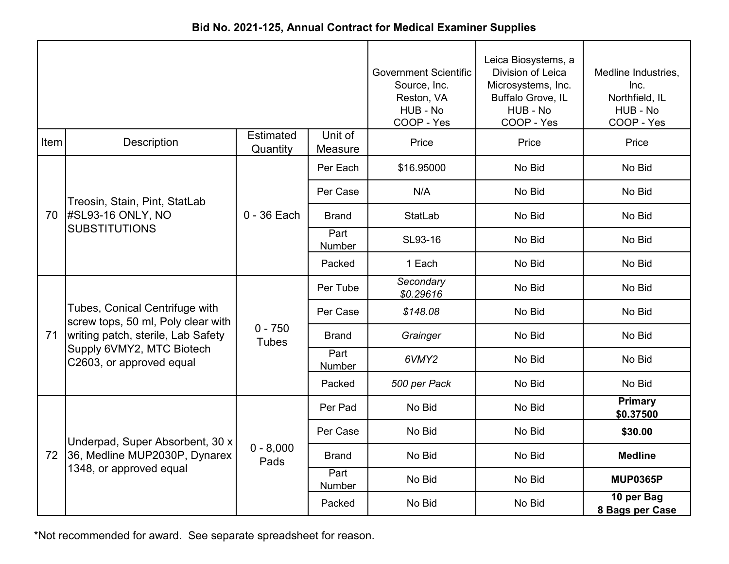|  | Bid No. 2021-125, Annual Contract for Medical Examiner Supplies |  |  |
|--|-----------------------------------------------------------------|--|--|
|--|-----------------------------------------------------------------|--|--|

|      |                                                                                                                                                                     | <b>Government Scientific</b><br>Source, Inc.<br>Reston, VA<br>HUB - No<br>COOP - Yes | Leica Biosystems, a<br>Division of Leica<br>Microsystems, Inc.<br>Buffalo Grove, IL<br>HUB - No<br>COOP - Yes | Medline Industries,<br>Inc.<br>Northfield, IL<br>HUB - No<br>COOP - Yes |        |                               |
|------|---------------------------------------------------------------------------------------------------------------------------------------------------------------------|--------------------------------------------------------------------------------------|---------------------------------------------------------------------------------------------------------------|-------------------------------------------------------------------------|--------|-------------------------------|
| Item | <b>Description</b>                                                                                                                                                  | <b>Estimated</b><br>Quantity                                                         | Unit of<br>Measure                                                                                            | Price                                                                   | Price  | Price                         |
|      |                                                                                                                                                                     |                                                                                      | Per Each                                                                                                      | \$16.95000                                                              | No Bid | No Bid                        |
|      | Treosin, Stain, Pint, StatLab                                                                                                                                       |                                                                                      | Per Case                                                                                                      | N/A                                                                     | No Bid | No Bid                        |
| 70   | #SL93-16 ONLY, NO                                                                                                                                                   | $0 - 36$ Each                                                                        | <b>Brand</b>                                                                                                  | StatLab                                                                 | No Bid | No Bid                        |
|      | <b>SUBSTITUTIONS</b>                                                                                                                                                |                                                                                      | Part<br>Number                                                                                                | SL93-16                                                                 | No Bid | No Bid                        |
|      |                                                                                                                                                                     |                                                                                      | Packed                                                                                                        | 1 Each                                                                  | No Bid | No Bid                        |
|      |                                                                                                                                                                     | $0 - 750$<br><b>Tubes</b>                                                            | Per Tube                                                                                                      | Secondary<br>\$0.29616                                                  | No Bid | No Bid                        |
|      | Tubes, Conical Centrifuge with<br>screw tops, 50 ml, Poly clear with<br>writing patch, sterile, Lab Safety<br>Supply 6VMY2, MTC Biotech<br>C2603, or approved equal |                                                                                      | Per Case                                                                                                      | \$148.08                                                                | No Bid | No Bid                        |
| 71   |                                                                                                                                                                     |                                                                                      | <b>Brand</b>                                                                                                  | Grainger                                                                | No Bid | No Bid                        |
|      |                                                                                                                                                                     |                                                                                      | Part<br>Number                                                                                                | 6VMY2                                                                   | No Bid | No Bid                        |
|      |                                                                                                                                                                     |                                                                                      | Packed                                                                                                        | 500 per Pack                                                            | No Bid | No Bid                        |
|      |                                                                                                                                                                     |                                                                                      | Per Pad                                                                                                       | No Bid                                                                  | No Bid | <b>Primary</b><br>\$0.37500   |
|      | Underpad, Super Absorbent, 30 x                                                                                                                                     |                                                                                      | Per Case                                                                                                      | No Bid                                                                  | No Bid | \$30.00                       |
| 72   | 36, Medline MUP2030P, Dynarex                                                                                                                                       | $0 - 8,000$<br>Pads                                                                  | <b>Brand</b>                                                                                                  | No Bid                                                                  | No Bid | <b>Medline</b>                |
|      | 1348, or approved equal                                                                                                                                             |                                                                                      | Part<br>Number                                                                                                | No Bid                                                                  | No Bid | <b>MUP0365P</b>               |
|      |                                                                                                                                                                     |                                                                                      | Packed                                                                                                        | No Bid                                                                  | No Bid | 10 per Bag<br>8 Bags per Case |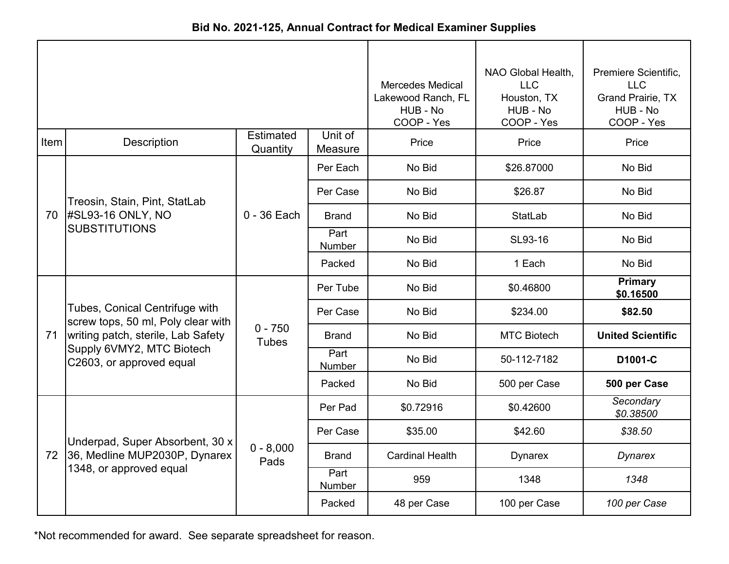| Bid No. 2021-125, Annual Contract for Medical Examiner Supplies |  |
|-----------------------------------------------------------------|--|
|-----------------------------------------------------------------|--|

|      |                                                                                                                                                                     | <b>Mercedes Medical</b><br>Lakewood Ranch, FL<br>HUB - No<br>COOP - Yes | NAO Global Health,<br><b>LLC</b><br>Houston, TX<br>HUB - No<br>COOP - Yes | Premiere Scientific,<br><b>LLC</b><br><b>Grand Prairie, TX</b><br>HUB - No<br>COOP - Yes |                    |                             |
|------|---------------------------------------------------------------------------------------------------------------------------------------------------------------------|-------------------------------------------------------------------------|---------------------------------------------------------------------------|------------------------------------------------------------------------------------------|--------------------|-----------------------------|
| Item | Description                                                                                                                                                         | <b>Estimated</b><br>Quantity                                            | Unit of<br>Measure                                                        | Price                                                                                    | Price              | Price                       |
|      |                                                                                                                                                                     |                                                                         | Per Each                                                                  | No Bid                                                                                   | \$26.87000         | No Bid                      |
|      | Treosin, Stain, Pint, StatLab                                                                                                                                       |                                                                         | Per Case                                                                  | No Bid                                                                                   | \$26.87            | No Bid                      |
| 70   | <b>#SL93-16 ONLY, NO</b><br><b>SUBSTITUTIONS</b>                                                                                                                    | $0 - 36$ Each                                                           | <b>Brand</b>                                                              | No Bid                                                                                   | StatLab            | No Bid                      |
|      |                                                                                                                                                                     |                                                                         | Part<br>Number                                                            | No Bid                                                                                   | SL93-16            | No Bid                      |
|      |                                                                                                                                                                     |                                                                         | Packed                                                                    | No Bid                                                                                   | 1 Each             | No Bid                      |
|      | Tubes, Conical Centrifuge with<br>screw tops, 50 ml, Poly clear with<br>writing patch, sterile, Lab Safety<br>Supply 6VMY2, MTC Biotech<br>C2603, or approved equal | $0 - 750$<br><b>Tubes</b>                                               | Per Tube                                                                  | No Bid                                                                                   | \$0.46800          | <b>Primary</b><br>\$0.16500 |
|      |                                                                                                                                                                     |                                                                         | Per Case                                                                  | No Bid                                                                                   | \$234.00           | \$82.50                     |
| 71   |                                                                                                                                                                     |                                                                         | <b>Brand</b>                                                              | No Bid                                                                                   | <b>MTC Biotech</b> | <b>United Scientific</b>    |
|      |                                                                                                                                                                     |                                                                         | Part<br><b>Number</b>                                                     | No Bid                                                                                   | 50-112-7182        | D1001-C                     |
|      |                                                                                                                                                                     |                                                                         | Packed                                                                    | No Bid                                                                                   | 500 per Case       | 500 per Case                |
|      |                                                                                                                                                                     |                                                                         | Per Pad                                                                   | \$0.72916                                                                                | \$0.42600          | Secondary<br>\$0.38500      |
|      | Underpad, Super Absorbent, 30 x                                                                                                                                     |                                                                         | Per Case                                                                  | \$35.00                                                                                  | \$42.60            | \$38.50                     |
| 72   | 36, Medline MUP2030P, Dynarex                                                                                                                                       | $0 - 8,000$<br>Pads                                                     | Brand                                                                     | <b>Cardinal Health</b>                                                                   | <b>Dynarex</b>     | Dynarex                     |
|      | 1348, or approved equal                                                                                                                                             |                                                                         | Part<br>Number                                                            | 959                                                                                      | 1348               | 1348                        |
|      |                                                                                                                                                                     |                                                                         | Packed                                                                    | 48 per Case                                                                              | 100 per Case       | 100 per Case                |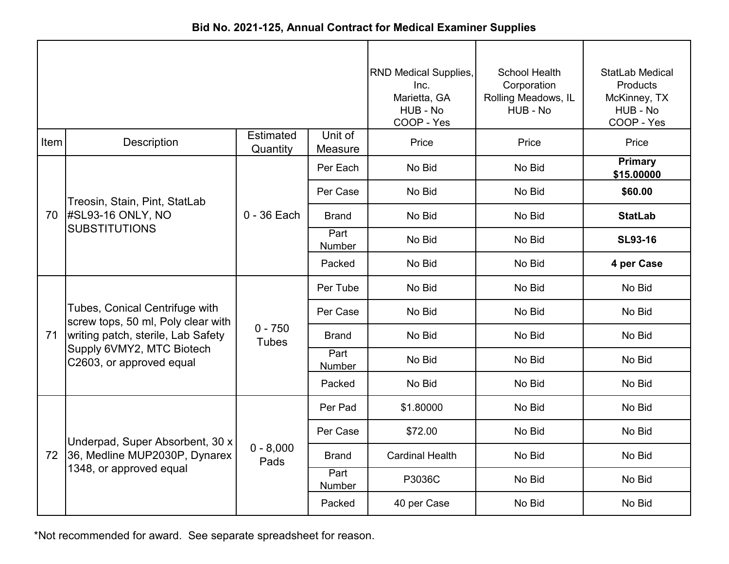|      |                                                                      |                              |                    | <b>RND Medical Supplies,</b><br>Inc.<br>Marietta, GA<br>HUB - No<br>COOP - Yes | School Health<br>Corporation<br>Rolling Meadows, IL<br>HUB - No | <b>StatLab Medical</b><br>Products<br>McKinney, TX<br>HUB - No<br>COOP - Yes |
|------|----------------------------------------------------------------------|------------------------------|--------------------|--------------------------------------------------------------------------------|-----------------------------------------------------------------|------------------------------------------------------------------------------|
| Item | <b>Description</b>                                                   | <b>Estimated</b><br>Quantity | Unit of<br>Measure | Price                                                                          | Price                                                           | Price                                                                        |
|      |                                                                      |                              | Per Each           | No Bid                                                                         | No Bid                                                          | <b>Primary</b><br>\$15.00000                                                 |
|      | Treosin, Stain, Pint, StatLab                                        | $0 - 36$ Each                | Per Case           | No Bid                                                                         | No Bid                                                          | \$60.00                                                                      |
| 70   | #SL93-16 ONLY, NO<br><b>SUBSTITUTIONS</b>                            |                              | <b>Brand</b>       | No Bid                                                                         | No Bid                                                          | <b>StatLab</b>                                                               |
|      |                                                                      |                              | Part<br>Number     | No Bid                                                                         | No Bid                                                          | <b>SL93-16</b>                                                               |
|      |                                                                      |                              | Packed             | No Bid                                                                         | No Bid                                                          | 4 per Case                                                                   |
|      |                                                                      | $0 - 750$<br><b>Tubes</b>    | Per Tube           | No Bid                                                                         | No Bid                                                          | No Bid                                                                       |
|      | Tubes, Conical Centrifuge with<br>screw tops, 50 ml, Poly clear with |                              | Per Case           | No Bid                                                                         | No Bid                                                          | No Bid                                                                       |
| 71   | writing patch, sterile, Lab Safety                                   |                              | <b>Brand</b>       | No Bid                                                                         | No Bid                                                          | No Bid                                                                       |
|      | Supply 6VMY2, MTC Biotech<br>C2603, or approved equal                |                              | Part<br>Number     | No Bid                                                                         | No Bid                                                          | No Bid                                                                       |
|      |                                                                      |                              | Packed             | No Bid                                                                         | No Bid                                                          | No Bid                                                                       |
|      |                                                                      |                              | Per Pad            | \$1.80000                                                                      | No Bid                                                          | No Bid                                                                       |
|      | Underpad, Super Absorbent, 30 x                                      | $0 - 8,000$<br>Pads          | Per Case           | \$72.00                                                                        | No Bid                                                          | No Bid                                                                       |
| 72   | 36, Medline MUP2030P, Dynarex                                        |                              | <b>Brand</b>       | <b>Cardinal Health</b>                                                         | No Bid                                                          | No Bid                                                                       |
|      | 1348, or approved equal                                              |                              | Part<br>Number     | P3036C                                                                         | No Bid                                                          | No Bid                                                                       |
|      |                                                                      |                              | Packed             | 40 per Case                                                                    | No Bid                                                          | No Bid                                                                       |

**Bid No. 2021-125, Annual Contract for Medical Examiner Supplies**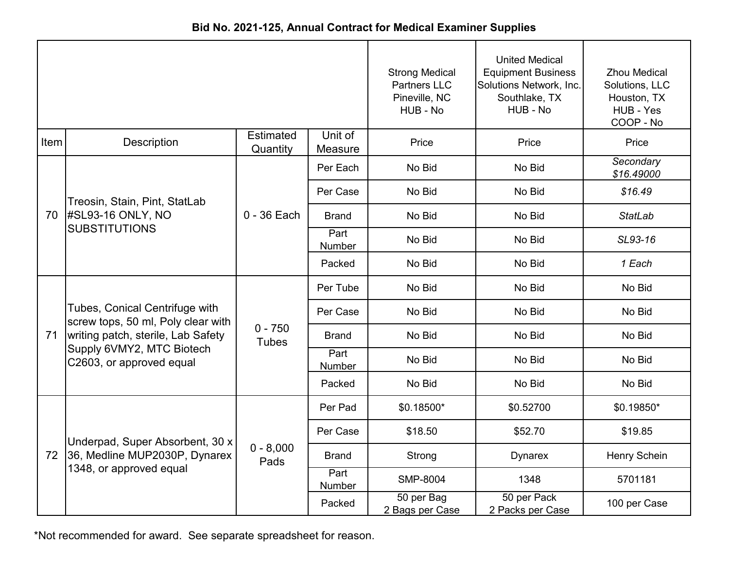| Bid No. 2021-125, Annual Contract for Medical Examiner Supplies |
|-----------------------------------------------------------------|
|-----------------------------------------------------------------|

|      |                                                                                                                                                                     | <b>Strong Medical</b><br><b>Partners LLC</b><br>Pineville, NC<br>HUB - No | <b>United Medical</b><br><b>Equipment Business</b><br>Solutions Network, Inc.<br>Southlake, TX<br>HUB - No | <b>Zhou Medical</b><br>Solutions, LLC<br>Houston, TX<br>HUB - Yes<br>COOP - No |                                 |                         |
|------|---------------------------------------------------------------------------------------------------------------------------------------------------------------------|---------------------------------------------------------------------------|------------------------------------------------------------------------------------------------------------|--------------------------------------------------------------------------------|---------------------------------|-------------------------|
| Item | Description                                                                                                                                                         | <b>Estimated</b><br>Quantity                                              | Unit of<br>Measure                                                                                         | Price                                                                          | Price                           | Price                   |
|      |                                                                                                                                                                     |                                                                           | Per Each                                                                                                   | No Bid                                                                         | No Bid                          | Secondary<br>\$16.49000 |
|      | Treosin, Stain, Pint, StatLab                                                                                                                                       |                                                                           | Per Case                                                                                                   | No Bid                                                                         | No Bid                          | \$16.49                 |
| 70   | #SL93-16 ONLY, NO                                                                                                                                                   | $0 - 36$ Each                                                             | <b>Brand</b>                                                                                               | No Bid                                                                         | No Bid                          | <b>StatLab</b>          |
|      | <b>SUBSTITUTIONS</b>                                                                                                                                                |                                                                           | Part<br>Number                                                                                             | No Bid                                                                         | No Bid                          | SL93-16                 |
|      |                                                                                                                                                                     |                                                                           | Packed                                                                                                     | No Bid                                                                         | No Bid                          | 1 Each                  |
|      | Tubes, Conical Centrifuge with<br>screw tops, 50 ml, Poly clear with<br>writing patch, sterile, Lab Safety<br>Supply 6VMY2, MTC Biotech<br>C2603, or approved equal | $0 - 750$<br><b>Tubes</b>                                                 | Per Tube                                                                                                   | No Bid                                                                         | No Bid                          | No Bid                  |
|      |                                                                                                                                                                     |                                                                           | Per Case                                                                                                   | No Bid                                                                         | No Bid                          | No Bid                  |
| 71   |                                                                                                                                                                     |                                                                           | <b>Brand</b>                                                                                               | No Bid                                                                         | No Bid                          | No Bid                  |
|      |                                                                                                                                                                     |                                                                           | Part<br>Number                                                                                             | No Bid                                                                         | No Bid                          | No Bid                  |
|      |                                                                                                                                                                     |                                                                           | Packed                                                                                                     | No Bid                                                                         | No Bid                          | No Bid                  |
|      |                                                                                                                                                                     |                                                                           | Per Pad                                                                                                    | \$0.18500*                                                                     | \$0.52700                       | \$0.19850*              |
|      | Underpad, Super Absorbent, 30 x                                                                                                                                     |                                                                           | Per Case                                                                                                   | \$18.50                                                                        | \$52.70                         | \$19.85                 |
| 72   | 36, Medline MUP2030P, Dynarex                                                                                                                                       | $0 - 8,000$<br>Pads                                                       | <b>Brand</b>                                                                                               | Strong                                                                         | <b>Dynarex</b>                  | Henry Schein            |
|      | 1348, or approved equal                                                                                                                                             |                                                                           | Part<br>Number                                                                                             | <b>SMP-8004</b>                                                                | 1348                            | 5701181                 |
|      |                                                                                                                                                                     |                                                                           | Packed                                                                                                     | 50 per Bag<br>2 Bags per Case                                                  | 50 per Pack<br>2 Packs per Case | 100 per Case            |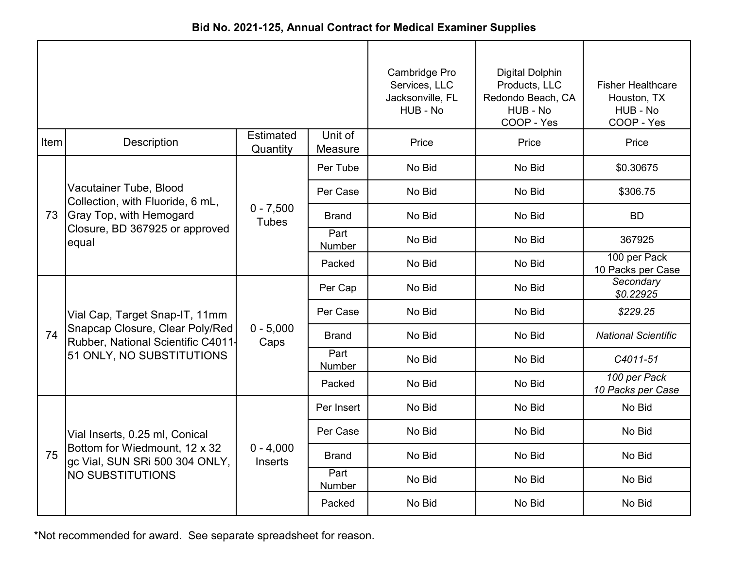| Bid No. 2021-125, Annual Contract for Medical Examiner Supplies |
|-----------------------------------------------------------------|
|                                                                 |

|      |                                                                                                                                     |                               |                       | Cambridge Pro<br>Services, LLC<br>Jacksonville, FL<br>HUB - No | Digital Dolphin<br>Products, LLC<br>Redondo Beach, CA<br>HUB - No<br>COOP - Yes | <b>Fisher Healthcare</b><br>Houston, TX<br>HUB - No<br>COOP - Yes |
|------|-------------------------------------------------------------------------------------------------------------------------------------|-------------------------------|-----------------------|----------------------------------------------------------------|---------------------------------------------------------------------------------|-------------------------------------------------------------------|
| Item | Description                                                                                                                         | <b>Estimated</b><br>Quantity  | Unit of<br>Measure    | Price                                                          | Price                                                                           | Price                                                             |
|      |                                                                                                                                     |                               | Per Tube              | No Bid                                                         | No Bid                                                                          | \$0.30675                                                         |
|      | Vacutainer Tube, Blood<br>Collection, with Fluoride, 6 mL,                                                                          |                               | Per Case              | No Bid                                                         | No Bid                                                                          | \$306.75                                                          |
| 73   | <b>Gray Top, with Hemogard</b><br>Closure, BD 367925 or approved<br>equal                                                           | $0 - 7,500$<br><b>Tubes</b>   | <b>Brand</b>          | No Bid                                                         | No Bid                                                                          | <b>BD</b>                                                         |
|      |                                                                                                                                     |                               | Part<br>Number        | No Bid                                                         | No Bid                                                                          | 367925                                                            |
|      |                                                                                                                                     |                               | Packed                | No Bid                                                         | No Bid                                                                          | 100 per Pack<br>10 Packs per Case                                 |
|      | Vial Cap, Target Snap-IT, 11mm<br>Snapcap Closure, Clear Poly/Red<br>Rubber, National Scientific C4011<br>51 ONLY, NO SUBSTITUTIONS | $0 - 5,000$<br>Caps           | Per Cap               | No Bid                                                         | No Bid                                                                          | Secondary<br>\$0.22925                                            |
|      |                                                                                                                                     |                               | Per Case              | No Bid                                                         | No Bid                                                                          | \$229.25                                                          |
| 74   |                                                                                                                                     |                               | <b>Brand</b>          | No Bid                                                         | No Bid                                                                          | <b>National Scientific</b>                                        |
|      |                                                                                                                                     |                               | Part<br><b>Number</b> | No Bid                                                         | No Bid                                                                          | C4011-51                                                          |
|      |                                                                                                                                     |                               | Packed                | No Bid                                                         | No Bid                                                                          | 100 per Pack<br>10 Packs per Case                                 |
|      |                                                                                                                                     |                               | Per Insert            | No Bid                                                         | No Bid                                                                          | No Bid                                                            |
|      | Vial Inserts, 0.25 ml, Conical                                                                                                      |                               | Per Case              | No Bid                                                         | No Bid                                                                          | No Bid                                                            |
| 75   | Bottom for Wiedmount, 12 x 32<br>gc Vial, SUN SRi 500 304 ONLY,                                                                     | $0 - 4,000$<br><b>Inserts</b> | <b>Brand</b>          | No Bid                                                         | No Bid                                                                          | No Bid                                                            |
|      | <b>NO SUBSTITUTIONS</b>                                                                                                             |                               | Part<br>Number        | No Bid                                                         | No Bid                                                                          | No Bid                                                            |
|      |                                                                                                                                     |                               | Packed                | No Bid                                                         | No Bid                                                                          | No Bid                                                            |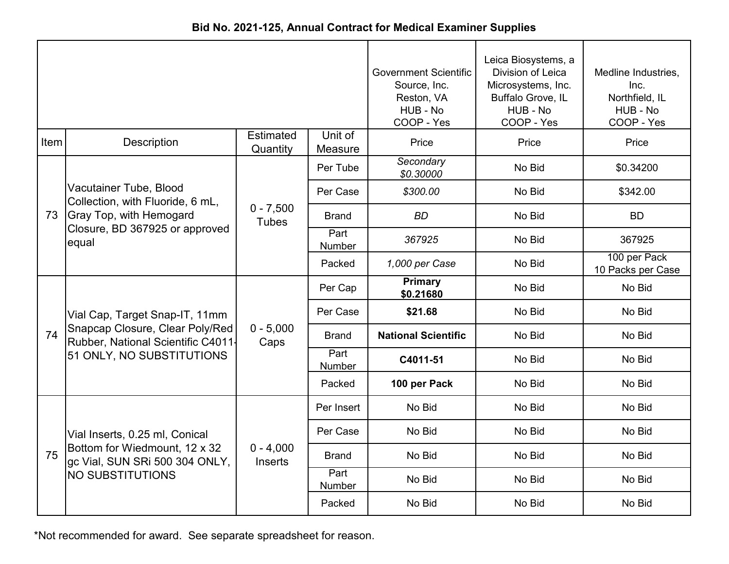|  | Bid No. 2021-125, Annual Contract for Medical Examiner Supplies |  |  |
|--|-----------------------------------------------------------------|--|--|
|--|-----------------------------------------------------------------|--|--|

|      |                                                                                                                                      | <b>Government Scientific</b><br>Source, Inc.<br>Reston, VA<br>HUB - No<br>COOP - Yes | Leica Biosystems, a<br>Division of Leica<br>Microsystems, Inc.<br>Buffalo Grove, IL<br>HUB - No<br>COOP - Yes | Medline Industries,<br>Inc.<br>Northfield, IL<br>HUB - No<br>COOP - Yes |        |                                   |
|------|--------------------------------------------------------------------------------------------------------------------------------------|--------------------------------------------------------------------------------------|---------------------------------------------------------------------------------------------------------------|-------------------------------------------------------------------------|--------|-----------------------------------|
| Item | <b>Description</b>                                                                                                                   | <b>Estimated</b><br>Quantity                                                         | Unit of<br>Measure                                                                                            | Price                                                                   | Price  | Price                             |
|      |                                                                                                                                      |                                                                                      | Per Tube                                                                                                      | Secondary<br>\$0.30000                                                  | No Bid | \$0.34200                         |
|      | Vacutainer Tube, Blood<br>Collection, with Fluoride, 6 mL,                                                                           |                                                                                      | Per Case                                                                                                      | \$300.00                                                                | No Bid | \$342.00                          |
| 73   | <b>Gray Top, with Hemogard</b><br>Closure, BD 367925 or approved<br>equal                                                            | $0 - 7,500$<br><b>Tubes</b>                                                          | <b>Brand</b>                                                                                                  | <b>BD</b>                                                               | No Bid | <b>BD</b>                         |
|      |                                                                                                                                      |                                                                                      | Part<br>Number                                                                                                | 367925                                                                  | No Bid | 367925                            |
|      |                                                                                                                                      |                                                                                      | Packed                                                                                                        | 1,000 per Case                                                          | No Bid | 100 per Pack<br>10 Packs per Case |
|      | Vial Cap, Target Snap-IT, 11mm<br>Snapcap Closure, Clear Poly/Red<br>Rubber, National Scientific C4011-<br>51 ONLY, NO SUBSTITUTIONS | $0 - 5,000$<br>Caps                                                                  | Per Cap                                                                                                       | <b>Primary</b><br>\$0.21680                                             | No Bid | No Bid                            |
|      |                                                                                                                                      |                                                                                      | Per Case                                                                                                      | \$21.68                                                                 | No Bid | No Bid                            |
| 74   |                                                                                                                                      |                                                                                      | <b>Brand</b>                                                                                                  | <b>National Scientific</b>                                              | No Bid | No Bid                            |
|      |                                                                                                                                      |                                                                                      | Part<br>Number                                                                                                | C4011-51                                                                | No Bid | No Bid                            |
|      |                                                                                                                                      |                                                                                      | Packed                                                                                                        | 100 per Pack                                                            | No Bid | No Bid                            |
|      |                                                                                                                                      |                                                                                      | Per Insert                                                                                                    | No Bid                                                                  | No Bid | No Bid                            |
|      | Vial Inserts, 0.25 ml, Conical                                                                                                       |                                                                                      | Per Case                                                                                                      | No Bid                                                                  | No Bid | No Bid                            |
| 75   | Bottom for Wiedmount, 12 x 32<br>gc Vial, SUN SRi 500 304 ONLY,                                                                      | $0 - 4,000$<br><b>Inserts</b>                                                        | <b>Brand</b>                                                                                                  | No Bid                                                                  | No Bid | No Bid                            |
|      | <b>NO SUBSTITUTIONS</b>                                                                                                              |                                                                                      | Part<br>Number                                                                                                | No Bid                                                                  | No Bid | No Bid                            |
|      |                                                                                                                                      |                                                                                      | Packed                                                                                                        | No Bid                                                                  | No Bid | No Bid                            |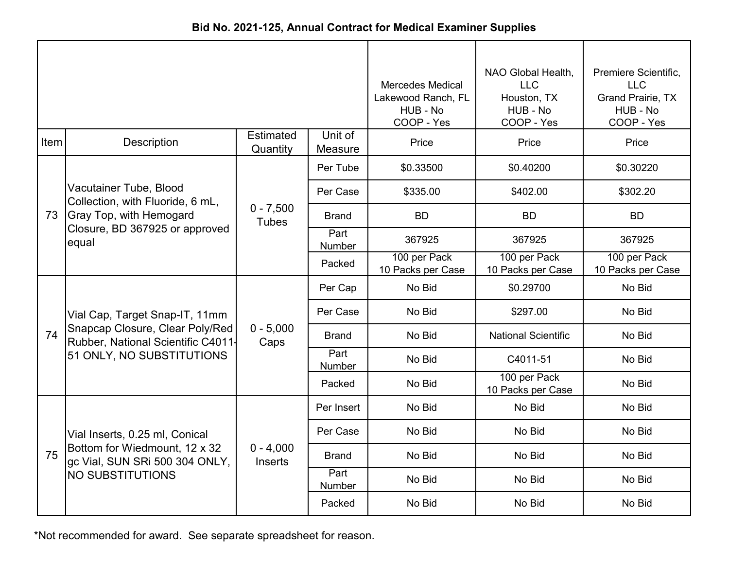| Bid No. 2021-125, Annual Contract for Medical Examiner Supplies |  |
|-----------------------------------------------------------------|--|
|-----------------------------------------------------------------|--|

|      |                                                                      |                               | <b>Mercedes Medical</b><br>Lakewood Ranch, FL<br>HUB - No<br>COOP - Yes | NAO Global Health,<br><b>LLC</b><br>Houston, TX<br>HUB - No<br>COOP - Yes | Premiere Scientific,<br><b>LLC</b><br>Grand Prairie, TX<br>HUB - No<br>COOP - Yes |                                   |
|------|----------------------------------------------------------------------|-------------------------------|-------------------------------------------------------------------------|---------------------------------------------------------------------------|-----------------------------------------------------------------------------------|-----------------------------------|
| Item | <b>Description</b>                                                   | <b>Estimated</b><br>Quantity  | Unit of<br>Measure                                                      | Price                                                                     | Price                                                                             | Price                             |
|      |                                                                      |                               | Per Tube                                                                | \$0.33500                                                                 | \$0.40200                                                                         | \$0.30220                         |
|      | Vacutainer Tube, Blood<br>Collection, with Fluoride, 6 mL,           |                               | Per Case                                                                | \$335.00                                                                  | \$402.00                                                                          | \$302.20                          |
| 73   | <b>Gray Top, with Hemogard</b>                                       | $0 - 7,500$<br><b>Tubes</b>   | Brand                                                                   | <b>BD</b>                                                                 | <b>BD</b>                                                                         | <b>BD</b>                         |
|      | Closure, BD 367925 or approved<br>equal                              |                               | Part<br>Number                                                          | 367925                                                                    | 367925                                                                            | 367925                            |
|      |                                                                      |                               | Packed                                                                  | 100 per Pack<br>10 Packs per Case                                         | 100 per Pack<br>10 Packs per Case                                                 | 100 per Pack<br>10 Packs per Case |
|      |                                                                      | $0 - 5,000$<br>Caps           | Per Cap                                                                 | No Bid                                                                    | \$0.29700                                                                         | No Bid                            |
|      | Vial Cap, Target Snap-IT, 11mm                                       |                               | Per Case                                                                | No Bid                                                                    | \$297.00                                                                          | No Bid                            |
| 74   | Snapcap Closure, Clear Poly/Red<br>Rubber, National Scientific C4011 |                               | Brand                                                                   | No Bid                                                                    | <b>National Scientific</b>                                                        | No Bid                            |
|      | 51 ONLY, NO SUBSTITUTIONS                                            |                               | Part<br>Number                                                          | No Bid                                                                    | C4011-51                                                                          | No Bid                            |
|      |                                                                      |                               | Packed                                                                  | No Bid                                                                    | 100 per Pack<br>10 Packs per Case                                                 | No Bid                            |
|      |                                                                      |                               | Per Insert                                                              | No Bid                                                                    | No Bid                                                                            | No Bid                            |
|      | Vial Inserts, 0.25 ml, Conical                                       |                               | Per Case                                                                | No Bid                                                                    | No Bid                                                                            | No Bid                            |
| 75   | Bottom for Wiedmount, 12 x 32<br>gc Vial, SUN SRi 500 304 ONLY,      | $0 - 4,000$<br><b>Inserts</b> | Brand                                                                   | No Bid                                                                    | No Bid                                                                            | No Bid                            |
|      | NO SUBSTITUTIONS                                                     |                               | Part<br>Number                                                          | No Bid                                                                    | No Bid                                                                            | No Bid                            |
|      |                                                                      |                               | Packed                                                                  | No Bid                                                                    | No Bid                                                                            | No Bid                            |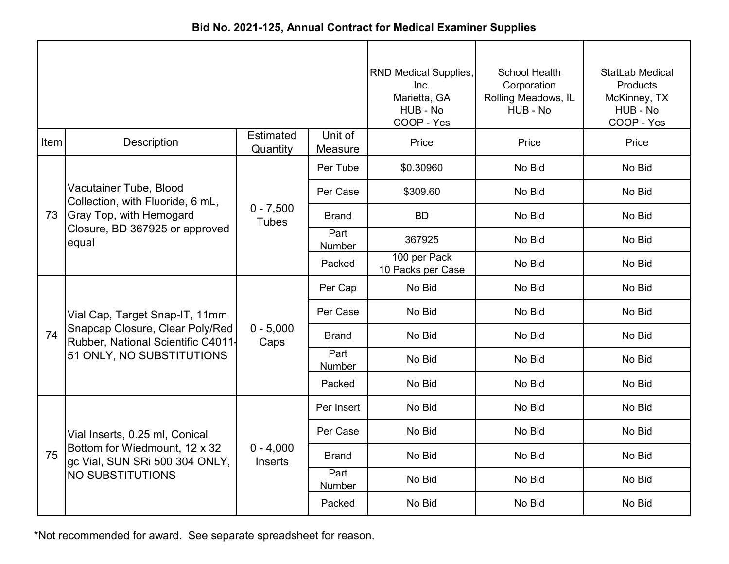| Bid No. 2021-125, Annual Contract for Medical Examiner Supplies |  |
|-----------------------------------------------------------------|--|
|-----------------------------------------------------------------|--|

|      |                                                                       |                               |                    | RND Medical Supplies,<br>Inc.<br>Marietta, GA<br>HUB - No<br>COOP - Yes | School Health<br>Corporation<br>Rolling Meadows, IL<br>HUB - No | <b>StatLab Medical</b><br><b>Products</b><br>McKinney, TX<br>HUB - No<br>COOP - Yes |
|------|-----------------------------------------------------------------------|-------------------------------|--------------------|-------------------------------------------------------------------------|-----------------------------------------------------------------|-------------------------------------------------------------------------------------|
| Item | Description                                                           | <b>Estimated</b><br>Quantity  | Unit of<br>Measure | Price                                                                   | Price                                                           | Price                                                                               |
|      |                                                                       |                               | Per Tube           | \$0.30960                                                               | No Bid                                                          | No Bid                                                                              |
|      | Vacutainer Tube, Blood<br>Collection, with Fluoride, 6 mL,            |                               | Per Case           | \$309.60                                                                | No Bid                                                          | No Bid                                                                              |
| 73   | <b>Gray Top, with Hemogard</b>                                        | $0 - 7,500$<br><b>Tubes</b>   | <b>Brand</b>       | <b>BD</b>                                                               | No Bid                                                          | No Bid                                                                              |
|      | Closure, BD 367925 or approved<br>equal                               |                               | Part<br>Number     | 367925                                                                  | No Bid                                                          | No Bid                                                                              |
|      |                                                                       |                               | Packed             | 100 per Pack<br>10 Packs per Case                                       | No Bid                                                          | No Bid                                                                              |
|      |                                                                       | $0 - 5,000$<br>Caps           | Per Cap            | No Bid                                                                  | No Bid                                                          | No Bid                                                                              |
|      | Vial Cap, Target Snap-IT, 11mm                                        |                               | Per Case           | No Bid                                                                  | No Bid                                                          | No Bid                                                                              |
| 74   | Snapcap Closure, Clear Poly/Red<br>Rubber, National Scientific C4011- |                               | <b>Brand</b>       | No Bid                                                                  | No Bid                                                          | No Bid                                                                              |
|      | 51 ONLY, NO SUBSTITUTIONS                                             |                               | Part<br>Number     | No Bid                                                                  | No Bid                                                          | No Bid                                                                              |
|      |                                                                       |                               | Packed             | No Bid                                                                  | No Bid                                                          | No Bid                                                                              |
|      |                                                                       |                               | Per Insert         | No Bid                                                                  | No Bid                                                          | No Bid                                                                              |
|      | Vial Inserts, 0.25 ml, Conical                                        |                               | Per Case           | No Bid                                                                  | No Bid                                                          | No Bid                                                                              |
| 75   | Bottom for Wiedmount, 12 x 32<br>gc Vial, SUN SRi 500 304 ONLY,       | $0 - 4,000$<br><b>Inserts</b> | <b>Brand</b>       | No Bid                                                                  | No Bid                                                          | No Bid                                                                              |
|      | <b>NO SUBSTITUTIONS</b>                                               |                               | Part<br>Number     | No Bid                                                                  | No Bid                                                          | No Bid                                                                              |
|      |                                                                       |                               | Packed             | No Bid                                                                  | No Bid                                                          | No Bid                                                                              |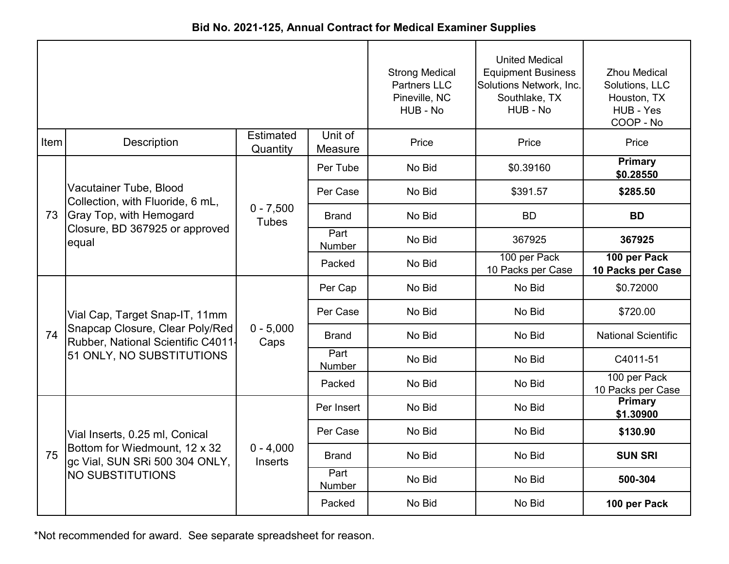|      |                                                                       |                              | <b>Strong Medical</b><br><b>Partners LLC</b><br>Pineville, NC<br>HUB - No | <b>United Medical</b><br><b>Equipment Business</b><br>Solutions Network, Inc.<br>Southlake, TX<br>HUB - No | <b>Zhou Medical</b><br>Solutions, LLC<br>Houston, TX<br>HUB - Yes<br>COOP - No |                                   |
|------|-----------------------------------------------------------------------|------------------------------|---------------------------------------------------------------------------|------------------------------------------------------------------------------------------------------------|--------------------------------------------------------------------------------|-----------------------------------|
| Item | Description                                                           | <b>Estimated</b><br>Quantity | Unit of<br>Measure                                                        | Price                                                                                                      | Price                                                                          | Price                             |
|      |                                                                       |                              | Per Tube                                                                  | No Bid                                                                                                     | \$0.39160                                                                      | <b>Primary</b><br>\$0.28550       |
|      | Vacutainer Tube, Blood<br>Collection, with Fluoride, 6 mL,            |                              | Per Case                                                                  | No Bid                                                                                                     | \$391.57                                                                       | \$285.50                          |
| 73   | <b>Gray Top, with Hemogard</b>                                        | $0 - 7,500$<br><b>Tubes</b>  | <b>Brand</b>                                                              | No Bid                                                                                                     | <b>BD</b>                                                                      | <b>BD</b>                         |
|      | Closure, BD 367925 or approved<br>equal                               |                              | Part<br>Number                                                            | No Bid                                                                                                     | 367925                                                                         | 367925                            |
|      |                                                                       |                              | Packed                                                                    | No Bid                                                                                                     | 100 per Pack<br>10 Packs per Case                                              | 100 per Pack<br>10 Packs per Case |
|      |                                                                       | $0 - 5,000$<br>Caps          | Per Cap                                                                   | No Bid                                                                                                     | No Bid                                                                         | \$0.72000                         |
|      | Vial Cap, Target Snap-IT, 11mm                                        |                              | Per Case                                                                  | No Bid                                                                                                     | No Bid                                                                         | \$720.00                          |
| 74   | Snapcap Closure, Clear Poly/Red<br>Rubber, National Scientific C4011- |                              | <b>Brand</b>                                                              | No Bid                                                                                                     | No Bid                                                                         | <b>National Scientific</b>        |
|      | 51 ONLY, NO SUBSTITUTIONS                                             |                              | Part<br>Number                                                            | No Bid                                                                                                     | No Bid                                                                         | C4011-51                          |
|      |                                                                       |                              | Packed                                                                    | No Bid                                                                                                     | No Bid                                                                         | 100 per Pack<br>10 Packs per Case |
|      |                                                                       |                              | Per Insert                                                                | No Bid                                                                                                     | No Bid                                                                         | Primary<br>\$1.30900              |
|      | Vial Inserts, 0.25 ml, Conical                                        |                              | Per Case                                                                  | No Bid                                                                                                     | No Bid                                                                         | \$130.90                          |
| 75   | Bottom for Wiedmount, 12 x 32<br>gc Vial, SUN SRi 500 304 ONLY,       | $0 - 4,000$<br>Inserts       | Brand                                                                     | No Bid                                                                                                     | No Bid                                                                         | <b>SUN SRI</b>                    |
|      | NO SUBSTITUTIONS                                                      |                              | Part<br>Number                                                            | No Bid                                                                                                     | No Bid                                                                         | 500-304                           |
|      |                                                                       |                              | Packed                                                                    | No Bid                                                                                                     | No Bid                                                                         | 100 per Pack                      |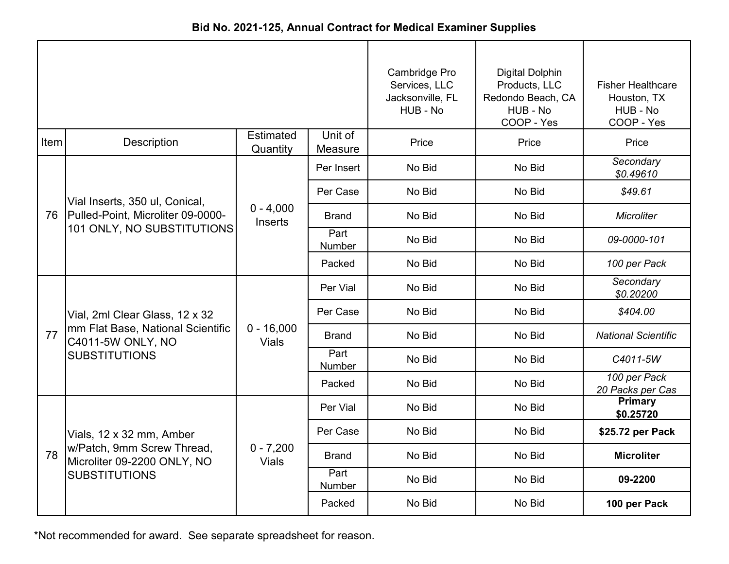|      |                                                           |                              | Cambridge Pro<br>Services, LLC<br>Jacksonville, FL<br>HUB - No | <b>Digital Dolphin</b><br>Products, LLC<br>Redondo Beach, CA<br>HUB - No<br>COOP - Yes | <b>Fisher Healthcare</b><br>Houston, TX<br>HUB - No<br>COOP - Yes |                                  |
|------|-----------------------------------------------------------|------------------------------|----------------------------------------------------------------|----------------------------------------------------------------------------------------|-------------------------------------------------------------------|----------------------------------|
| Item | <b>Description</b>                                        | Estimated<br>Quantity        | Unit of<br>Measure                                             | Price                                                                                  | Price                                                             | Price                            |
|      |                                                           |                              | Per Insert                                                     | No Bid                                                                                 | No Bid                                                            | Secondary<br>\$0.49610           |
|      | Vial Inserts, 350 ul, Conical,                            |                              | Per Case                                                       | No Bid                                                                                 | No Bid                                                            | \$49.61                          |
|      | 76 Pulled-Point, Microliter 09-0000-                      | $0 - 4,000$<br>Inserts       | Brand                                                          | No Bid                                                                                 | No Bid                                                            | <b>Microliter</b>                |
|      | 101 ONLY, NO SUBSTITUTIONS                                |                              | Part<br>Number                                                 | No Bid                                                                                 | No Bid                                                            | 09-0000-101                      |
|      |                                                           |                              | Packed                                                         | No Bid                                                                                 | No Bid                                                            | 100 per Pack                     |
|      |                                                           | $0 - 16,000$<br><b>Vials</b> | Per Vial                                                       | No Bid                                                                                 | No Bid                                                            | Secondary<br>\$0.20200           |
|      | Vial, 2ml Clear Glass, 12 x 32                            |                              | Per Case                                                       | No Bid                                                                                 | No Bid                                                            | \$404.00                         |
| 77   | mm Flat Base, National Scientific<br>C4011-5W ONLY, NO    |                              | <b>Brand</b>                                                   | No Bid                                                                                 | No Bid                                                            | <b>National Scientific</b>       |
|      | <b>SUBSTITUTIONS</b>                                      |                              | Part<br>Number                                                 | No Bid                                                                                 | No Bid                                                            | C4011-5W                         |
|      |                                                           |                              | Packed                                                         | No Bid                                                                                 | No Bid                                                            | 100 per Pack<br>20 Packs per Cas |
|      |                                                           |                              | Per Vial                                                       | No Bid                                                                                 | No Bid                                                            | <b>Primary</b><br>\$0.25720      |
|      | Vials, 12 x 32 mm, Amber                                  |                              | Per Case                                                       | No Bid                                                                                 | No Bid                                                            | \$25.72 per Pack                 |
| 78   | w/Patch, 9mm Screw Thread,<br>Microliter 09-2200 ONLY, NO | $0 - 7,200$<br><b>Vials</b>  | <b>Brand</b>                                                   | No Bid                                                                                 | No Bid                                                            | <b>Microliter</b>                |
|      | <b>SUBSTITUTIONS</b>                                      |                              | Part<br>Number                                                 | No Bid                                                                                 | No Bid                                                            | 09-2200                          |
|      |                                                           |                              | Packed                                                         | No Bid                                                                                 | No Bid                                                            | 100 per Pack                     |

**Bid No. 2021-125, Annual Contract for Medical Examiner Supplies**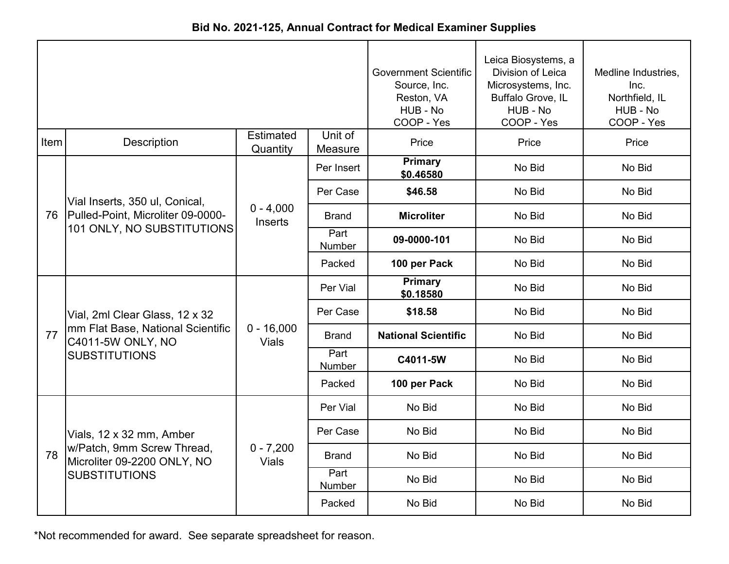|      |                                                           |                              |                       | <b>Government Scientific</b><br>Source, Inc.<br>Reston, VA<br>HUB - No<br>COOP - Yes | Leica Biosystems, a<br>Division of Leica<br>Microsystems, Inc.<br>Buffalo Grove, IL<br>HUB - No<br>COOP - Yes | Medline Industries,<br>Inc.<br>Northfield, IL<br>HUB - No<br>COOP - Yes |
|------|-----------------------------------------------------------|------------------------------|-----------------------|--------------------------------------------------------------------------------------|---------------------------------------------------------------------------------------------------------------|-------------------------------------------------------------------------|
| Item | <b>Description</b>                                        | <b>Estimated</b><br>Quantity | Unit of<br>Measure    | Price                                                                                | Price                                                                                                         | Price                                                                   |
|      |                                                           |                              | Per Insert            | <b>Primary</b><br>\$0.46580                                                          | No Bid                                                                                                        | No Bid                                                                  |
|      | Vial Inserts, 350 ul, Conical,                            |                              | Per Case              | \$46.58                                                                              | No Bid                                                                                                        | No Bid                                                                  |
| 76   | Pulled-Point, Microliter 09-0000-                         | $0 - 4,000$<br>Inserts       | Brand                 | <b>Microliter</b>                                                                    | No Bid                                                                                                        | No Bid                                                                  |
|      | 101 ONLY, NO SUBSTITUTIONS                                |                              | Part<br>Number        | 09-0000-101                                                                          | No Bid                                                                                                        | No Bid                                                                  |
|      |                                                           |                              | Packed                | 100 per Pack                                                                         | No Bid                                                                                                        | No Bid                                                                  |
|      |                                                           | $0 - 16,000$<br><b>Vials</b> | Per Vial              | Primary<br>\$0.18580                                                                 | No Bid                                                                                                        | No Bid                                                                  |
|      | Vial, 2ml Clear Glass, 12 x 32                            |                              | Per Case              | \$18.58                                                                              | No Bid                                                                                                        | No Bid                                                                  |
| 77   | mm Flat Base, National Scientific<br>C4011-5W ONLY, NO    |                              | <b>Brand</b>          | <b>National Scientific</b>                                                           | No Bid                                                                                                        | No Bid                                                                  |
|      | <b>SUBSTITUTIONS</b>                                      |                              | Part<br><b>Number</b> | C4011-5W                                                                             | No Bid                                                                                                        | No Bid                                                                  |
|      |                                                           |                              | Packed                | 100 per Pack                                                                         | No Bid                                                                                                        | No Bid                                                                  |
|      |                                                           |                              | Per Vial              | No Bid                                                                               | No Bid                                                                                                        | No Bid                                                                  |
|      | Vials, 12 x 32 mm, Amber                                  |                              | Per Case              | No Bid                                                                               | No Bid                                                                                                        | No Bid                                                                  |
| 78   | w/Patch, 9mm Screw Thread,<br>Microliter 09-2200 ONLY, NO | $0 - 7,200$<br><b>Vials</b>  | <b>Brand</b>          | No Bid                                                                               | No Bid                                                                                                        | No Bid                                                                  |
|      | <b>SUBSTITUTIONS</b>                                      |                              | Part<br>Number        | No Bid                                                                               | No Bid                                                                                                        | No Bid                                                                  |
|      |                                                           |                              | Packed                | No Bid                                                                               | No Bid                                                                                                        | No Bid                                                                  |

**Bid No. 2021-125, Annual Contract for Medical Examiner Supplies**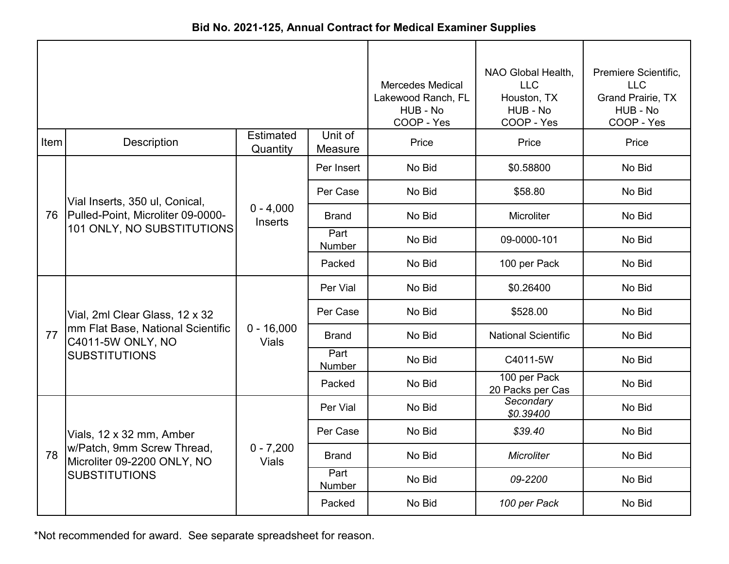| Bid No. 2021-125, Annual Contract for Medical Examiner Supplies |  |
|-----------------------------------------------------------------|--|
|-----------------------------------------------------------------|--|

|      |                                                           |                              |                    | <b>Mercedes Medical</b><br>Lakewood Ranch, FL<br>HUB - No<br>COOP - Yes | NAO Global Health,<br><b>LLC</b><br>Houston, TX<br>HUB - No<br>COOP - Yes | Premiere Scientific,<br><b>LLC</b><br>Grand Prairie, TX<br>HUB - No<br>COOP - Yes |
|------|-----------------------------------------------------------|------------------------------|--------------------|-------------------------------------------------------------------------|---------------------------------------------------------------------------|-----------------------------------------------------------------------------------|
| Item | Description                                               | <b>Estimated</b><br>Quantity | Unit of<br>Measure | Price                                                                   | Price                                                                     | Price                                                                             |
|      |                                                           |                              | Per Insert         | No Bid                                                                  | \$0.58800                                                                 | No Bid                                                                            |
|      | Vial Inserts, 350 ul, Conical,                            |                              | Per Case           | No Bid                                                                  | \$58.80                                                                   | No Bid                                                                            |
|      | 76 Pulled-Point, Microliter 09-0000-                      | $0 - 4,000$<br>Inserts       | <b>Brand</b>       | No Bid                                                                  | Microliter                                                                | No Bid                                                                            |
|      | 101 ONLY, NO SUBSTITUTIONS                                |                              | Part<br>Number     | No Bid                                                                  | 09-0000-101                                                               | No Bid                                                                            |
|      |                                                           |                              | Packed             | No Bid                                                                  | 100 per Pack                                                              | No Bid                                                                            |
|      |                                                           | $0 - 16,000$<br><b>Vials</b> | Per Vial           | No Bid                                                                  | \$0.26400                                                                 | No Bid                                                                            |
|      | Vial, 2ml Clear Glass, 12 x 32                            |                              | Per Case           | No Bid                                                                  | \$528.00                                                                  | No Bid                                                                            |
| 77   | mm Flat Base, National Scientific<br>C4011-5W ONLY, NO    |                              | <b>Brand</b>       | No Bid                                                                  | <b>National Scientific</b>                                                | No Bid                                                                            |
|      | <b>SUBSTITUTIONS</b>                                      |                              | Part<br>Number     | No Bid                                                                  | C4011-5W                                                                  | No Bid                                                                            |
|      |                                                           |                              | Packed             | No Bid                                                                  | 100 per Pack<br>20 Packs per Cas                                          | No Bid                                                                            |
|      |                                                           |                              | Per Vial           | No Bid                                                                  | Secondary<br>\$0.39400                                                    | No Bid                                                                            |
|      | Vials, 12 x 32 mm, Amber                                  |                              | Per Case           | No Bid                                                                  | \$39.40                                                                   | No Bid                                                                            |
| 78   | w/Patch, 9mm Screw Thread,<br>Microliter 09-2200 ONLY, NO | $0 - 7,200$<br><b>Vials</b>  | <b>Brand</b>       | No Bid                                                                  | <b>Microliter</b>                                                         | No Bid                                                                            |
|      | <b>SUBSTITUTIONS</b>                                      |                              | Part<br>Number     | No Bid                                                                  | 09-2200                                                                   | No Bid                                                                            |
|      |                                                           |                              | Packed             | No Bid                                                                  | 100 per Pack                                                              | No Bid                                                                            |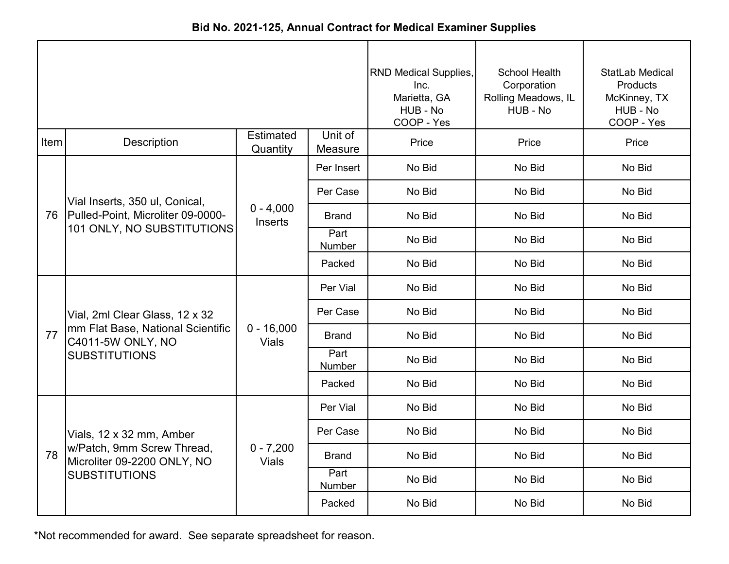|      |                                                                 |                              |                    | <b>RND Medical Supplies,</b><br>Inc.<br>Marietta, GA<br>HUB - No<br>COOP - Yes | School Health<br>Corporation<br>Rolling Meadows, IL<br>HUB - No | StatLab Medical<br>Products<br>McKinney, TX<br>HUB - No<br>COOP - Yes |
|------|-----------------------------------------------------------------|------------------------------|--------------------|--------------------------------------------------------------------------------|-----------------------------------------------------------------|-----------------------------------------------------------------------|
| Item | <b>Description</b>                                              | <b>Estimated</b><br>Quantity | Unit of<br>Measure | Price                                                                          | Price                                                           | Price                                                                 |
|      |                                                                 |                              | Per Insert         | No Bid                                                                         | No Bid                                                          | No Bid                                                                |
|      | Vial Inserts, 350 ul, Conical,                                  |                              | Per Case           | No Bid                                                                         | No Bid                                                          | No Bid                                                                |
| 76   | Pulled-Point, Microliter 09-0000-<br>101 ONLY, NO SUBSTITUTIONS | $0 - 4,000$<br>Inserts       | Brand              | No Bid                                                                         | No Bid                                                          | No Bid                                                                |
|      |                                                                 |                              | Part<br>Number     | No Bid                                                                         | No Bid                                                          | No Bid                                                                |
|      |                                                                 |                              | Packed             | No Bid                                                                         | No Bid                                                          | No Bid                                                                |
|      | Vial, 2ml Clear Glass, 12 x 32                                  | $0 - 16,000$<br><b>Vials</b> | Per Vial           | No Bid                                                                         | No Bid                                                          | No Bid                                                                |
|      |                                                                 |                              | Per Case           | No Bid                                                                         | No Bid                                                          | No Bid                                                                |
| 77   | mm Flat Base, National Scientific<br>C4011-5W ONLY, NO          |                              | <b>Brand</b>       | No Bid                                                                         | No Bid                                                          | No Bid                                                                |
|      | <b>SUBSTITUTIONS</b>                                            |                              | Part<br>Number     | No Bid                                                                         | No Bid                                                          | No Bid                                                                |
|      |                                                                 |                              | Packed             | No Bid                                                                         | No Bid                                                          | No Bid                                                                |
|      |                                                                 |                              | Per Vial           | No Bid                                                                         | No Bid                                                          | No Bid                                                                |
|      | Vials, 12 x 32 mm, Amber                                        |                              | Per Case           | No Bid                                                                         | No Bid                                                          | No Bid                                                                |
| 78   | w/Patch, 9mm Screw Thread,<br>Microliter 09-2200 ONLY, NO       | $0 - 7,200$<br><b>Vials</b>  | <b>Brand</b>       | No Bid                                                                         | No Bid                                                          | No Bid                                                                |
|      | <b>SUBSTITUTIONS</b>                                            |                              | Part<br>Number     | No Bid                                                                         | No Bid                                                          | No Bid                                                                |
|      |                                                                 |                              | Packed             | No Bid                                                                         | No Bid                                                          | No Bid                                                                |

**Bid No. 2021-125, Annual Contract for Medical Examiner Supplies**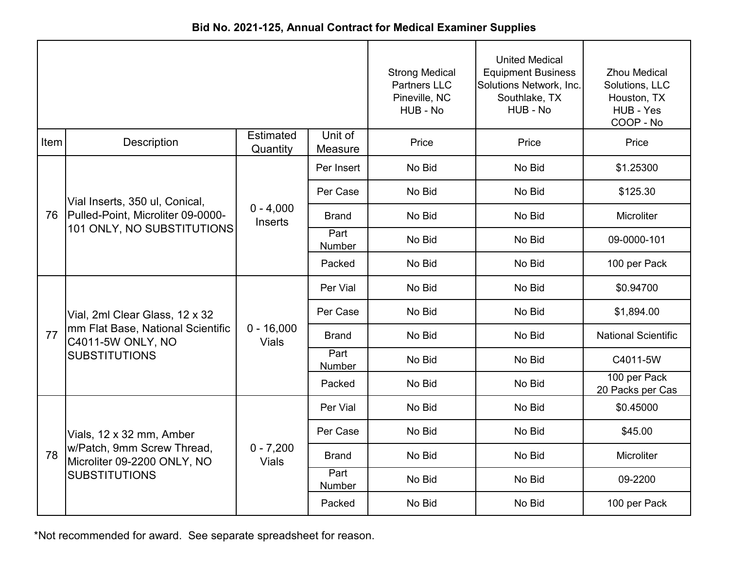|      |                                                                 |                              |                    | <b>Strong Medical</b><br><b>Partners LLC</b><br>Pineville, NC<br>HUB - No | <b>United Medical</b><br><b>Equipment Business</b><br>Solutions Network, Inc.<br>Southlake, TX<br>HUB - No | <b>Zhou Medical</b><br>Solutions, LLC<br>Houston, TX<br>HUB - Yes<br>COOP - No |
|------|-----------------------------------------------------------------|------------------------------|--------------------|---------------------------------------------------------------------------|------------------------------------------------------------------------------------------------------------|--------------------------------------------------------------------------------|
| Item | Description                                                     | <b>Estimated</b><br>Quantity | Unit of<br>Measure | Price                                                                     | Price                                                                                                      | Price                                                                          |
|      |                                                                 |                              | Per Insert         | No Bid                                                                    | No Bid                                                                                                     | \$1.25300                                                                      |
|      | Vial Inserts, 350 ul, Conical,                                  |                              | Per Case           | No Bid                                                                    | No Bid                                                                                                     | \$125.30                                                                       |
| 76   | Pulled-Point, Microliter 09-0000-<br>101 ONLY, NO SUBSTITUTIONS | $0 - 4,000$<br>Inserts       | <b>Brand</b>       | No Bid                                                                    | No Bid                                                                                                     | Microliter                                                                     |
|      |                                                                 |                              | Part<br>Number     | No Bid                                                                    | No Bid                                                                                                     | 09-0000-101                                                                    |
|      |                                                                 |                              | Packed             | No Bid                                                                    | No Bid                                                                                                     | 100 per Pack                                                                   |
|      |                                                                 | $0 - 16,000$<br><b>Vials</b> | Per Vial           | No Bid                                                                    | No Bid                                                                                                     | \$0.94700                                                                      |
|      | Vial, 2ml Clear Glass, 12 x 32                                  |                              | Per Case           | No Bid                                                                    | No Bid                                                                                                     | \$1,894.00                                                                     |
| 77   | mm Flat Base, National Scientific<br>C4011-5W ONLY, NO          |                              | <b>Brand</b>       | No Bid                                                                    | No Bid                                                                                                     | <b>National Scientific</b>                                                     |
|      | <b>SUBSTITUTIONS</b>                                            |                              | Part<br>Number     | No Bid                                                                    | No Bid                                                                                                     | C4011-5W                                                                       |
|      |                                                                 |                              | Packed             | No Bid                                                                    | No Bid                                                                                                     | 100 per Pack<br>20 Packs per Cas                                               |
|      |                                                                 |                              | Per Vial           | No Bid                                                                    | No Bid                                                                                                     | \$0.45000                                                                      |
|      | Vials, 12 x 32 mm, Amber                                        |                              | Per Case           | No Bid                                                                    | No Bid                                                                                                     | \$45.00                                                                        |
| 78   | w/Patch, 9mm Screw Thread,<br>Microliter 09-2200 ONLY, NO       | $0 - 7,200$<br><b>Vials</b>  | <b>Brand</b>       | No Bid                                                                    | No Bid                                                                                                     | Microliter                                                                     |
|      | <b>SUBSTITUTIONS</b>                                            |                              | Part<br>Number     | No Bid                                                                    | No Bid                                                                                                     | 09-2200                                                                        |
|      |                                                                 |                              | Packed             | No Bid                                                                    | No Bid                                                                                                     | 100 per Pack                                                                   |

**Bid No. 2021-125, Annual Contract for Medical Examiner Supplies**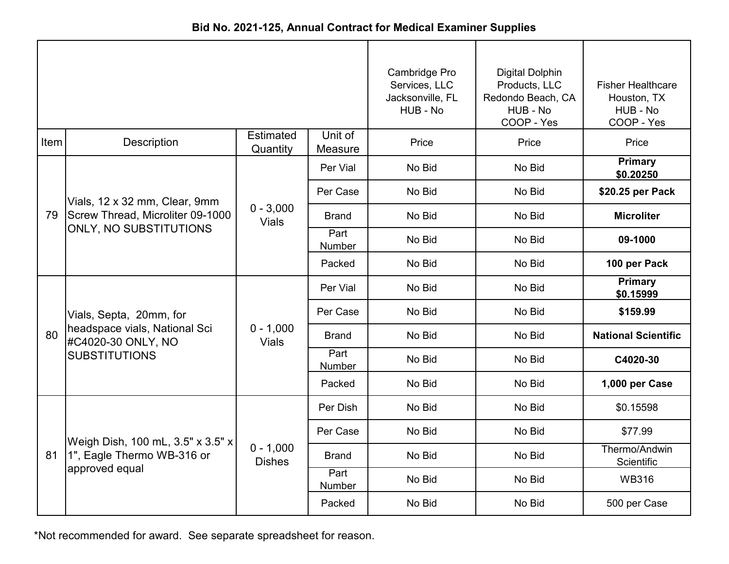|      |                                                                   |                              | Cambridge Pro<br>Services, LLC<br>Jacksonville, FL<br>HUB - No | <b>Digital Dolphin</b><br>Products, LLC<br>Redondo Beach, CA<br>HUB - No<br>COOP - Yes | <b>Fisher Healthcare</b><br>Houston, TX<br>HUB - No<br>COOP - Yes |                             |
|------|-------------------------------------------------------------------|------------------------------|----------------------------------------------------------------|----------------------------------------------------------------------------------------|-------------------------------------------------------------------|-----------------------------|
| Item | Description                                                       | Estimated<br>Quantity        | Unit of<br>Measure                                             | Price                                                                                  | Price                                                             | Price                       |
|      |                                                                   |                              | Per Vial                                                       | No Bid                                                                                 | No Bid                                                            | Primary<br>\$0.20250        |
|      | Vials, 12 x 32 mm, Clear, 9mm                                     |                              | Per Case                                                       | No Bid                                                                                 | No Bid                                                            | \$20.25 per Pack            |
| 79   | Screw Thread, Microliter 09-1000<br><b>ONLY, NO SUBSTITUTIONS</b> | $0 - 3,000$<br><b>Vials</b>  | <b>Brand</b>                                                   | No Bid                                                                                 | No Bid                                                            | <b>Microliter</b>           |
|      |                                                                   |                              | Part<br>Number                                                 | No Bid                                                                                 | No Bid                                                            | 09-1000                     |
|      |                                                                   |                              | Packed                                                         | No Bid                                                                                 | No Bid                                                            | 100 per Pack                |
|      |                                                                   | $0 - 1,000$<br><b>Vials</b>  | Per Vial                                                       | No Bid                                                                                 | No Bid                                                            | Primary<br>\$0.15999        |
|      | Vials, Septa, 20mm, for                                           |                              | Per Case                                                       | No Bid                                                                                 | No Bid                                                            | \$159.99                    |
| 80   | headspace vials, National Sci<br>#C4020-30 ONLY, NO               |                              | <b>Brand</b>                                                   | No Bid                                                                                 | No Bid                                                            | <b>National Scientific</b>  |
|      | <b>SUBSTITUTIONS</b>                                              |                              | Part<br>Number                                                 | No Bid                                                                                 | No Bid                                                            | C4020-30                    |
|      |                                                                   |                              | Packed                                                         | No Bid                                                                                 | No Bid                                                            | 1,000 per Case              |
|      |                                                                   |                              | Per Dish                                                       | No Bid                                                                                 | No Bid                                                            | \$0.15598                   |
|      | Weigh Dish, 100 mL, 3.5" x 3.5" x                                 |                              | Per Case                                                       | No Bid                                                                                 | No Bid                                                            | \$77.99                     |
| 81   | 1", Eagle Thermo WB-316 or                                        | $0 - 1,000$<br><b>Dishes</b> | <b>Brand</b>                                                   | No Bid                                                                                 | No Bid                                                            | Thermo/Andwin<br>Scientific |
|      | approved equal                                                    |                              | Part<br>Number                                                 | No Bid                                                                                 | No Bid                                                            | <b>WB316</b>                |
|      |                                                                   |                              | Packed                                                         | No Bid                                                                                 | No Bid                                                            | 500 per Case                |

**Bid No. 2021-125, Annual Contract for Medical Examiner Supplies**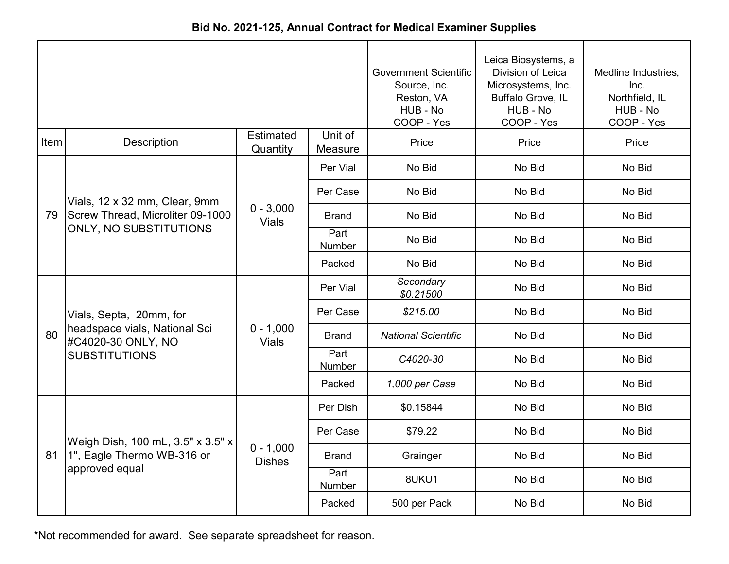|      |                                                            |                              |                    | <b>Government Scientific</b><br>Source, Inc.<br>Reston, VA<br>HUB - No<br>COOP - Yes | Leica Biosystems, a<br>Division of Leica<br>Microsystems, Inc.<br>Buffalo Grove, IL<br>HUB - No<br>COOP - Yes | Medline Industries,<br>Inc.<br>Northfield, IL<br>HUB - No<br>COOP - Yes |
|------|------------------------------------------------------------|------------------------------|--------------------|--------------------------------------------------------------------------------------|---------------------------------------------------------------------------------------------------------------|-------------------------------------------------------------------------|
| Item | <b>Description</b>                                         | Estimated<br>Quantity        | Unit of<br>Measure | Price                                                                                | Price                                                                                                         | Price                                                                   |
|      |                                                            |                              | Per Vial           | No Bid                                                                               | No Bid                                                                                                        | No Bid                                                                  |
|      | Vials, 12 x 32 mm, Clear, 9mm                              |                              | Per Case           | No Bid                                                                               | No Bid                                                                                                        | No Bid                                                                  |
| 79   | Screw Thread, Microliter 09-1000<br>ONLY, NO SUBSTITUTIONS | $0 - 3,000$<br><b>Vials</b>  | <b>Brand</b>       | No Bid                                                                               | No Bid                                                                                                        | No Bid                                                                  |
|      |                                                            |                              | Part<br>Number     | No Bid                                                                               | No Bid                                                                                                        | No Bid                                                                  |
|      |                                                            |                              | Packed             | No Bid                                                                               | No Bid                                                                                                        | No Bid                                                                  |
|      |                                                            |                              | Per Vial           | Secondary<br>\$0.21500                                                               | No Bid                                                                                                        | No Bid                                                                  |
|      | Vials, Septa, 20mm, for                                    |                              | Per Case           | \$215.00                                                                             | No Bid                                                                                                        | No Bid                                                                  |
| 80   | headspace vials, National Sci<br>#C4020-30 ONLY, NO        | $0 - 1,000$<br><b>Vials</b>  | <b>Brand</b>       | <b>National Scientific</b>                                                           | No Bid                                                                                                        | No Bid                                                                  |
|      | <b>SUBSTITUTIONS</b>                                       |                              | Part<br>Number     | C4020-30                                                                             | No Bid                                                                                                        | No Bid                                                                  |
|      |                                                            |                              | Packed             | 1,000 per Case                                                                       | No Bid                                                                                                        | No Bid                                                                  |
|      |                                                            |                              | Per Dish           | \$0.15844                                                                            | No Bid                                                                                                        | No Bid                                                                  |
|      | Weigh Dish, 100 mL, 3.5" x 3.5" x                          |                              | Per Case           | \$79.22                                                                              | No Bid                                                                                                        | No Bid                                                                  |
| 81   | 1", Eagle Thermo WB-316 or                                 | $0 - 1,000$<br><b>Dishes</b> | <b>Brand</b>       | Grainger                                                                             | No Bid                                                                                                        | No Bid                                                                  |
|      | approved equal                                             |                              | Part<br>Number     | 8UKU1                                                                                | No Bid                                                                                                        | No Bid                                                                  |
|      |                                                            |                              | Packed             | 500 per Pack                                                                         | No Bid                                                                                                        | No Bid                                                                  |

**Bid No. 2021-125, Annual Contract for Medical Examiner Supplies**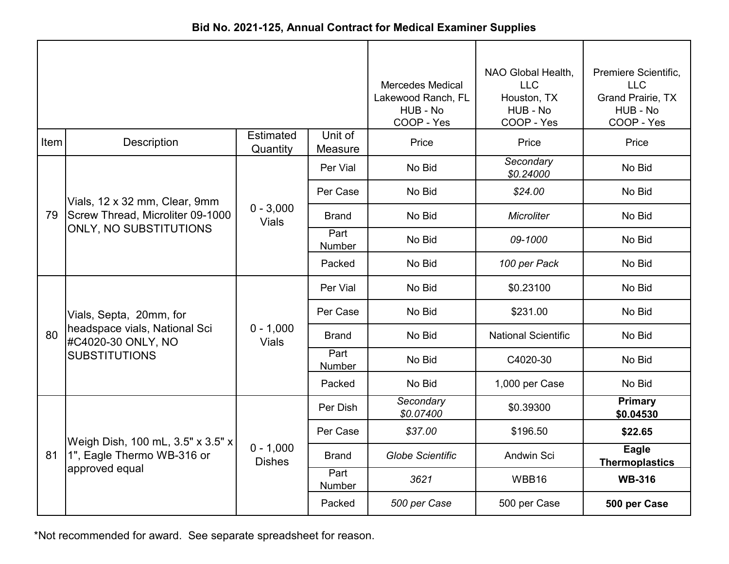| Bid No. 2021-125, Annual Contract for Medical Examiner Supplies |
|-----------------------------------------------------------------|
|-----------------------------------------------------------------|

|      |                                                            |                              |                       | <b>Mercedes Medical</b><br>Lakewood Ranch, FL<br>HUB - No<br>COOP - Yes | NAO Global Health,<br><b>LLC</b><br>Houston, TX<br>HUB - No<br>COOP - Yes | Premiere Scientific,<br><b>LLC</b><br>Grand Prairie, TX<br>HUB - No<br>COOP - Yes |
|------|------------------------------------------------------------|------------------------------|-----------------------|-------------------------------------------------------------------------|---------------------------------------------------------------------------|-----------------------------------------------------------------------------------|
| Item | <b>Description</b>                                         | <b>Estimated</b><br>Quantity | Unit of<br>Measure    | Price                                                                   | Price                                                                     | Price                                                                             |
|      |                                                            |                              | Per Vial              | No Bid                                                                  | Secondary<br>\$0.24000                                                    | No Bid                                                                            |
|      | Vials, 12 x 32 mm, Clear, 9mm                              | $0 - 3,000$<br><b>Vials</b>  | Per Case              | No Bid                                                                  | \$24.00                                                                   | No Bid                                                                            |
| 79   | Screw Thread, Microliter 09-1000<br>ONLY, NO SUBSTITUTIONS |                              | Brand                 | No Bid                                                                  | <b>Microliter</b>                                                         | No Bid                                                                            |
|      |                                                            |                              | Part<br>Number        | No Bid                                                                  | 09-1000                                                                   | No Bid                                                                            |
|      |                                                            |                              | Packed                | No Bid                                                                  | 100 per Pack                                                              | No Bid                                                                            |
|      | Vials, Septa, 20mm, for                                    | $0 - 1,000$<br><b>Vials</b>  | Per Vial              | No Bid                                                                  | \$0.23100                                                                 | No Bid                                                                            |
|      |                                                            |                              | Per Case              | No Bid                                                                  | \$231.00                                                                  | No Bid                                                                            |
| 80   | headspace vials, National Sci<br>#C4020-30 ONLY, NO        |                              | Brand                 | No Bid                                                                  | <b>National Scientific</b>                                                | No Bid                                                                            |
|      | <b>SUBSTITUTIONS</b>                                       |                              | Part<br><b>Number</b> | No Bid                                                                  | C4020-30                                                                  | No Bid                                                                            |
|      |                                                            |                              | Packed                | No Bid                                                                  | 1,000 per Case                                                            | No Bid                                                                            |
|      |                                                            |                              | Per Dish              | Secondary<br>\$0.07400                                                  | \$0.39300                                                                 | <b>Primary</b><br>\$0.04530                                                       |
|      | Weigh Dish, 100 mL, 3.5" x 3.5" x                          |                              | Per Case              | \$37.00                                                                 | \$196.50                                                                  | \$22.65                                                                           |
| 81   | 1", Eagle Thermo WB-316 or                                 | $0 - 1,000$<br><b>Dishes</b> | <b>Brand</b>          | <b>Globe Scientific</b>                                                 | Andwin Sci                                                                | Eagle<br><b>Thermoplastics</b>                                                    |
|      | approved equal                                             |                              | Part<br>Number        | 3621                                                                    | WBB16                                                                     | <b>WB-316</b>                                                                     |
|      |                                                            |                              | Packed                | 500 per Case                                                            | 500 per Case                                                              | 500 per Case                                                                      |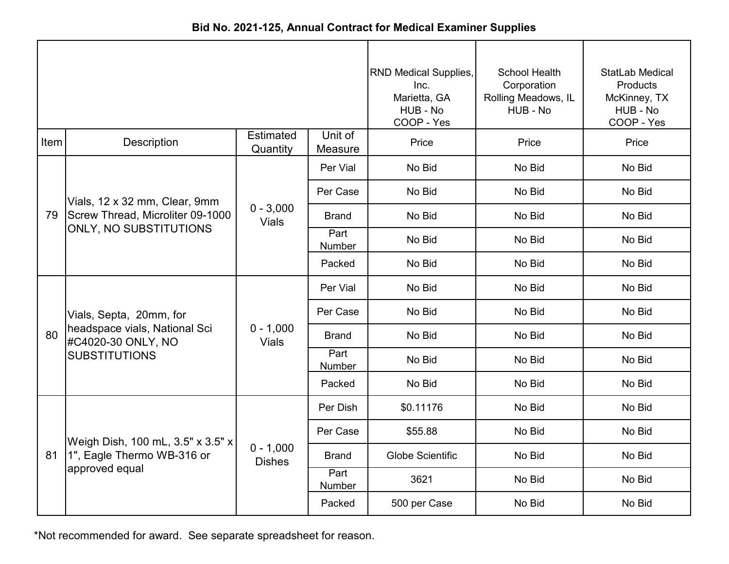|      |                                                            |                              |                    | <b>RND Medical Supplies,</b><br>Inc.<br>Marietta, GA<br>HUB - No<br>COOP - Yes | School Health<br>Corporation<br>Rolling Meadows, IL<br>HUB - No | StatLab Medical<br>Products<br>McKinney, TX<br>HUB - No<br>COOP - Yes |
|------|------------------------------------------------------------|------------------------------|--------------------|--------------------------------------------------------------------------------|-----------------------------------------------------------------|-----------------------------------------------------------------------|
| Item | Description                                                | <b>Estimated</b><br>Quantity | Unit of<br>Measure | Price                                                                          | Price                                                           | Price                                                                 |
|      |                                                            |                              | Per Vial           | No Bid                                                                         | No Bid                                                          | No Bid                                                                |
| 79   | Vials, 12 x 32 mm, Clear, 9mm                              | $0 - 3,000$<br><b>Vials</b>  | Per Case           | No Bid                                                                         | No Bid                                                          | No Bid                                                                |
|      | Screw Thread, Microliter 09-1000<br>ONLY, NO SUBSTITUTIONS |                              | Brand              | No Bid                                                                         | No Bid                                                          | No Bid                                                                |
|      |                                                            |                              | Part<br>Number     | No Bid                                                                         | No Bid                                                          | No Bid                                                                |
|      |                                                            |                              | Packed             | No Bid                                                                         | No Bid                                                          | No Bid                                                                |
|      |                                                            |                              | Per Vial           | No Bid                                                                         | No Bid                                                          | No Bid                                                                |
|      | Vials, Septa, 20mm, for                                    |                              | Per Case           | No Bid                                                                         | No Bid                                                          | No Bid                                                                |
| 80   | headspace vials, National Sci<br>#C4020-30 ONLY, NO        | $0 - 1,000$<br><b>Vials</b>  | <b>Brand</b>       | No Bid                                                                         | No Bid                                                          | No Bid                                                                |
|      | <b>SUBSTITUTIONS</b>                                       |                              | Part<br>Number     | No Bid                                                                         | No Bid                                                          | No Bid                                                                |
|      |                                                            |                              | Packed             | No Bid                                                                         | No Bid                                                          | No Bid                                                                |
|      |                                                            |                              | Per Dish           | \$0.11176                                                                      | No Bid                                                          | No Bid                                                                |
|      | Weigh Dish, 100 mL, 3.5" x 3.5" x                          |                              | Per Case           | \$55.88                                                                        | No Bid                                                          | No Bid                                                                |
| 81   | 1", Eagle Thermo WB-316 or                                 | $0 - 1,000$<br><b>Dishes</b> | <b>Brand</b>       | <b>Globe Scientific</b>                                                        | No Bid                                                          | No Bid                                                                |
|      | approved equal                                             |                              | Part<br>Number     | 3621                                                                           | No Bid                                                          | No Bid                                                                |
|      |                                                            |                              | Packed             | 500 per Case                                                                   | No Bid                                                          | No Bid                                                                |

**Bid No. 2021-125, Annual Contract for Medical Examiner Supplies**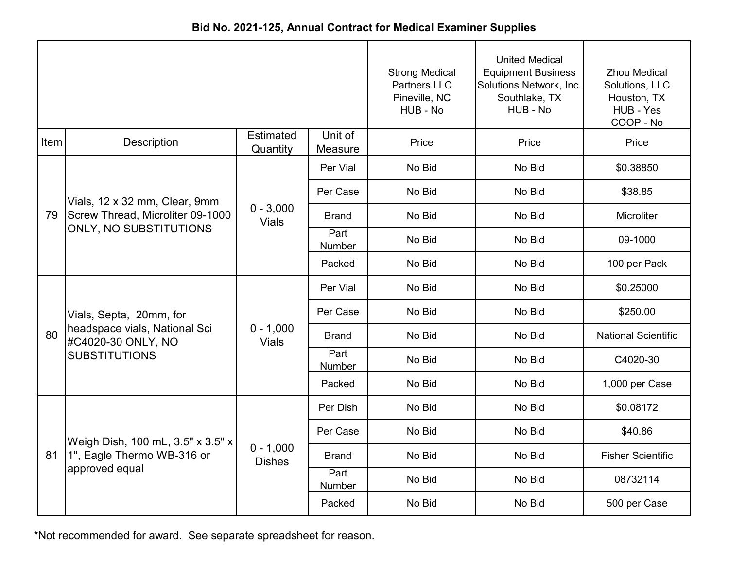|      |                                                            |                              |                    | <b>Strong Medical</b><br><b>Partners LLC</b><br>Pineville, NC<br>HUB - No | <b>United Medical</b><br><b>Equipment Business</b><br>Solutions Network, Inc.<br>Southlake, TX<br>HUB - No | <b>Zhou Medical</b><br>Solutions, LLC<br>Houston, TX<br>HUB - Yes<br>COOP - No |
|------|------------------------------------------------------------|------------------------------|--------------------|---------------------------------------------------------------------------|------------------------------------------------------------------------------------------------------------|--------------------------------------------------------------------------------|
| Item | Description                                                | <b>Estimated</b><br>Quantity | Unit of<br>Measure | Price                                                                     | Price                                                                                                      | Price                                                                          |
|      |                                                            |                              | Per Vial           | No Bid                                                                    | No Bid                                                                                                     | \$0.38850                                                                      |
| 79   | Vials, 12 x 32 mm, Clear, 9mm                              |                              | Per Case           | No Bid                                                                    | No Bid                                                                                                     | \$38.85                                                                        |
|      | Screw Thread, Microliter 09-1000<br>ONLY, NO SUBSTITUTIONS | $0 - 3,000$<br><b>Vials</b>  | <b>Brand</b>       | No Bid                                                                    | No Bid                                                                                                     | Microliter                                                                     |
|      |                                                            |                              | Part<br>Number     | No Bid                                                                    | No Bid                                                                                                     | 09-1000                                                                        |
|      |                                                            |                              | Packed             | No Bid                                                                    | No Bid                                                                                                     | 100 per Pack                                                                   |
|      |                                                            |                              | Per Vial           | No Bid                                                                    | No Bid                                                                                                     | \$0.25000                                                                      |
|      | Vials, Septa, 20mm, for                                    |                              | Per Case           | No Bid                                                                    | No Bid                                                                                                     | \$250.00                                                                       |
| 80   | headspace vials, National Sci<br>#C4020-30 ONLY, NO        | $0 - 1,000$<br><b>Vials</b>  | <b>Brand</b>       | No Bid                                                                    | No Bid                                                                                                     | <b>National Scientific</b>                                                     |
|      | <b>SUBSTITUTIONS</b>                                       |                              | Part<br>Number     | No Bid                                                                    | No Bid                                                                                                     | C4020-30                                                                       |
|      |                                                            |                              | Packed             | No Bid                                                                    | No Bid                                                                                                     | 1,000 per Case                                                                 |
|      |                                                            |                              | Per Dish           | No Bid                                                                    | No Bid                                                                                                     | \$0.08172                                                                      |
|      | Weigh Dish, 100 mL, 3.5" x 3.5" x                          |                              | Per Case           | No Bid                                                                    | No Bid                                                                                                     | \$40.86                                                                        |
| 81   | 1", Eagle Thermo WB-316 or                                 | $0 - 1,000$<br><b>Dishes</b> | <b>Brand</b>       | No Bid                                                                    | No Bid                                                                                                     | <b>Fisher Scientific</b>                                                       |
|      | approved equal                                             |                              | Part<br>Number     | No Bid                                                                    | No Bid                                                                                                     | 08732114                                                                       |
|      |                                                            |                              | Packed             | No Bid                                                                    | No Bid                                                                                                     | 500 per Case                                                                   |

**Bid No. 2021-125, Annual Contract for Medical Examiner Supplies**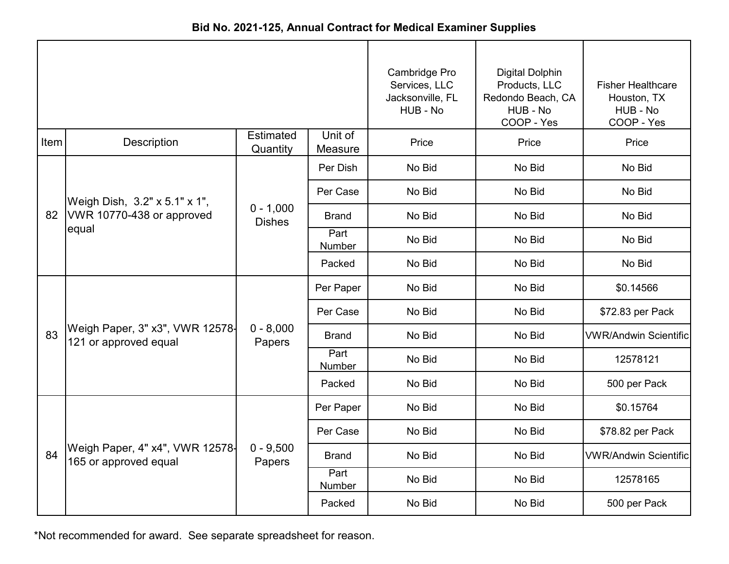|      |                                                          |                              |                    | Cambridge Pro<br>Services, LLC<br>Jacksonville, FL<br>HUB - No | <b>Digital Dolphin</b><br>Products, LLC<br>Redondo Beach, CA<br>HUB - No<br>COOP - Yes | <b>Fisher Healthcare</b><br>Houston, TX<br>HUB - No<br>COOP - Yes |
|------|----------------------------------------------------------|------------------------------|--------------------|----------------------------------------------------------------|----------------------------------------------------------------------------------------|-------------------------------------------------------------------|
| Item | Description                                              | <b>Estimated</b><br>Quantity | Unit of<br>Measure | Price                                                          | Price                                                                                  | Price                                                             |
| 82   |                                                          |                              | Per Dish           | No Bid                                                         | No Bid                                                                                 | No Bid                                                            |
|      | Weigh Dish, 3.2" x 5.1" x 1",                            | $0 - 1,000$<br><b>Dishes</b> | Per Case           | No Bid                                                         | No Bid                                                                                 | No Bid                                                            |
|      | VWR 10770-438 or approved<br>equal                       |                              | <b>Brand</b>       | No Bid                                                         | No Bid                                                                                 | No Bid                                                            |
|      |                                                          |                              | Part<br>Number     | No Bid                                                         | No Bid                                                                                 | No Bid                                                            |
|      |                                                          |                              | Packed             | No Bid                                                         | No Bid                                                                                 | No Bid                                                            |
|      |                                                          |                              | Per Paper          | No Bid                                                         | No Bid                                                                                 | \$0.14566                                                         |
|      |                                                          |                              | Per Case           | No Bid                                                         | No Bid                                                                                 | \$72.83 per Pack                                                  |
| 83   | Weigh Paper, 3" x3", VWR 12578-<br>121 or approved equal | $0 - 8,000$<br>Papers        | <b>Brand</b>       | No Bid                                                         | No Bid                                                                                 | <b>VWR/Andwin Scientific</b>                                      |
|      |                                                          |                              | Part<br>Number     | No Bid                                                         | No Bid                                                                                 | 12578121                                                          |
|      |                                                          |                              | Packed             | No Bid                                                         | No Bid                                                                                 | 500 per Pack                                                      |
|      |                                                          |                              | Per Paper          | No Bid                                                         | No Bid                                                                                 | \$0.15764                                                         |
|      |                                                          |                              | Per Case           | No Bid                                                         | No Bid                                                                                 | \$78.82 per Pack                                                  |
| 84   | Weigh Paper, 4" x4", VWR 12578-<br>165 or approved equal | $0 - 9,500$<br>Papers        | <b>Brand</b>       | No Bid                                                         | No Bid                                                                                 | <b>VWR/Andwin Scientific</b>                                      |
|      |                                                          |                              | Part<br>Number     | No Bid                                                         | No Bid                                                                                 | 12578165                                                          |
|      |                                                          |                              | Packed             | No Bid                                                         | No Bid                                                                                 | 500 per Pack                                                      |

**Bid No. 2021-125, Annual Contract for Medical Examiner Supplies**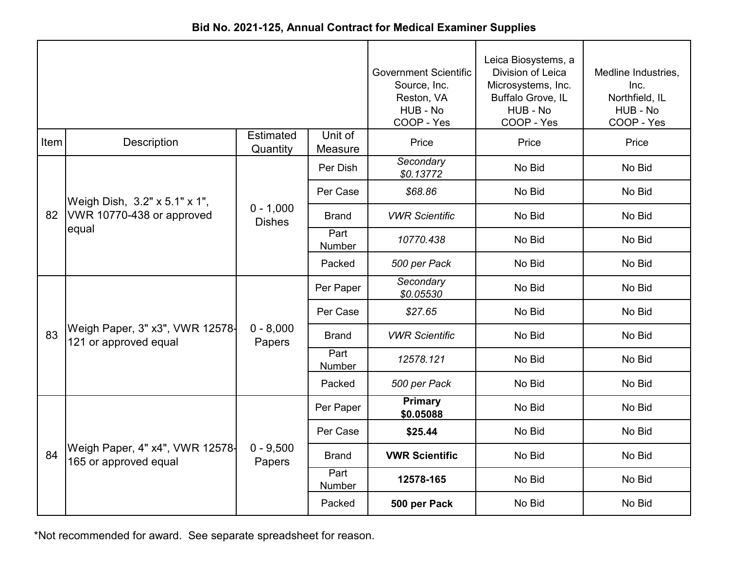|      |                                                          |                              |                    | <b>Government Scientific</b><br>Source, Inc.<br>Reston, VA<br>HUB - No<br>COOP - Yes | Leica Biosystems, a<br>Division of Leica<br>Microsystems, Inc.<br>Buffalo Grove, IL<br>HUB - No<br>COOP - Yes | Medline Industries,<br>Inc.<br>Northfield, IL<br>HUB - No<br>COOP - Yes |
|------|----------------------------------------------------------|------------------------------|--------------------|--------------------------------------------------------------------------------------|---------------------------------------------------------------------------------------------------------------|-------------------------------------------------------------------------|
| Item | Description                                              | <b>Estimated</b><br>Quantity | Unit of<br>Measure | Price                                                                                | Price                                                                                                         | Price                                                                   |
|      |                                                          |                              | Per Dish           | Secondary<br>\$0.13772                                                               | No Bid                                                                                                        | No Bid                                                                  |
|      | Weigh Dish, 3.2" x 5.1" x 1",                            | $0 - 1,000$<br><b>Dishes</b> | Per Case           | \$68.86                                                                              | No Bid                                                                                                        | No Bid                                                                  |
| 82   | VWR 10770-438 or approved<br>equal                       |                              | <b>Brand</b>       | <b>VWR Scientific</b>                                                                | No Bid                                                                                                        | No Bid                                                                  |
|      |                                                          |                              | Part<br>Number     | 10770.438                                                                            | No Bid                                                                                                        | No Bid                                                                  |
|      |                                                          |                              | Packed             | 500 per Pack                                                                         | No Bid                                                                                                        | No Bid                                                                  |
|      |                                                          |                              | Per Paper          | Secondary<br>\$0.05530                                                               | No Bid                                                                                                        | No Bid                                                                  |
|      |                                                          |                              | Per Case           | \$27.65                                                                              | No Bid                                                                                                        | No Bid                                                                  |
| 83   | Weigh Paper, 3" x3", VWR 12578-<br>121 or approved equal | $0 - 8,000$<br>Papers        | <b>Brand</b>       | <b>VWR Scientific</b>                                                                | No Bid                                                                                                        | No Bid                                                                  |
|      |                                                          |                              | Part<br>Number     | 12578.121                                                                            | No Bid                                                                                                        | No Bid                                                                  |
|      |                                                          |                              | Packed             | 500 per Pack                                                                         | No Bid                                                                                                        | No Bid                                                                  |
|      |                                                          |                              | Per Paper          | <b>Primary</b><br>\$0.05088                                                          | No Bid                                                                                                        | No Bid                                                                  |
|      |                                                          |                              | Per Case           | \$25.44                                                                              | No Bid                                                                                                        | No Bid                                                                  |
| 84   | Weigh Paper, 4" x4", VWR 12578-<br>165 or approved equal | $0 - 9,500$<br>Papers        | <b>Brand</b>       | <b>VWR Scientific</b>                                                                | No Bid                                                                                                        | No Bid                                                                  |
|      |                                                          |                              | Part<br>Number     | 12578-165                                                                            | No Bid                                                                                                        | No Bid                                                                  |
|      |                                                          |                              | Packed             | 500 per Pack                                                                         | No Bid                                                                                                        | No Bid                                                                  |

**Bid No. 2021-125, Annual Contract for Medical Examiner Supplies**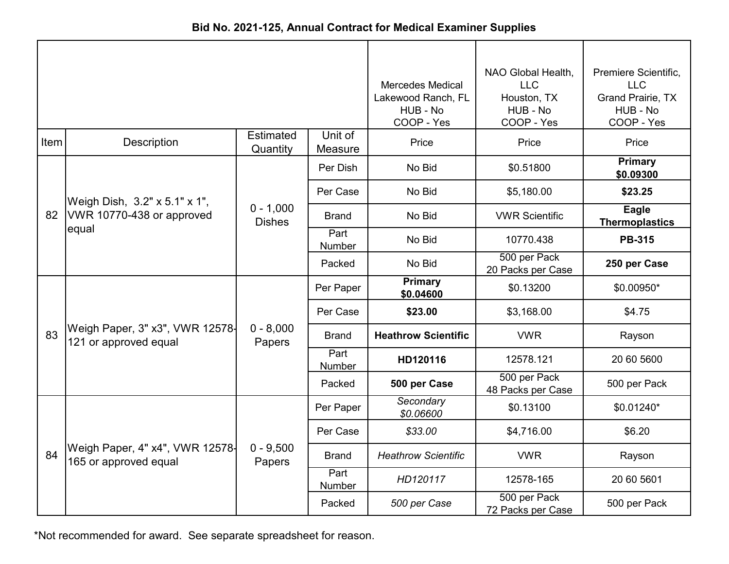|      |                                                          |                              |                    | <b>Mercedes Medical</b><br>Lakewood Ranch, FL<br>HUB - No<br>COOP - Yes | NAO Global Health,<br><b>LLC</b><br>Houston, TX<br>HUB - No<br>COOP - Yes | Premiere Scientific,<br><b>LLC</b><br><b>Grand Prairie, TX</b><br>HUB - No<br>COOP - Yes |
|------|----------------------------------------------------------|------------------------------|--------------------|-------------------------------------------------------------------------|---------------------------------------------------------------------------|------------------------------------------------------------------------------------------|
| Item | Description                                              | Estimated<br>Quantity        | Unit of<br>Measure | Price                                                                   | Price                                                                     | Price                                                                                    |
|      |                                                          |                              | Per Dish           | No Bid                                                                  | \$0.51800                                                                 | <b>Primary</b><br>\$0.09300                                                              |
|      | Weigh Dish, 3.2" x 5.1" x 1",                            |                              | Per Case           | No Bid                                                                  | \$5,180.00                                                                | \$23.25                                                                                  |
|      | 82   VWR 10770-438 or approved<br>equal                  | $0 - 1,000$<br><b>Dishes</b> | <b>Brand</b>       | No Bid                                                                  | <b>VWR Scientific</b>                                                     | <b>Eagle</b><br><b>Thermoplastics</b>                                                    |
|      |                                                          |                              | Part<br>Number     | No Bid                                                                  | 10770.438                                                                 | <b>PB-315</b>                                                                            |
|      |                                                          |                              | Packed             | No Bid                                                                  | 500 per Pack<br>20 Packs per Case                                         | 250 per Case                                                                             |
|      |                                                          |                              | Per Paper          | <b>Primary</b><br>\$0.04600                                             | \$0.13200                                                                 | \$0.00950*                                                                               |
|      |                                                          |                              | Per Case           | \$23.00                                                                 | \$3,168.00                                                                | \$4.75                                                                                   |
| 83   | Weigh Paper, 3" x3", VWR 12578-<br>121 or approved equal | $0 - 8,000$<br>Papers        | <b>Brand</b>       | <b>Heathrow Scientific</b>                                              | <b>VWR</b>                                                                | Rayson                                                                                   |
|      |                                                          |                              | Part<br>Number     | HD120116                                                                | 12578.121                                                                 | 20 60 5600                                                                               |
|      |                                                          |                              | Packed             | 500 per Case                                                            | 500 per Pack<br>48 Packs per Case                                         | 500 per Pack                                                                             |
|      |                                                          |                              | Per Paper          | Secondary<br>\$0.06600                                                  | \$0.13100                                                                 | \$0.01240*                                                                               |
|      |                                                          |                              | Per Case           | \$33.00                                                                 | \$4,716.00                                                                | \$6.20                                                                                   |
| 84   | Weigh Paper, 4" x4", VWR 12578-<br>165 or approved equal | $0 - 9,500$<br>Papers        | Brand              | <b>Heathrow Scientific</b>                                              | <b>VWR</b>                                                                | Rayson                                                                                   |
|      |                                                          |                              | Part<br>Number     | HD120117                                                                | 12578-165                                                                 | 20 60 5601                                                                               |
|      |                                                          |                              | Packed             | 500 per Case                                                            | 500 per Pack<br>72 Packs per Case                                         | 500 per Pack                                                                             |

**Bid No. 2021-125, Annual Contract for Medical Examiner Supplies**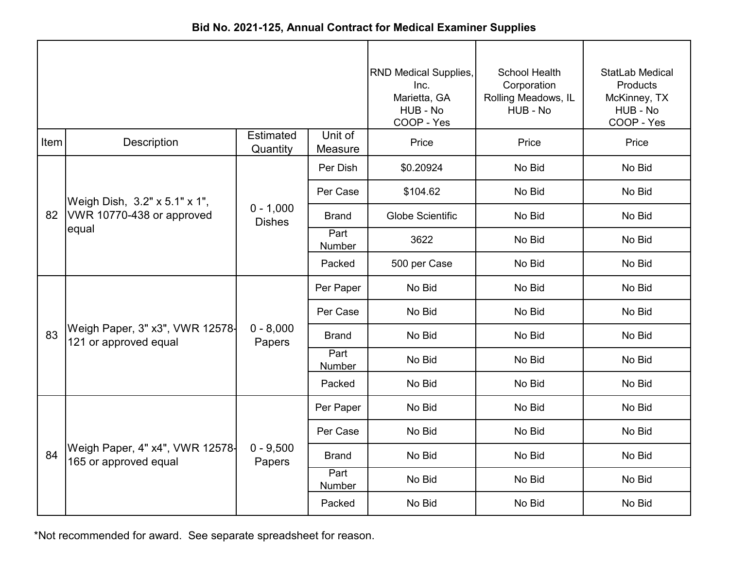|      |                                                          |                              |                    | <b>RND Medical Supplies,</b><br>Inc.<br>Marietta, GA<br>HUB - No<br>COOP - Yes | <b>School Health</b><br>Corporation<br>Rolling Meadows, IL<br>HUB - No | StatLab Medical<br>Products<br>McKinney, TX<br>HUB - No<br>COOP - Yes |
|------|----------------------------------------------------------|------------------------------|--------------------|--------------------------------------------------------------------------------|------------------------------------------------------------------------|-----------------------------------------------------------------------|
| Item | <b>Description</b>                                       | <b>Estimated</b><br>Quantity | Unit of<br>Measure | Price                                                                          | Price                                                                  | Price                                                                 |
|      |                                                          |                              | Per Dish           | \$0.20924                                                                      | No Bid                                                                 | No Bid                                                                |
| 82   | Weigh Dish, 3.2" x 5.1" x 1",                            |                              | Per Case           | \$104.62                                                                       | No Bid                                                                 | No Bid                                                                |
|      | VWR 10770-438 or approved<br>equal                       | $0 - 1,000$<br><b>Dishes</b> | <b>Brand</b>       | <b>Globe Scientific</b>                                                        | No Bid                                                                 | No Bid                                                                |
|      |                                                          |                              | Part<br>Number     | 3622                                                                           | No Bid                                                                 | No Bid                                                                |
|      |                                                          |                              | Packed             | 500 per Case                                                                   | No Bid                                                                 | No Bid                                                                |
|      |                                                          |                              | Per Paper          | No Bid                                                                         | No Bid                                                                 | No Bid                                                                |
|      |                                                          |                              | Per Case           | No Bid                                                                         | No Bid                                                                 | No Bid                                                                |
| 83   | Weigh Paper, 3" x3", VWR 12578-<br>121 or approved equal | $0 - 8,000$<br>Papers        | <b>Brand</b>       | No Bid                                                                         | No Bid                                                                 | No Bid                                                                |
|      |                                                          |                              | Part<br>Number     | No Bid                                                                         | No Bid                                                                 | No Bid                                                                |
|      |                                                          |                              | Packed             | No Bid                                                                         | No Bid                                                                 | No Bid                                                                |
|      |                                                          |                              | Per Paper          | No Bid                                                                         | No Bid                                                                 | No Bid                                                                |
|      |                                                          |                              | Per Case           | No Bid                                                                         | No Bid                                                                 | No Bid                                                                |
| 84   | Weigh Paper, 4" x4", VWR 12578-<br>165 or approved equal | $0 - 9,500$<br>Papers        | <b>Brand</b>       | No Bid                                                                         | No Bid                                                                 | No Bid                                                                |
|      |                                                          |                              | Part<br>Number     | No Bid                                                                         | No Bid                                                                 | No Bid                                                                |
|      |                                                          |                              | Packed             | No Bid                                                                         | No Bid                                                                 | No Bid                                                                |

**Bid No. 2021-125, Annual Contract for Medical Examiner Supplies**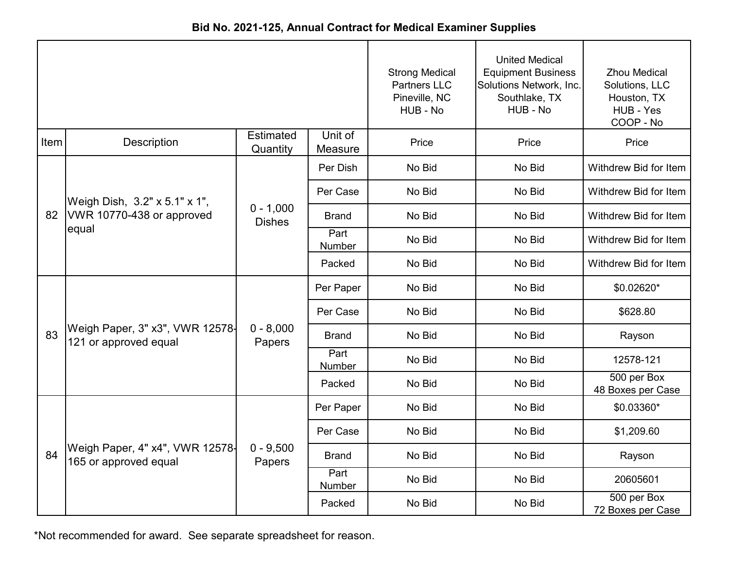|      |                                                          |                              |                    | <b>Strong Medical</b><br><b>Partners LLC</b><br>Pineville, NC<br>HUB - No | <b>United Medical</b><br><b>Equipment Business</b><br>Solutions Network, Inc.<br>Southlake, TX<br>HUB - No | <b>Zhou Medical</b><br>Solutions, LLC<br>Houston, TX<br>HUB - Yes<br>COOP - No |
|------|----------------------------------------------------------|------------------------------|--------------------|---------------------------------------------------------------------------|------------------------------------------------------------------------------------------------------------|--------------------------------------------------------------------------------|
| Item | Description                                              | <b>Estimated</b><br>Quantity | Unit of<br>Measure | Price                                                                     | Price                                                                                                      | Price                                                                          |
|      |                                                          |                              | Per Dish           | No Bid                                                                    | No Bid                                                                                                     | Withdrew Bid for Item                                                          |
| 82   | Weigh Dish, 3.2" x 5.1" x 1",                            |                              | Per Case           | No Bid                                                                    | No Bid                                                                                                     | Withdrew Bid for Item                                                          |
|      | VWR 10770-438 or approved<br>equal                       | $0 - 1,000$<br><b>Dishes</b> | <b>Brand</b>       | No Bid                                                                    | No Bid                                                                                                     | Withdrew Bid for Item                                                          |
|      |                                                          |                              | Part<br>Number     | No Bid                                                                    | No Bid                                                                                                     | Withdrew Bid for Item                                                          |
|      |                                                          |                              | Packed             | No Bid                                                                    | No Bid                                                                                                     | Withdrew Bid for Item                                                          |
|      |                                                          |                              | Per Paper          | No Bid                                                                    | No Bid                                                                                                     | \$0.02620*                                                                     |
|      |                                                          |                              | Per Case           | No Bid                                                                    | No Bid                                                                                                     | \$628.80                                                                       |
| 83   | Weigh Paper, 3" x3", VWR 12578-<br>121 or approved equal | $0 - 8,000$<br>Papers        | <b>Brand</b>       | No Bid                                                                    | No Bid                                                                                                     | Rayson                                                                         |
|      |                                                          |                              | Part<br>Number     | No Bid                                                                    | No Bid                                                                                                     | 12578-121                                                                      |
|      |                                                          |                              | Packed             | No Bid                                                                    | No Bid                                                                                                     | 500 per Box<br>48 Boxes per Case                                               |
|      |                                                          |                              | Per Paper          | No Bid                                                                    | No Bid                                                                                                     | \$0.03360*                                                                     |
|      |                                                          |                              | Per Case           | No Bid                                                                    | No Bid                                                                                                     | \$1,209.60                                                                     |
| 84   | Weigh Paper, 4" x4", VWR 12578-<br>165 or approved equal | $0 - 9,500$<br>Papers        | <b>Brand</b>       | No Bid                                                                    | No Bid                                                                                                     | Rayson                                                                         |
|      |                                                          |                              | Part<br>Number     | No Bid                                                                    | No Bid                                                                                                     | 20605601                                                                       |
|      |                                                          |                              | Packed             | No Bid                                                                    | No Bid                                                                                                     | 500 per Box<br>72 Boxes per Case                                               |

**Bid No. 2021-125, Annual Contract for Medical Examiner Supplies**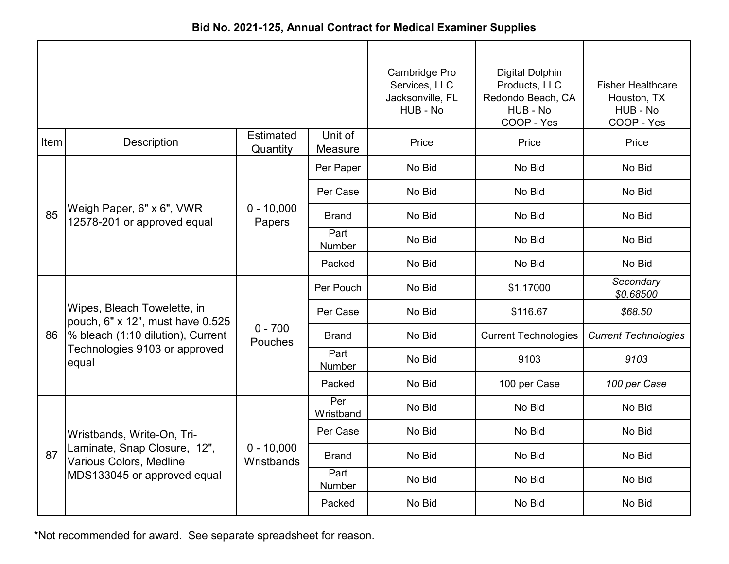|      |                                                                 |                              |                    | Cambridge Pro<br>Services, LLC<br>Jacksonville, FL<br>HUB - No | <b>Digital Dolphin</b><br>Products, LLC<br>Redondo Beach, CA<br>HUB - No<br>COOP - Yes | <b>Fisher Healthcare</b><br>Houston, TX<br>HUB - No<br>COOP - Yes |
|------|-----------------------------------------------------------------|------------------------------|--------------------|----------------------------------------------------------------|----------------------------------------------------------------------------------------|-------------------------------------------------------------------|
| Item | <b>Description</b>                                              | <b>Estimated</b><br>Quantity | Unit of<br>Measure | Price                                                          | Price                                                                                  | Price                                                             |
|      |                                                                 |                              | Per Paper          | No Bid                                                         | No Bid                                                                                 | No Bid                                                            |
|      |                                                                 | $0 - 10,000$<br>Papers       | Per Case           | No Bid                                                         | No Bid                                                                                 | No Bid                                                            |
| 85   | Weigh Paper, 6" x 6", VWR<br>12578-201 or approved equal        |                              | <b>Brand</b>       | No Bid                                                         | No Bid                                                                                 | No Bid                                                            |
|      |                                                                 |                              | Part<br>Number     | No Bid                                                         | No Bid                                                                                 | No Bid                                                            |
|      |                                                                 |                              | Packed             | No Bid                                                         | No Bid                                                                                 | No Bid                                                            |
|      |                                                                 |                              | Per Pouch          | No Bid                                                         | \$1.17000                                                                              | Secondary<br>\$0.68500                                            |
|      | Wipes, Bleach Towelette, in<br>pouch, 6" x 12", must have 0.525 |                              | Per Case           | No Bid                                                         | \$116.67                                                                               | \$68.50                                                           |
| 86   | % bleach (1:10 dilution), Current                               | $0 - 700$<br>Pouches         | Brand              | No Bid                                                         | <b>Current Technologies</b>                                                            | <b>Current Technologies</b>                                       |
|      | Technologies 9103 or approved<br>equal                          |                              | Part<br>Number     | No Bid                                                         | 9103                                                                                   | 9103                                                              |
|      |                                                                 |                              | Packed             | No Bid                                                         | 100 per Case                                                                           | 100 per Case                                                      |
|      |                                                                 |                              | Per<br>Wristband   | No Bid                                                         | No Bid                                                                                 | No Bid                                                            |
|      | Wristbands, Write-On, Tri-                                      |                              | Per Case           | No Bid                                                         | No Bid                                                                                 | No Bid                                                            |
| 87   | Laminate, Snap Closure, 12",<br>Various Colors, Medline         | $0 - 10,000$<br>Wristbands   | <b>Brand</b>       | No Bid                                                         | No Bid                                                                                 | No Bid                                                            |
|      | MDS133045 or approved equal                                     |                              | Part<br>Number     | No Bid                                                         | No Bid                                                                                 | No Bid                                                            |
|      |                                                                 |                              | Packed             | No Bid                                                         | No Bid                                                                                 | No Bid                                                            |

**Bid No. 2021-125, Annual Contract for Medical Examiner Supplies**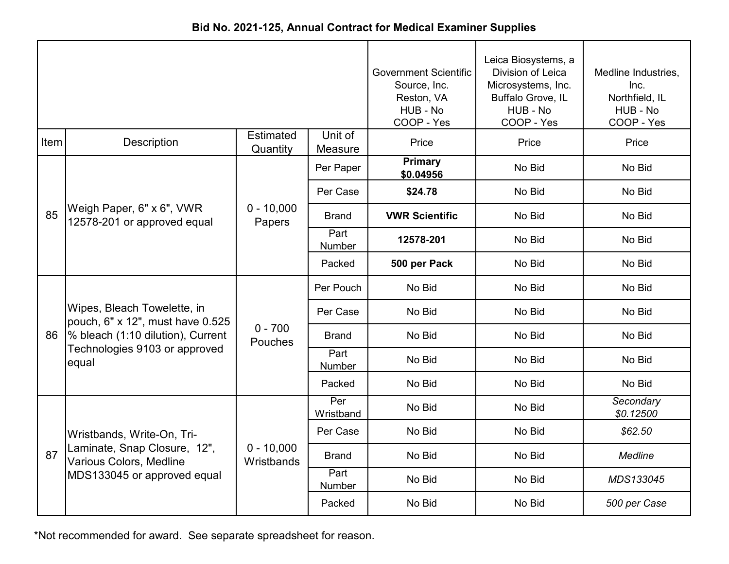|      |                                                                 |                              |                               | <b>Government Scientific</b><br>Source, Inc.<br>Reston, VA<br>HUB - No<br>COOP - Yes | Leica Biosystems, a<br>Division of Leica<br>Microsystems, Inc.<br>Buffalo Grove, IL<br>HUB - No<br>COOP - Yes | Medline Industries,<br>Inc.<br>Northfield, IL<br>HUB - No<br>COOP - Yes |
|------|-----------------------------------------------------------------|------------------------------|-------------------------------|--------------------------------------------------------------------------------------|---------------------------------------------------------------------------------------------------------------|-------------------------------------------------------------------------|
| Item | Description                                                     | <b>Estimated</b><br>Quantity | Unit of<br>Measure            | Price                                                                                | Price                                                                                                         | Price                                                                   |
| 85   |                                                                 |                              | Per Paper                     | <b>Primary</b><br>\$0.04956                                                          | No Bid                                                                                                        | No Bid                                                                  |
|      |                                                                 | $0 - 10,000$<br>Papers       | Per Case                      | \$24.78                                                                              | No Bid                                                                                                        | No Bid                                                                  |
|      | Weigh Paper, 6" x 6", VWR<br>12578-201 or approved equal        |                              | <b>Brand</b>                  | <b>VWR Scientific</b>                                                                | No Bid                                                                                                        | No Bid                                                                  |
|      |                                                                 |                              | Part<br>Number                | 12578-201                                                                            | No Bid                                                                                                        | No Bid                                                                  |
|      |                                                                 |                              | Packed                        | 500 per Pack                                                                         | No Bid                                                                                                        | No Bid                                                                  |
|      |                                                                 |                              | Per Pouch                     | No Bid                                                                               | No Bid                                                                                                        | No Bid                                                                  |
|      | Wipes, Bleach Towelette, in<br>pouch, 6" x 12", must have 0.525 |                              | Per Case                      | No Bid                                                                               | No Bid                                                                                                        | No Bid                                                                  |
| 86   | % bleach (1:10 dilution), Current                               | $0 - 700$<br>Pouches         | <b>Brand</b>                  | No Bid                                                                               | No Bid                                                                                                        | No Bid                                                                  |
|      | Technologies 9103 or approved<br>equal                          |                              | Part<br>Number                | No Bid                                                                               | No Bid                                                                                                        | No Bid                                                                  |
|      |                                                                 |                              | Packed                        | No Bid                                                                               | No Bid                                                                                                        | No Bid                                                                  |
|      |                                                                 |                              | $\overline{Per}$<br>Wristband | No Bid                                                                               | No Bid                                                                                                        | Secondary<br>\$0.12500                                                  |
|      | Wristbands, Write-On, Tri-                                      |                              | Per Case                      | No Bid                                                                               | No Bid                                                                                                        | \$62.50                                                                 |
| 87   | Laminate, Snap Closure, 12",<br>Various Colors, Medline         | $0 - 10,000$<br>Wristbands   | <b>Brand</b>                  | No Bid                                                                               | No Bid                                                                                                        | <b>Medline</b>                                                          |
|      | MDS133045 or approved equal                                     |                              | Part<br>Number                | No Bid                                                                               | No Bid                                                                                                        | MDS133045                                                               |
|      |                                                                 |                              | Packed                        | No Bid                                                                               | No Bid                                                                                                        | 500 per Case                                                            |

**Bid No. 2021-125, Annual Contract for Medical Examiner Supplies**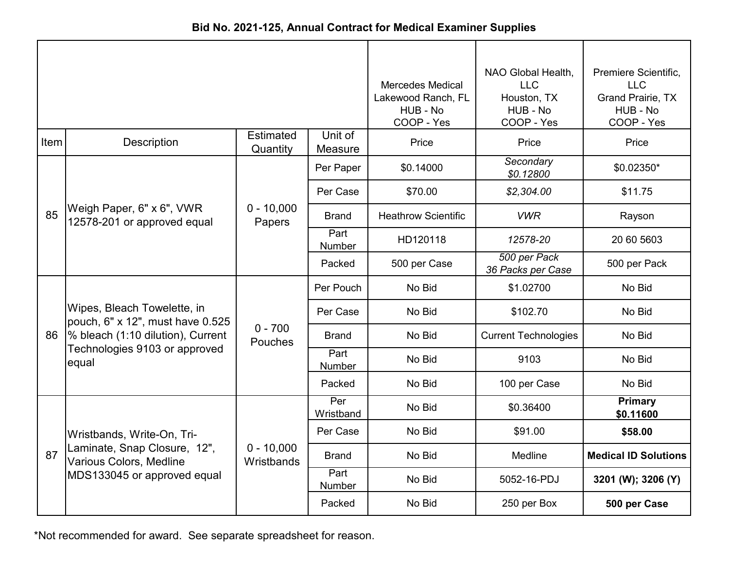| Bid No. 2021-125, Annual Contract for Medical Examiner Supplies |  |
|-----------------------------------------------------------------|--|
|-----------------------------------------------------------------|--|

|      |                                                                                                                                                |                              | <b>Mercedes Medical</b><br>Lakewood Ranch, FL<br>HUB - No<br>COOP - Yes | NAO Global Health,<br><b>LLC</b><br>Houston, TX<br>HUB - No<br>COOP - Yes | Premiere Scientific,<br><b>LLC</b><br><b>Grand Prairie, TX</b><br>HUB - No<br>COOP - Yes |                             |
|------|------------------------------------------------------------------------------------------------------------------------------------------------|------------------------------|-------------------------------------------------------------------------|---------------------------------------------------------------------------|------------------------------------------------------------------------------------------|-----------------------------|
| Item | Description                                                                                                                                    | <b>Estimated</b><br>Quantity | Unit of<br>Measure                                                      | Price                                                                     | Price                                                                                    | Price                       |
| 85   | Weigh Paper, 6" x 6", VWR<br>12578-201 or approved equal                                                                                       | $0 - 10,000$<br>Papers       | Per Paper                                                               | \$0.14000                                                                 | Secondary<br>\$0.12800                                                                   | \$0.02350*                  |
|      |                                                                                                                                                |                              | Per Case                                                                | \$70.00                                                                   | \$2,304.00                                                                               | \$11.75                     |
|      |                                                                                                                                                |                              | Brand                                                                   | <b>Heathrow Scientific</b>                                                | <b>VWR</b>                                                                               | Rayson                      |
|      |                                                                                                                                                |                              | Part<br><b>Number</b>                                                   | HD120118                                                                  | 12578-20                                                                                 | 20 60 5603                  |
|      |                                                                                                                                                |                              | Packed                                                                  | 500 per Case                                                              | 500 per Pack<br>36 Packs per Case                                                        | 500 per Pack                |
| 86   | Wipes, Bleach Towelette, in<br>pouch, 6" x 12", must have 0.525<br>% bleach (1:10 dilution), Current<br>Technologies 9103 or approved<br>equal | $0 - 700$<br>Pouches         | Per Pouch                                                               | No Bid                                                                    | \$1.02700                                                                                | No Bid                      |
|      |                                                                                                                                                |                              | Per Case                                                                | No Bid                                                                    | \$102.70                                                                                 | No Bid                      |
|      |                                                                                                                                                |                              | <b>Brand</b>                                                            | No Bid                                                                    | <b>Current Technologies</b>                                                              | No Bid                      |
|      |                                                                                                                                                |                              | Part<br><b>Number</b>                                                   | No Bid                                                                    | 9103                                                                                     | No Bid                      |
|      |                                                                                                                                                |                              | Packed                                                                  | No Bid                                                                    | 100 per Case                                                                             | No Bid                      |
| 87   | Wristbands, Write-On, Tri-<br>Laminate, Snap Closure, 12",<br><b>Various Colors, Medline</b><br>MDS133045 or approved equal                    | $0 - 10,000$<br>Wristbands   | Per<br>Wristband                                                        | No Bid                                                                    | \$0.36400                                                                                | Primary<br>\$0.11600        |
|      |                                                                                                                                                |                              | Per Case                                                                | No Bid                                                                    | \$91.00                                                                                  | \$58.00                     |
|      |                                                                                                                                                |                              | <b>Brand</b>                                                            | No Bid                                                                    | Medline                                                                                  | <b>Medical ID Solutions</b> |
|      |                                                                                                                                                |                              | Part<br>Number                                                          | No Bid                                                                    | 5052-16-PDJ                                                                              | 3201 (W); 3206 (Y)          |
|      |                                                                                                                                                |                              | Packed                                                                  | No Bid                                                                    | 250 per Box                                                                              | 500 per Case                |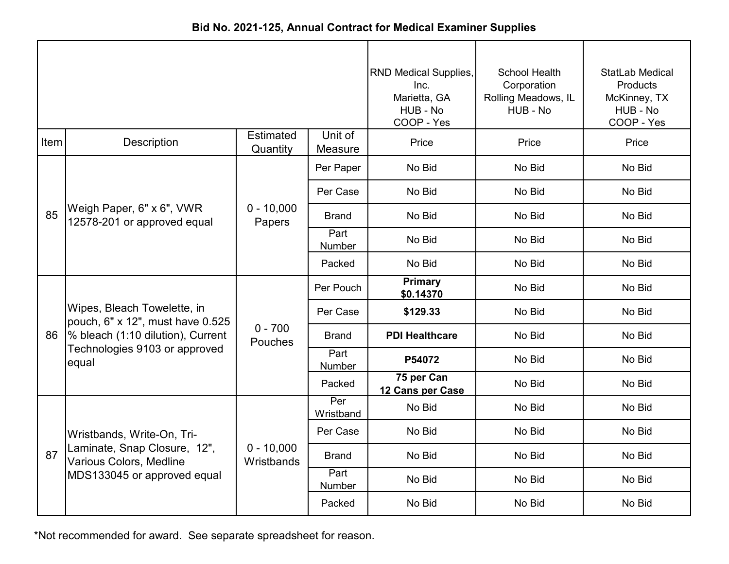|      |                                                                                                                                                |                            |                       | <b>RND Medical Supplies,</b><br>Inc.<br>Marietta, GA<br>HUB - No<br>COOP - Yes | School Health<br>Corporation<br>Rolling Meadows, IL<br>HUB - No | StatLab Medical<br>Products<br>McKinney, TX<br>HUB - No<br>COOP - Yes |
|------|------------------------------------------------------------------------------------------------------------------------------------------------|----------------------------|-----------------------|--------------------------------------------------------------------------------|-----------------------------------------------------------------|-----------------------------------------------------------------------|
| Item | <b>Description</b>                                                                                                                             | Estimated<br>Quantity      | Unit of<br>Measure    | Price                                                                          | Price                                                           | Price                                                                 |
| 85   | Weigh Paper, 6" x 6", VWR<br>12578-201 or approved equal                                                                                       | $0 - 10,000$<br>Papers     | Per Paper             | No Bid                                                                         | No Bid                                                          | No Bid                                                                |
|      |                                                                                                                                                |                            | Per Case              | No Bid                                                                         | No Bid                                                          | No Bid                                                                |
|      |                                                                                                                                                |                            | <b>Brand</b>          | No Bid                                                                         | No Bid                                                          | No Bid                                                                |
|      |                                                                                                                                                |                            | Part<br>Number        | No Bid                                                                         | No Bid                                                          | No Bid                                                                |
|      |                                                                                                                                                |                            | Packed                | No Bid                                                                         | No Bid                                                          | No Bid                                                                |
| 86   | Wipes, Bleach Towelette, in<br>pouch, 6" x 12", must have 0.525<br>% bleach (1:10 dilution), Current<br>Technologies 9103 or approved<br>equal | $0 - 700$<br>Pouches       | Per Pouch             | <b>Primary</b><br>\$0.14370                                                    | No Bid                                                          | No Bid                                                                |
|      |                                                                                                                                                |                            | Per Case              | \$129.33                                                                       | No Bid                                                          | No Bid                                                                |
|      |                                                                                                                                                |                            | <b>Brand</b>          | <b>PDI Healthcare</b>                                                          | No Bid                                                          | No Bid                                                                |
|      |                                                                                                                                                |                            | Part<br>Number        | P54072                                                                         | No Bid                                                          | No Bid                                                                |
|      |                                                                                                                                                |                            | Packed                | 75 per Can<br>12 Cans per Case                                                 | No Bid                                                          | No Bid                                                                |
| 87   | Wristbands, Write-On, Tri-<br>Laminate, Snap Closure, 12",<br>Various Colors, Medline<br>MDS133045 or approved equal                           | $0 - 10,000$<br>Wristbands | Per<br>Wristband      | No Bid                                                                         | No Bid                                                          | No Bid                                                                |
|      |                                                                                                                                                |                            | Per Case              | No Bid                                                                         | No Bid                                                          | No Bid                                                                |
|      |                                                                                                                                                |                            | <b>Brand</b>          | No Bid                                                                         | No Bid                                                          | No Bid                                                                |
|      |                                                                                                                                                |                            | Part<br><b>Number</b> | No Bid                                                                         | No Bid                                                          | No Bid                                                                |
|      |                                                                                                                                                |                            | Packed                | No Bid                                                                         | No Bid                                                          | No Bid                                                                |

**Bid No. 2021-125, Annual Contract for Medical Examiner Supplies**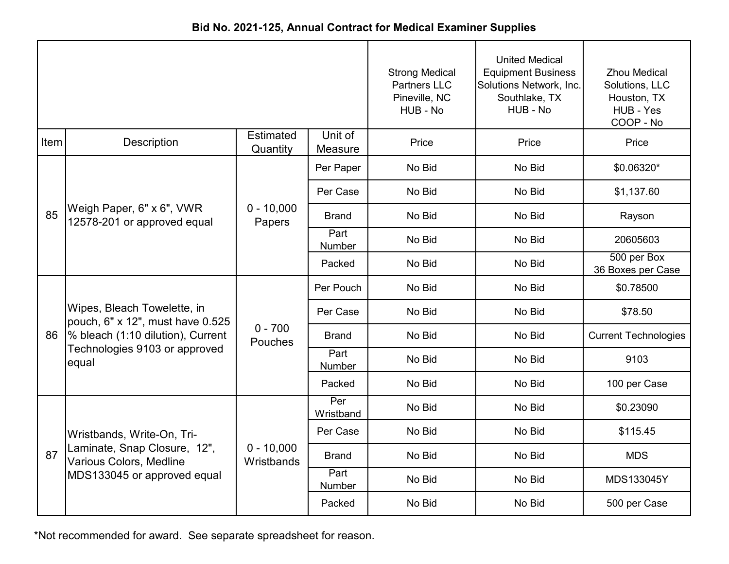|             |                                                                                                                                                |                              |                       | <b>Strong Medical</b><br><b>Partners LLC</b><br>Pineville, NC<br>HUB - No | <b>United Medical</b><br><b>Equipment Business</b><br>Solutions Network, Inc.<br>Southlake, TX<br>HUB - No | <b>Zhou Medical</b><br>Solutions, LLC<br>Houston, TX<br>HUB - Yes<br>COOP - No |
|-------------|------------------------------------------------------------------------------------------------------------------------------------------------|------------------------------|-----------------------|---------------------------------------------------------------------------|------------------------------------------------------------------------------------------------------------|--------------------------------------------------------------------------------|
| <b>Item</b> | Description                                                                                                                                    | <b>Estimated</b><br>Quantity | Unit of<br>Measure    | Price                                                                     | Price                                                                                                      | Price                                                                          |
|             |                                                                                                                                                |                              | Per Paper             | No Bid                                                                    | No Bid                                                                                                     | \$0.06320*                                                                     |
|             |                                                                                                                                                | $0 - 10,000$<br>Papers       | Per Case              | No Bid                                                                    | No Bid                                                                                                     | \$1,137.60                                                                     |
| 85          | Weigh Paper, 6" x 6", VWR<br>12578-201 or approved equal                                                                                       |                              | <b>Brand</b>          | No Bid                                                                    | No Bid                                                                                                     | Rayson                                                                         |
|             |                                                                                                                                                |                              | Part<br>Number        | No Bid                                                                    | No Bid                                                                                                     | 20605603                                                                       |
|             |                                                                                                                                                |                              | Packed                | No Bid                                                                    | No Bid                                                                                                     | 500 per Box<br>36 Boxes per Case                                               |
|             | Wipes, Bleach Towelette, in<br>pouch, 6" x 12", must have 0.525<br>% bleach (1:10 dilution), Current<br>Technologies 9103 or approved<br>equal | $0 - 700$<br>Pouches         | Per Pouch             | No Bid                                                                    | No Bid                                                                                                     | \$0.78500                                                                      |
|             |                                                                                                                                                |                              | Per Case              | No Bid                                                                    | No Bid                                                                                                     | \$78.50                                                                        |
| 86          |                                                                                                                                                |                              | <b>Brand</b>          | No Bid                                                                    | No Bid                                                                                                     | <b>Current Technologies</b>                                                    |
|             |                                                                                                                                                |                              | Part<br><b>Number</b> | No Bid                                                                    | No Bid                                                                                                     | 9103                                                                           |
|             |                                                                                                                                                |                              | Packed                | No Bid                                                                    | No Bid                                                                                                     | 100 per Case                                                                   |
|             |                                                                                                                                                |                              | Per<br>Wristband      | No Bid                                                                    | No Bid                                                                                                     | \$0.23090                                                                      |
| 87          | Wristbands, Write-On, Tri-                                                                                                                     | $0 - 10,000$<br>Wristbands   | Per Case              | No Bid                                                                    | No Bid                                                                                                     | \$115.45                                                                       |
|             | Laminate, Snap Closure, 12",<br>Various Colors, Medline<br>MDS133045 or approved equal                                                         |                              | <b>Brand</b>          | No Bid                                                                    | No Bid                                                                                                     | <b>MDS</b>                                                                     |
|             |                                                                                                                                                |                              | Part<br>Number        | No Bid                                                                    | No Bid                                                                                                     | MDS133045Y                                                                     |
|             |                                                                                                                                                |                              | Packed                | No Bid                                                                    | No Bid                                                                                                     | 500 per Case                                                                   |

**Bid No. 2021-125, Annual Contract for Medical Examiner Supplies**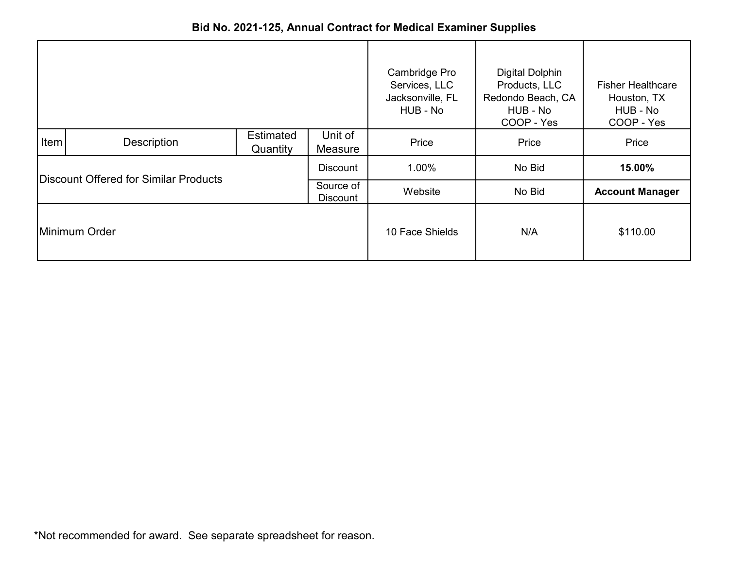|                                       |             |                              |                              | Cambridge Pro                                 | <b>Digital Dolphin</b>                                       |                                                                   |
|---------------------------------------|-------------|------------------------------|------------------------------|-----------------------------------------------|--------------------------------------------------------------|-------------------------------------------------------------------|
|                                       |             |                              |                              | Services, LLC<br>Jacksonville, FL<br>HUB - No | Products, LLC<br>Redondo Beach, CA<br>HUB - No<br>COOP - Yes | <b>Fisher Healthcare</b><br>Houston, TX<br>HUB - No<br>COOP - Yes |
| <b>Item</b>                           | Description | <b>Estimated</b><br>Quantity | Unit of<br>Measure           | Price                                         | Price                                                        | Price                                                             |
| Discount Offered for Similar Products |             |                              | <b>Discount</b>              | 1.00%                                         | No Bid                                                       | 15.00%                                                            |
|                                       |             |                              | Source of<br><b>Discount</b> | Website                                       | No Bid                                                       | <b>Account Manager</b>                                            |
| Minimum Order                         |             |                              |                              | 10 Face Shields                               | N/A                                                          | \$110.00                                                          |

## **Bid No. 2021-125, Annual Contract for Medical Examiner Supplies**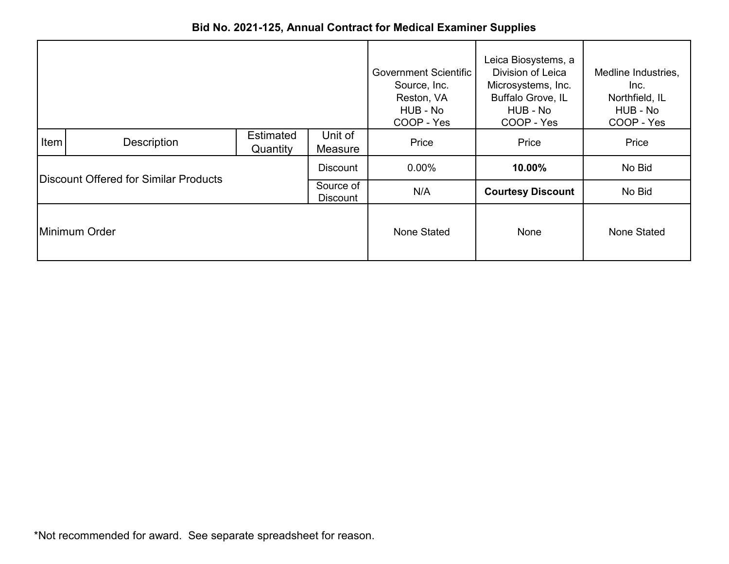|                                       |             |                              |                    | <b>Government Scientific</b><br>Source, Inc.<br>Reston, VA<br>HUB - No<br>COOP - Yes | Leica Biosystems, a<br>Division of Leica<br>Microsystems, Inc.<br>Buffalo Grove, IL<br>HUB - No<br>COOP - Yes | Medline Industries,<br>Inc.<br>Northfield, IL<br>HUB - No<br>COOP - Yes |
|---------------------------------------|-------------|------------------------------|--------------------|--------------------------------------------------------------------------------------|---------------------------------------------------------------------------------------------------------------|-------------------------------------------------------------------------|
| Item                                  | Description | <b>Estimated</b><br>Quantity | Unit of<br>Measure | Price                                                                                | Price                                                                                                         | Price                                                                   |
|                                       |             |                              | <b>Discount</b>    | $0.00\%$                                                                             | 10.00%                                                                                                        | No Bid                                                                  |
| Discount Offered for Similar Products |             | Source of<br><b>Discount</b> | N/A                | <b>Courtesy Discount</b>                                                             | No Bid                                                                                                        |                                                                         |
| Minimum Order                         |             |                              |                    | None Stated                                                                          | None                                                                                                          | None Stated                                                             |

**Bid No. 2021-125, Annual Contract for Medical Examiner Supplies**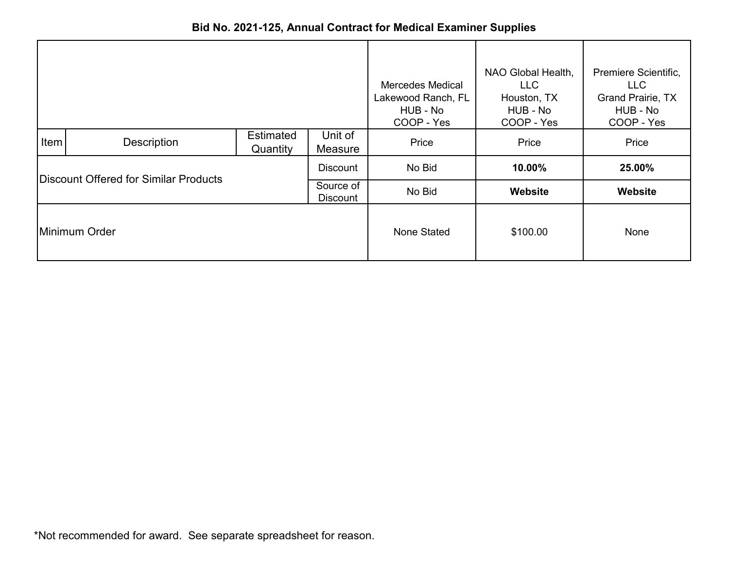|                                       |             |                              |                    | <b>Mercedes Medical</b><br>Lakewood Ranch, FL<br>HUB - No<br>COOP - Yes | NAO Global Health,<br><b>LLC</b><br>Houston, TX<br>HUB - No<br>COOP - Yes | Premiere Scientific,<br><b>LLC</b><br><b>Grand Prairie, TX</b><br>HUB - No<br>COOP - Yes |
|---------------------------------------|-------------|------------------------------|--------------------|-------------------------------------------------------------------------|---------------------------------------------------------------------------|------------------------------------------------------------------------------------------|
| Item                                  | Description | <b>Estimated</b><br>Quantity | Unit of<br>Measure | Price                                                                   | Price                                                                     | Price                                                                                    |
|                                       |             |                              | <b>Discount</b>    | No Bid                                                                  | 10.00%                                                                    | 25.00%                                                                                   |
| Discount Offered for Similar Products |             | Source of<br><b>Discount</b> | No Bid             | Website                                                                 | Website                                                                   |                                                                                          |
| Minimum Order                         |             |                              | None Stated        | \$100.00                                                                | <b>None</b>                                                               |                                                                                          |

**Bid No. 2021-125, Annual Contract for Medical Examiner Supplies**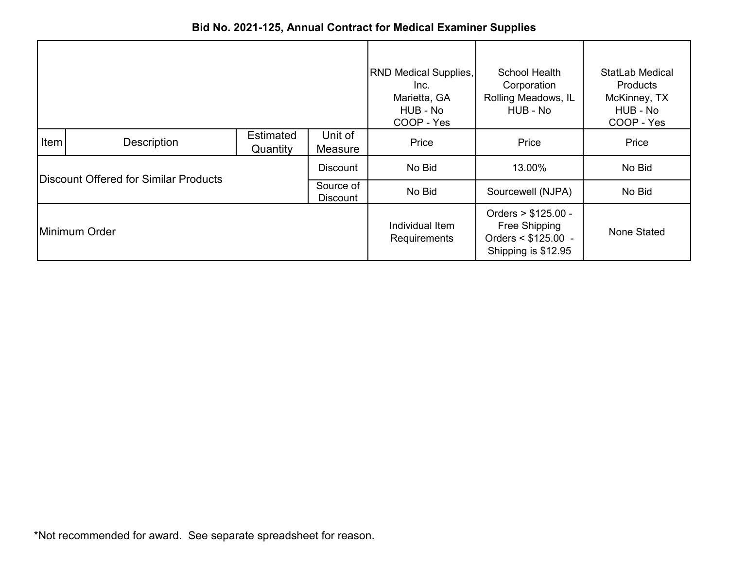|                                       |             |                              |                                 | <b>RND Medical Supplies,</b><br>Inc.<br>Marietta, GA<br>HUB - No<br>COOP - Yes       | School Health<br>Corporation<br>Rolling Meadows, IL<br>HUB - No | <b>StatLab Medical</b><br><b>Products</b><br>McKinney, TX<br>HUB - No<br>COOP - Yes |
|---------------------------------------|-------------|------------------------------|---------------------------------|--------------------------------------------------------------------------------------|-----------------------------------------------------------------|-------------------------------------------------------------------------------------|
| Item                                  | Description | <b>Estimated</b><br>Quantity | Unit of<br>Measure              | Price                                                                                | Price                                                           | Price                                                                               |
|                                       |             |                              | <b>Discount</b>                 | No Bid                                                                               | 13.00%                                                          | No Bid                                                                              |
| Discount Offered for Similar Products |             | Source of<br>Discount        | No Bid                          | Sourcewell (NJPA)                                                                    | No Bid                                                          |                                                                                     |
| Minimum Order                         |             |                              | Individual Item<br>Requirements | Orders > \$125.00 -<br>Free Shipping<br>Orders $<$ \$125.00 -<br>Shipping is \$12.95 | None Stated                                                     |                                                                                     |

**Bid No. 2021-125, Annual Contract for Medical Examiner Supplies**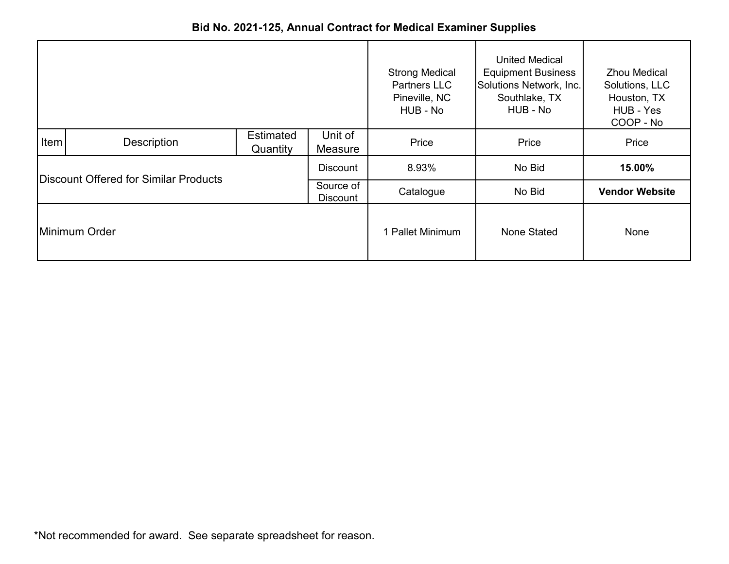|                                       |                 |                              |                              | <b>Strong Medical</b><br><b>Partners LLC</b><br>Pineville, NC<br>HUB - No | <b>United Medical</b><br><b>Equipment Business</b><br>Solutions Network, Inc.<br>Southlake, TX<br>HUB - No | <b>Zhou Medical</b><br>Solutions, LLC<br>Houston, TX<br>HUB - Yes<br>COOP - No |
|---------------------------------------|-----------------|------------------------------|------------------------------|---------------------------------------------------------------------------|------------------------------------------------------------------------------------------------------------|--------------------------------------------------------------------------------|
| <b>Item</b>                           | Description     | <b>Estimated</b><br>Quantity | Unit of<br>Measure           | Price                                                                     | Price                                                                                                      | Price                                                                          |
|                                       | <b>Discount</b> |                              |                              | 8.93%                                                                     | No Bid                                                                                                     | 15.00%                                                                         |
| Discount Offered for Similar Products |                 |                              | Source of<br><b>Discount</b> | Catalogue                                                                 | No Bid                                                                                                     | <b>Vendor Website</b>                                                          |
| Minimum Order                         |                 |                              |                              | 1 Pallet Minimum                                                          | None Stated                                                                                                | None                                                                           |

## **Bid No. 2021-125, Annual Contract for Medical Examiner Supplies**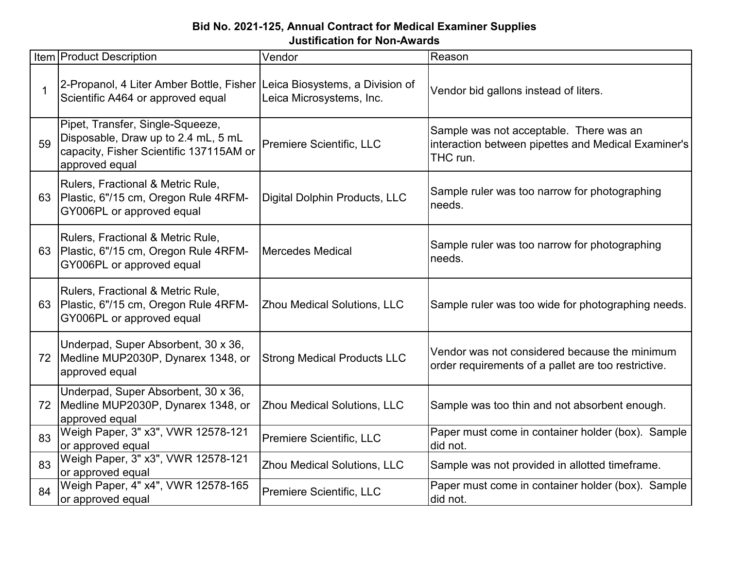## **Bid No. 2021-125, Annual Contract for Medical Examiner Supplies Justification for Non-Awards**

|             | <b>Item Product Description</b>                                                                                                      | Vendor                             | Reason                                                                                                     |
|-------------|--------------------------------------------------------------------------------------------------------------------------------------|------------------------------------|------------------------------------------------------------------------------------------------------------|
| $\mathbf 1$ | 2-Propanol, 4 Liter Amber Bottle, Fisher Leica Biosystems, a Division of<br>Scientific A464 or approved equal                        | Leica Microsystems, Inc.           | Vendor bid gallons instead of liters.                                                                      |
| 59          | Pipet, Transfer, Single-Squeeze,<br>Disposable, Draw up to 2.4 mL, 5 mL<br>capacity, Fisher Scientific 137115AM or<br>approved equal | Premiere Scientific, LLC           | Sample was not acceptable. There was an<br>interaction between pipettes and Medical Examiner's<br>THC run. |
|             | Rulers, Fractional & Metric Rule,<br>63 Plastic, 6"/15 cm, Oregon Rule 4RFM-<br>GY006PL or approved equal                            | Digital Dolphin Products, LLC      | Sample ruler was too narrow for photographing<br>needs.                                                    |
|             | Rulers, Fractional & Metric Rule,<br>63 Plastic, 6"/15 cm, Oregon Rule 4RFM-<br>GY006PL or approved equal                            | Mercedes Medical                   | Sample ruler was too narrow for photographing<br>needs.                                                    |
|             | Rulers, Fractional & Metric Rule,<br>63 Plastic, 6"/15 cm, Oregon Rule 4RFM-<br>GY006PL or approved equal                            | <b>Zhou Medical Solutions, LLC</b> | Sample ruler was too wide for photographing needs.                                                         |
|             | Underpad, Super Absorbent, 30 x 36,<br>72 Medline MUP2030P, Dynarex 1348, or<br>approved equal                                       | <b>Strong Medical Products LLC</b> | Vendor was not considered because the minimum<br>order requirements of a pallet are too restrictive.       |
| 72          | Underpad, Super Absorbent, 30 x 36,<br>Medline MUP2030P, Dynarex 1348, or<br>approved equal                                          | <b>Zhou Medical Solutions, LLC</b> | Sample was too thin and not absorbent enough.                                                              |
| 83          | Weigh Paper, 3" x3", VWR 12578-121<br>or approved equal                                                                              | Premiere Scientific, LLC           | Paper must come in container holder (box). Sample<br>did not.                                              |
| 83          | Weigh Paper, 3" x3", VWR 12578-121<br>or approved equal                                                                              | <b>Zhou Medical Solutions, LLC</b> | Sample was not provided in allotted timeframe.                                                             |
| 84          | Weigh Paper, 4" x4", VWR 12578-165<br>or approved equal                                                                              | Premiere Scientific, LLC           | Paper must come in container holder (box). Sample<br>did not.                                              |